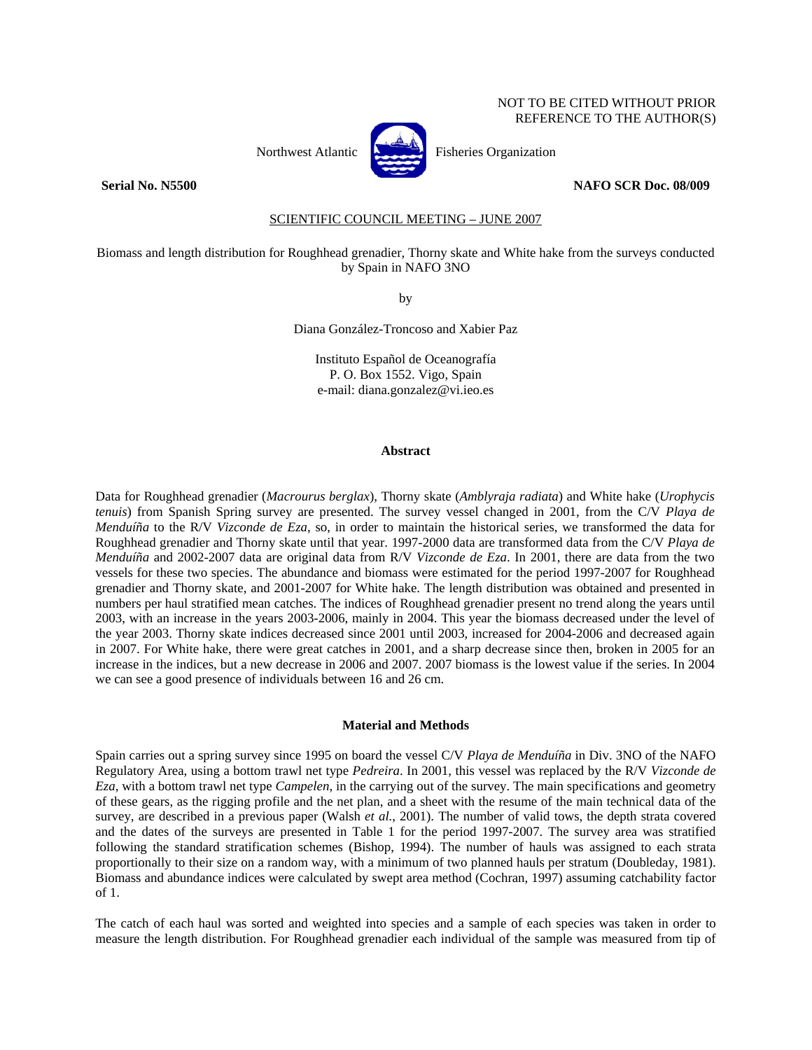# NOT TO BE CITED WITHOUT PRIOR REFERENCE TO THE AUTHOR(S)



Northwest Atlantic **Northusian** Fisheries Organization

## **Serial No. N5500 NAFO SCR Doc. 08/009**

SCIENTIFIC COUNCIL MEETING – JUNE 2007

Biomass and length distribution for Roughhead grenadier, Thorny skate and White hake from the surveys conducted by Spain in NAFO 3NO

by

Diana González-Troncoso and Xabier Paz

Instituto Español de Oceanografía P. O. Box 1552. Vigo, Spain e-mail: diana.gonzalez@vi.ieo.es

## **Abstract**

Data for Roughhead grenadier (*Macrourus berglax*), Thorny skate (*Amblyraja radiata*) and White hake (*Urophycis tenuis*) from Spanish Spring survey are presented. The survey vessel changed in 2001, from the C/V *Playa de Menduíña* to the R/V *Vizconde de Eza*, so, in order to maintain the historical series, we transformed the data for Roughhead grenadier and Thorny skate until that year. 1997-2000 data are transformed data from the C/V *Playa de Menduíña* and 2002-2007 data are original data from R/V *Vizconde de Eza*. In 2001, there are data from the two vessels for these two species. The abundance and biomass were estimated for the period 1997-2007 for Roughhead grenadier and Thorny skate, and 2001-2007 for White hake. The length distribution was obtained and presented in numbers per haul stratified mean catches. The indices of Roughhead grenadier present no trend along the years until 2003, with an increase in the years 2003-2006, mainly in 2004. This year the biomass decreased under the level of the year 2003. Thorny skate indices decreased since 2001 until 2003, increased for 2004-2006 and decreased again in 2007. For White hake, there were great catches in 2001, and a sharp decrease since then, broken in 2005 for an increase in the indices, but a new decrease in 2006 and 2007. 2007 biomass is the lowest value if the series. In 2004 we can see a good presence of individuals between 16 and 26 cm.

## **Material and Methods**

Spain carries out a spring survey since 1995 on board the vessel C/V *Playa de Menduíña* in Div. 3NO of the NAFO Regulatory Area, using a bottom trawl net type *Pedreira*. In 2001, this vessel was replaced by the R/V *Vizconde de Eza*, with a bottom trawl net type *Campelen*, in the carrying out of the survey. The main specifications and geometry of these gears, as the rigging profile and the net plan, and a sheet with the resume of the main technical data of the survey, are described in a previous paper (Walsh *et al.*, 2001). The number of valid tows, the depth strata covered and the dates of the surveys are presented in Table 1 for the period 1997-2007. The survey area was stratified following the standard stratification schemes (Bishop, 1994). The number of hauls was assigned to each strata proportionally to their size on a random way, with a minimum of two planned hauls per stratum (Doubleday, 1981). Biomass and abundance indices were calculated by swept area method (Cochran, 1997) assuming catchability factor of 1.

The catch of each haul was sorted and weighted into species and a sample of each species was taken in order to measure the length distribution. For Roughhead grenadier each individual of the sample was measured from tip of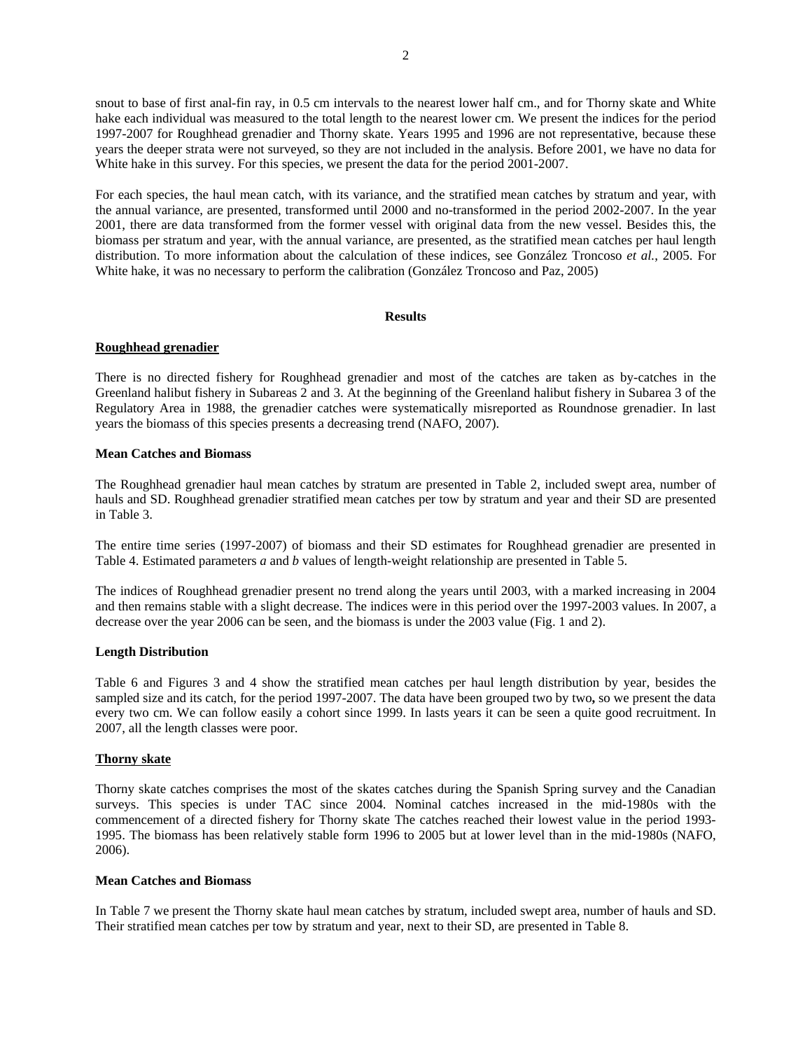snout to base of first anal-fin ray, in 0.5 cm intervals to the nearest lower half cm., and for Thorny skate and White hake each individual was measured to the total length to the nearest lower cm. We present the indices for the period 1997-2007 for Roughhead grenadier and Thorny skate. Years 1995 and 1996 are not representative, because these years the deeper strata were not surveyed, so they are not included in the analysis. Before 2001, we have no data for White hake in this survey. For this species, we present the data for the period 2001-2007.

For each species, the haul mean catch, with its variance, and the stratified mean catches by stratum and year, with the annual variance, are presented, transformed until 2000 and no-transformed in the period 2002-2007. In the year 2001, there are data transformed from the former vessel with original data from the new vessel. Besides this, the biomass per stratum and year, with the annual variance, are presented, as the stratified mean catches per haul length distribution. To more information about the calculation of these indices, see González Troncoso *et al.*, 2005. For White hake, it was no necessary to perform the calibration (González Troncoso and Paz, 2005)

## **Results**

## **Roughhead grenadier**

There is no directed fishery for Roughhead grenadier and most of the catches are taken as by-catches in the Greenland halibut fishery in Subareas 2 and 3. At the beginning of the Greenland halibut fishery in Subarea 3 of the Regulatory Area in 1988, the grenadier catches were systematically misreported as Roundnose grenadier. In last years the biomass of this species presents a decreasing trend (NAFO, 2007).

## **Mean Catches and Biomass**

The Roughhead grenadier haul mean catches by stratum are presented in Table 2, included swept area, number of hauls and SD. Roughhead grenadier stratified mean catches per tow by stratum and year and their SD are presented in Table 3.

The entire time series (1997-2007) of biomass and their SD estimates for Roughhead grenadier are presented in Table 4. Estimated parameters *a* and *b* values of length-weight relationship are presented in Table 5.

The indices of Roughhead grenadier present no trend along the years until 2003, with a marked increasing in 2004 and then remains stable with a slight decrease. The indices were in this period over the 1997-2003 values. In 2007, a decrease over the year 2006 can be seen, and the biomass is under the 2003 value (Fig. 1 and 2).

## **Length Distribution**

Table 6 and Figures 3 and 4 show the stratified mean catches per haul length distribution by year, besides the sampled size and its catch, for the period 1997-2007. The data have been grouped two by two**,** so we present the data every two cm. We can follow easily a cohort since 1999. In lasts years it can be seen a quite good recruitment. In 2007, all the length classes were poor.

## **Thorny skate**

Thorny skate catches comprises the most of the skates catches during the Spanish Spring survey and the Canadian surveys. This species is under TAC since 2004. Nominal catches increased in the mid-1980s with the commencement of a directed fishery for Thorny skate The catches reached their lowest value in the period 1993- 1995. The biomass has been relatively stable form 1996 to 2005 but at lower level than in the mid-1980s (NAFO, 2006).

#### **Mean Catches and Biomass**

In Table 7 we present the Thorny skate haul mean catches by stratum, included swept area, number of hauls and SD. Their stratified mean catches per tow by stratum and year, next to their SD, are presented in Table 8.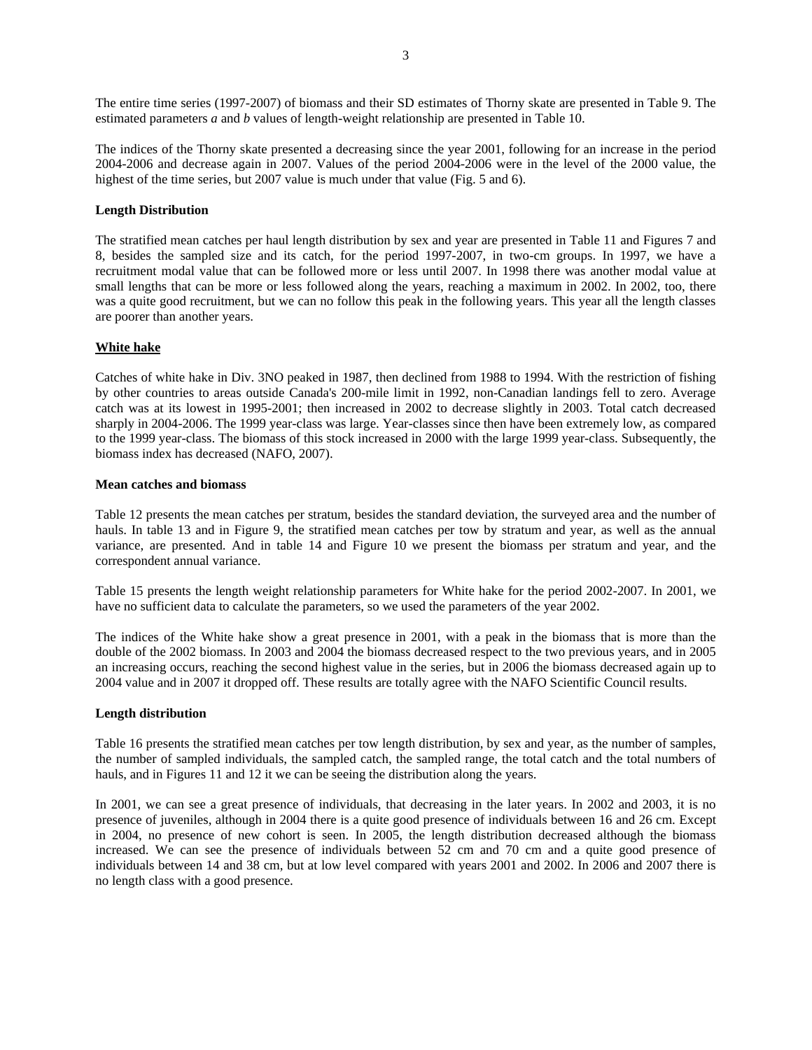The entire time series (1997-2007) of biomass and their SD estimates of Thorny skate are presented in Table 9. The estimated parameters *a* and *b* values of length-weight relationship are presented in Table 10.

The indices of the Thorny skate presented a decreasing since the year 2001, following for an increase in the period 2004-2006 and decrease again in 2007. Values of the period 2004-2006 were in the level of the 2000 value, the highest of the time series, but 2007 value is much under that value (Fig. 5 and 6).

## **Length Distribution**

The stratified mean catches per haul length distribution by sex and year are presented in Table 11 and Figures 7 and 8, besides the sampled size and its catch, for the period 1997-2007, in two-cm groups. In 1997, we have a recruitment modal value that can be followed more or less until 2007. In 1998 there was another modal value at small lengths that can be more or less followed along the years, reaching a maximum in 2002. In 2002, too, there was a quite good recruitment, but we can no follow this peak in the following years. This year all the length classes are poorer than another years.

## **White hake**

Catches of white hake in Div. 3NO peaked in 1987, then declined from 1988 to 1994. With the restriction of fishing by other countries to areas outside Canada's 200-mile limit in 1992, non-Canadian landings fell to zero. Average catch was at its lowest in 1995-2001; then increased in 2002 to decrease slightly in 2003. Total catch decreased sharply in 2004-2006. The 1999 year-class was large. Year-classes since then have been extremely low, as compared to the 1999 year-class. The biomass of this stock increased in 2000 with the large 1999 year-class. Subsequently, the biomass index has decreased (NAFO, 2007).

#### **Mean catches and biomass**

Table 12 presents the mean catches per stratum, besides the standard deviation, the surveyed area and the number of hauls. In table 13 and in Figure 9, the stratified mean catches per tow by stratum and year, as well as the annual variance, are presented. And in table 14 and Figure 10 we present the biomass per stratum and year, and the correspondent annual variance.

Table 15 presents the length weight relationship parameters for White hake for the period 2002-2007. In 2001, we have no sufficient data to calculate the parameters, so we used the parameters of the year 2002.

The indices of the White hake show a great presence in 2001, with a peak in the biomass that is more than the double of the 2002 biomass. In 2003 and 2004 the biomass decreased respect to the two previous years, and in 2005 an increasing occurs, reaching the second highest value in the series, but in 2006 the biomass decreased again up to 2004 value and in 2007 it dropped off. These results are totally agree with the NAFO Scientific Council results.

#### **Length distribution**

Table 16 presents the stratified mean catches per tow length distribution, by sex and year, as the number of samples, the number of sampled individuals, the sampled catch, the sampled range, the total catch and the total numbers of hauls, and in Figures 11 and 12 it we can be seeing the distribution along the years.

In 2001, we can see a great presence of individuals, that decreasing in the later years. In 2002 and 2003, it is no presence of juveniles, although in 2004 there is a quite good presence of individuals between 16 and 26 cm. Except in 2004, no presence of new cohort is seen. In 2005, the length distribution decreased although the biomass increased. We can see the presence of individuals between 52 cm and 70 cm and a quite good presence of individuals between 14 and 38 cm, but at low level compared with years 2001 and 2002. In 2006 and 2007 there is no length class with a good presence.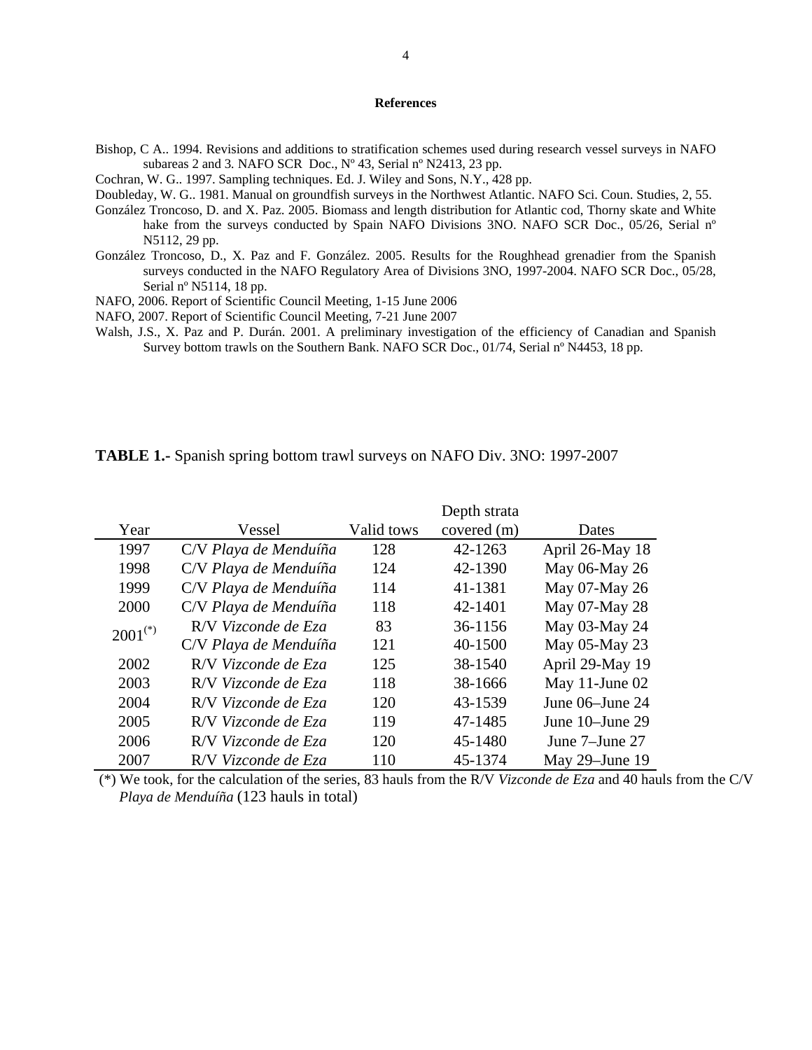# **References**

Bishop, C A.. 1994. Revisions and additions to stratification schemes used during research vessel surveys in NAFO subareas 2 and 3*.* NAFO SCR Doc., Nº 43, Serial nº N2413, 23 pp.

Cochran, W. G.. 1997. Sampling techniques. Ed. J. Wiley and Sons, N.Y., 428 pp.

Doubleday, W. G.. 1981. Manual on groundfish surveys in the Northwest Atlantic. NAFO Sci. Coun. Studies, 2, 55.

- González Troncoso, D. and X. Paz. 2005. Biomass and length distribution for Atlantic cod, Thorny skate and White hake from the surveys conducted by Spain NAFO Divisions 3NO. NAFO SCR Doc., 05/26, Serial n° N5112, 29 pp.
- González Troncoso, D., X. Paz and F. González. 2005. Results for the Roughhead grenadier from the Spanish surveys conducted in the NAFO Regulatory Area of Divisions 3NO, 1997-2004. NAFO SCR Doc., 05/28, Serial nº N5114, 18 pp.
- NAFO, 2006. Report of Scientific Council Meeting, 1-15 June 2006
- NAFO, 2007. Report of Scientific Council Meeting, 7-21 June 2007
- Walsh, J.S., X. Paz and P. Durán. 2001. A preliminary investigation of the efficiency of Canadian and Spanish Survey bottom trawls on the Southern Bank. NAFO SCR Doc., 01/74, Serial nº N4453, 18 pp.

**TABLE 1.-** Spanish spring bottom trawl surveys on NAFO Div. 3NO: 1997-2007

|              |                       |            | Depth strata |                 |
|--------------|-----------------------|------------|--------------|-----------------|
| Year         | Vessel                | Valid tows | covered (m)  | Dates           |
| 1997         | C/V Playa de Menduíña | 128        | 42-1263      | April 26-May 18 |
| 1998         | C/V Playa de Menduíña | 124        | 42-1390      | May 06-May 26   |
| 1999         | C/V Playa de Menduíña | 114        | 41-1381      | May 07-May 26   |
| 2000         | C/V Playa de Menduíña | 118        | 42-1401      | May 07-May 28   |
| $2001^{(*)}$ | R/V Vizconde de Eza   | 83         | 36-1156      | May 03-May 24   |
|              | C/V Playa de Menduíña | 121        | 40-1500      | May 05-May 23   |
| 2002         | R/V Vizconde de Eza   | 125        | 38-1540      | April 29-May 19 |
| 2003         | R/V Vizconde de Eza   | 118        | 38-1666      | May 11-June 02  |
| 2004         | R/V Vizconde de Eza   | 120        | 43-1539      | June 06–June 24 |
| 2005         | R/V Vizconde de Eza   | 119        | 47-1485      | June 10–June 29 |
| 2006         | R/V Vizconde de Eza   | 120        | 45-1480      | June 7-June 27  |
| 2007         | R/V Vizconde de Eza   | 110        | 45-1374      | May 29-June 19  |

 (\*) We took, for the calculation of the series, 83 hauls from the R/V *Vizconde de Eza* and 40 hauls from the C/V *Playa de Menduíña* (123 hauls in total)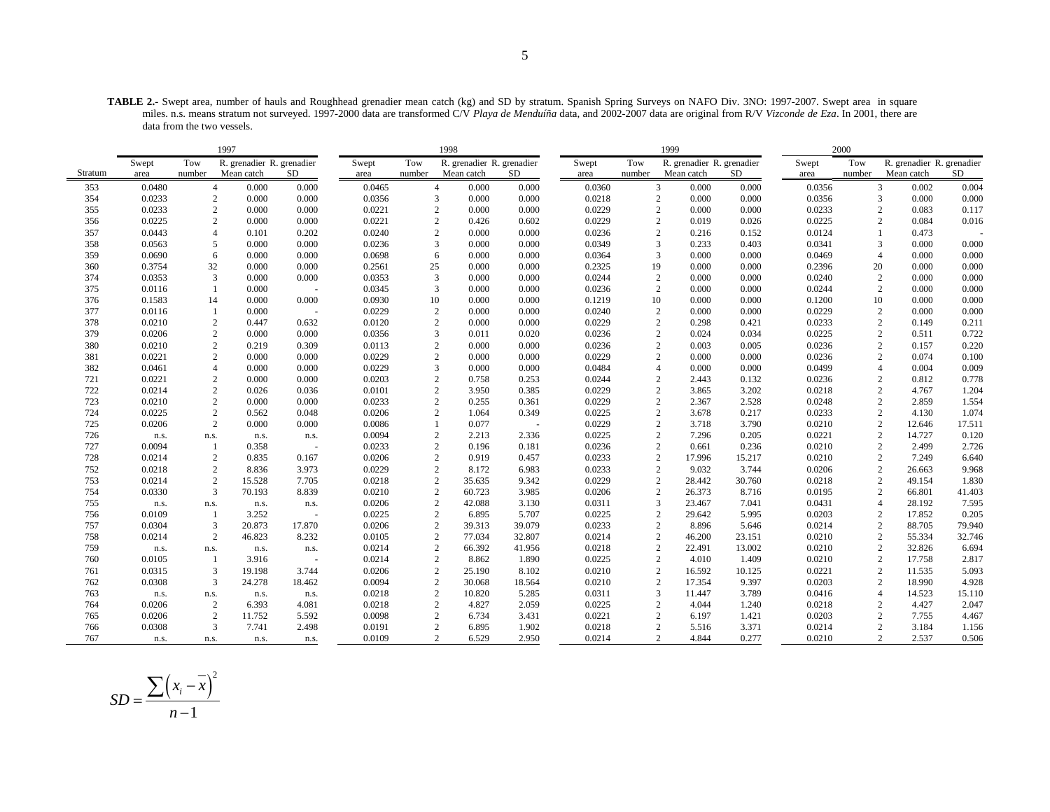**TABLE 2.-** Swept area, number of hauls and Roughhead grenadier mean catch (kg) and SD by stratum. Spanish Spring Surveys on NAFO Div. 3NO: 1997-2007. Swept area in square miles. n.s. means stratum not surveyed. 1997-2000 data are transformed C/V *Playa de Menduíña* data, and 2002-2007 data are original from R/V *Vizconde de Eza*. In 2001, there are data from the two vessels.

|         |        |                | 1997                      |                          |        |                | 1998                      |           |        |        | 1999                      |        |        | 2000           |                           |           |
|---------|--------|----------------|---------------------------|--------------------------|--------|----------------|---------------------------|-----------|--------|--------|---------------------------|--------|--------|----------------|---------------------------|-----------|
|         | Swept  | Tow            | R. grenadier R. grenadier |                          | Swept  | Tow            | R. grenadier R. grenadier |           | Swept  | Tow    | R. grenadier R. grenadier |        | Swept  | Tow            | R. grenadier R. grenadier |           |
| Stratum | area   | number         | Mean catch                | SD.                      | area   | number         | Mean catch                | SD.       | area   | number | Mean catch                | SD     | area   | number         | Mean catch                | <b>SD</b> |
| 353     | 0.0480 | $\overline{4}$ | 0.000                     | 0.000                    | 0.0465 | $\overline{4}$ | 0.000                     | 0.000     | 0.0360 |        | 3<br>0.000                | 0.000  | 0.0356 |                | 3<br>0.002                | 0.004     |
| 354     | 0.0233 | 2              | 0.000                     | 0.000                    | 0.0356 | 3              | 0.000                     | $0.000\,$ | 0.0218 |        | $\overline{c}$<br>0.000   | 0.000  | 0.0356 |                | 3<br>0.000                | 0.000     |
| 355     | 0.0233 | 2              | 0.000                     | 0.000                    | 0.0221 | 2              | 0.000                     | 0.000     | 0.0229 |        | $\overline{2}$<br>0.000   | 0.000  | 0.0233 | 2              | 0.083                     | 0.117     |
| 356     | 0.0225 | $\overline{c}$ | 0.000                     | 0.000                    | 0.0221 | $\overline{c}$ | 0.426                     | 0.602     | 0.0229 |        | $\overline{2}$<br>0.019   | 0.026  | 0.0225 |                | $\overline{2}$<br>0.084   | 0.016     |
| 357     | 0.0443 | $\overline{4}$ | 0.101                     | 0.202                    | 0.0240 | 2              | 0.000                     | 0.000     | 0.0236 |        | $\overline{2}$<br>0.216   | 0.152  | 0.0124 |                | 0.473                     |           |
| 358     | 0.0563 | 5              | 0.000                     | 0.000                    | 0.0236 | 3              | 0.000                     | 0.000     | 0.0349 |        | 3<br>0.233                | 0.403  | 0.0341 | 3              | 0.000                     | 0.000     |
| 359     | 0.0690 | 6              | 0.000                     | 0.000                    | 0.0698 | 6              | 0.000                     | 0.000     | 0.0364 |        | 3<br>0.000                | 0.000  | 0.0469 | $\overline{4}$ | 0.000                     | 0.000     |
| 360     | 0.3754 | 32             | 0.000                     | 0.000                    | 0.2561 | 25             | 0.000                     | 0.000     | 0.2325 | 19     | 0.000                     | 0.000  | 0.2396 | 20             | 0.000                     | 0.000     |
| 374     | 0.0353 | 3              | 0.000                     | 0.000                    | 0.0353 | 3              | 0.000                     | 0.000     | 0.0244 |        | $\sqrt{2}$<br>0.000       | 0.000  | 0.0240 | $\overline{c}$ | 0.000                     | 0.000     |
| 375     | 0.0116 |                | 0.000                     |                          | 0.0345 | 3              | 0.000                     | 0.000     | 0.0236 |        | $\overline{2}$<br>0.000   | 0.000  | 0.0244 | $\overline{c}$ | 0.000                     | 0.000     |
| 376     | 0.1583 | 14             | 0.000                     | 0.000                    | 0.0930 | 10             | 0.000                     | 0.000     | 0.1219 | 10     | 0.000                     | 0.000  | 0.1200 | 10             | 0.000                     | 0.000     |
| 377     | 0.0116 |                | 0.000                     |                          | 0.0229 | $\overline{c}$ | 0.000                     | 0.000     | 0.0240 |        | $\overline{c}$<br>0.000   | 0.000  | 0.0229 | $\sqrt{2}$     | 0.000                     | 0.000     |
| 378     | 0.0210 | $\mathbf{2}$   | 0.447                     | 0.632                    | 0.0120 | $\overline{c}$ | 0.000                     | 0.000     | 0.0229 |        | $\overline{2}$<br>0.298   | 0.421  | 0.0233 | $\overline{c}$ | 0.149                     | 0.211     |
| 379     | 0.0206 | 2              | 0.000                     | 0.000                    | 0.0356 | 3              | 0.011                     | 0.020     | 0.0236 |        | 2<br>0.024                | 0.034  | 0.0225 | 2              | 0.511                     | 0.722     |
| 380     | 0.0210 | $\sqrt{2}$     | 0.219                     | 0.309                    | 0.0113 | $\overline{c}$ | 0.000                     | 0.000     | 0.0236 |        | $\overline{c}$<br>0.003   | 0.005  | 0.0236 | $\sqrt{2}$     | 0.157                     | 0.220     |
| 381     | 0.0221 | $\mathbf{2}$   | 0.000                     | 0.000                    | 0.0229 | $\mathbf{2}$   | 0.000                     | 0.000     | 0.0229 |        | $\overline{2}$<br>0.000   | 0.000  | 0.0236 |                | $\overline{2}$<br>0.074   | 0.100     |
| 382     | 0.0461 | $\overline{4}$ | 0.000                     | 0.000                    | 0.0229 | 3              | 0.000                     | 0.000     | 0.0484 |        | $\overline{4}$<br>0.000   | 0.000  | 0.0499 |                | 0.004<br>$\overline{4}$   | 0.009     |
| 721     | 0.0221 | 2              | 0.000                     | 0.000                    | 0.0203 | $\mathbf{2}$   | 0.758                     | 0.253     | 0.0244 |        | $\overline{2}$<br>2.443   | 0.132  | 0.0236 |                | $\overline{2}$<br>0.812   | 0.778     |
| 722     | 0.0214 | 2              | 0.026                     | 0.036                    | 0.0101 | 2              | 3.950                     | 0.385     | 0.0229 |        | 2<br>3.865                | 3.202  | 0.0218 |                | $\overline{c}$<br>4.767   | 1.204     |
| 723     | 0.0210 | $\overline{c}$ | 0.000                     | 0.000                    | 0.0233 | 2              | 0.255                     | 0.361     | 0.0229 |        | 2<br>2.367                | 2.528  | 0.0248 |                | $\overline{2}$<br>2.859   | 1.554     |
| 724     | 0.0225 | $\sqrt{2}$     | 0.562                     | 0.048                    | 0.0206 | 2              | 1.064                     | 0.349     | 0.0225 |        | $\overline{c}$<br>3.678   | 0.217  | 0.0233 | $\sqrt{2}$     | 4.130                     | 1.074     |
| 725     | 0.0206 | 2              | 0.000                     | 0.000                    | 0.0086 | $\mathbf{1}$   | 0.077                     | $\sim$    | 0.0229 |        | $\overline{2}$<br>3.718   | 3.790  | 0.0210 | 2              | 12.646                    | 17.511    |
| 726     | n.s.   | n.s.           | n.s.                      | n.s.                     | 0.0094 | 2              | 2.213                     | 2.336     | 0.0225 |        | $\overline{2}$<br>7.296   | 0.205  | 0.0221 | $\overline{c}$ | 14.727                    | 0.120     |
| 727     | 0.0094 | $\mathbf{1}$   | 0.358                     |                          | 0.0233 | $\overline{2}$ | 0.196                     | 0.181     | 0.0236 |        | $\overline{2}$<br>0.661   | 0.236  | 0.0210 | 2              | 2.499                     | 2.726     |
| 728     | 0.0214 | $\mathbf{2}$   | 0.835                     | 0.167                    | 0.0206 | 2              | 0.919                     | 0.457     | 0.0233 |        | $\overline{2}$<br>17.996  | 15.217 | 0.0210 | $\overline{c}$ | 7.249                     | 6.640     |
| 752     | 0.0218 | $\overline{c}$ | 8.836                     | 3.973                    | 0.0229 | $\overline{c}$ | 8.172                     | 6.983     | 0.0233 |        | $\overline{2}$<br>9.032   | 3.744  | 0.0206 | $\sqrt{2}$     | 26.663                    | 9.968     |
| 753     | 0.0214 | 2              | 15.528                    | 7.705                    | 0.0218 | $\overline{2}$ | 35.635                    | 9.342     | 0.0229 |        | $\overline{2}$<br>28.442  | 30.760 | 0.0218 |                | $\overline{2}$<br>49.154  | 1.830     |
| 754     | 0.0330 | 3              | 70.193                    | 8.839                    | 0.0210 | $\overline{c}$ | 60.723                    | 3.985     | 0.0206 |        | $\overline{c}$<br>26.373  | 8.716  | 0.0195 | $\overline{c}$ | 66.801                    | 41.403    |
| 755     | n.s.   | n.s.           | n.s.                      | n.s.                     | 0.0206 | $\overline{2}$ | 42.088                    | 3.130     | 0.0311 |        | 3<br>23.467               | 7.041  | 0.0431 | $\overline{4}$ | 28.192                    | 7.595     |
| 756     | 0.0109 | -1             | 3.252                     |                          | 0.0225 | $\overline{c}$ | 6.895                     | 5.707     | 0.0225 |        | $\overline{2}$<br>29.642  | 5.995  | 0.0203 |                | $\mathfrak{2}$<br>17.852  | 0.205     |
| 757     | 0.0304 | 3              | 20.873                    | 17.870                   | 0.0206 | $\overline{2}$ | 39.313                    | 39.079    | 0.0233 |        | $\overline{2}$<br>8.896   | 5.646  | 0.0214 | $\overline{c}$ | 88.705                    | 79.940    |
| 758     | 0.0214 | $\overline{c}$ | 46.823                    | 8.232                    | 0.0105 | $\overline{2}$ | 77.034                    | 32.807    | 0.0214 |        | $\overline{c}$<br>46.200  | 23.151 | 0.0210 | $\sqrt{2}$     | 55.334                    | 32.746    |
| 759     | n.s.   | n.s.           | n.s.                      | n.s.                     | 0.0214 | 2              | 66.392                    | 41.956    | 0.0218 |        | $\overline{2}$<br>22.491  | 13.002 | 0.0210 |                | $\mathbf{2}$<br>32.826    | 6.694     |
| 760     | 0.0105 | $\mathbf{1}$   | 3.916                     | $\overline{\phantom{a}}$ | 0.0214 | $\overline{c}$ | 8.862                     | 1.890     | 0.0225 |        | $\overline{c}$<br>4.010   | 1.409  | 0.0210 | $\sqrt{2}$     | 17.758                    | 2.817     |
| 761     | 0.0315 | 3              | 19.198                    | 3.744                    | 0.0206 | $\overline{c}$ | 25.190                    | 8.102     | 0.0210 |        | $\overline{c}$<br>16.592  | 10.125 | 0.0221 | $\overline{c}$ | 11.535                    | 5.093     |
| 762     | 0.0308 | 3              | 24.278                    | 18.462                   | 0.0094 | 2              | 30.068                    | 18.564    | 0.0210 |        | $\overline{2}$<br>17.354  | 9.397  | 0.0203 | $\overline{c}$ | 18.990                    | 4.928     |
| 763     | n.s.   | n.s.           | n.s.                      | n.s.                     | 0.0218 | $\sqrt{2}$     | 10.820                    | 5.285     | 0.0311 |        | 3<br>11.447               | 3.789  | 0.0416 | $\overline{4}$ | 14.523                    | 15.110    |
| 764     | 0.0206 | 2              | 6.393                     | 4.081                    | 0.0218 | 2              | 4.827                     | 2.059     | 0.0225 |        | $\overline{2}$<br>4.044   | 1.240  | 0.0218 | $\overline{c}$ | 4.427                     | 2.047     |
| 765     | 0.0206 | 2              | 11.752                    | 5.592                    | 0.0098 | 2              | 6.734                     | 3.431     | 0.0221 |        | $\overline{c}$<br>6.197   | 1.421  | 0.0203 | 2              | 7.755                     | 4.467     |
| 766     | 0.0308 | 3              | 7.741                     | 2.498                    | 0.0191 | $\mathbf{2}$   | 6.895                     | 1.902     | 0.0218 |        | $\overline{2}$<br>5.516   | 3.371  | 0.0214 |                | $\overline{c}$<br>3.184   | 1.156     |
| 767     | n.s.   | n.s.           | n.s.                      | n.s.                     | 0.0109 |                | $\overline{2}$<br>6.529   | 2.950     | 0.0214 |        | $\overline{2}$<br>4.844   | 0.277  | 0.0210 |                | $\overline{2}$<br>2.537   | 0.506     |

$$
SD = \frac{\sum (x_i - \overline{x})^2}{n - 1}
$$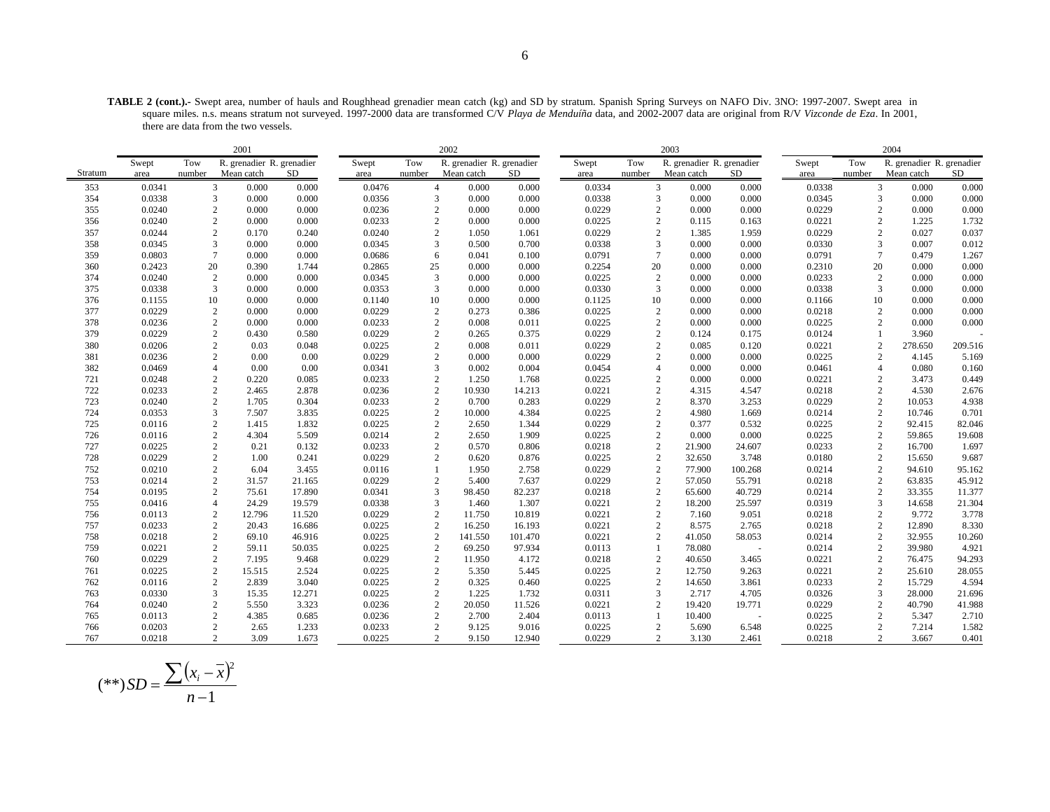**TABLE 2 (cont.).-** Swept area, number of hauls and Roughhead grenadier mean catch (kg) and SD by stratum. Spanish Spring Surveys on NAFO Div. 3NO: 1997-2007. Swept area in square miles. n.s. means stratum not surveyed. 1997-2000 data are transformed C/V *Playa de Menduíña* data, and 2002-2007 data are original from R/V *Vizconde de Eza*. In 2001, there are data from the two vessels.

|         |        |                | 2001                      |        |        |                | 2002                      |         |        |                | 2003                      |         |        |                | 2004                      |           |
|---------|--------|----------------|---------------------------|--------|--------|----------------|---------------------------|---------|--------|----------------|---------------------------|---------|--------|----------------|---------------------------|-----------|
|         | Swept  | Tow            | R. grenadier R. grenadier |        | Swept  | Tow            | R. grenadier R. grenadier |         | Swept  | Tow            | R. grenadier R. grenadier |         | Swept  | Tow            | R. grenadier R. grenadier |           |
| Stratum | area   | number         | Mean catch                | SD.    | area   | number         | Mean catch                | SD.     | area   | number         | Mean catch                | SD      | area   | number         | Mean catch                | <b>SD</b> |
| 353     | 0.0341 | 3              | 0.000                     | 0.000  | 0.0476 | $\overline{4}$ | 0.000                     | 0.000   | 0.0334 |                | 3<br>0.000                | 0.000   | 0.0338 | 3              | 0.000                     | 0.000     |
| 354     | 0.0338 | 3              | 0.000                     | 0.000  | 0.0356 | 3              | 0.000                     | 0.000   | 0.0338 |                | 0.000<br>3                | 0.000   | 0.0345 | 3              | 0.000                     | 0.000     |
| 355     | 0.0240 | 2              | 0.000                     | 0.000  | 0.0236 | 2              | 0.000                     | 0.000   | 0.0229 |                | $\overline{2}$<br>0.000   | 0.000   | 0.0229 | 2              | 0.000                     | 0.000     |
| 356     | 0.0240 | $\overline{c}$ | 0.000                     | 0.000  | 0.0233 | $\overline{c}$ | 0.000                     | 0.000   | 0.0225 |                | $\overline{c}$<br>0.115   | 0.163   | 0.0221 | $\overline{c}$ | 1.225                     | 1.732     |
| 357     | 0.0244 | 2              | 0.170                     | 0.240  | 0.0240 | 2              | 1.050                     | 1.061   | 0.0229 |                | $\overline{2}$<br>1.385   | 1.959   | 0.0229 | $\overline{2}$ | 0.027                     | 0.037     |
| 358     | 0.0345 | 3              | 0.000                     | 0.000  | 0.0345 | 3              | 0.500                     | 0.700   | 0.0338 |                | 3<br>0.000                | 0.000   | 0.0330 | 3              | 0.007                     | 0.012     |
| 359     | 0.0803 | $\overline{7}$ | 0.000                     | 0.000  | 0.0686 | 6              | 0.041                     | 0.100   | 0.0791 |                | $\tau$<br>0.000           | 0.000   | 0.0791 | $\tau$         | 0.479                     | 1.267     |
| 360     | 0.2423 | 20             | 0.390                     | 1.744  | 0.2865 | 25             | 0.000                     | 0.000   | 0.2254 | 20             | 0.000                     | 0.000   | 0.2310 | 20             | 0.000                     | 0.000     |
| 374     | 0.0240 | $\overline{c}$ | 0.000                     | 0.000  | 0.0345 | 3              | 0.000                     | 0.000   | 0.0225 | $\sqrt{2}$     | 0.000                     | 0.000   | 0.0233 | $\overline{c}$ | 0.000                     | 0.000     |
| 375     | 0.0338 | 3              | 0.000                     | 0.000  | 0.0353 | 3              | 0.000                     | 0.000   | 0.0330 |                | 3<br>0.000                | 0.000   | 0.0338 | 3              | 0.000                     | 0.000     |
| 376     | 0.1155 | 10             | 0.000                     | 0.000  | 0.1140 | 10             | 0.000                     | 0.000   | 0.1125 | 10             | 0.000                     | 0.000   | 0.1166 | 10             | 0.000                     | 0.000     |
| 377     | 0.0229 | $\sqrt{2}$     | 0.000                     | 0.000  | 0.0229 | $\overline{c}$ | 0.273                     | 0.386   | 0.0225 |                | $\overline{c}$<br>0.000   | 0.000   | 0.0218 | $\sqrt{2}$     | 0.000                     | 0.000     |
| 378     | 0.0236 | $\mathbf{2}$   | 0.000                     | 0.000  | 0.0233 | $\overline{c}$ | 0.008                     | 0.011   | 0.0225 |                | $\overline{2}$<br>0.000   | 0.000   | 0.0225 | 2              | 0.000                     | 0.000     |
| 379     | 0.0229 | 2              | 0.430                     | 0.580  | 0.0229 | 2              | 0.265                     | 0.375   | 0.0229 |                | 2<br>0.124                | 0.175   | 0.0124 | $\overline{1}$ | 3.960                     |           |
| 380     | 0.0206 | $\sqrt{2}$     | 0.03                      | 0.048  | 0.0225 | $\sqrt{2}$     | 0.008                     | 0.011   | 0.0229 |                | $\overline{c}$<br>0.085   | 0.120   | 0.0221 | $\sqrt{2}$     | 278.650                   | 209.516   |
| 381     | 0.0236 | $\mathbf{2}$   | 0.00                      | 0.00   | 0.0229 | $\mathbf{2}$   | 0.000                     | 0.000   | 0.0229 |                | $\overline{2}$<br>0.000   | 0.000   | 0.0225 | $\overline{2}$ | 4.145                     | 5.169     |
| 382     | 0.0469 | $\overline{4}$ | 0.00                      | 0.00   | 0.0341 | 3              | 0.002                     | 0.004   | 0.0454 |                | $\overline{4}$<br>0.000   | 0.000   | 0.0461 | $\overline{4}$ | 0.080                     | 0.160     |
| 721     | 0.0248 | 2              | 0.220                     | 0.085  | 0.0233 | $\mathbf{2}$   | 1.250                     | 1.768   | 0.0225 |                | $\overline{2}$<br>0.000   | 0.000   | 0.0221 | $\overline{2}$ | 3.473                     | 0.449     |
| 722     | 0.0233 | 2              | 2.465                     | 2.878  | 0.0236 | 2              | 10.930                    | 14.213  | 0.0221 |                | 2<br>4.315                | 4.547   | 0.0218 | 2              | 4.530                     | 2.676     |
| 723     | 0.0240 | 2              | 1.705                     | 0.304  | 0.0233 | 2              | 0.700                     | 0.283   | 0.0229 |                | 2<br>8.370                | 3.253   | 0.0229 | $\sqrt{2}$     | 10.053                    | 4.938     |
| 724     | 0.0353 | 3              | 7.507                     | 3.835  | 0.0225 | $\overline{2}$ | 10.000                    | 4.384   | 0.0225 |                | $\overline{2}$<br>4.980   | 1.669   | 0.0214 | $\sqrt{2}$     | 10.746                    | 0.701     |
| 725     | 0.0116 | 2              | 1.415                     | 1.832  | 0.0225 | 2              | 2.650                     | 1.344   | 0.0229 |                | $\overline{c}$<br>0.377   | 0.532   | 0.0225 | 2              | 92.415                    | 82.046    |
| 726     | 0.0116 | $\mathbf{2}$   | 4.304                     | 5.509  | 0.0214 | $\mathbf{2}$   | 2.650                     | 1.909   | 0.0225 |                | $\overline{2}$<br>0.000   | 0.000   | 0.0225 | $\overline{c}$ | 59.865                    | 19.608    |
| 727     | 0.0225 | $\overline{2}$ | 0.21                      | 0.132  | 0.0233 | 2              | 0.570                     | 0.806   | 0.0218 |                | $\overline{2}$<br>21.900  | 24.607  | 0.0233 | 2              | 16.700                    | 1.697     |
| 728     | 0.0229 | $\mathbf{2}$   | 1.00                      | 0.241  | 0.0229 | 2              | 0.620                     | 0.876   | 0.0225 |                | $\overline{c}$<br>32.650  | 3.748   | 0.0180 | $\overline{c}$ | 15.650                    | 9.687     |
| 752     | 0.0210 | $\mathbf{2}$   | 6.04                      | 3.455  | 0.0116 |                | 1.950                     | 2.758   | 0.0229 |                | $\overline{2}$<br>77.900  | 100.268 | 0.0214 | $\sqrt{2}$     | 94.610                    | 95.162    |
| 753     | 0.0214 | 2              | 31.57                     | 21.165 | 0.0229 | $\overline{2}$ | 5.400                     | 7.637   | 0.0229 |                | $\overline{2}$<br>57.050  | 55.791  | 0.0218 | $\overline{2}$ | 63.835                    | 45.912    |
| 754     | 0.0195 | $\mathbf{2}$   | 75.61                     | 17.890 | 0.0341 | 3              | 98.450                    | 82.237  | 0.0218 | $\overline{c}$ | 65.600                    | 40.729  | 0.0214 | $\overline{c}$ | 33.355                    | 11.377    |
| 755     | 0.0416 |                | 24.29                     | 19.579 | 0.0338 | 3              | 1.460                     | 1.307   | 0.0221 |                | $\overline{2}$<br>18.200  | 25.597  | 0.0319 | 3              | 14.658                    | 21.304    |
| 756     | 0.0113 | $\overline{c}$ | 12.796                    | 11.520 | 0.0229 | $\overline{2}$ | 11.750                    | 10.819  | 0.0221 |                | 7.160<br>$\overline{2}$   | 9.051   | 0.0218 | $\mathfrak{2}$ | 9.772                     | 3.778     |
| 757     | 0.0233 | $\mathbf{2}$   | 20.43                     | 16.686 | 0.0225 | $\overline{2}$ | 16.250                    | 16.193  | 0.0221 |                | $\overline{2}$<br>8.575   | 2.765   | 0.0218 | $\overline{c}$ | 12.890                    | 8.330     |
| 758     | 0.0218 | $\overline{c}$ | 69.10                     | 46.916 | 0.0225 | $\overline{c}$ | 141.550                   | 101.470 | 0.0221 |                | $\overline{2}$<br>41.050  | 58.053  | 0.0214 | $\sqrt{2}$     | 32.955                    | 10.260    |
| 759     | 0.0221 | 2              | 59.11                     | 50.035 | 0.0225 | 2              | 69.250                    | 97.934  | 0.0113 | 1              | 78.080                    |         | 0.0214 | $\overline{2}$ | 39.980                    | 4.921     |
| 760     | 0.0229 | $\overline{c}$ | 7.195                     | 9.468  | 0.0229 | $\overline{c}$ | 11.950                    | 4.172   | 0.0218 |                | $\overline{2}$<br>40.650  | 3.465   | 0.0221 | $\sqrt{2}$     | 76.475                    | 94.293    |
| 761     | 0.0225 | $\overline{c}$ | 15.515                    | 2.524  | 0.0225 | $\overline{c}$ | 5.350                     | 5.445   | 0.0225 |                | $\overline{2}$<br>12.750  | 9.263   | 0.0221 | $\overline{c}$ | 25.610                    | 28.055    |
| 762     | 0.0116 | 2              | 2.839                     | 3.040  | 0.0225 | 2              | 0.325                     | 0.460   | 0.0225 |                | $\overline{2}$<br>14.650  | 3.861   | 0.0233 | $\overline{c}$ | 15.729                    | 4.594     |
| 763     | 0.0330 | 3              | 15.35                     | 12.271 | 0.0225 | $\mathbf{2}$   | 1.225                     | 1.732   | 0.0311 |                | 3<br>2.717                | 4.705   | 0.0326 | 3              | 28.000                    | 21.696    |
| 764     | 0.0240 | 2              | 5.550                     | 3.323  | 0.0236 | 2              | 20.050                    | 11.526  | 0.0221 |                | $\overline{2}$<br>19.420  | 19.771  | 0.0229 | $\overline{c}$ | 40.790                    | 41.988    |
| 765     | 0.0113 | 2              | 4.385                     | 0.685  | 0.0236 | 2              | 2.700                     | 2.404   | 0.0113 |                | 1<br>10.400               | $\sim$  | 0.0225 | 2              | 5.347                     | 2.710     |
| 766     | 0.0203 | $\mathbf{2}$   | 2.65                      | 1.233  | 0.0233 | $\mathbf{2}$   | 9.125                     | 9.016   | 0.0225 |                | $\overline{2}$<br>5.690   | 6.548   | 0.0225 | $\overline{c}$ | 7.214                     | 1.582     |
| 767     | 0.0218 | 2              | 3.09                      | 1.673  | 0.0225 |                | $\overline{2}$<br>9.150   | 12.940  | 0.0229 |                | $\overline{2}$<br>3.130   | 2.461   | 0.0218 | $\overline{2}$ | 3.667                     | 0.401     |

$$
(**) SD = \frac{\sum (x_i - \bar{x})^2}{n - 1}
$$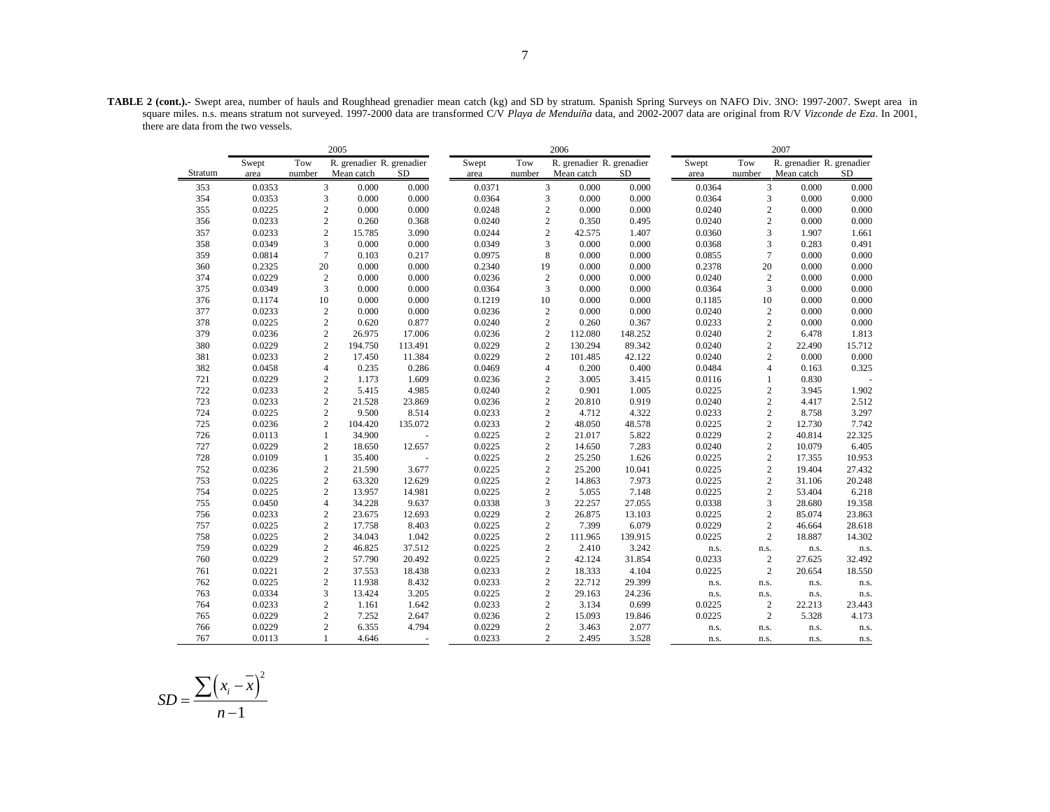**TABLE 2 (cont.).-** Swept area, number of hauls and Roughhead grenadier mean catch (kg) and SD by stratum. Spanish Spring Surveys on NAFO Div. 3NO: 1997-2007. Swept area in square miles. n.s. means stratum not surveyed. 1997-2000 data are transformed C/V *Playa de Menduíña* data, and 2002-2007 data are original from R/V *Vizconde de Eza*. In 2001, there are data from the two vessels.

|         |        |        | 2005           |         |                           |        |        | 2006           |            |                           |        |        | 2007                      |           |
|---------|--------|--------|----------------|---------|---------------------------|--------|--------|----------------|------------|---------------------------|--------|--------|---------------------------|-----------|
|         | Swept  | Tow    |                |         | R. grenadier R. grenadier | Swept  | Tow    |                |            | R. grenadier R. grenadier | Swept  | Tow    | R. grenadier R. grenadier |           |
| Stratum | area   | number | Mean catch     |         | <b>SD</b>                 | area   | number |                | Mean catch | <b>SD</b>                 | area   | number | Mean catch                | <b>SD</b> |
| 353     | 0.0353 |        | 3              | 0.000   | 0.000                     | 0.0371 |        | 3              | 0.000      | 0.000                     | 0.0364 |        | 3<br>0.000                | 0.000     |
| 354     | 0.0353 |        | 3              | 0.000   | 0.000                     | 0.0364 |        | 3              | 0.000      | 0.000                     | 0.0364 |        | 3<br>0.000                | 0.000     |
| 355     | 0.0225 |        | $\overline{c}$ | 0.000   | 0.000                     | 0.0248 |        | $\overline{c}$ | 0.000      | 0.000                     | 0.0240 |        | $\overline{c}$<br>0.000   | 0.000     |
| 356     | 0.0233 |        | $\mathbf{2}$   | 0.260   | 0.368                     | 0.0240 |        | $\mathbf{2}$   | 0.350      | 0.495                     | 0.0240 |        | $\overline{c}$<br>0.000   | 0.000     |
| 357     | 0.0233 |        | $\overline{c}$ | 15.785  | 3.090                     | 0.0244 |        | $\overline{c}$ | 42.575     | 1.407                     | 0.0360 |        | 3<br>1.907                | 1.661     |
| 358     | 0.0349 |        | 3              | 0.000   | 0.000                     | 0.0349 |        | 3              | 0.000      | 0.000                     | 0.0368 |        | 3<br>0.283                | 0.491     |
| 359     | 0.0814 |        | $\overline{7}$ | 0.103   | 0.217                     | 0.0975 |        | 8              | 0.000      | 0.000                     | 0.0855 |        | $\boldsymbol{7}$<br>0.000 | 0.000     |
| 360     | 0.2325 | 20     |                | 0.000   | 0.000                     | 0.2340 | 19     |                | 0.000      | 0.000                     | 0.2378 | 20     | 0.000                     | 0.000     |
| 374     | 0.0229 |        | $\overline{2}$ | 0.000   | 0.000                     | 0.0236 |        | $\sqrt{2}$     | 0.000      | 0.000                     | 0.0240 |        | $\sqrt{2}$<br>0.000       | 0.000     |
| 375     | 0.0349 |        | 3              | 0.000   | 0.000                     | 0.0364 |        | 3              | 0.000      | 0.000                     | 0.0364 |        | $\overline{3}$<br>0.000   | 0.000     |
| 376     | 0.1174 | 10     |                | 0.000   | 0.000                     | 0.1219 | 10     |                | 0.000      | 0.000                     | 0.1185 | 10     | 0.000                     | 0.000     |
| 377     | 0.0233 |        | $\overline{2}$ | 0.000   | 0.000                     | 0.0236 |        | $\overline{2}$ | 0.000      | 0.000                     | 0.0240 |        | $\sqrt{2}$<br>0.000       | 0.000     |
| 378     | 0.0225 |        | $\overline{c}$ | 0.620   | 0.877                     | 0.0240 |        | $\overline{2}$ | 0.260      | 0.367                     | 0.0233 |        | $\overline{c}$<br>0.000   | 0.000     |
| 379     | 0.0236 |        | $\overline{2}$ | 26.975  | 17.006                    | 0.0236 |        | $\overline{c}$ | 112.080    | 148.252                   | 0.0240 |        | $\sqrt{2}$<br>6.478       | 1.813     |
| 380     | 0.0229 |        | $\sqrt{2}$     | 194.750 | 113.491                   | 0.0229 |        | $\overline{c}$ | 130.294    | 89.342                    | 0.0240 |        | $\overline{c}$<br>22.490  | 15.712    |
| 381     | 0.0233 |        | $\overline{2}$ | 17.450  | 11.384                    | 0.0229 |        | $\overline{c}$ | 101.485    | 42.122                    | 0.0240 |        | $\overline{c}$<br>0.000   | 0.000     |
| 382     | 0.0458 |        | $\overline{4}$ | 0.235   | 0.286                     | 0.0469 |        | $\overline{4}$ | 0.200      | 0.400                     | 0.0484 |        | $\overline{4}$<br>0.163   | 0.325     |
| 721     | 0.0229 |        | $\sqrt{2}$     | 1.173   | 1.609                     | 0.0236 |        | $\sqrt{2}$     | 3.005      | 3.415                     | 0.0116 |        | 0.830<br>1                |           |
| 722     | 0.0233 |        | $\sqrt{2}$     | 5.415   | 4.985                     | 0.0240 |        | $\overline{c}$ | 0.901      | 1.005                     | 0.0225 |        | $\sqrt{2}$<br>3.945       | 1.902     |
| 723     | 0.0233 |        | $\overline{2}$ | 21.528  | 23.869                    | 0.0236 |        | $\overline{c}$ | 20.810     | 0.919                     | 0.0240 |        | $\overline{c}$<br>4.417   | 2.512     |
| 724     | 0.0225 |        | $\overline{c}$ | 9.500   | 8.514                     | 0.0233 |        | $\overline{c}$ | 4.712      | 4.322                     | 0.0233 |        | $\mathbf{2}$<br>8.758     | 3.297     |
| 725     | 0.0236 |        | $\overline{c}$ | 104.420 | 135.072                   | 0.0233 |        | $\overline{2}$ | 48.050     | 48.578                    | 0.0225 |        | $\overline{c}$<br>12.730  | 7.742     |
| 726     | 0.0113 |        | 1              | 34.900  |                           | 0.0225 |        | $\overline{c}$ | 21.017     | 5.822                     | 0.0229 |        | $\overline{c}$<br>40.814  | 22.325    |
| 727     | 0.0229 |        | $\overline{c}$ | 18.650  | 12.657                    | 0.0225 |        | $\overline{c}$ | 14.650     | 7.283                     | 0.0240 |        | $\mathbf{2}$<br>10.079    | 6.405     |
| 728     | 0.0109 |        | 1              | 35.400  |                           | 0.0225 |        | $\sqrt{2}$     | 25.250     | 1.626                     | 0.0225 |        | $\sqrt{2}$<br>17.355      | 10.953    |
| 752     | 0.0236 |        | $\sqrt{2}$     | 21.590  | 3.677                     | 0.0225 |        | $\overline{c}$ | 25.200     | 10.041                    | 0.0225 |        | $\sqrt{2}$<br>19.404      | 27.432    |
| 753     | 0.0225 |        | $\sqrt{2}$     | 63.320  | 12.629                    | 0.0225 |        | $\overline{c}$ | 14.863     | 7.973                     | 0.0225 |        | $\sqrt{2}$<br>31.106      | 20.248    |
| 754     | 0.0225 |        | $\overline{c}$ | 13.957  | 14.981                    | 0.0225 |        | $\overline{c}$ | 5.055      | 7.148                     | 0.0225 |        | $\overline{c}$<br>53.404  | 6.218     |
| 755     | 0.0450 |        | $\overline{4}$ | 34.228  | 9.637                     | 0.0338 |        | 3              | 22.257     | 27.055                    | 0.0338 |        | 3<br>28.680               | 19.358    |
| 756     | 0.0233 |        | $\overline{c}$ | 23.675  | 12.693                    | 0.0229 |        | $\overline{c}$ | 26.875     | 13.103                    | 0.0225 |        | $\sqrt{2}$<br>85.074      | 23.863    |
| 757     | 0.0225 |        | $\overline{c}$ | 17.758  | 8.403                     | 0.0225 |        | $\overline{2}$ | 7.399      | 6.079                     | 0.0229 |        | 2<br>46.664               | 28.618    |
| 758     | 0.0225 |        | $\sqrt{2}$     | 34.043  | 1.042                     | 0.0225 |        | $\sqrt{2}$     | 111.965    | 139.915                   | 0.0225 |        | $\sqrt{2}$<br>18.887      | 14.302    |
| 759     | 0.0229 |        | $\overline{c}$ | 46.825  | 37.512                    | 0.0225 |        | $\overline{c}$ | 2.410      | 3.242                     | n.s.   | n.s.   | n.s.                      | n.s.      |
| 760     | 0.0229 |        | $\overline{c}$ | 57.790  | 20.492                    | 0.0225 |        | $\overline{c}$ | 42.124     | 31.854                    | 0.0233 |        | $\sqrt{2}$<br>27.625      | 32.492    |
| 761     | 0.0221 |        | $\overline{c}$ | 37.553  | 18.438                    | 0.0233 |        | $\sqrt{2}$     | 18.333     | 4.104                     | 0.0225 |        | $\overline{c}$<br>20.654  | 18.550    |
| 762     | 0.0225 |        | $\overline{2}$ | 11.938  | 8.432                     | 0.0233 |        | $\mathbf{2}$   | 22.712     | 29.399                    | n.s.   | n.s.   | n.s.                      | n.s.      |
| 763     | 0.0334 |        | 3              | 13.424  | 3.205                     | 0.0225 |        | $\overline{c}$ | 29.163     | 24.236                    | n.s.   | n.s.   | n.s.                      | n.s.      |
| 764     | 0.0233 |        | $\mathbf{2}$   | 1.161   | 1.642                     | 0.0233 |        | $\mathbf{2}$   | 3.134      | 0.699                     | 0.0225 |        | $\mathbf{2}$<br>22.213    | 23.443    |
| 765     | 0.0229 |        | $\sqrt{2}$     | 7.252   | 2.647                     | 0.0236 |        | $\sqrt{2}$     | 15.093     | 19.846                    | 0.0225 |        | $\sqrt{2}$<br>5.328       | 4.173     |
| 766     | 0.0229 |        | $\overline{c}$ | 6.355   | 4.794                     | 0.0229 |        | $\overline{c}$ | 3.463      | 2.077                     | n.s.   | n.s.   | n.s.                      | n.s.      |
| 767     | 0.0113 |        | $\mathbf{1}$   | 4.646   |                           | 0.0233 |        | $\overline{c}$ | 2.495      | 3.528                     | n.s.   | n.s.   | n.s.                      | n.s.      |

$$
SD = \frac{\sum (x_i - \overline{x})^2}{n - 1}
$$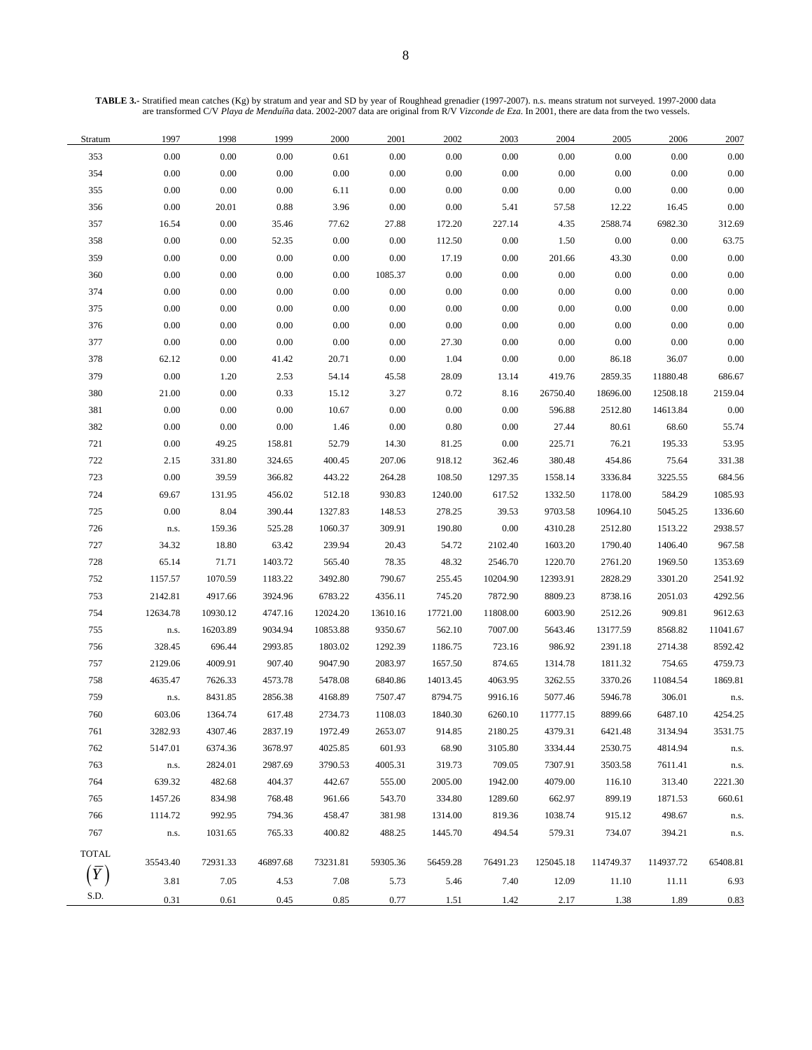**TABLE 3.-** Stratified mean catches (Kg) by stratum and year and SD by year of Roughhead grenadier (1997-2007). n.s. means stratum not surveyed. 1997-2000 data are transformed C/V *Playa de Menduíña* data. 2002-2007 data are original from R/V *Vizconde de Eza*. In 2001, there are data from the two vessels.

| Stratum        | 1997               | 1998     | 1999     | 2000     | 2001     | 2002     | 2003     | 2004      | 2005      | 2006      | 2007     |
|----------------|--------------------|----------|----------|----------|----------|----------|----------|-----------|-----------|-----------|----------|
| 353            | $0.00\,$           | 0.00     | 0.00     | 0.61     | 0.00     | 0.00     | 0.00     | $0.00\,$  | $0.00\,$  | 0.00      | 0.00     |
| 354            | $0.00\,$           | $0.00\,$ | 0.00     | $0.00\,$ | 0.00     | 0.00     | 0.00     | $0.00\,$  | $0.00\,$  | 0.00      | 0.00     |
| 355            | 0.00               | $0.00\,$ | 0.00     | 6.11     | 0.00     | 0.00     | 0.00     | $0.00\,$  | $0.00\,$  | $0.00\,$  | 0.00     |
| 356            | 0.00               | 20.01    | 0.88     | 3.96     | 0.00     | 0.00     | 5.41     | 57.58     | 12.22     | 16.45     | 0.00     |
| 357            | 16.54              | 0.00     | 35.46    | 77.62    | 27.88    | 172.20   | 227.14   | 4.35      | 2588.74   | 6982.30   | 312.69   |
| 358            | 0.00               | $0.00\,$ | 52.35    | 0.00     | 0.00     | 112.50   | 0.00     | 1.50      | $0.00\,$  | $0.00\,$  | 63.75    |
| 359            | $0.00\,$           | 0.00     | 0.00     | 0.00     | $0.00\,$ | 17.19    | 0.00     | 201.66    | 43.30     | $0.00\,$  | 0.00     |
| 360            | $0.00\,$           | 0.00     | 0.00     | 0.00     | 1085.37  | 0.00     | 0.00     | 0.00      | $0.00\,$  | $0.00\,$  | 0.00     |
| 374            | $0.00\,$           | $0.00\,$ | 0.00     | 0.00     | $0.00\,$ | 0.00     | 0.00     | $0.00\,$  | $0.00\,$  | 0.00      | 0.00     |
| 375            | $0.00\,$           | $0.00\,$ | 0.00     | 0.00     | 0.00     | 0.00     | 0.00     | 0.00      | $0.00\,$  | $0.00\,$  | 0.00     |
| 376            | $0.00\,$           | $0.00\,$ | 0.00     | $0.00\,$ | 0.00     | 0.00     | 0.00     | $0.00\,$  | $0.00\,$  | $0.00\,$  | 0.00     |
| 377            | 0.00               | 0.00     | 0.00     | $0.00\,$ | 0.00     | 27.30    | 0.00     | 0.00      | $0.00\,$  | 0.00      | 0.00     |
| 378            | 62.12              | 0.00     | 41.42    | 20.71    | $0.00\,$ | 1.04     | 0.00     | 0.00      | 86.18     | 36.07     | 0.00     |
| 379            | 0.00               | 1.20     | 2.53     | 54.14    | 45.58    | 28.09    | 13.14    | 419.76    | 2859.35   | 11880.48  | 686.67   |
| 380            | 21.00              | $0.00\,$ | 0.33     | 15.12    | 3.27     | 0.72     | 8.16     | 26750.40  | 18696.00  | 12508.18  | 2159.04  |
| 381            | 0.00               | 0.00     | 0.00     | 10.67    | 0.00     | 0.00     | 0.00     | 596.88    | 2512.80   | 14613.84  | 0.00     |
| 382            | $0.00\,$           | $0.00\,$ | 0.00     | 1.46     | $0.00\,$ | 0.80     | 0.00     | 27.44     | 80.61     | 68.60     | 55.74    |
| 721            | $0.00\,$           | 49.25    | 158.81   | 52.79    | 14.30    | 81.25    | 0.00     | 225.71    | 76.21     | 195.33    | 53.95    |
| 722            | 2.15               | 331.80   | 324.65   | 400.45   | 207.06   | 918.12   | 362.46   | 380.48    | 454.86    | 75.64     | 331.38   |
| 723            | 0.00               | 39.59    | 366.82   | 443.22   | 264.28   | 108.50   | 1297.35  | 1558.14   | 3336.84   | 3225.55   | 684.56   |
| 724            | 69.67              | 131.95   | 456.02   | 512.18   | 930.83   | 1240.00  | 617.52   | 1332.50   | 1178.00   | 584.29    | 1085.93  |
| 725            | 0.00               | 8.04     | 390.44   | 1327.83  | 148.53   | 278.25   | 39.53    | 9703.58   | 10964.10  | 5045.25   | 1336.60  |
| 726            | ${\bf n}.{\bf s}.$ | 159.36   | 525.28   | 1060.37  | 309.91   | 190.80   | $0.00\,$ | 4310.28   | 2512.80   | 1513.22   | 2938.57  |
| 727            | 34.32              | 18.80    | 63.42    | 239.94   | 20.43    | 54.72    | 2102.40  | 1603.20   | 1790.40   | 1406.40   | 967.58   |
| 728            | 65.14              | 71.71    | 1403.72  | 565.40   | 78.35    | 48.32    | 2546.70  | 1220.70   | 2761.20   | 1969.50   | 1353.69  |
| 752            | 1157.57            | 1070.59  | 1183.22  | 3492.80  | 790.67   | 255.45   | 10204.90 | 12393.91  | 2828.29   | 3301.20   | 2541.92  |
| 753            | 2142.81            | 4917.66  | 3924.96  | 6783.22  | 4356.11  | 745.20   | 7872.90  | 8809.23   | 8738.16   | 2051.03   | 4292.56  |
| 754            | 12634.78           | 10930.12 | 4747.16  | 12024.20 | 13610.16 | 17721.00 | 11808.00 | 6003.90   | 2512.26   | 909.81    | 9612.63  |
| 755            | n.s.               | 16203.89 | 9034.94  | 10853.88 | 9350.67  | 562.10   | 7007.00  | 5643.46   | 13177.59  | 8568.82   | 11041.67 |
| 756            | 328.45             | 696.44   | 2993.85  | 1803.02  | 1292.39  | 1186.75  | 723.16   | 986.92    | 2391.18   | 2714.38   | 8592.42  |
| 757            | 2129.06            | 4009.91  | 907.40   | 9047.90  | 2083.97  | 1657.50  | 874.65   | 1314.78   | 1811.32   | 754.65    | 4759.73  |
| 758            | 4635.47            | 7626.33  | 4573.78  | 5478.08  | 6840.86  | 14013.45 | 4063.95  | 3262.55   | 3370.26   | 11084.54  | 1869.81  |
| 759            | $\rm n.s.$         | 8431.85  | 2856.38  | 4168.89  | 7507.47  | 8794.75  | 9916.16  | 5077.46   | 5946.78   | 306.01    | n.s.     |
| 760            | 603.06             | 1364.74  | 617.48   | 2734.73  | 1108.03  | 1840.30  | 6260.10  | 11777.15  | 8899.66   | 6487.10   | 4254.25  |
| 761            | 3282.93            | 4307.46  | 2837.19  | 1972.49  | 2653.07  | 914.85   | 2180.25  | 4379.31   | 6421.48   | 3134.94   | 3531.75  |
| 762            | 5147.01            | 6374.36  | 3678.97  | 4025.85  | 601.93   | 68.90    | 3105.80  | 3334.44   | 2530.75   | 4814.94   | n.s.     |
| 763            | n.s.               | 2824.01  | 2987.69  | 3790.53  | 4005.31  | 319.73   | 709.05   | 7307.91   | 3503.58   | 7611.41   | n.s.     |
| 764            | 639.32             | 482.68   | 404.37   | 442.67   | 555.00   | 2005.00  | 1942.00  | 4079.00   | 116.10    | 313.40    | 2221.30  |
| 765            | 1457.26            | 834.98   | 768.48   | 961.66   | 543.70   | 334.80   | 1289.60  | 662.97    | 899.19    | 1871.53   | 660.61   |
| 766            | 1114.72            | 992.95   | 794.36   | 458.47   | 381.98   | 1314.00  | 819.36   | 1038.74   | 915.12    | 498.67    | n.s.     |
| 767            | n.s.               | 1031.65  | 765.33   | 400.82   | 488.25   | 1445.70  | 494.54   | 579.31    | 734.07    | 394.21    | n.s.     |
| <b>TOTAL</b>   |                    |          |          |          |          |          |          |           |           |           |          |
| $\overline{Y}$ | 35543.40           | 72931.33 | 46897.68 | 73231.81 | 59305.36 | 56459.28 | 76491.23 | 125045.18 | 114749.37 | 114937.72 | 65408.81 |
|                | 3.81               | 7.05     | 4.53     | 7.08     | 5.73     | 5.46     | 7.40     | 12.09     | 11.10     | 11.11     | 6.93     |
| S.D.           | 0.31               | 0.61     | 0.45     | 0.85     | 0.77     | 1.51     | 1.42     | 2.17      | 1.38      | 1.89      | 0.83     |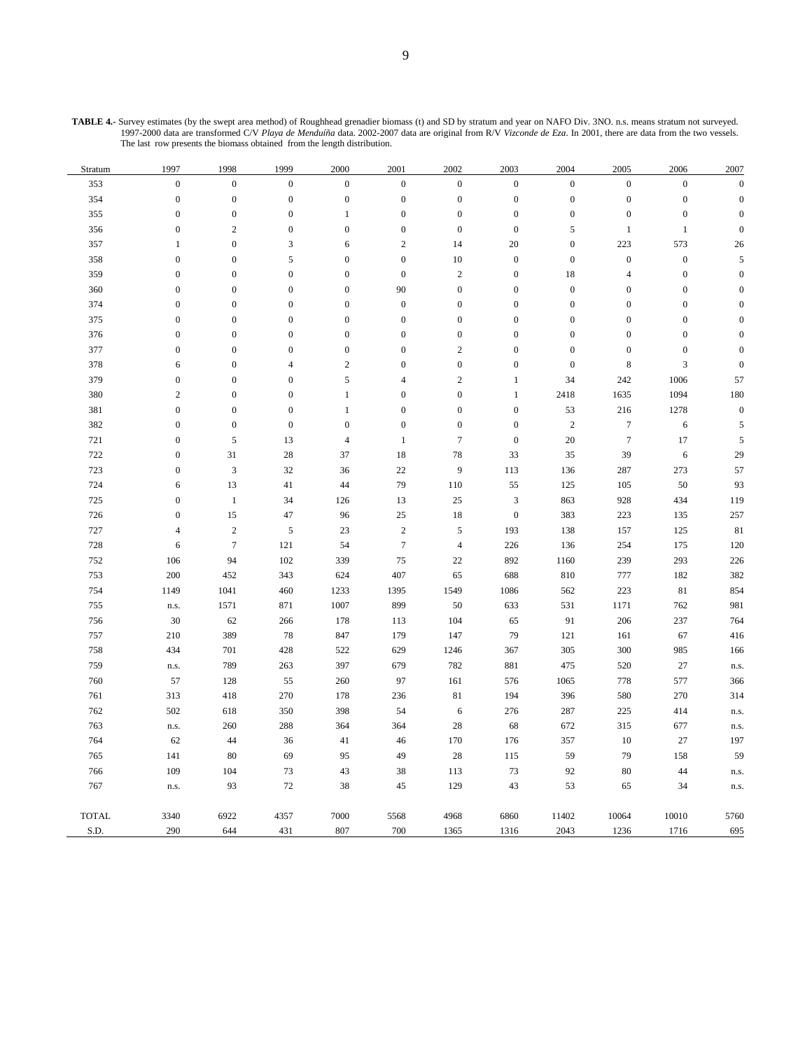| Stratum      | 1997               | 1998             | 1999             | 2000             | 2001             | 2002             | 2003             | 2004             | 2005             | 2006                      | 2007             |
|--------------|--------------------|------------------|------------------|------------------|------------------|------------------|------------------|------------------|------------------|---------------------------|------------------|
| 353          | $\boldsymbol{0}$   | $\boldsymbol{0}$ | $\mathbf{0}$     | $\boldsymbol{0}$ | $\boldsymbol{0}$ | $\boldsymbol{0}$ | $\boldsymbol{0}$ | $\boldsymbol{0}$ | $\boldsymbol{0}$ | $\boldsymbol{0}$          | $\boldsymbol{0}$ |
| 354          | $\boldsymbol{0}$   | $\boldsymbol{0}$ | $\boldsymbol{0}$ | $\boldsymbol{0}$ | $\boldsymbol{0}$ | $\boldsymbol{0}$ | $\boldsymbol{0}$ | $\boldsymbol{0}$ | $\boldsymbol{0}$ | $\boldsymbol{0}$          | $\mathbf{0}$     |
| 355          | $\boldsymbol{0}$   | $\boldsymbol{0}$ | $\mathbf{0}$     | $\mathbf{1}$     | $\boldsymbol{0}$ | $\boldsymbol{0}$ | $\boldsymbol{0}$ | $\boldsymbol{0}$ | $\boldsymbol{0}$ | $\boldsymbol{0}$          | $\boldsymbol{0}$ |
| 356          | $\boldsymbol{0}$   | $\sqrt{2}$       | $\mathbf{0}$     | $\boldsymbol{0}$ | $\boldsymbol{0}$ | $\boldsymbol{0}$ | $\boldsymbol{0}$ | 5                | $\mathbf{1}$     | $\mathbf{1}$              | $\boldsymbol{0}$ |
| 357          | $\mathbf{1}$       | $\boldsymbol{0}$ | 3                | 6                | $\overline{2}$   | 14               | 20               | $\boldsymbol{0}$ | 223              | 573                       | 26               |
| 358          | $\boldsymbol{0}$   | $\boldsymbol{0}$ | 5                | $\boldsymbol{0}$ | $\boldsymbol{0}$ | $10\,$           | $\boldsymbol{0}$ | $\boldsymbol{0}$ | $\boldsymbol{0}$ | $\boldsymbol{0}$          | 5                |
| 359          | $\boldsymbol{0}$   | $\mathbf{0}$     | $\boldsymbol{0}$ | $\boldsymbol{0}$ | $\boldsymbol{0}$ | $\overline{c}$   | $\boldsymbol{0}$ | 18               | $\overline{4}$   | $\boldsymbol{0}$          | $\boldsymbol{0}$ |
| 360          | $\boldsymbol{0}$   | $\boldsymbol{0}$ | $\mathbf{0}$     | $\boldsymbol{0}$ | 90               | $\boldsymbol{0}$ | $\boldsymbol{0}$ | $\boldsymbol{0}$ | $\boldsymbol{0}$ | $\boldsymbol{0}$          | $\mathbf{0}$     |
| 374          | $\boldsymbol{0}$   | $\boldsymbol{0}$ | $\boldsymbol{0}$ | $\boldsymbol{0}$ | $\boldsymbol{0}$ | $\boldsymbol{0}$ | $\boldsymbol{0}$ | $\boldsymbol{0}$ | $\boldsymbol{0}$ | $\boldsymbol{0}$          | $\mathbf{0}$     |
| 375          | $\boldsymbol{0}$   | $\mathbf{0}$     | $\boldsymbol{0}$ | $\boldsymbol{0}$ | $\boldsymbol{0}$ | $\boldsymbol{0}$ | $\mathbf{0}$     | $\boldsymbol{0}$ | $\boldsymbol{0}$ | $\boldsymbol{0}$          | $\mathbf{0}$     |
| 376          | $\boldsymbol{0}$   | $\boldsymbol{0}$ | $\boldsymbol{0}$ | $\boldsymbol{0}$ | $\boldsymbol{0}$ | $\overline{0}$   | $\boldsymbol{0}$ | $\boldsymbol{0}$ | $\boldsymbol{0}$ | $\boldsymbol{0}$          | $\mathbf{0}$     |
| 377          | $\boldsymbol{0}$   | $\mathbf{0}$     | $\mathbf{0}$     | $\boldsymbol{0}$ | $\boldsymbol{0}$ | $\overline{c}$   | $\mathbf{0}$     | $\boldsymbol{0}$ | $\boldsymbol{0}$ | $\boldsymbol{0}$          | $\mathbf{0}$     |
| 378          | $\sqrt{6}$         | $\boldsymbol{0}$ | $\overline{4}$   | $\sqrt{2}$       | $\boldsymbol{0}$ | $\boldsymbol{0}$ | $\boldsymbol{0}$ | $\boldsymbol{0}$ | $\,8\,$          | $\ensuremath{\mathsf{3}}$ | $\boldsymbol{0}$ |
| 379          | $\boldsymbol{0}$   | $\boldsymbol{0}$ | $\overline{0}$   | $\sqrt{5}$       | $\overline{4}$   | $\sqrt{2}$       | $\,1$            | 34               | 242              | 1006                      | 57               |
| 380          | $\sqrt{2}$         | $\boldsymbol{0}$ | $\boldsymbol{0}$ | $\mathbf{1}$     | $\boldsymbol{0}$ | $\boldsymbol{0}$ | $\,1$            | 2418             | 1635             | 1094                      | 180              |
| 381          | $\boldsymbol{0}$   | $\boldsymbol{0}$ | $\boldsymbol{0}$ | $\mathbf{1}$     | $\boldsymbol{0}$ | $\boldsymbol{0}$ | $\boldsymbol{0}$ | 53               | 216              | 1278                      | $\boldsymbol{0}$ |
| 382          | $\boldsymbol{0}$   | $\boldsymbol{0}$ | $\boldsymbol{0}$ | $\boldsymbol{0}$ | $\boldsymbol{0}$ | $\boldsymbol{0}$ | $\boldsymbol{0}$ | $\sqrt{2}$       | $\boldsymbol{7}$ | 6                         | 5                |
| 721          | $\boldsymbol{0}$   | $\sqrt{5}$       | 13               | $\overline{4}$   | $\mathbf{1}$     | $\overline{7}$   | $\boldsymbol{0}$ | 20               | $\boldsymbol{7}$ | 17                        | 5                |
| 722          | $\boldsymbol{0}$   | 31               | 28               | 37               | 18               | 78               | 33               | 35               | 39               | 6                         | 29               |
| 723          | $\boldsymbol{0}$   | $\sqrt{3}$       | 32               | 36               | 22               | $\overline{9}$   | 113              | 136              | 287              | 273                       | 57               |
| 724          | 6                  | 13               | 41               | 44               | 79               | 110              | 55               | 125              | 105              | 50                        | 93               |
| 725          | $\boldsymbol{0}$   | $\mathbf{1}$     | 34               | 126              | 13               | 25               | $\mathbf{3}$     | 863              | 928              | 434                       | 119              |
| 726          | $\boldsymbol{0}$   | 15               | 47               | 96               | 25               | 18               | $\boldsymbol{0}$ | 383              | 223              | 135                       | 257              |
| 727          | $\overline{4}$     | $\sqrt{2}$       | 5                | 23               | $\sqrt{2}$       | 5                | 193              | 138              | 157              | 125                       | 81               |
| 728          | 6                  | $\tau$           | 121              | 54               | $\boldsymbol{7}$ | $\overline{4}$   | 226              | 136              | 254              | 175                       | 120              |
| 752          | 106                | 94               | 102              | 339              | 75               | $22\,$           | 892              | 1160             | 239              | 293                       | 226              |
| 753          | 200                | 452              | 343              | 624              | 407              | 65               | 688              | 810              | 777              | 182                       | 382              |
| 754          | 1149               | 1041             | 460              | 1233             | 1395             | 1549             | 1086             | 562              | 223              | 81                        | 854              |
| 755          | ${\bf n}.{\bf s}.$ | 1571             | 871              | 1007             | 899              | 50               | 633              | 531              | 1171             | 762                       | 981              |
| 756          | $30\,$             | 62               | 266              | 178              | 113              | 104              | 65               | 91               | 206              | 237                       | 764              |
| 757          | 210                | 389              | 78               | 847              | 179              | 147              | 79               | 121              | 161              | 67                        | 416              |
| 758          | 434                | 701              | 428              | 522              | 629              | 1246             | 367              | 305              | 300              | 985                       | 166              |
| 759          | n.s.               | 789              | 263              | 397              | 679              | 782              | 881              | 475              | 520              | 27                        | n.s.             |
| 760          | 57                 | 128              | 55               | 260              | 97               | 161              | 576              | 1065             | 778              | 577                       | 366              |
| 761          | 313                | 418              | 270              | 178              | 236              | 81               | 194              | 396              | 580              | 270                       | 314              |
| 762          | 502                | 618              | 350              | 398              | 54               | 6                | 276              | 287              | 225              | 414                       | n.s.             |
| 763          | n.s.               | 260              | 288              | 364              | 364              | 28               | 68               | 672              | 315              | 677                       | n.s.             |
| 764          | 62                 | 44               | 36               | 41               | 46               | 170              | 176              | 357              | 10               | 27                        | 197              |
| 765          | 141                | 80               | 69               | 95               | 49               | $28\,$           | 115              | 59               | 79               | 158                       | 59               |
| 766          | 109                | 104              | 73               | 43               | 38               | 113              | 73               | 92               | $80\,$           | 44                        | n.s.             |
| 767          | n.s.               | 93               | 72               | 38               | 45               | 129              | 43               | 53               | 65               | 34                        | n.s.             |
| <b>TOTAL</b> | 3340               | 6922             | 4357             | 7000             | 5568             | 4968             | 6860             | 11402            | 10064            | 10010                     | 5760             |
| S.D.         | 290                | 644              | 431              | 807              | 700              | 1365             | 1316             | 2043             | 1236             | 1716                      | 695              |

**TABLE 4.-** Survey estimates (by the swept area method) of Roughhead grenadier biomass (t) and SD by stratum and year on NAFO Div. 3NO. n.s. means stratum not surveyed. 1997-2000 data are transformed C/V *Playa de Menduíña* data. 2002-2007 data are original from R/V *Vizconde de Eza*. In 2001, there are data from the two vessels. The last row presents the biomass obtained from the length distribution.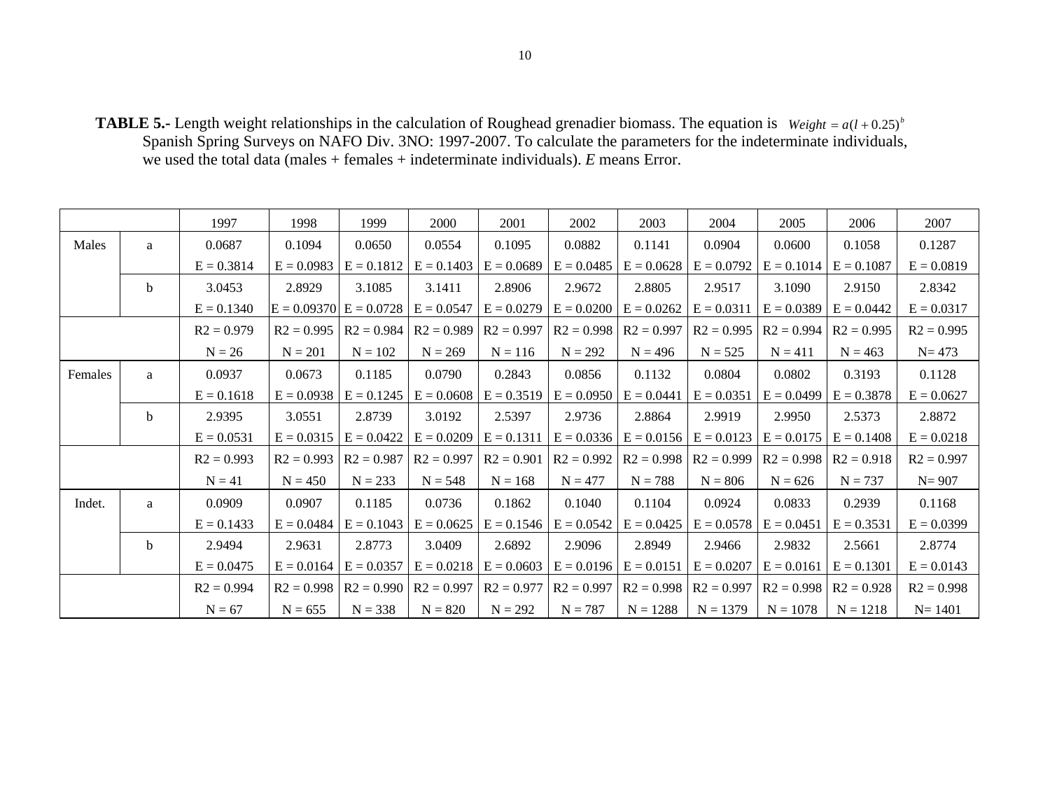**TABLE 5.-** Length weight relationships in the calculation of Roughead grenadier biomass. The equation is  $Weight = a(l + 0.25)^{b}$ Spanish Spring Surveys on NAFO Div. 3NO: 1997-2007. To calculate the parameters for the indeterminate individuals, we used the total data (males + females + indeterminate individuals). *E* means Error.

|         |             | 1997         | 1998         | 1999                                    | 2000         | 2001         | 2002                        | 2003                        | 2004         | 2005                        | 2006                      | 2007         |
|---------|-------------|--------------|--------------|-----------------------------------------|--------------|--------------|-----------------------------|-----------------------------|--------------|-----------------------------|---------------------------|--------------|
| Males   | a           | 0.0687       | 0.1094       | 0.0650                                  | 0.0554       | 0.1095       | 0.0882                      | 0.1141                      | 0.0904       | 0.0600                      | 0.1058                    | 0.1287       |
|         |             | $E = 0.3814$ | $E = 0.0983$ | $E = 0.1812$                            | $E = 0.1403$ | $E = 0.0689$ | $E = 0.0485$                | $E = 0.0628$                | $E = 0.0792$ | $E = 0.1014$                | $E = 0.1087$              | $E = 0.0819$ |
|         | $\mathbf b$ | 3.0453       | 2.8929       | 3.1085                                  | 3.1411       | 2.8906       | 2.9672                      | 2.8805                      | 2.9517       | 3.1090                      | 2.9150                    | 2.8342       |
|         |             | $E = 0.1340$ |              | $E = 0.09370$ $E = 0.0728$ $E = 0.0547$ |              | $E = 0.0279$ |                             | $E = 0.0200$ $E = 0.0262$   | $E = 0.0311$ |                             | $E = 0.0389$ $E = 0.0442$ | $E = 0.0317$ |
|         |             | $R2 = 0.979$ | $R2 = 0.995$ | $R2 = 0.984$                            | $R2 = 0.989$ | $R2 = 0.997$ |                             | $R2 = 0.998$ $R2 = 0.997$   | $R2 = 0.995$ | $R2 = 0.994$                | $R2 = 0.995$              | $R2 = 0.995$ |
|         |             | $N = 26$     | $N = 201$    | $N = 102$                               | $N = 269$    | $N = 116$    | $N = 292$                   | $N = 496$                   | $N = 525$    | $N = 411$                   | $N = 463$                 | $N = 473$    |
| Females | a           | 0.0937       | 0.0673       | 0.1185                                  | 0.0790       | 0.2843       | 0.0856                      | 0.1132                      | 0.0804       | 0.0802                      | 0.3193                    | 0.1128       |
|         |             | $E = 0.1618$ | $E = 0.0938$ | $E = 0.1245$                            | $E = 0.0608$ | $E = 0.3519$ | $E = 0.0950$                | $E = 0.0441$                | $E = 0.0351$ | $E = 0.0499$                | $E = 0.3878$              | $E = 0.0627$ |
|         | $\mathbf b$ | 2.9395       | 3.0551       | 2.8739                                  | 3.0192       | 2.5397       | 2.9736                      | 2.8864                      | 2.9919       | 2.9950                      | 2.5373                    | 2.8872       |
|         |             | $E = 0.0531$ | $E = 0.0315$ | $E = 0.0422$                            | $E = 0.0209$ | $E = 0.1311$ |                             | $E = 0.0336$   $E = 0.0156$ | $E = 0.0123$ |                             | $E = 0.0175$ $E = 0.1408$ | $E = 0.0218$ |
|         |             | $R2 = 0.993$ | $R2 = 0.993$ | $R2 = 0.987$                            | $R2 = 0.997$ | $R2 = 0.901$ | $R2 = 0.992$                | $R2 = 0.998$                | $R2 = 0.999$ | $R2 = 0.998$   $R2 = 0.918$ |                           | $R2 = 0.997$ |
|         |             | $N = 41$     | $N = 450$    | $N = 233$                               | $N = 548$    | $N = 168$    | $N = 477$                   | $N = 788$                   | $N = 806$    | $N = 626$                   | $N = 737$                 | $N = 907$    |
| Indet.  | a           | 0.0909       | 0.0907       | 0.1185                                  | 0.0736       | 0.1862       | 0.1040                      | 0.1104                      | 0.0924       | 0.0833                      | 0.2939                    | 0.1168       |
|         |             | $E = 0.1433$ | $E = 0.0484$ | $E = 0.1043$                            | $E = 0.0625$ |              | $E = 0.1546$   $E = 0.0542$ | $E = 0.0425$                | $E = 0.0578$ | $E = 0.0451$                | $E = 0.3531$              | $E = 0.0399$ |
|         | $\mathbf b$ | 2.9494       | 2.9631       | 2.8773                                  | 3.0409       | 2.6892       | 2.9096                      | 2.8949                      | 2.9466       | 2.9832                      | 2.5661                    | 2.8774       |
|         |             | $E = 0.0475$ | $E = 0.0164$ | $E = 0.0357$                            | $E = 0.0218$ | $E = 0.0603$ |                             | $E = 0.0196$ $E = 0.0151$   | $E = 0.0207$ | $E = 0.0161$ $E = 0.1301$   |                           | $E = 0.0143$ |
|         |             | $R2 = 0.994$ | $R2 = 0.998$ | $R2 = 0.990$                            | $R2 = 0.997$ | $R2 = 0.977$ | $R2 = 0.997$                | $R2 = 0.998$                | $R2 = 0.997$ | $R2 = 0.998$   $R2 = 0.928$ |                           | $R2 = 0.998$ |
|         |             | $N = 67$     | $N = 655$    | $N = 338$                               | $N = 820$    | $N = 292$    | $N = 787$                   | $N = 1288$                  | $N = 1379$   | $N = 1078$                  | $N = 1218$                | $N = 1401$   |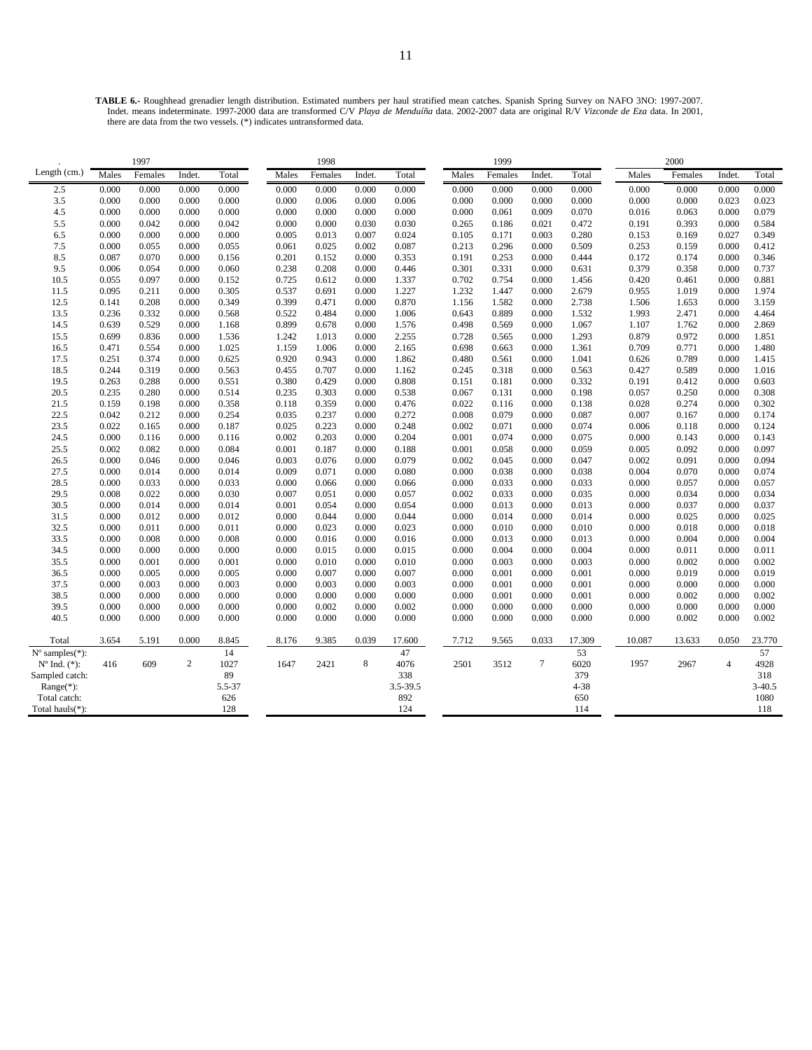**TABLE 6.-** Roughhead grenadier length distribution. Estimated numbers per haul stratified mean catches. Spanish Spring Survey on NAFO 3NO: 1997-2007. Indet. means indeterminate. 1997-2000 data are transformed C/V *Playa de Menduíña* data. 2002-2007 data are original R/V *Vizconde de Eza* data. In 2001, there are data from the two vessels. (\*) indicates untransformed data.

| Females<br>Total<br>Total<br>Males<br>Indet.<br>Total<br>Males<br>Females<br>Indet.<br>Males<br>Females<br>Total<br>Males<br>Females<br>Indet.<br>Indet.<br>0.000<br>2.5<br>0.000<br>0.000<br>0.000<br>0.000<br>0.000<br>0.000<br>0.000<br>0.000<br>0.000<br>0.000<br>0.000<br>0.000<br>0.000<br>0.000<br>0.000<br>3.5<br>0.000<br>0.000<br>0.000<br>0.000<br>0.006<br>0.000<br>0.000<br>0.000<br>0.000<br>0.000<br>0.023<br>0.023<br>0.000<br>0.006<br>0.000<br>0.000<br>4.5<br>0.000<br>0.063<br>0.079<br>0.000<br>0.000<br>0.000<br>0.000<br>0.000<br>0.000<br>0.000<br>0.000<br>0.061<br>0.009<br>0.070<br>0.016<br>0.000<br>5.5<br>0.000<br>0.042<br>0.000<br>0.042<br>0.000<br>0.000<br>0.030<br>0.030<br>0.265<br>0.186<br>0.021<br>0.472<br>0.393<br>0.000<br>0.584<br>0.191<br>6.5<br>0.000<br>0.000<br>0.000<br>0.000<br>0.005<br>0.013<br>0.007<br>0.024<br>0.105<br>0.171<br>0.003<br>0.280<br>0.169<br>0.027<br>0.349<br>0.153<br>7.5<br>0.000<br>0.055<br>0.000<br>0.055<br>0.025<br>0.087<br>0.213<br>0.296<br>0.000<br>0.509<br>0.412<br>0.061<br>0.002<br>0.253<br>0.159<br>0.000<br>8.5<br>0.191<br>0.346<br>0.087<br>0.070<br>0.000<br>0.156<br>0.201<br>0.152<br>0.000<br>0.353<br>0.253<br>0.000<br>0.444<br>0.172<br>0.174<br>0.000<br>9.5<br>0.006<br>0.060<br>0.301<br>0.331<br>0.737<br>0.054<br>0.000<br>0.238<br>0.208<br>0.000<br>0.446<br>0.000<br>0.631<br>0.379<br>0.358<br>0.000<br>10.5<br>0.055<br>0.097<br>0.000<br>0.152<br>0.725<br>0.612<br>0.000<br>1.337<br>0.702<br>0.754<br>0.000<br>1.456<br>0.420<br>0.461<br>0.000<br>0.881<br>1.974<br>11.5<br>0.095<br>0.211<br>0.000<br>0.305<br>0.537<br>1.227<br>1.232<br>1.447<br>0.000<br>2.679<br>1.019<br>0.691<br>0.000<br>0.955<br>0.000<br>12.5<br>0.141<br>0.208<br>0.349<br>0.399<br>0.870<br>1.582<br>0.000<br>2.738<br>3.159<br>0.000<br>0.471<br>0.000<br>1.156<br>1.506<br>1.653<br>0.000<br>0.889<br>13.5<br>0.236<br>0.332<br>0.000<br>0.568<br>0.522<br>1.006<br>0.643<br>0.000<br>1.532<br>2.471<br>4.464<br>0.484<br>0.000<br>1.993<br>0.000<br>14.5<br>0.639<br>0.529<br>0.899<br>0.498<br>1.762<br>2.869<br>0.000<br>1.168<br>0.678<br>0.000<br>1.576<br>0.569<br>0.000<br>1.067<br>1.107<br>0.000<br>15.5<br>0.699<br>0.836<br>0.000<br>2.255<br>0.728<br>0.000<br>0.972<br>1.851<br>1.536<br>1.242<br>1.013<br>0.000<br>0.565<br>1.293<br>0.879<br>0.000<br>1.025<br>0.771<br>16.5<br>0.471<br>0.554<br>0.000<br>1.159<br>1.006<br>0.000<br>2.165<br>0.698<br>0.663<br>0.000<br>1.361<br>0.709<br>0.000<br>1.480<br>0.000<br>0.625<br>0.000<br>0.789<br>17.5<br>0.251<br>0.374<br>0.920<br>0.943<br>0.000<br>1.862<br>0.480<br>0.561<br>1.041<br>0.000<br>1.415<br>0.626<br>18.5<br>0.244<br>0.319<br>0.000<br>0.563<br>0.707<br>0.000<br>1.162<br>0.245<br>0.318<br>0.000<br>0.563<br>0.589<br>0.000<br>1.016<br>0.455<br>0.427<br>0.603<br>19.5<br>0.263<br>0.288<br>0.000<br>0.551<br>0.380<br>0.429<br>0.808<br>0.151<br>0.181<br>0.000<br>0.332<br>0.412<br>0.000<br>0.000<br>0.191<br>20.5<br>0.235<br>0.280<br>0.000<br>0.514<br>0.235<br>0.303<br>0.538<br>0.067<br>0.131<br>0.000<br>0.198<br>0.250<br>0.000<br>0.308<br>0.000<br>0.057<br>21.5<br>0.159<br>0.198<br>0.000<br>0.358<br>0.022<br>0.116<br>0.000<br>0.138<br>0.274<br>0.302<br>0.118<br>0.359<br>0.000<br>0.476<br>0.028<br>0.000<br>22.5<br>0.042<br>0.212<br>0.254<br>0.272<br>0.008<br>0.079<br>0.000<br>0.087<br>0.174<br>0.000<br>0.035<br>0.237<br>0.000<br>0.007<br>0.167<br>0.000<br>0.022<br>0.002<br>23.5<br>0.165<br>0.000<br>0.187<br>0.025<br>0.223<br>0.000<br>0.248<br>0.071<br>0.000<br>0.074<br>0.006<br>0.118<br>0.000<br>0.124<br>24.5<br>0.000<br>0.116<br>0.000<br>0.116<br>0.002<br>0.203<br>0.000<br>0.204<br>0.001<br>0.074<br>0.000<br>0.075<br>0.000<br>0.143<br>0.000<br>0.143<br>0.097<br>25.5<br>0.002<br>0.082<br>0.000<br>0.084<br>0.001<br>0.187<br>0.000<br>0.188<br>0.001<br>0.058<br>0.000<br>0.059<br>0.092<br>0.000<br>0.005<br>0.002<br>0.091<br>0.094<br>26.5<br>0.000<br>0.046<br>0.000<br>0.046<br>0.003<br>0.076<br>0.000<br>0.079<br>0.045<br>0.000<br>0.047<br>0.002<br>0.000<br>27.5<br>0.000<br>0.000<br>0.000<br>0.038<br>0.000<br>0.074<br>0.014<br>0.014<br>0.009<br>0.071<br>0.000<br>0.080<br>0.038<br>0.004<br>0.070<br>0.000<br>28.5<br>0.000<br>0.033<br>0.000<br>0.033<br>0.000<br>0.066<br>0.000<br>0.066<br>0.000<br>0.033<br>0.000<br>0.033<br>0.000<br>0.057<br>0.000<br>0.057<br>29.5<br>0.008<br>0.022<br>0.000<br>0.030<br>0.057<br>0.002<br>0.033<br>0.000<br>0.035<br>0.034<br>0.000<br>0.034<br>0.007<br>0.051<br>0.000<br>0.000<br>30.5<br>0.000<br>0.014<br>0.014<br>0.054<br>0.000<br>0.013<br>0.000<br>0.013<br>0.037<br>0.037<br>0.000<br>0.001<br>0.054<br>0.000<br>0.000<br>0.000<br>31.5<br>0.000<br>0.012<br>0.000<br>0.012<br>0.044<br>0.000<br>0.014<br>0.000<br>0.014<br>0.025<br>0.025<br>0.000<br>0.044<br>0.000<br>0.000<br>0.000<br>32.5<br>0.000<br>0.011<br>0.000<br>0.011<br>0.000<br>0.023<br>0.000<br>0.023<br>0.000<br>0.010<br>0.000<br>0.010<br>0.000<br>0.018<br>0.000<br>0.018<br>33.5<br>0.004<br>0.000<br>0.008<br>0.000<br>0.008<br>0.000<br>0.016<br>0.000<br>0.016<br>0.000<br>0.013<br>0.000<br>0.013<br>0.000<br>0.004<br>0.000<br>34.5<br>0.000<br>0.000<br>0.000<br>0.000<br>0.000<br>0.015<br>0.000<br>0.015<br>0.000<br>0.004<br>0.000<br>0.004<br>0.011<br>0.000<br>0.011<br>0.000<br>35.5<br>0.000<br>0.001<br>0.010<br>0.000<br>0.003<br>0.000<br>0.003<br>0.002<br>0.002<br>0.000<br>0.001<br>0.000<br>0.010<br>0.000<br>0.000<br>0.000<br>36.5<br>0.001<br>0.019<br>0.019<br>0.000<br>0.005<br>0.000<br>0.005<br>0.000<br>0.007<br>0.000<br>0.007<br>0.000<br>0.001<br>0.000<br>0.000<br>0.000<br>37.5<br>0.003<br>0.001<br>0.000<br>0.000<br>0.003<br>0.000<br>0.003<br>0.000<br>0.003<br>0.000<br>0.000<br>0.001<br>0.000<br>0.000<br>0.000<br>0.000<br>38.5<br>0.002<br>0.000<br>0.000<br>0.000<br>0.000<br>0.000<br>0.000<br>0.000<br>0.000<br>0.001<br>0.000<br>0.001<br>0.002<br>0.000<br>0.000<br>0.000<br>0.000<br>39.5<br>0.000<br>0.000<br>0.000<br>0.000<br>0.000<br>0.002<br>0.002<br>0.000<br>0.000<br>0.000<br>0.000<br>0.000<br>0.000<br>0.000<br>0.000<br>40.5<br>0.000<br>0.000<br>0.000<br>0.000<br>0.000<br>0.000<br>0.000<br>0.000<br>0.000<br>0.000<br>0.002<br>0.002<br>0.000<br>0.000<br>0.000<br>0.000<br>3.654<br>5.191<br>0.000<br>8.845<br>0.033<br>17.309<br>23.770<br>Total<br>8.176<br>9.385<br>0.039<br>17.600<br>7.712<br>9.565<br>10.087<br>13.633<br>0.050<br>14<br>47<br>53<br>57<br>$N^{\circ}$ samples $(*)$ :<br>$\overline{c}$<br>8<br>$\tau$<br>1027<br>4076<br>2501<br>6020<br>4928<br>$N^{\circ}$ Ind. $(*)$ :<br>416<br>609<br>1647<br>2421<br>3512<br>1957<br>2967<br>$\overline{4}$<br>89<br>338<br>379<br>318<br>Sampled catch:<br>$4 - 38$<br>$3 - 40.5$<br>Range(*):<br>5.5-37<br>3.5-39.5<br>892<br>626<br>650<br>1080<br>Total catch:<br>128<br>124<br>Total hauls(*):<br>114<br>118 |              | 1997 |  | 1998 |  | 1999 |  | 2000 |  |
|----------------------------------------------------------------------------------------------------------------------------------------------------------------------------------------------------------------------------------------------------------------------------------------------------------------------------------------------------------------------------------------------------------------------------------------------------------------------------------------------------------------------------------------------------------------------------------------------------------------------------------------------------------------------------------------------------------------------------------------------------------------------------------------------------------------------------------------------------------------------------------------------------------------------------------------------------------------------------------------------------------------------------------------------------------------------------------------------------------------------------------------------------------------------------------------------------------------------------------------------------------------------------------------------------------------------------------------------------------------------------------------------------------------------------------------------------------------------------------------------------------------------------------------------------------------------------------------------------------------------------------------------------------------------------------------------------------------------------------------------------------------------------------------------------------------------------------------------------------------------------------------------------------------------------------------------------------------------------------------------------------------------------------------------------------------------------------------------------------------------------------------------------------------------------------------------------------------------------------------------------------------------------------------------------------------------------------------------------------------------------------------------------------------------------------------------------------------------------------------------------------------------------------------------------------------------------------------------------------------------------------------------------------------------------------------------------------------------------------------------------------------------------------------------------------------------------------------------------------------------------------------------------------------------------------------------------------------------------------------------------------------------------------------------------------------------------------------------------------------------------------------------------------------------------------------------------------------------------------------------------------------------------------------------------------------------------------------------------------------------------------------------------------------------------------------------------------------------------------------------------------------------------------------------------------------------------------------------------------------------------------------------------------------------------------------------------------------------------------------------------------------------------------------------------------------------------------------------------------------------------------------------------------------------------------------------------------------------------------------------------------------------------------------------------------------------------------------------------------------------------------------------------------------------------------------------------------------------------------------------------------------------------------------------------------------------------------------------------------------------------------------------------------------------------------------------------------------------------------------------------------------------------------------------------------------------------------------------------------------------------------------------------------------------------------------------------------------------------------------------------------------------------------------------------------------------------------------------------------------------------------------------------------------------------------------------------------------------------------------------------------------------------------------------------------------------------------------------------------------------------------------------------------------------------------------------------------------------------------------------------------------------------------------------------------------------------------------------------------------------------------------------------------------------------------------------------------------------------------------------------------------------------------------------------------------------------------------------------------------------------------------------------------------------------------------------------------------------------------------------------------------------------------------------------------------------------------------------------------------------------------------------------------------------------------------------------------------------------------------------------------------------------------------------------------------------------------------------------------------------------------------------------------------------------------------------------------------------------------------------------------------------------------------------------------------------------------------------------------------------------------------------------------------------------------------------------------------------------------------------------------------------------------------------------------------------------------------------------------------------------------------------------------------------------------------------------------------------------------------------------------------------------------------------------------------------------------------------------------------------------------------------------------------------------------|--------------|------|--|------|--|------|--|------|--|
|                                                                                                                                                                                                                                                                                                                                                                                                                                                                                                                                                                                                                                                                                                                                                                                                                                                                                                                                                                                                                                                                                                                                                                                                                                                                                                                                                                                                                                                                                                                                                                                                                                                                                                                                                                                                                                                                                                                                                                                                                                                                                                                                                                                                                                                                                                                                                                                                                                                                                                                                                                                                                                                                                                                                                                                                                                                                                                                                                                                                                                                                                                                                                                                                                                                                                                                                                                                                                                                                                                                                                                                                                                                                                                                                                                                                                                                                                                                                                                                                                                                                                                                                                                                                                                                                                                                                                                                                                                                                                                                                                                                                                                                                                                                                                                                                                                                                                                                                                                                                                                                                                                                                                                                                                                                                                                                                                                                                                                                                                                                                                                                                                                                                                                                                                                                                                                                                                                                                                                                                                                                                                                                                                                                                                                                                                                                                                                                                                                                                                                                                                                                                                                                                                                                                                                                                                                                                                                                                  | Length (cm.) |      |  |      |  |      |  |      |  |
|                                                                                                                                                                                                                                                                                                                                                                                                                                                                                                                                                                                                                                                                                                                                                                                                                                                                                                                                                                                                                                                                                                                                                                                                                                                                                                                                                                                                                                                                                                                                                                                                                                                                                                                                                                                                                                                                                                                                                                                                                                                                                                                                                                                                                                                                                                                                                                                                                                                                                                                                                                                                                                                                                                                                                                                                                                                                                                                                                                                                                                                                                                                                                                                                                                                                                                                                                                                                                                                                                                                                                                                                                                                                                                                                                                                                                                                                                                                                                                                                                                                                                                                                                                                                                                                                                                                                                                                                                                                                                                                                                                                                                                                                                                                                                                                                                                                                                                                                                                                                                                                                                                                                                                                                                                                                                                                                                                                                                                                                                                                                                                                                                                                                                                                                                                                                                                                                                                                                                                                                                                                                                                                                                                                                                                                                                                                                                                                                                                                                                                                                                                                                                                                                                                                                                                                                                                                                                                                                  |              |      |  |      |  |      |  |      |  |
|                                                                                                                                                                                                                                                                                                                                                                                                                                                                                                                                                                                                                                                                                                                                                                                                                                                                                                                                                                                                                                                                                                                                                                                                                                                                                                                                                                                                                                                                                                                                                                                                                                                                                                                                                                                                                                                                                                                                                                                                                                                                                                                                                                                                                                                                                                                                                                                                                                                                                                                                                                                                                                                                                                                                                                                                                                                                                                                                                                                                                                                                                                                                                                                                                                                                                                                                                                                                                                                                                                                                                                                                                                                                                                                                                                                                                                                                                                                                                                                                                                                                                                                                                                                                                                                                                                                                                                                                                                                                                                                                                                                                                                                                                                                                                                                                                                                                                                                                                                                                                                                                                                                                                                                                                                                                                                                                                                                                                                                                                                                                                                                                                                                                                                                                                                                                                                                                                                                                                                                                                                                                                                                                                                                                                                                                                                                                                                                                                                                                                                                                                                                                                                                                                                                                                                                                                                                                                                                                  |              |      |  |      |  |      |  |      |  |
|                                                                                                                                                                                                                                                                                                                                                                                                                                                                                                                                                                                                                                                                                                                                                                                                                                                                                                                                                                                                                                                                                                                                                                                                                                                                                                                                                                                                                                                                                                                                                                                                                                                                                                                                                                                                                                                                                                                                                                                                                                                                                                                                                                                                                                                                                                                                                                                                                                                                                                                                                                                                                                                                                                                                                                                                                                                                                                                                                                                                                                                                                                                                                                                                                                                                                                                                                                                                                                                                                                                                                                                                                                                                                                                                                                                                                                                                                                                                                                                                                                                                                                                                                                                                                                                                                                                                                                                                                                                                                                                                                                                                                                                                                                                                                                                                                                                                                                                                                                                                                                                                                                                                                                                                                                                                                                                                                                                                                                                                                                                                                                                                                                                                                                                                                                                                                                                                                                                                                                                                                                                                                                                                                                                                                                                                                                                                                                                                                                                                                                                                                                                                                                                                                                                                                                                                                                                                                                                                  |              |      |  |      |  |      |  |      |  |
|                                                                                                                                                                                                                                                                                                                                                                                                                                                                                                                                                                                                                                                                                                                                                                                                                                                                                                                                                                                                                                                                                                                                                                                                                                                                                                                                                                                                                                                                                                                                                                                                                                                                                                                                                                                                                                                                                                                                                                                                                                                                                                                                                                                                                                                                                                                                                                                                                                                                                                                                                                                                                                                                                                                                                                                                                                                                                                                                                                                                                                                                                                                                                                                                                                                                                                                                                                                                                                                                                                                                                                                                                                                                                                                                                                                                                                                                                                                                                                                                                                                                                                                                                                                                                                                                                                                                                                                                                                                                                                                                                                                                                                                                                                                                                                                                                                                                                                                                                                                                                                                                                                                                                                                                                                                                                                                                                                                                                                                                                                                                                                                                                                                                                                                                                                                                                                                                                                                                                                                                                                                                                                                                                                                                                                                                                                                                                                                                                                                                                                                                                                                                                                                                                                                                                                                                                                                                                                                                  |              |      |  |      |  |      |  |      |  |
|                                                                                                                                                                                                                                                                                                                                                                                                                                                                                                                                                                                                                                                                                                                                                                                                                                                                                                                                                                                                                                                                                                                                                                                                                                                                                                                                                                                                                                                                                                                                                                                                                                                                                                                                                                                                                                                                                                                                                                                                                                                                                                                                                                                                                                                                                                                                                                                                                                                                                                                                                                                                                                                                                                                                                                                                                                                                                                                                                                                                                                                                                                                                                                                                                                                                                                                                                                                                                                                                                                                                                                                                                                                                                                                                                                                                                                                                                                                                                                                                                                                                                                                                                                                                                                                                                                                                                                                                                                                                                                                                                                                                                                                                                                                                                                                                                                                                                                                                                                                                                                                                                                                                                                                                                                                                                                                                                                                                                                                                                                                                                                                                                                                                                                                                                                                                                                                                                                                                                                                                                                                                                                                                                                                                                                                                                                                                                                                                                                                                                                                                                                                                                                                                                                                                                                                                                                                                                                                                  |              |      |  |      |  |      |  |      |  |
|                                                                                                                                                                                                                                                                                                                                                                                                                                                                                                                                                                                                                                                                                                                                                                                                                                                                                                                                                                                                                                                                                                                                                                                                                                                                                                                                                                                                                                                                                                                                                                                                                                                                                                                                                                                                                                                                                                                                                                                                                                                                                                                                                                                                                                                                                                                                                                                                                                                                                                                                                                                                                                                                                                                                                                                                                                                                                                                                                                                                                                                                                                                                                                                                                                                                                                                                                                                                                                                                                                                                                                                                                                                                                                                                                                                                                                                                                                                                                                                                                                                                                                                                                                                                                                                                                                                                                                                                                                                                                                                                                                                                                                                                                                                                                                                                                                                                                                                                                                                                                                                                                                                                                                                                                                                                                                                                                                                                                                                                                                                                                                                                                                                                                                                                                                                                                                                                                                                                                                                                                                                                                                                                                                                                                                                                                                                                                                                                                                                                                                                                                                                                                                                                                                                                                                                                                                                                                                                                  |              |      |  |      |  |      |  |      |  |
|                                                                                                                                                                                                                                                                                                                                                                                                                                                                                                                                                                                                                                                                                                                                                                                                                                                                                                                                                                                                                                                                                                                                                                                                                                                                                                                                                                                                                                                                                                                                                                                                                                                                                                                                                                                                                                                                                                                                                                                                                                                                                                                                                                                                                                                                                                                                                                                                                                                                                                                                                                                                                                                                                                                                                                                                                                                                                                                                                                                                                                                                                                                                                                                                                                                                                                                                                                                                                                                                                                                                                                                                                                                                                                                                                                                                                                                                                                                                                                                                                                                                                                                                                                                                                                                                                                                                                                                                                                                                                                                                                                                                                                                                                                                                                                                                                                                                                                                                                                                                                                                                                                                                                                                                                                                                                                                                                                                                                                                                                                                                                                                                                                                                                                                                                                                                                                                                                                                                                                                                                                                                                                                                                                                                                                                                                                                                                                                                                                                                                                                                                                                                                                                                                                                                                                                                                                                                                                                                  |              |      |  |      |  |      |  |      |  |
|                                                                                                                                                                                                                                                                                                                                                                                                                                                                                                                                                                                                                                                                                                                                                                                                                                                                                                                                                                                                                                                                                                                                                                                                                                                                                                                                                                                                                                                                                                                                                                                                                                                                                                                                                                                                                                                                                                                                                                                                                                                                                                                                                                                                                                                                                                                                                                                                                                                                                                                                                                                                                                                                                                                                                                                                                                                                                                                                                                                                                                                                                                                                                                                                                                                                                                                                                                                                                                                                                                                                                                                                                                                                                                                                                                                                                                                                                                                                                                                                                                                                                                                                                                                                                                                                                                                                                                                                                                                                                                                                                                                                                                                                                                                                                                                                                                                                                                                                                                                                                                                                                                                                                                                                                                                                                                                                                                                                                                                                                                                                                                                                                                                                                                                                                                                                                                                                                                                                                                                                                                                                                                                                                                                                                                                                                                                                                                                                                                                                                                                                                                                                                                                                                                                                                                                                                                                                                                                                  |              |      |  |      |  |      |  |      |  |
|                                                                                                                                                                                                                                                                                                                                                                                                                                                                                                                                                                                                                                                                                                                                                                                                                                                                                                                                                                                                                                                                                                                                                                                                                                                                                                                                                                                                                                                                                                                                                                                                                                                                                                                                                                                                                                                                                                                                                                                                                                                                                                                                                                                                                                                                                                                                                                                                                                                                                                                                                                                                                                                                                                                                                                                                                                                                                                                                                                                                                                                                                                                                                                                                                                                                                                                                                                                                                                                                                                                                                                                                                                                                                                                                                                                                                                                                                                                                                                                                                                                                                                                                                                                                                                                                                                                                                                                                                                                                                                                                                                                                                                                                                                                                                                                                                                                                                                                                                                                                                                                                                                                                                                                                                                                                                                                                                                                                                                                                                                                                                                                                                                                                                                                                                                                                                                                                                                                                                                                                                                                                                                                                                                                                                                                                                                                                                                                                                                                                                                                                                                                                                                                                                                                                                                                                                                                                                                                                  |              |      |  |      |  |      |  |      |  |
|                                                                                                                                                                                                                                                                                                                                                                                                                                                                                                                                                                                                                                                                                                                                                                                                                                                                                                                                                                                                                                                                                                                                                                                                                                                                                                                                                                                                                                                                                                                                                                                                                                                                                                                                                                                                                                                                                                                                                                                                                                                                                                                                                                                                                                                                                                                                                                                                                                                                                                                                                                                                                                                                                                                                                                                                                                                                                                                                                                                                                                                                                                                                                                                                                                                                                                                                                                                                                                                                                                                                                                                                                                                                                                                                                                                                                                                                                                                                                                                                                                                                                                                                                                                                                                                                                                                                                                                                                                                                                                                                                                                                                                                                                                                                                                                                                                                                                                                                                                                                                                                                                                                                                                                                                                                                                                                                                                                                                                                                                                                                                                                                                                                                                                                                                                                                                                                                                                                                                                                                                                                                                                                                                                                                                                                                                                                                                                                                                                                                                                                                                                                                                                                                                                                                                                                                                                                                                                                                  |              |      |  |      |  |      |  |      |  |
|                                                                                                                                                                                                                                                                                                                                                                                                                                                                                                                                                                                                                                                                                                                                                                                                                                                                                                                                                                                                                                                                                                                                                                                                                                                                                                                                                                                                                                                                                                                                                                                                                                                                                                                                                                                                                                                                                                                                                                                                                                                                                                                                                                                                                                                                                                                                                                                                                                                                                                                                                                                                                                                                                                                                                                                                                                                                                                                                                                                                                                                                                                                                                                                                                                                                                                                                                                                                                                                                                                                                                                                                                                                                                                                                                                                                                                                                                                                                                                                                                                                                                                                                                                                                                                                                                                                                                                                                                                                                                                                                                                                                                                                                                                                                                                                                                                                                                                                                                                                                                                                                                                                                                                                                                                                                                                                                                                                                                                                                                                                                                                                                                                                                                                                                                                                                                                                                                                                                                                                                                                                                                                                                                                                                                                                                                                                                                                                                                                                                                                                                                                                                                                                                                                                                                                                                                                                                                                                                  |              |      |  |      |  |      |  |      |  |
|                                                                                                                                                                                                                                                                                                                                                                                                                                                                                                                                                                                                                                                                                                                                                                                                                                                                                                                                                                                                                                                                                                                                                                                                                                                                                                                                                                                                                                                                                                                                                                                                                                                                                                                                                                                                                                                                                                                                                                                                                                                                                                                                                                                                                                                                                                                                                                                                                                                                                                                                                                                                                                                                                                                                                                                                                                                                                                                                                                                                                                                                                                                                                                                                                                                                                                                                                                                                                                                                                                                                                                                                                                                                                                                                                                                                                                                                                                                                                                                                                                                                                                                                                                                                                                                                                                                                                                                                                                                                                                                                                                                                                                                                                                                                                                                                                                                                                                                                                                                                                                                                                                                                                                                                                                                                                                                                                                                                                                                                                                                                                                                                                                                                                                                                                                                                                                                                                                                                                                                                                                                                                                                                                                                                                                                                                                                                                                                                                                                                                                                                                                                                                                                                                                                                                                                                                                                                                                                                  |              |      |  |      |  |      |  |      |  |
|                                                                                                                                                                                                                                                                                                                                                                                                                                                                                                                                                                                                                                                                                                                                                                                                                                                                                                                                                                                                                                                                                                                                                                                                                                                                                                                                                                                                                                                                                                                                                                                                                                                                                                                                                                                                                                                                                                                                                                                                                                                                                                                                                                                                                                                                                                                                                                                                                                                                                                                                                                                                                                                                                                                                                                                                                                                                                                                                                                                                                                                                                                                                                                                                                                                                                                                                                                                                                                                                                                                                                                                                                                                                                                                                                                                                                                                                                                                                                                                                                                                                                                                                                                                                                                                                                                                                                                                                                                                                                                                                                                                                                                                                                                                                                                                                                                                                                                                                                                                                                                                                                                                                                                                                                                                                                                                                                                                                                                                                                                                                                                                                                                                                                                                                                                                                                                                                                                                                                                                                                                                                                                                                                                                                                                                                                                                                                                                                                                                                                                                                                                                                                                                                                                                                                                                                                                                                                                                                  |              |      |  |      |  |      |  |      |  |
|                                                                                                                                                                                                                                                                                                                                                                                                                                                                                                                                                                                                                                                                                                                                                                                                                                                                                                                                                                                                                                                                                                                                                                                                                                                                                                                                                                                                                                                                                                                                                                                                                                                                                                                                                                                                                                                                                                                                                                                                                                                                                                                                                                                                                                                                                                                                                                                                                                                                                                                                                                                                                                                                                                                                                                                                                                                                                                                                                                                                                                                                                                                                                                                                                                                                                                                                                                                                                                                                                                                                                                                                                                                                                                                                                                                                                                                                                                                                                                                                                                                                                                                                                                                                                                                                                                                                                                                                                                                                                                                                                                                                                                                                                                                                                                                                                                                                                                                                                                                                                                                                                                                                                                                                                                                                                                                                                                                                                                                                                                                                                                                                                                                                                                                                                                                                                                                                                                                                                                                                                                                                                                                                                                                                                                                                                                                                                                                                                                                                                                                                                                                                                                                                                                                                                                                                                                                                                                                                  |              |      |  |      |  |      |  |      |  |
|                                                                                                                                                                                                                                                                                                                                                                                                                                                                                                                                                                                                                                                                                                                                                                                                                                                                                                                                                                                                                                                                                                                                                                                                                                                                                                                                                                                                                                                                                                                                                                                                                                                                                                                                                                                                                                                                                                                                                                                                                                                                                                                                                                                                                                                                                                                                                                                                                                                                                                                                                                                                                                                                                                                                                                                                                                                                                                                                                                                                                                                                                                                                                                                                                                                                                                                                                                                                                                                                                                                                                                                                                                                                                                                                                                                                                                                                                                                                                                                                                                                                                                                                                                                                                                                                                                                                                                                                                                                                                                                                                                                                                                                                                                                                                                                                                                                                                                                                                                                                                                                                                                                                                                                                                                                                                                                                                                                                                                                                                                                                                                                                                                                                                                                                                                                                                                                                                                                                                                                                                                                                                                                                                                                                                                                                                                                                                                                                                                                                                                                                                                                                                                                                                                                                                                                                                                                                                                                                  |              |      |  |      |  |      |  |      |  |
|                                                                                                                                                                                                                                                                                                                                                                                                                                                                                                                                                                                                                                                                                                                                                                                                                                                                                                                                                                                                                                                                                                                                                                                                                                                                                                                                                                                                                                                                                                                                                                                                                                                                                                                                                                                                                                                                                                                                                                                                                                                                                                                                                                                                                                                                                                                                                                                                                                                                                                                                                                                                                                                                                                                                                                                                                                                                                                                                                                                                                                                                                                                                                                                                                                                                                                                                                                                                                                                                                                                                                                                                                                                                                                                                                                                                                                                                                                                                                                                                                                                                                                                                                                                                                                                                                                                                                                                                                                                                                                                                                                                                                                                                                                                                                                                                                                                                                                                                                                                                                                                                                                                                                                                                                                                                                                                                                                                                                                                                                                                                                                                                                                                                                                                                                                                                                                                                                                                                                                                                                                                                                                                                                                                                                                                                                                                                                                                                                                                                                                                                                                                                                                                                                                                                                                                                                                                                                                                                  |              |      |  |      |  |      |  |      |  |
|                                                                                                                                                                                                                                                                                                                                                                                                                                                                                                                                                                                                                                                                                                                                                                                                                                                                                                                                                                                                                                                                                                                                                                                                                                                                                                                                                                                                                                                                                                                                                                                                                                                                                                                                                                                                                                                                                                                                                                                                                                                                                                                                                                                                                                                                                                                                                                                                                                                                                                                                                                                                                                                                                                                                                                                                                                                                                                                                                                                                                                                                                                                                                                                                                                                                                                                                                                                                                                                                                                                                                                                                                                                                                                                                                                                                                                                                                                                                                                                                                                                                                                                                                                                                                                                                                                                                                                                                                                                                                                                                                                                                                                                                                                                                                                                                                                                                                                                                                                                                                                                                                                                                                                                                                                                                                                                                                                                                                                                                                                                                                                                                                                                                                                                                                                                                                                                                                                                                                                                                                                                                                                                                                                                                                                                                                                                                                                                                                                                                                                                                                                                                                                                                                                                                                                                                                                                                                                                                  |              |      |  |      |  |      |  |      |  |
|                                                                                                                                                                                                                                                                                                                                                                                                                                                                                                                                                                                                                                                                                                                                                                                                                                                                                                                                                                                                                                                                                                                                                                                                                                                                                                                                                                                                                                                                                                                                                                                                                                                                                                                                                                                                                                                                                                                                                                                                                                                                                                                                                                                                                                                                                                                                                                                                                                                                                                                                                                                                                                                                                                                                                                                                                                                                                                                                                                                                                                                                                                                                                                                                                                                                                                                                                                                                                                                                                                                                                                                                                                                                                                                                                                                                                                                                                                                                                                                                                                                                                                                                                                                                                                                                                                                                                                                                                                                                                                                                                                                                                                                                                                                                                                                                                                                                                                                                                                                                                                                                                                                                                                                                                                                                                                                                                                                                                                                                                                                                                                                                                                                                                                                                                                                                                                                                                                                                                                                                                                                                                                                                                                                                                                                                                                                                                                                                                                                                                                                                                                                                                                                                                                                                                                                                                                                                                                                                  |              |      |  |      |  |      |  |      |  |
|                                                                                                                                                                                                                                                                                                                                                                                                                                                                                                                                                                                                                                                                                                                                                                                                                                                                                                                                                                                                                                                                                                                                                                                                                                                                                                                                                                                                                                                                                                                                                                                                                                                                                                                                                                                                                                                                                                                                                                                                                                                                                                                                                                                                                                                                                                                                                                                                                                                                                                                                                                                                                                                                                                                                                                                                                                                                                                                                                                                                                                                                                                                                                                                                                                                                                                                                                                                                                                                                                                                                                                                                                                                                                                                                                                                                                                                                                                                                                                                                                                                                                                                                                                                                                                                                                                                                                                                                                                                                                                                                                                                                                                                                                                                                                                                                                                                                                                                                                                                                                                                                                                                                                                                                                                                                                                                                                                                                                                                                                                                                                                                                                                                                                                                                                                                                                                                                                                                                                                                                                                                                                                                                                                                                                                                                                                                                                                                                                                                                                                                                                                                                                                                                                                                                                                                                                                                                                                                                  |              |      |  |      |  |      |  |      |  |
|                                                                                                                                                                                                                                                                                                                                                                                                                                                                                                                                                                                                                                                                                                                                                                                                                                                                                                                                                                                                                                                                                                                                                                                                                                                                                                                                                                                                                                                                                                                                                                                                                                                                                                                                                                                                                                                                                                                                                                                                                                                                                                                                                                                                                                                                                                                                                                                                                                                                                                                                                                                                                                                                                                                                                                                                                                                                                                                                                                                                                                                                                                                                                                                                                                                                                                                                                                                                                                                                                                                                                                                                                                                                                                                                                                                                                                                                                                                                                                                                                                                                                                                                                                                                                                                                                                                                                                                                                                                                                                                                                                                                                                                                                                                                                                                                                                                                                                                                                                                                                                                                                                                                                                                                                                                                                                                                                                                                                                                                                                                                                                                                                                                                                                                                                                                                                                                                                                                                                                                                                                                                                                                                                                                                                                                                                                                                                                                                                                                                                                                                                                                                                                                                                                                                                                                                                                                                                                                                  |              |      |  |      |  |      |  |      |  |
|                                                                                                                                                                                                                                                                                                                                                                                                                                                                                                                                                                                                                                                                                                                                                                                                                                                                                                                                                                                                                                                                                                                                                                                                                                                                                                                                                                                                                                                                                                                                                                                                                                                                                                                                                                                                                                                                                                                                                                                                                                                                                                                                                                                                                                                                                                                                                                                                                                                                                                                                                                                                                                                                                                                                                                                                                                                                                                                                                                                                                                                                                                                                                                                                                                                                                                                                                                                                                                                                                                                                                                                                                                                                                                                                                                                                                                                                                                                                                                                                                                                                                                                                                                                                                                                                                                                                                                                                                                                                                                                                                                                                                                                                                                                                                                                                                                                                                                                                                                                                                                                                                                                                                                                                                                                                                                                                                                                                                                                                                                                                                                                                                                                                                                                                                                                                                                                                                                                                                                                                                                                                                                                                                                                                                                                                                                                                                                                                                                                                                                                                                                                                                                                                                                                                                                                                                                                                                                                                  |              |      |  |      |  |      |  |      |  |
|                                                                                                                                                                                                                                                                                                                                                                                                                                                                                                                                                                                                                                                                                                                                                                                                                                                                                                                                                                                                                                                                                                                                                                                                                                                                                                                                                                                                                                                                                                                                                                                                                                                                                                                                                                                                                                                                                                                                                                                                                                                                                                                                                                                                                                                                                                                                                                                                                                                                                                                                                                                                                                                                                                                                                                                                                                                                                                                                                                                                                                                                                                                                                                                                                                                                                                                                                                                                                                                                                                                                                                                                                                                                                                                                                                                                                                                                                                                                                                                                                                                                                                                                                                                                                                                                                                                                                                                                                                                                                                                                                                                                                                                                                                                                                                                                                                                                                                                                                                                                                                                                                                                                                                                                                                                                                                                                                                                                                                                                                                                                                                                                                                                                                                                                                                                                                                                                                                                                                                                                                                                                                                                                                                                                                                                                                                                                                                                                                                                                                                                                                                                                                                                                                                                                                                                                                                                                                                                                  |              |      |  |      |  |      |  |      |  |
|                                                                                                                                                                                                                                                                                                                                                                                                                                                                                                                                                                                                                                                                                                                                                                                                                                                                                                                                                                                                                                                                                                                                                                                                                                                                                                                                                                                                                                                                                                                                                                                                                                                                                                                                                                                                                                                                                                                                                                                                                                                                                                                                                                                                                                                                                                                                                                                                                                                                                                                                                                                                                                                                                                                                                                                                                                                                                                                                                                                                                                                                                                                                                                                                                                                                                                                                                                                                                                                                                                                                                                                                                                                                                                                                                                                                                                                                                                                                                                                                                                                                                                                                                                                                                                                                                                                                                                                                                                                                                                                                                                                                                                                                                                                                                                                                                                                                                                                                                                                                                                                                                                                                                                                                                                                                                                                                                                                                                                                                                                                                                                                                                                                                                                                                                                                                                                                                                                                                                                                                                                                                                                                                                                                                                                                                                                                                                                                                                                                                                                                                                                                                                                                                                                                                                                                                                                                                                                                                  |              |      |  |      |  |      |  |      |  |
|                                                                                                                                                                                                                                                                                                                                                                                                                                                                                                                                                                                                                                                                                                                                                                                                                                                                                                                                                                                                                                                                                                                                                                                                                                                                                                                                                                                                                                                                                                                                                                                                                                                                                                                                                                                                                                                                                                                                                                                                                                                                                                                                                                                                                                                                                                                                                                                                                                                                                                                                                                                                                                                                                                                                                                                                                                                                                                                                                                                                                                                                                                                                                                                                                                                                                                                                                                                                                                                                                                                                                                                                                                                                                                                                                                                                                                                                                                                                                                                                                                                                                                                                                                                                                                                                                                                                                                                                                                                                                                                                                                                                                                                                                                                                                                                                                                                                                                                                                                                                                                                                                                                                                                                                                                                                                                                                                                                                                                                                                                                                                                                                                                                                                                                                                                                                                                                                                                                                                                                                                                                                                                                                                                                                                                                                                                                                                                                                                                                                                                                                                                                                                                                                                                                                                                                                                                                                                                                                  |              |      |  |      |  |      |  |      |  |
|                                                                                                                                                                                                                                                                                                                                                                                                                                                                                                                                                                                                                                                                                                                                                                                                                                                                                                                                                                                                                                                                                                                                                                                                                                                                                                                                                                                                                                                                                                                                                                                                                                                                                                                                                                                                                                                                                                                                                                                                                                                                                                                                                                                                                                                                                                                                                                                                                                                                                                                                                                                                                                                                                                                                                                                                                                                                                                                                                                                                                                                                                                                                                                                                                                                                                                                                                                                                                                                                                                                                                                                                                                                                                                                                                                                                                                                                                                                                                                                                                                                                                                                                                                                                                                                                                                                                                                                                                                                                                                                                                                                                                                                                                                                                                                                                                                                                                                                                                                                                                                                                                                                                                                                                                                                                                                                                                                                                                                                                                                                                                                                                                                                                                                                                                                                                                                                                                                                                                                                                                                                                                                                                                                                                                                                                                                                                                                                                                                                                                                                                                                                                                                                                                                                                                                                                                                                                                                                                  |              |      |  |      |  |      |  |      |  |
|                                                                                                                                                                                                                                                                                                                                                                                                                                                                                                                                                                                                                                                                                                                                                                                                                                                                                                                                                                                                                                                                                                                                                                                                                                                                                                                                                                                                                                                                                                                                                                                                                                                                                                                                                                                                                                                                                                                                                                                                                                                                                                                                                                                                                                                                                                                                                                                                                                                                                                                                                                                                                                                                                                                                                                                                                                                                                                                                                                                                                                                                                                                                                                                                                                                                                                                                                                                                                                                                                                                                                                                                                                                                                                                                                                                                                                                                                                                                                                                                                                                                                                                                                                                                                                                                                                                                                                                                                                                                                                                                                                                                                                                                                                                                                                                                                                                                                                                                                                                                                                                                                                                                                                                                                                                                                                                                                                                                                                                                                                                                                                                                                                                                                                                                                                                                                                                                                                                                                                                                                                                                                                                                                                                                                                                                                                                                                                                                                                                                                                                                                                                                                                                                                                                                                                                                                                                                                                                                  |              |      |  |      |  |      |  |      |  |
|                                                                                                                                                                                                                                                                                                                                                                                                                                                                                                                                                                                                                                                                                                                                                                                                                                                                                                                                                                                                                                                                                                                                                                                                                                                                                                                                                                                                                                                                                                                                                                                                                                                                                                                                                                                                                                                                                                                                                                                                                                                                                                                                                                                                                                                                                                                                                                                                                                                                                                                                                                                                                                                                                                                                                                                                                                                                                                                                                                                                                                                                                                                                                                                                                                                                                                                                                                                                                                                                                                                                                                                                                                                                                                                                                                                                                                                                                                                                                                                                                                                                                                                                                                                                                                                                                                                                                                                                                                                                                                                                                                                                                                                                                                                                                                                                                                                                                                                                                                                                                                                                                                                                                                                                                                                                                                                                                                                                                                                                                                                                                                                                                                                                                                                                                                                                                                                                                                                                                                                                                                                                                                                                                                                                                                                                                                                                                                                                                                                                                                                                                                                                                                                                                                                                                                                                                                                                                                                                  |              |      |  |      |  |      |  |      |  |
|                                                                                                                                                                                                                                                                                                                                                                                                                                                                                                                                                                                                                                                                                                                                                                                                                                                                                                                                                                                                                                                                                                                                                                                                                                                                                                                                                                                                                                                                                                                                                                                                                                                                                                                                                                                                                                                                                                                                                                                                                                                                                                                                                                                                                                                                                                                                                                                                                                                                                                                                                                                                                                                                                                                                                                                                                                                                                                                                                                                                                                                                                                                                                                                                                                                                                                                                                                                                                                                                                                                                                                                                                                                                                                                                                                                                                                                                                                                                                                                                                                                                                                                                                                                                                                                                                                                                                                                                                                                                                                                                                                                                                                                                                                                                                                                                                                                                                                                                                                                                                                                                                                                                                                                                                                                                                                                                                                                                                                                                                                                                                                                                                                                                                                                                                                                                                                                                                                                                                                                                                                                                                                                                                                                                                                                                                                                                                                                                                                                                                                                                                                                                                                                                                                                                                                                                                                                                                                                                  |              |      |  |      |  |      |  |      |  |
|                                                                                                                                                                                                                                                                                                                                                                                                                                                                                                                                                                                                                                                                                                                                                                                                                                                                                                                                                                                                                                                                                                                                                                                                                                                                                                                                                                                                                                                                                                                                                                                                                                                                                                                                                                                                                                                                                                                                                                                                                                                                                                                                                                                                                                                                                                                                                                                                                                                                                                                                                                                                                                                                                                                                                                                                                                                                                                                                                                                                                                                                                                                                                                                                                                                                                                                                                                                                                                                                                                                                                                                                                                                                                                                                                                                                                                                                                                                                                                                                                                                                                                                                                                                                                                                                                                                                                                                                                                                                                                                                                                                                                                                                                                                                                                                                                                                                                                                                                                                                                                                                                                                                                                                                                                                                                                                                                                                                                                                                                                                                                                                                                                                                                                                                                                                                                                                                                                                                                                                                                                                                                                                                                                                                                                                                                                                                                                                                                                                                                                                                                                                                                                                                                                                                                                                                                                                                                                                                  |              |      |  |      |  |      |  |      |  |
|                                                                                                                                                                                                                                                                                                                                                                                                                                                                                                                                                                                                                                                                                                                                                                                                                                                                                                                                                                                                                                                                                                                                                                                                                                                                                                                                                                                                                                                                                                                                                                                                                                                                                                                                                                                                                                                                                                                                                                                                                                                                                                                                                                                                                                                                                                                                                                                                                                                                                                                                                                                                                                                                                                                                                                                                                                                                                                                                                                                                                                                                                                                                                                                                                                                                                                                                                                                                                                                                                                                                                                                                                                                                                                                                                                                                                                                                                                                                                                                                                                                                                                                                                                                                                                                                                                                                                                                                                                                                                                                                                                                                                                                                                                                                                                                                                                                                                                                                                                                                                                                                                                                                                                                                                                                                                                                                                                                                                                                                                                                                                                                                                                                                                                                                                                                                                                                                                                                                                                                                                                                                                                                                                                                                                                                                                                                                                                                                                                                                                                                                                                                                                                                                                                                                                                                                                                                                                                                                  |              |      |  |      |  |      |  |      |  |
|                                                                                                                                                                                                                                                                                                                                                                                                                                                                                                                                                                                                                                                                                                                                                                                                                                                                                                                                                                                                                                                                                                                                                                                                                                                                                                                                                                                                                                                                                                                                                                                                                                                                                                                                                                                                                                                                                                                                                                                                                                                                                                                                                                                                                                                                                                                                                                                                                                                                                                                                                                                                                                                                                                                                                                                                                                                                                                                                                                                                                                                                                                                                                                                                                                                                                                                                                                                                                                                                                                                                                                                                                                                                                                                                                                                                                                                                                                                                                                                                                                                                                                                                                                                                                                                                                                                                                                                                                                                                                                                                                                                                                                                                                                                                                                                                                                                                                                                                                                                                                                                                                                                                                                                                                                                                                                                                                                                                                                                                                                                                                                                                                                                                                                                                                                                                                                                                                                                                                                                                                                                                                                                                                                                                                                                                                                                                                                                                                                                                                                                                                                                                                                                                                                                                                                                                                                                                                                                                  |              |      |  |      |  |      |  |      |  |
|                                                                                                                                                                                                                                                                                                                                                                                                                                                                                                                                                                                                                                                                                                                                                                                                                                                                                                                                                                                                                                                                                                                                                                                                                                                                                                                                                                                                                                                                                                                                                                                                                                                                                                                                                                                                                                                                                                                                                                                                                                                                                                                                                                                                                                                                                                                                                                                                                                                                                                                                                                                                                                                                                                                                                                                                                                                                                                                                                                                                                                                                                                                                                                                                                                                                                                                                                                                                                                                                                                                                                                                                                                                                                                                                                                                                                                                                                                                                                                                                                                                                                                                                                                                                                                                                                                                                                                                                                                                                                                                                                                                                                                                                                                                                                                                                                                                                                                                                                                                                                                                                                                                                                                                                                                                                                                                                                                                                                                                                                                                                                                                                                                                                                                                                                                                                                                                                                                                                                                                                                                                                                                                                                                                                                                                                                                                                                                                                                                                                                                                                                                                                                                                                                                                                                                                                                                                                                                                                  |              |      |  |      |  |      |  |      |  |
|                                                                                                                                                                                                                                                                                                                                                                                                                                                                                                                                                                                                                                                                                                                                                                                                                                                                                                                                                                                                                                                                                                                                                                                                                                                                                                                                                                                                                                                                                                                                                                                                                                                                                                                                                                                                                                                                                                                                                                                                                                                                                                                                                                                                                                                                                                                                                                                                                                                                                                                                                                                                                                                                                                                                                                                                                                                                                                                                                                                                                                                                                                                                                                                                                                                                                                                                                                                                                                                                                                                                                                                                                                                                                                                                                                                                                                                                                                                                                                                                                                                                                                                                                                                                                                                                                                                                                                                                                                                                                                                                                                                                                                                                                                                                                                                                                                                                                                                                                                                                                                                                                                                                                                                                                                                                                                                                                                                                                                                                                                                                                                                                                                                                                                                                                                                                                                                                                                                                                                                                                                                                                                                                                                                                                                                                                                                                                                                                                                                                                                                                                                                                                                                                                                                                                                                                                                                                                                                                  |              |      |  |      |  |      |  |      |  |
|                                                                                                                                                                                                                                                                                                                                                                                                                                                                                                                                                                                                                                                                                                                                                                                                                                                                                                                                                                                                                                                                                                                                                                                                                                                                                                                                                                                                                                                                                                                                                                                                                                                                                                                                                                                                                                                                                                                                                                                                                                                                                                                                                                                                                                                                                                                                                                                                                                                                                                                                                                                                                                                                                                                                                                                                                                                                                                                                                                                                                                                                                                                                                                                                                                                                                                                                                                                                                                                                                                                                                                                                                                                                                                                                                                                                                                                                                                                                                                                                                                                                                                                                                                                                                                                                                                                                                                                                                                                                                                                                                                                                                                                                                                                                                                                                                                                                                                                                                                                                                                                                                                                                                                                                                                                                                                                                                                                                                                                                                                                                                                                                                                                                                                                                                                                                                                                                                                                                                                                                                                                                                                                                                                                                                                                                                                                                                                                                                                                                                                                                                                                                                                                                                                                                                                                                                                                                                                                                  |              |      |  |      |  |      |  |      |  |
|                                                                                                                                                                                                                                                                                                                                                                                                                                                                                                                                                                                                                                                                                                                                                                                                                                                                                                                                                                                                                                                                                                                                                                                                                                                                                                                                                                                                                                                                                                                                                                                                                                                                                                                                                                                                                                                                                                                                                                                                                                                                                                                                                                                                                                                                                                                                                                                                                                                                                                                                                                                                                                                                                                                                                                                                                                                                                                                                                                                                                                                                                                                                                                                                                                                                                                                                                                                                                                                                                                                                                                                                                                                                                                                                                                                                                                                                                                                                                                                                                                                                                                                                                                                                                                                                                                                                                                                                                                                                                                                                                                                                                                                                                                                                                                                                                                                                                                                                                                                                                                                                                                                                                                                                                                                                                                                                                                                                                                                                                                                                                                                                                                                                                                                                                                                                                                                                                                                                                                                                                                                                                                                                                                                                                                                                                                                                                                                                                                                                                                                                                                                                                                                                                                                                                                                                                                                                                                                                  |              |      |  |      |  |      |  |      |  |
|                                                                                                                                                                                                                                                                                                                                                                                                                                                                                                                                                                                                                                                                                                                                                                                                                                                                                                                                                                                                                                                                                                                                                                                                                                                                                                                                                                                                                                                                                                                                                                                                                                                                                                                                                                                                                                                                                                                                                                                                                                                                                                                                                                                                                                                                                                                                                                                                                                                                                                                                                                                                                                                                                                                                                                                                                                                                                                                                                                                                                                                                                                                                                                                                                                                                                                                                                                                                                                                                                                                                                                                                                                                                                                                                                                                                                                                                                                                                                                                                                                                                                                                                                                                                                                                                                                                                                                                                                                                                                                                                                                                                                                                                                                                                                                                                                                                                                                                                                                                                                                                                                                                                                                                                                                                                                                                                                                                                                                                                                                                                                                                                                                                                                                                                                                                                                                                                                                                                                                                                                                                                                                                                                                                                                                                                                                                                                                                                                                                                                                                                                                                                                                                                                                                                                                                                                                                                                                                                  |              |      |  |      |  |      |  |      |  |
|                                                                                                                                                                                                                                                                                                                                                                                                                                                                                                                                                                                                                                                                                                                                                                                                                                                                                                                                                                                                                                                                                                                                                                                                                                                                                                                                                                                                                                                                                                                                                                                                                                                                                                                                                                                                                                                                                                                                                                                                                                                                                                                                                                                                                                                                                                                                                                                                                                                                                                                                                                                                                                                                                                                                                                                                                                                                                                                                                                                                                                                                                                                                                                                                                                                                                                                                                                                                                                                                                                                                                                                                                                                                                                                                                                                                                                                                                                                                                                                                                                                                                                                                                                                                                                                                                                                                                                                                                                                                                                                                                                                                                                                                                                                                                                                                                                                                                                                                                                                                                                                                                                                                                                                                                                                                                                                                                                                                                                                                                                                                                                                                                                                                                                                                                                                                                                                                                                                                                                                                                                                                                                                                                                                                                                                                                                                                                                                                                                                                                                                                                                                                                                                                                                                                                                                                                                                                                                                                  |              |      |  |      |  |      |  |      |  |
|                                                                                                                                                                                                                                                                                                                                                                                                                                                                                                                                                                                                                                                                                                                                                                                                                                                                                                                                                                                                                                                                                                                                                                                                                                                                                                                                                                                                                                                                                                                                                                                                                                                                                                                                                                                                                                                                                                                                                                                                                                                                                                                                                                                                                                                                                                                                                                                                                                                                                                                                                                                                                                                                                                                                                                                                                                                                                                                                                                                                                                                                                                                                                                                                                                                                                                                                                                                                                                                                                                                                                                                                                                                                                                                                                                                                                                                                                                                                                                                                                                                                                                                                                                                                                                                                                                                                                                                                                                                                                                                                                                                                                                                                                                                                                                                                                                                                                                                                                                                                                                                                                                                                                                                                                                                                                                                                                                                                                                                                                                                                                                                                                                                                                                                                                                                                                                                                                                                                                                                                                                                                                                                                                                                                                                                                                                                                                                                                                                                                                                                                                                                                                                                                                                                                                                                                                                                                                                                                  |              |      |  |      |  |      |  |      |  |
|                                                                                                                                                                                                                                                                                                                                                                                                                                                                                                                                                                                                                                                                                                                                                                                                                                                                                                                                                                                                                                                                                                                                                                                                                                                                                                                                                                                                                                                                                                                                                                                                                                                                                                                                                                                                                                                                                                                                                                                                                                                                                                                                                                                                                                                                                                                                                                                                                                                                                                                                                                                                                                                                                                                                                                                                                                                                                                                                                                                                                                                                                                                                                                                                                                                                                                                                                                                                                                                                                                                                                                                                                                                                                                                                                                                                                                                                                                                                                                                                                                                                                                                                                                                                                                                                                                                                                                                                                                                                                                                                                                                                                                                                                                                                                                                                                                                                                                                                                                                                                                                                                                                                                                                                                                                                                                                                                                                                                                                                                                                                                                                                                                                                                                                                                                                                                                                                                                                                                                                                                                                                                                                                                                                                                                                                                                                                                                                                                                                                                                                                                                                                                                                                                                                                                                                                                                                                                                                                  |              |      |  |      |  |      |  |      |  |
|                                                                                                                                                                                                                                                                                                                                                                                                                                                                                                                                                                                                                                                                                                                                                                                                                                                                                                                                                                                                                                                                                                                                                                                                                                                                                                                                                                                                                                                                                                                                                                                                                                                                                                                                                                                                                                                                                                                                                                                                                                                                                                                                                                                                                                                                                                                                                                                                                                                                                                                                                                                                                                                                                                                                                                                                                                                                                                                                                                                                                                                                                                                                                                                                                                                                                                                                                                                                                                                                                                                                                                                                                                                                                                                                                                                                                                                                                                                                                                                                                                                                                                                                                                                                                                                                                                                                                                                                                                                                                                                                                                                                                                                                                                                                                                                                                                                                                                                                                                                                                                                                                                                                                                                                                                                                                                                                                                                                                                                                                                                                                                                                                                                                                                                                                                                                                                                                                                                                                                                                                                                                                                                                                                                                                                                                                                                                                                                                                                                                                                                                                                                                                                                                                                                                                                                                                                                                                                                                  |              |      |  |      |  |      |  |      |  |
|                                                                                                                                                                                                                                                                                                                                                                                                                                                                                                                                                                                                                                                                                                                                                                                                                                                                                                                                                                                                                                                                                                                                                                                                                                                                                                                                                                                                                                                                                                                                                                                                                                                                                                                                                                                                                                                                                                                                                                                                                                                                                                                                                                                                                                                                                                                                                                                                                                                                                                                                                                                                                                                                                                                                                                                                                                                                                                                                                                                                                                                                                                                                                                                                                                                                                                                                                                                                                                                                                                                                                                                                                                                                                                                                                                                                                                                                                                                                                                                                                                                                                                                                                                                                                                                                                                                                                                                                                                                                                                                                                                                                                                                                                                                                                                                                                                                                                                                                                                                                                                                                                                                                                                                                                                                                                                                                                                                                                                                                                                                                                                                                                                                                                                                                                                                                                                                                                                                                                                                                                                                                                                                                                                                                                                                                                                                                                                                                                                                                                                                                                                                                                                                                                                                                                                                                                                                                                                                                  |              |      |  |      |  |      |  |      |  |
|                                                                                                                                                                                                                                                                                                                                                                                                                                                                                                                                                                                                                                                                                                                                                                                                                                                                                                                                                                                                                                                                                                                                                                                                                                                                                                                                                                                                                                                                                                                                                                                                                                                                                                                                                                                                                                                                                                                                                                                                                                                                                                                                                                                                                                                                                                                                                                                                                                                                                                                                                                                                                                                                                                                                                                                                                                                                                                                                                                                                                                                                                                                                                                                                                                                                                                                                                                                                                                                                                                                                                                                                                                                                                                                                                                                                                                                                                                                                                                                                                                                                                                                                                                                                                                                                                                                                                                                                                                                                                                                                                                                                                                                                                                                                                                                                                                                                                                                                                                                                                                                                                                                                                                                                                                                                                                                                                                                                                                                                                                                                                                                                                                                                                                                                                                                                                                                                                                                                                                                                                                                                                                                                                                                                                                                                                                                                                                                                                                                                                                                                                                                                                                                                                                                                                                                                                                                                                                                                  |              |      |  |      |  |      |  |      |  |
|                                                                                                                                                                                                                                                                                                                                                                                                                                                                                                                                                                                                                                                                                                                                                                                                                                                                                                                                                                                                                                                                                                                                                                                                                                                                                                                                                                                                                                                                                                                                                                                                                                                                                                                                                                                                                                                                                                                                                                                                                                                                                                                                                                                                                                                                                                                                                                                                                                                                                                                                                                                                                                                                                                                                                                                                                                                                                                                                                                                                                                                                                                                                                                                                                                                                                                                                                                                                                                                                                                                                                                                                                                                                                                                                                                                                                                                                                                                                                                                                                                                                                                                                                                                                                                                                                                                                                                                                                                                                                                                                                                                                                                                                                                                                                                                                                                                                                                                                                                                                                                                                                                                                                                                                                                                                                                                                                                                                                                                                                                                                                                                                                                                                                                                                                                                                                                                                                                                                                                                                                                                                                                                                                                                                                                                                                                                                                                                                                                                                                                                                                                                                                                                                                                                                                                                                                                                                                                                                  |              |      |  |      |  |      |  |      |  |
|                                                                                                                                                                                                                                                                                                                                                                                                                                                                                                                                                                                                                                                                                                                                                                                                                                                                                                                                                                                                                                                                                                                                                                                                                                                                                                                                                                                                                                                                                                                                                                                                                                                                                                                                                                                                                                                                                                                                                                                                                                                                                                                                                                                                                                                                                                                                                                                                                                                                                                                                                                                                                                                                                                                                                                                                                                                                                                                                                                                                                                                                                                                                                                                                                                                                                                                                                                                                                                                                                                                                                                                                                                                                                                                                                                                                                                                                                                                                                                                                                                                                                                                                                                                                                                                                                                                                                                                                                                                                                                                                                                                                                                                                                                                                                                                                                                                                                                                                                                                                                                                                                                                                                                                                                                                                                                                                                                                                                                                                                                                                                                                                                                                                                                                                                                                                                                                                                                                                                                                                                                                                                                                                                                                                                                                                                                                                                                                                                                                                                                                                                                                                                                                                                                                                                                                                                                                                                                                                  |              |      |  |      |  |      |  |      |  |
|                                                                                                                                                                                                                                                                                                                                                                                                                                                                                                                                                                                                                                                                                                                                                                                                                                                                                                                                                                                                                                                                                                                                                                                                                                                                                                                                                                                                                                                                                                                                                                                                                                                                                                                                                                                                                                                                                                                                                                                                                                                                                                                                                                                                                                                                                                                                                                                                                                                                                                                                                                                                                                                                                                                                                                                                                                                                                                                                                                                                                                                                                                                                                                                                                                                                                                                                                                                                                                                                                                                                                                                                                                                                                                                                                                                                                                                                                                                                                                                                                                                                                                                                                                                                                                                                                                                                                                                                                                                                                                                                                                                                                                                                                                                                                                                                                                                                                                                                                                                                                                                                                                                                                                                                                                                                                                                                                                                                                                                                                                                                                                                                                                                                                                                                                                                                                                                                                                                                                                                                                                                                                                                                                                                                                                                                                                                                                                                                                                                                                                                                                                                                                                                                                                                                                                                                                                                                                                                                  |              |      |  |      |  |      |  |      |  |
|                                                                                                                                                                                                                                                                                                                                                                                                                                                                                                                                                                                                                                                                                                                                                                                                                                                                                                                                                                                                                                                                                                                                                                                                                                                                                                                                                                                                                                                                                                                                                                                                                                                                                                                                                                                                                                                                                                                                                                                                                                                                                                                                                                                                                                                                                                                                                                                                                                                                                                                                                                                                                                                                                                                                                                                                                                                                                                                                                                                                                                                                                                                                                                                                                                                                                                                                                                                                                                                                                                                                                                                                                                                                                                                                                                                                                                                                                                                                                                                                                                                                                                                                                                                                                                                                                                                                                                                                                                                                                                                                                                                                                                                                                                                                                                                                                                                                                                                                                                                                                                                                                                                                                                                                                                                                                                                                                                                                                                                                                                                                                                                                                                                                                                                                                                                                                                                                                                                                                                                                                                                                                                                                                                                                                                                                                                                                                                                                                                                                                                                                                                                                                                                                                                                                                                                                                                                                                                                                  |              |      |  |      |  |      |  |      |  |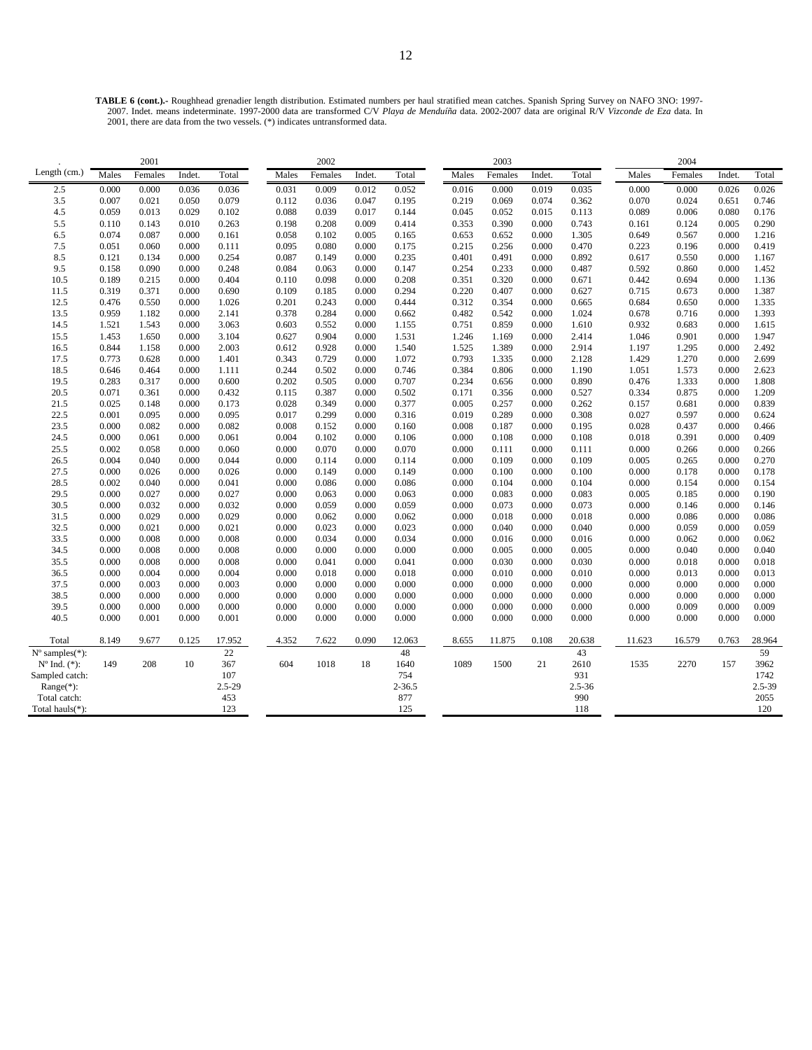**TABLE 6 (cont.).-** Roughhead grenadier length distribution. Estimated numbers per haul stratified mean catches. Spanish Spring Survey on NAFO 3NO: 1997- 2007. Indet. means indeterminate. 1997-2000 data are transformed C/V *Playa de Menduíña* data. 2002-2007 data are original R/V *Vizconde de Eza* data. In 2001, there are data from the two vessels. (\*) indicates untransformed data.

|                             |       | 2001    |        |            |       | 2002    |        |            |       | 2003    |        |            |        | 2004    |        |            |
|-----------------------------|-------|---------|--------|------------|-------|---------|--------|------------|-------|---------|--------|------------|--------|---------|--------|------------|
| Length (cm.)                | Males | Females | Indet. | Total      | Males | Females | Indet. | Total      | Males | Females | Indet. | Total      | Males  | Females | Indet. | Total      |
| 2.5                         | 0.000 | 0.000   | 0.036  | 0.036      | 0.031 | 0.009   | 0.012  | 0.052      | 0.016 | 0.000   | 0.019  | 0.035      | 0.000  | 0.000   | 0.026  | 0.026      |
| 3.5                         | 0.007 | 0.021   | 0.050  | 0.079      | 0.112 | 0.036   | 0.047  | 0.195      | 0.219 | 0.069   | 0.074  | 0.362      | 0.070  | 0.024   | 0.651  | 0.746      |
| 4.5                         | 0.059 | 0.013   | 0.029  | 0.102      | 0.088 | 0.039   | 0.017  | 0.144      | 0.045 | 0.052   | 0.015  | 0.113      | 0.089  | 0.006   | 0.080  | 0.176      |
| 5.5                         | 0.110 | 0.143   | 0.010  | 0.263      | 0.198 | 0.208   | 0.009  | 0.414      | 0.353 | 0.390   | 0.000  | 0.743      | 0.161  | 0.124   | 0.005  | 0.290      |
| 6.5                         | 0.074 | 0.087   | 0.000  | 0.161      | 0.058 | 0.102   | 0.005  | 0.165      | 0.653 | 0.652   | 0.000  | 1.305      | 0.649  | 0.567   | 0.000  | 1.216      |
| 7.5                         | 0.051 | 0.060   | 0.000  | 0.111      | 0.095 | 0.080   | 0.000  | 0.175      | 0.215 | 0.256   | 0.000  | 0.470      | 0.223  | 0.196   | 0.000  | 0.419      |
| 8.5                         | 0.121 | 0.134   | 0.000  | 0.254      | 0.087 | 0.149   | 0.000  | 0.235      | 0.401 | 0.491   | 0.000  | 0.892      | 0.617  | 0.550   | 0.000  | 1.167      |
| 9.5                         | 0.158 | 0.090   | 0.000  | 0.248      | 0.084 | 0.063   | 0.000  | 0.147      | 0.254 | 0.233   | 0.000  | 0.487      | 0.592  | 0.860   | 0.000  | 1.452      |
| 10.5                        | 0.189 | 0.215   | 0.000  | 0.404      | 0.110 | 0.098   | 0.000  | 0.208      | 0.351 | 0.320   | 0.000  | 0.671      | 0.442  | 0.694   | 0.000  | 1.136      |
| 11.5                        | 0.319 | 0.371   | 0.000  | 0.690      | 0.109 | 0.185   | 0.000  | 0.294      | 0.220 | 0.407   | 0.000  | 0.627      | 0.715  | 0.673   | 0.000  | 1.387      |
| 12.5                        | 0.476 | 0.550   | 0.000  | 1.026      | 0.201 | 0.243   | 0.000  | 0.444      | 0.312 | 0.354   | 0.000  | 0.665      | 0.684  | 0.650   | 0.000  | 1.335      |
| 13.5                        | 0.959 | 1.182   | 0.000  | 2.141      | 0.378 | 0.284   | 0.000  | 0.662      | 0.482 | 0.542   | 0.000  | 1.024      | 0.678  | 0.716   | 0.000  | 1.393      |
| 14.5                        | 1.521 | 1.543   | 0.000  | 3.063      | 0.603 | 0.552   | 0.000  | 1.155      | 0.751 | 0.859   | 0.000  | 1.610      | 0.932  | 0.683   | 0.000  | 1.615      |
| 15.5                        | 1.453 | 1.650   | 0.000  | 3.104      | 0.627 | 0.904   | 0.000  | 1.531      | 1.246 | 1.169   | 0.000  | 2.414      | 1.046  | 0.901   | 0.000  | 1.947      |
| 16.5                        | 0.844 | 1.158   | 0.000  | 2.003      | 0.612 | 0.928   | 0.000  | 1.540      | 1.525 | 1.389   | 0.000  | 2.914      | 1.197  | 1.295   | 0.000  | 2.492      |
| 17.5                        | 0.773 | 0.628   | 0.000  | 1.401      | 0.343 | 0.729   | 0.000  | 1.072      | 0.793 | 1.335   | 0.000  | 2.128      | 1.429  | 1.270   | 0.000  | 2.699      |
| 18.5                        | 0.646 | 0.464   | 0.000  | 1.111      | 0.244 | 0.502   | 0.000  | 0.746      | 0.384 | 0.806   | 0.000  | 1.190      | 1.051  | 1.573   | 0.000  | 2.623      |
| 19.5                        | 0.283 | 0.317   | 0.000  | 0.600      | 0.202 | 0.505   | 0.000  | 0.707      | 0.234 | 0.656   | 0.000  | 0.890      | 0.476  | 1.333   | 0.000  | 1.808      |
| 20.5                        | 0.071 | 0.361   | 0.000  | 0.432      | 0.115 | 0.387   | 0.000  | 0.502      | 0.171 | 0.356   | 0.000  | 0.527      | 0.334  | 0.875   | 0.000  | 1.209      |
| 21.5                        | 0.025 | 0.148   | 0.000  | 0.173      | 0.028 | 0.349   | 0.000  | 0.377      | 0.005 | 0.257   | 0.000  | 0.262      | 0.157  | 0.681   | 0.000  | 0.839      |
| 22.5                        | 0.001 | 0.095   | 0.000  | 0.095      | 0.017 | 0.299   | 0.000  | 0.316      | 0.019 | 0.289   | 0.000  | 0.308      | 0.027  | 0.597   | 0.000  | 0.624      |
| 23.5                        | 0.000 | 0.082   | 0.000  | 0.082      | 0.008 | 0.152   | 0.000  | 0.160      | 0.008 | 0.187   | 0.000  | 0.195      | 0.028  | 0.437   | 0.000  | 0.466      |
| 24.5                        | 0.000 | 0.061   | 0.000  | 0.061      | 0.004 | 0.102   | 0.000  | 0.106      | 0.000 | 0.108   | 0.000  | 0.108      | 0.018  | 0.391   | 0.000  | 0.409      |
| 25.5                        | 0.002 | 0.058   | 0.000  | 0.060      | 0.000 | 0.070   | 0.000  | 0.070      | 0.000 | 0.111   | 0.000  | 0.111      | 0.000  | 0.266   | 0.000  | 0.266      |
| 26.5                        | 0.004 | 0.040   | 0.000  | 0.044      | 0.000 | 0.114   | 0.000  | 0.114      | 0.000 | 0.109   | 0.000  | 0.109      | 0.005  | 0.265   | 0.000  | 0.270      |
| 27.5                        | 0.000 | 0.026   | 0.000  | 0.026      | 0.000 | 0.149   | 0.000  | 0.149      | 0.000 | 0.100   | 0.000  | 0.100      | 0.000  | 0.178   | 0.000  | 0.178      |
| 28.5                        | 0.002 | 0.040   | 0.000  | 0.041      | 0.000 | 0.086   | 0.000  | 0.086      | 0.000 | 0.104   | 0.000  | 0.104      | 0.000  | 0.154   | 0.000  | 0.154      |
| 29.5                        | 0.000 | 0.027   | 0.000  | 0.027      | 0.000 | 0.063   | 0.000  | 0.063      | 0.000 | 0.083   | 0.000  | 0.083      | 0.005  | 0.185   | 0.000  | 0.190      |
| 30.5                        | 0.000 | 0.032   | 0.000  | 0.032      | 0.000 | 0.059   | 0.000  | 0.059      | 0.000 | 0.073   | 0.000  | 0.073      | 0.000  | 0.146   | 0.000  | 0.146      |
| 31.5                        | 0.000 | 0.029   | 0.000  | 0.029      | 0.000 | 0.062   | 0.000  | 0.062      | 0.000 | 0.018   | 0.000  | 0.018      | 0.000  | 0.086   | 0.000  | 0.086      |
| 32.5                        | 0.000 | 0.021   | 0.000  | 0.021      | 0.000 | 0.023   | 0.000  | 0.023      | 0.000 | 0.040   | 0.000  | 0.040      | 0.000  | 0.059   | 0.000  | 0.059      |
| 33.5                        | 0.000 | 0.008   | 0.000  | 0.008      | 0.000 | 0.034   | 0.000  | 0.034      | 0.000 | 0.016   | 0.000  | 0.016      | 0.000  | 0.062   | 0.000  | 0.062      |
| 34.5                        | 0.000 | 0.008   | 0.000  | 0.008      | 0.000 | 0.000   | 0.000  | 0.000      | 0.000 | 0.005   | 0.000  | 0.005      | 0.000  | 0.040   | 0.000  | 0.040      |
| 35.5                        | 0.000 | 0.008   | 0.000  | 0.008      | 0.000 | 0.041   | 0.000  | 0.041      | 0.000 | 0.030   | 0.000  | 0.030      | 0.000  | 0.018   | 0.000  | 0.018      |
| 36.5                        | 0.000 | 0.004   | 0.000  | 0.004      | 0.000 | 0.018   | 0.000  | 0.018      | 0.000 | 0.010   | 0.000  | 0.010      | 0.000  | 0.013   | 0.000  | 0.013      |
| 37.5                        | 0.000 | 0.003   | 0.000  | 0.003      | 0.000 | 0.000   | 0.000  | 0.000      | 0.000 | 0.000   | 0.000  | 0.000      | 0.000  | 0.000   | 0.000  | 0.000      |
| 38.5                        | 0.000 | 0.000   | 0.000  | 0.000      | 0.000 | 0.000   | 0.000  | 0.000      | 0.000 | 0.000   | 0.000  | 0.000      | 0.000  | 0.000   | 0.000  | 0.000      |
| 39.5                        | 0.000 | 0.000   | 0.000  | 0.000      | 0.000 | 0.000   | 0.000  | 0.000      | 0.000 | 0.000   | 0.000  | 0.000      | 0.000  | 0.009   | 0.000  | 0.009      |
| 40.5                        | 0.000 | 0.001   | 0.000  | 0.001      | 0.000 | 0.000   | 0.000  | 0.000      | 0.000 | 0.000   | 0.000  | 0.000      | 0.000  | 0.000   | 0.000  | 0.000      |
|                             |       |         |        |            |       |         |        |            |       |         |        |            |        |         |        |            |
| Total                       | 8.149 | 9.677   | 0.125  | 17.952     | 4.352 | 7.622   | 0.090  | 12.063     | 8.655 | 11.875  | 0.108  | 20.638     | 11.623 | 16.579  | 0.763  | 28.964     |
| $N^{\circ}$ samples $(*)$ : |       |         |        | 22         |       |         |        | 48         |       |         |        | 43         |        |         |        | 59         |
| $N^{\circ}$ Ind. $(*)$ :    | 149   | 208     | 10     | 367        | 604   | 1018    | 18     | 1640       | 1089  | 1500    | 21     | 2610       | 1535   | 2270    | 157    | 3962       |
| Sampled catch:              |       |         |        | 107        |       |         |        | 754        |       |         |        | 931        |        |         |        | 1742       |
| $Range(*)$ :                |       |         |        | $2.5 - 29$ |       |         |        | $2 - 36.5$ |       |         |        | $2.5 - 36$ |        |         |        | $2.5 - 39$ |
| Total catch:                |       |         |        | 453        |       |         |        | 877        |       |         |        | 990        |        |         |        | 2055       |
| Total hauls(*):             |       |         |        | 123        |       |         |        | 125        |       |         |        | 118        |        |         |        | 120        |
|                             |       |         |        |            |       |         |        |            |       |         |        |            |        |         |        |            |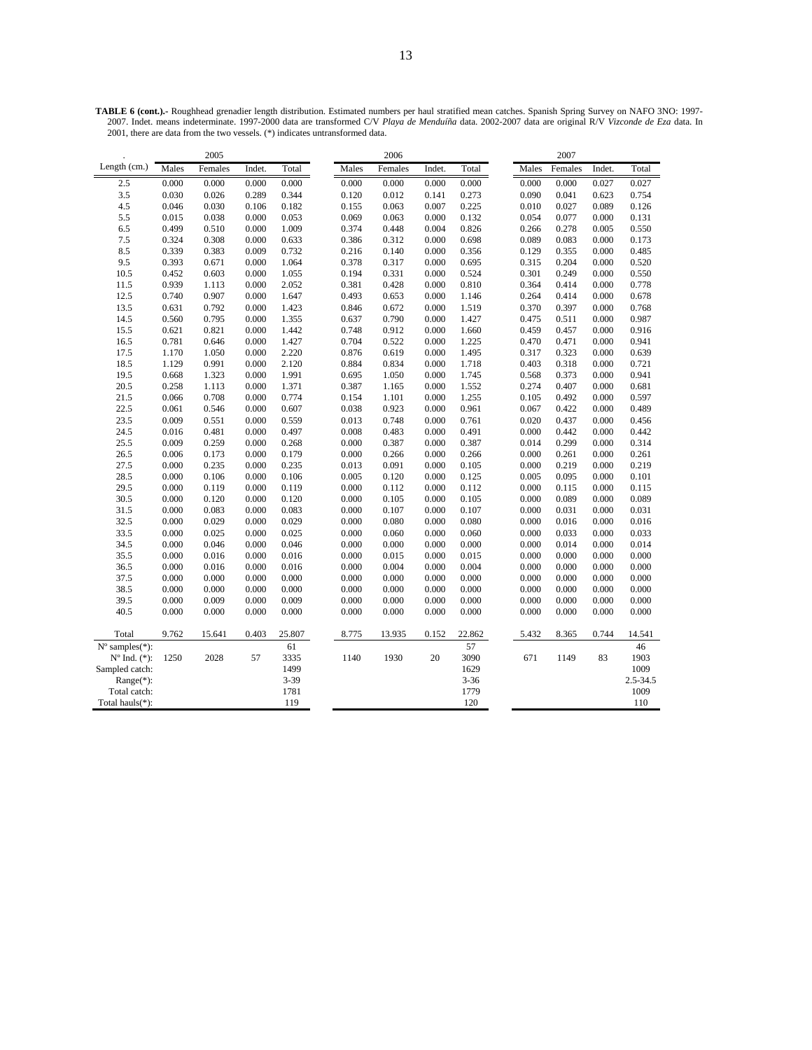|                         |       | 2005    |        |          |       | 2006    |        |          |       | 2007    |        |          |
|-------------------------|-------|---------|--------|----------|-------|---------|--------|----------|-------|---------|--------|----------|
| Length (cm.)            | Males | Females | Indet. | Total    | Males | Females | Indet. | Total    | Males | Females | Indet. | Total    |
| 2.5                     | 0.000 | 0.000   | 0.000  | 0.000    | 0.000 | 0.000   | 0.000  | 0.000    | 0.000 | 0.000   | 0.027  | 0.027    |
| 3.5                     | 0.030 | 0.026   | 0.289  | 0.344    | 0.120 | 0.012   | 0.141  | 0.273    | 0.090 | 0.041   | 0.623  | 0.754    |
| 4.5                     | 0.046 | 0.030   | 0.106  | 0.182    | 0.155 | 0.063   | 0.007  | 0.225    | 0.010 | 0.027   | 0.089  | 0.126    |
| 5.5                     | 0.015 | 0.038   | 0.000  | 0.053    | 0.069 | 0.063   | 0.000  | 0.132    | 0.054 | 0.077   | 0.000  | 0.131    |
| 6.5                     | 0.499 | 0.510   | 0.000  | 1.009    | 0.374 | 0.448   | 0.004  | 0.826    | 0.266 | 0.278   | 0.005  | 0.550    |
| 7.5                     | 0.324 | 0.308   | 0.000  | 0.633    | 0.386 | 0.312   | 0.000  | 0.698    | 0.089 | 0.083   | 0.000  | 0.173    |
| 8.5                     | 0.339 | 0.383   | 0.009  | 0.732    | 0.216 | 0.140   | 0.000  | 0.356    | 0.129 | 0.355   | 0.000  | 0.485    |
| 9.5                     | 0.393 | 0.671   | 0.000  | 1.064    | 0.378 | 0.317   | 0.000  | 0.695    | 0.315 | 0.204   | 0.000  | 0.520    |
| 10.5                    | 0.452 | 0.603   | 0.000  | 1.055    | 0.194 | 0.331   | 0.000  | 0.524    | 0.301 | 0.249   | 0.000  | 0.550    |
| 11.5                    | 0.939 | 1.113   | 0.000  | 2.052    | 0.381 | 0.428   | 0.000  | 0.810    | 0.364 | 0.414   | 0.000  | 0.778    |
| 12.5                    | 0.740 | 0.907   | 0.000  | 1.647    | 0.493 | 0.653   | 0.000  | 1.146    | 0.264 | 0.414   | 0.000  | 0.678    |
| 13.5                    | 0.631 | 0.792   | 0.000  | 1.423    | 0.846 | 0.672   | 0.000  | 1.519    | 0.370 | 0.397   | 0.000  | 0.768    |
| 14.5                    | 0.560 | 0.795   | 0.000  | 1.355    | 0.637 | 0.790   | 0.000  | 1.427    | 0.475 | 0.511   | 0.000  | 0.987    |
| 15.5                    | 0.621 | 0.821   | 0.000  | 1.442    | 0.748 | 0.912   | 0.000  | 1.660    | 0.459 | 0.457   | 0.000  | 0.916    |
| 16.5                    | 0.781 | 0.646   | 0.000  | 1.427    | 0.704 | 0.522   | 0.000  | 1.225    | 0.470 | 0.471   | 0.000  | 0.941    |
| 17.5                    | 1.170 | 1.050   | 0.000  | 2.220    | 0.876 | 0.619   | 0.000  | 1.495    | 0.317 | 0.323   | 0.000  | 0.639    |
| 18.5                    | 1.129 | 0.991   | 0.000  | 2.120    | 0.884 | 0.834   | 0.000  | 1.718    | 0.403 | 0.318   | 0.000  | 0.721    |
| 19.5                    | 0.668 | 1.323   | 0.000  | 1.991    | 0.695 | 1.050   | 0.000  | 1.745    | 0.568 | 0.373   | 0.000  | 0.941    |
| 20.5                    | 0.258 | 1.113   | 0.000  | 1.371    | 0.387 | 1.165   | 0.000  | 1.552    | 0.274 | 0.407   | 0.000  | 0.681    |
| 21.5                    | 0.066 | 0.708   | 0.000  | 0.774    | 0.154 | 1.101   | 0.000  | 1.255    | 0.105 | 0.492   | 0.000  | 0.597    |
| 22.5                    | 0.061 | 0.546   | 0.000  | 0.607    | 0.038 | 0.923   | 0.000  | 0.961    | 0.067 | 0.422   | 0.000  | 0.489    |
| 23.5                    | 0.009 | 0.551   | 0.000  | 0.559    | 0.013 | 0.748   | 0.000  | 0.761    | 0.020 | 0.437   | 0.000  | 0.456    |
| 24.5                    | 0.016 | 0.481   | 0.000  | 0.497    | 0.008 | 0.483   | 0.000  | 0.491    | 0.000 | 0.442   | 0.000  | 0.442    |
| 25.5                    | 0.009 | 0.259   | 0.000  | 0.268    | 0.000 | 0.387   | 0.000  | 0.387    | 0.014 | 0.299   | 0.000  | 0.314    |
| 26.5                    | 0.006 | 0.173   | 0.000  | 0.179    | 0.000 | 0.266   | 0.000  | 0.266    | 0.000 | 0.261   | 0.000  | 0.261    |
| 27.5                    | 0.000 | 0.235   | 0.000  | 0.235    | 0.013 | 0.091   | 0.000  | 0.105    | 0.000 | 0.219   | 0.000  | 0.219    |
| 28.5                    | 0.000 | 0.106   | 0.000  | 0.106    | 0.005 | 0.120   | 0.000  | 0.125    | 0.005 | 0.095   | 0.000  | 0.101    |
| 29.5                    | 0.000 | 0.119   | 0.000  | 0.119    | 0.000 | 0.112   | 0.000  | 0.112    | 0.000 | 0.115   | 0.000  | 0.115    |
| 30.5                    | 0.000 | 0.120   | 0.000  | 0.120    | 0.000 | 0.105   | 0.000  | 0.105    | 0.000 | 0.089   | 0.000  | 0.089    |
| 31.5                    | 0.000 | 0.083   | 0.000  | 0.083    | 0.000 | 0.107   | 0.000  | 0.107    | 0.000 | 0.031   | 0.000  | 0.031    |
| 32.5                    | 0.000 | 0.029   | 0.000  | 0.029    | 0.000 | 0.080   | 0.000  | 0.080    | 0.000 | 0.016   | 0.000  | 0.016    |
| 33.5                    | 0.000 | 0.025   | 0.000  | 0.025    | 0.000 | 0.060   | 0.000  | 0.060    | 0.000 | 0.033   | 0.000  | 0.033    |
| 34.5                    | 0.000 | 0.046   | 0.000  | 0.046    | 0.000 | 0.000   | 0.000  | 0.000    | 0.000 | 0.014   | 0.000  | 0.014    |
| 35.5                    | 0.000 | 0.016   | 0.000  | 0.016    | 0.000 | 0.015   | 0.000  | 0.015    | 0.000 | 0.000   | 0.000  | 0.000    |
| 36.5                    | 0.000 | 0.016   | 0.000  | 0.016    | 0.000 | 0.004   | 0.000  | 0.004    | 0.000 | 0.000   | 0.000  | 0.000    |
| 37.5                    | 0.000 | 0.000   | 0.000  | 0.000    | 0.000 | 0.000   | 0.000  | 0.000    | 0.000 | 0.000   | 0.000  | 0.000    |
| 38.5                    | 0.000 | 0.000   | 0.000  | 0.000    | 0.000 | 0.000   | 0.000  | 0.000    | 0.000 | 0.000   | 0.000  | 0.000    |
| 39.5                    | 0.000 | 0.009   | 0.000  | 0.009    | 0.000 | 0.000   | 0.000  | 0.000    | 0.000 | 0.000   | 0.000  | 0.000    |
| 40.5                    | 0.000 | 0.000   | 0.000  | 0.000    | 0.000 | 0.000   | 0.000  | 0.000    | 0.000 | 0.000   | 0.000  | 0.000    |
| Total                   | 9.762 | 15.641  | 0.403  | 25.807   | 8.775 | 13.935  | 0.152  | 22.862   | 5.432 | 8.365   | 0.744  | 14.541   |
| $N^{\circ}$ samples(*): |       |         |        | 61       |       |         |        | 57       |       |         |        | 46       |
| $No$ Ind. $(*)$ :       | 1250  | 2028    | 57     | 3335     | 1140  | 1930    | 20     | 3090     | 671   | 1149    | 83     | 1903     |
| Sampled catch:          |       |         |        | 1499     |       |         |        | 1629     |       |         |        | 1009     |
| $Range(*)$ :            |       |         |        | $3 - 39$ |       |         |        | $3 - 36$ |       |         |        | 2.5-34.5 |
| Total catch:            |       |         |        | 1781     |       |         |        | 1779     |       |         |        | 1009     |
| Total hauls(*):         |       |         |        | 119      |       |         |        | 120      |       |         |        | 110      |

**TABLE 6 (cont.).-** Roughhead grenadier length distribution. Estimated numbers per haul stratified mean catches. Spanish Spring Survey on NAFO 3NO: 1997- 2007. Indet. means indeterminate. 1997-2000 data are transformed C/V *Playa de Menduíña* data. 2002-2007 data are original R/V *Vizconde de Eza* data. In 2001, there are data from the two vessels. (\*) indicates untransformed data.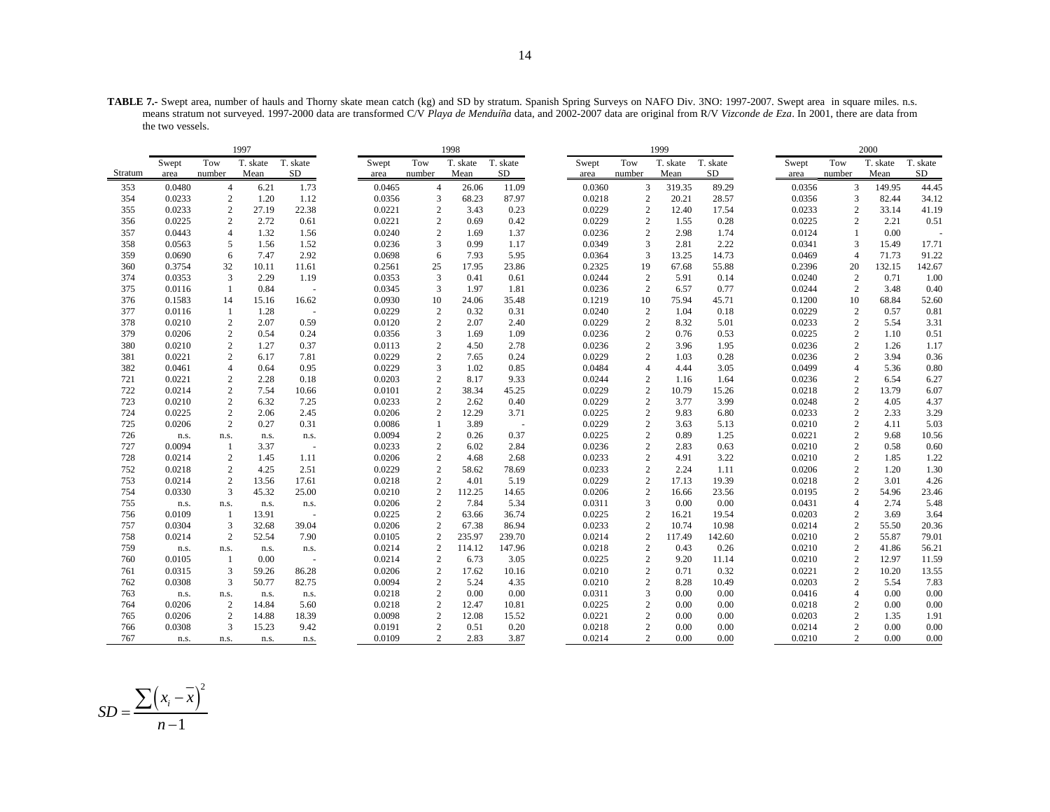**TABLE 7.-** Swept area, number of hauls and Thorny skate mean catch (kg) and SD by stratum. Spanish Spring Surveys on NAFO Div. 3NO: 1997-2007. Swept area in square miles. n.s. means stratum not surveyed. 1997-2000 data are transformed C/V *Playa de Menduíña* data, and 2002-2007 data are original from R/V *Vizconde de Eza*. In 2001, there are data from the two vessels.

| T. skate<br>T. skate<br>T. skate<br>T. skate<br>Tow<br>T. skate<br>T. skate<br>Tow<br>Tow<br>T. skate<br>Tow<br>T. skate<br>Swept<br>Swept<br>Swept<br>Swept<br>SD<br>number<br>Mean<br>SD<br>Mean<br>SD<br>number<br>Mean<br>SD<br>Stratum<br>Mean<br>number<br>number<br>area<br>area<br>area<br>area<br>0.0480<br>1.73<br>89.29<br>44.45<br>353<br>$\overline{4}$<br>6.21<br>0.0465<br>$\overline{4}$<br>26.06<br>11.09<br>0.0360<br>3<br>319.35<br>0.0356<br>3<br>149.95<br>1.20<br>$\overline{2}$<br>0.0233<br>$\mathbf{2}$<br>1.12<br>0.0356<br>3<br>68.23<br>87.97<br>20.21<br>28.57<br>0.0356<br>3<br>82.44<br>34.12<br>354<br>0.0218<br>0.0233<br>$\mathbf{2}$<br>22.38<br>0.0221<br>$\sqrt{2}$<br>0.0229<br>2<br>17.54<br>0.0233<br>41.19<br>355<br>27.19<br>3.43<br>0.23<br>12.40<br>$\overline{c}$<br>33.14<br>$\mathbf{2}$<br>$\overline{2}$<br>$\mathbf{2}$<br>0.0225<br>2.72<br>0.61<br>0.0221<br>0.69<br>0.42<br>0.0229<br>1.55<br>0.28<br>0.0225<br>2<br>2.21<br>0.51<br>356<br>$\overline{4}$<br>1.32<br>0.0240<br>$\overline{2}$<br>1.37<br>$\overline{2}$<br>0.0124<br>0.00<br>357<br>0.0443<br>1.56<br>1.69<br>0.0236<br>2.98<br>1.74<br>$\mathbf{1}$<br>3<br>358<br>5<br>1.52<br>0.0236<br>0.99<br>1.17<br>3<br>2.22<br>0.0341<br>3<br>0.0563<br>1.56<br>0.0349<br>2.81<br>15.49<br>17.71<br>6<br>2.92<br>3<br>91.22<br>359<br>7.47<br>0.0698<br>6<br>7.93<br>5.95<br>0.0364<br>13.25<br>14.73<br>0.0469<br>71.73<br>0.0690<br>$\overline{4}$<br>32<br>0.2325<br>19<br>55.88<br>0.2396<br>142.67<br>360<br>0.3754<br>10.11<br>11.61<br>0.2561<br>25<br>17.95<br>23.86<br>67.68<br>20<br>132.15<br>3<br>2.29<br>1.19<br>$\mathfrak{Z}$<br>$\overline{2}$<br>0.14<br>$\overline{2}$<br>1.00<br>374<br>0.0353<br>0.0353<br>0.41<br>0.61<br>0.0244<br>5.91<br>0.0240<br>0.71<br>2<br>0.77<br>2<br>375<br>1<br>0.84<br>0.0345<br>3<br>1.97<br>1.81<br>0.0236<br>6.57<br>0.0244<br>3.48<br>0.40<br>0.0116<br>$\sim$<br>0.0930<br>10<br>52.60<br>376<br>0.1583<br>14<br>15.16<br>16.62<br>10<br>24.06<br>35.48<br>0.1219<br>75.94<br>45.71<br>0.1200<br>10<br>68.84<br>$\overline{2}$<br>$\sqrt{2}$<br>377<br>1.28<br>0.0229<br>$\overline{c}$<br>0.32<br>0.31<br>0.0240<br>1.04<br>0.18<br>0.0229<br>0.57<br>0.81<br>0.0116<br>-1<br>$\mathbf{2}$<br>$\overline{2}$<br>2.07<br>0.59<br>0.0120<br>$\sqrt{2}$<br>0.0229<br>8.32<br>5.01<br>0.0233<br>2<br>5.54<br>3.31<br>378<br>0.0210<br>2.07<br>2.40<br>$\sqrt{2}$<br>$\overline{c}$<br>0.24<br>$\mathfrak{Z}$<br>0.53<br>0.0225<br>$\mathbf{2}$<br>0.51<br>379<br>0.0206<br>0.54<br>0.0356<br>1.69<br>1.09<br>0.0236<br>0.76<br>1.10<br>$\mathbf{2}$<br>380<br>0.0210<br>1.27<br>0.37<br>0.0113<br>$\overline{c}$<br>4.50<br>2.78<br>0.0236<br>$\overline{2}$<br>3.96<br>1.95<br>0.0236<br>2<br>1.26<br>1.17<br>$\mathbf{2}$<br>7.81<br>0.0229<br>$\overline{2}$<br>0.24<br>0.0229<br>$\mathbf{2}$<br>0.28<br>0.0236<br>$\overline{2}$<br>3.94<br>0.36<br>381<br>0.0221<br>6.17<br>7.65<br>1.03<br>$\overline{4}$<br>0.95<br>0.0229<br>3<br>$\overline{4}$<br>382<br>0.64<br>1.02<br>0.85<br>0.0484<br>4.44<br>3.05<br>0.0499<br>$\overline{4}$<br>5.36<br>0.80<br>0.0461<br>$\mathbf{2}$<br>721<br>2.28<br>0.18<br>0.0203<br>$\overline{c}$<br>8.17<br>9.33<br>$\overline{c}$<br>0.0236<br>$\overline{c}$<br>0.0221<br>0.0244<br>1.16<br>1.64<br>6.54<br>6.27<br>$\sqrt{2}$<br>$\overline{2}$<br>$\overline{c}$<br>722<br>0.0214<br>7.54<br>0.0101<br>0.0229<br>15.26<br>0.0218<br>$\mathbf{2}$<br>13.79<br>6.07<br>10.66<br>38.34<br>45.25<br>10.79<br>$\mathbf{2}$<br>0.0233<br>$\overline{2}$<br>$\mathbf{2}$<br>$\mathbf{2}$<br>723<br>0.0210<br>6.32<br>7.25<br>2.62<br>0.40<br>0.0229<br>3.77<br>3.99<br>0.0248<br>4.05<br>4.37<br>$\mathbf{2}$<br>2.45<br>$\overline{c}$<br>3.71<br>0.0225<br>2<br>0.0233<br>2<br>2.33<br>3.29<br>724<br>0.0225<br>2.06<br>0.0206<br>12.29<br>9.83<br>6.80<br>$\sqrt{2}$<br>$\overline{c}$<br>$\sqrt{2}$<br>0.31<br>0.0086<br>0.0229<br>0.0210<br>4.11<br>5.03<br>725<br>0.0206<br>0.27<br>3.89<br>3.63<br>5.13<br>$\mathbf{1}$<br>$\sim$<br>$\sqrt{2}$<br>0.37<br>$\mathbf{2}$<br>$\sqrt{2}$<br>9.68<br>726<br>0.0094<br>0.26<br>0.0225<br>0.89<br>1.25<br>0.0221<br>10.56<br>n.s.<br>n.s.<br>n.s.<br>n.s.<br>727<br>3.37<br>0.0233<br>$\overline{2}$<br>0.0236<br>$\mathbf{2}$<br>0.63<br>0.0210<br>$\mathbf{2}$<br>0.0094<br>$\mathbf{1}$<br>6.02<br>2.84<br>2.83<br>0.58<br>0.60<br>$\sim$<br>$\mathbf{2}$<br>0.0206<br>$\sqrt{2}$<br>4.68<br>$\overline{c}$<br>3.22<br>$\sqrt{2}$<br>1.22<br>728<br>0.0214<br>1.45<br>1.11<br>2.68<br>0.0233<br>4.91<br>0.0210<br>1.85<br>$\overline{2}$<br>$\mathbf{2}$<br>$\mathbf{2}$<br>$\overline{2}$<br>752<br>4.25<br>2.51<br>0.0229<br>0.0233<br>2.24<br>1.11<br>0.0206<br>1.20<br>1.30<br>0.0218<br>58.62<br>78.69<br>$\overline{2}$<br>$\overline{c}$<br>753<br>0.0214<br>2<br>0.0218<br>0.0229<br>19.39<br>0.0218<br>$\mathbf{2}$<br>3.01<br>13.56<br>17.61<br>4.01<br>5.19<br>17.13<br>4.26<br>3<br>$\mathbf{2}$<br>754<br>0.0330<br>45.32<br>25.00<br>0.0210<br>$\overline{c}$<br>112.25<br>14.65<br>0.0206<br>23.56<br>0.0195<br>$\overline{c}$<br>54.96<br>23.46<br>16.66<br>3<br>0.0206<br>$\overline{2}$<br>7.84<br>5.34<br>0.00<br>0.00<br>0.0431<br>2.74<br>5.48<br>755<br>0.0311<br>$\overline{4}$<br>n.s.<br>n.s.<br>n.s.<br>n.s.<br>$\overline{2}$<br>0.0225<br>$\overline{2}$<br>0.0203<br>$\mathbf{2}$<br>756<br>0.0109<br>13.91<br>0.0225<br>36.74<br>16.21<br>19.54<br>3.69<br>3.64<br>$\mathbf{1}$<br>63.66<br>÷,<br>3<br>$\mathbf{2}$<br>757<br>32.68<br>39.04<br>0.0206<br>$\overline{c}$<br>67.38<br>86.94<br>0.0233<br>10.74<br>10.98<br>0.0214<br>$\overline{c}$<br>55.50<br>20.36<br>0.0304<br>$\overline{2}$<br>758<br>$\mathbf{2}$<br>52.54<br>7.90<br>0.0105<br>239.70<br>0.0214<br>2<br>142.60<br>0.0210<br>$\mathbf{2}$<br>55.87<br>79.01<br>0.0214<br>235.97<br>117.49<br>2<br>$\overline{c}$<br>56.21<br>759<br>0.0214<br>$\overline{c}$<br>114.12<br>147.96<br>0.0218<br>0.43<br>0.26<br>0.0210<br>41.86<br>n.s.<br>n.s.<br>n.s.<br>n.s.<br>0.00<br>0.0214<br>$\overline{c}$<br>6.73<br>3.05<br>0.0225<br>$\overline{2}$<br>$\overline{c}$<br>11.59<br>760<br>0.0105<br>1<br>9.20<br>11.14<br>0.0210<br>12.97<br>$\sim$<br>$\overline{2}$<br>3<br>0.0206<br>$\sqrt{2}$<br>17.62<br>0.0210<br>0.32<br>0.0221<br>$\sqrt{2}$<br>13.55<br>0.0315<br>59.26<br>86.28<br>10.16<br>0.71<br>10.20<br>761<br>3<br>$\overline{2}$<br>$\overline{2}$<br>762<br>0.0308<br>50.77<br>82.75<br>0.0094<br>5.24<br>4.35<br>0.0210<br>8.28<br>10.49<br>0.0203<br>2<br>5.54<br>7.83<br>3<br>0.0218<br>$\overline{c}$<br>0.00<br>0.00<br>0.0311<br>0.00<br>0.0416<br>0.00<br>0.00<br>763<br>0.00<br>$\overline{4}$<br>n.s.<br>n.s.<br>n.s.<br>n.s.<br>$\mathbf{2}$<br>5.60<br>0.0225<br>$\overline{2}$<br>0.00<br>764<br>0.0206<br>14.84<br>0.0218<br>$\overline{c}$<br>12.47<br>10.81<br>0.00<br>0.00<br>0.0218<br>$\overline{c}$<br>0.00<br>$\mathbf{2}$<br>$\sqrt{2}$<br>$\sqrt{2}$<br>$\mathbf{2}$<br>765<br>14.88<br>18.39<br>0.0098<br>12.08<br>0.0221<br>0.00<br>0.00<br>0.0203<br>1.35<br>1.91<br>0.0206<br>15.52 |  | 1997 |  | 1998 |  | 1999 |  | 2000 |  |
|----------------------------------------------------------------------------------------------------------------------------------------------------------------------------------------------------------------------------------------------------------------------------------------------------------------------------------------------------------------------------------------------------------------------------------------------------------------------------------------------------------------------------------------------------------------------------------------------------------------------------------------------------------------------------------------------------------------------------------------------------------------------------------------------------------------------------------------------------------------------------------------------------------------------------------------------------------------------------------------------------------------------------------------------------------------------------------------------------------------------------------------------------------------------------------------------------------------------------------------------------------------------------------------------------------------------------------------------------------------------------------------------------------------------------------------------------------------------------------------------------------------------------------------------------------------------------------------------------------------------------------------------------------------------------------------------------------------------------------------------------------------------------------------------------------------------------------------------------------------------------------------------------------------------------------------------------------------------------------------------------------------------------------------------------------------------------------------------------------------------------------------------------------------------------------------------------------------------------------------------------------------------------------------------------------------------------------------------------------------------------------------------------------------------------------------------------------------------------------------------------------------------------------------------------------------------------------------------------------------------------------------------------------------------------------------------------------------------------------------------------------------------------------------------------------------------------------------------------------------------------------------------------------------------------------------------------------------------------------------------------------------------------------------------------------------------------------------------------------------------------------------------------------------------------------------------------------------------------------------------------------------------------------------------------------------------------------------------------------------------------------------------------------------------------------------------------------------------------------------------------------------------------------------------------------------------------------------------------------------------------------------------------------------------------------------------------------------------------------------------------------------------------------------------------------------------------------------------------------------------------------------------------------------------------------------------------------------------------------------------------------------------------------------------------------------------------------------------------------------------------------------------------------------------------------------------------------------------------------------------------------------------------------------------------------------------------------------------------------------------------------------------------------------------------------------------------------------------------------------------------------------------------------------------------------------------------------------------------------------------------------------------------------------------------------------------------------------------------------------------------------------------------------------------------------------------------------------------------------------------------------------------------------------------------------------------------------------------------------------------------------------------------------------------------------------------------------------------------------------------------------------------------------------------------------------------------------------------------------------------------------------------------------------------------------------------------------------------------------------------------------------------------------------------------------------------------------------------------------------------------------------------------------------------------------------------------------------------------------------------------------------------------------------------------------------------------------------------------------------------------------------------------------------------------------------------------------------------------------------------------------------------------------------------------------------------------------------------------------------------------------------------------------------------------------------------------------------------------------------------------------------------------------------------------------------------------------------------------------------------------------------------------------------------------------------------------------------------------------------------------------------------------------------------------------------------------------------------------------------------------------------------------------------------------------------------------------------------------------------------------------------------------------------------------------------------------------------------------------------------------------------------------------------------------------------------------------------------------------------------------------------------------------------------------------------------------------------------------------------------------------------------------------------------------------------------------------------------|--|------|--|------|--|------|--|------|--|
|                                                                                                                                                                                                                                                                                                                                                                                                                                                                                                                                                                                                                                                                                                                                                                                                                                                                                                                                                                                                                                                                                                                                                                                                                                                                                                                                                                                                                                                                                                                                                                                                                                                                                                                                                                                                                                                                                                                                                                                                                                                                                                                                                                                                                                                                                                                                                                                                                                                                                                                                                                                                                                                                                                                                                                                                                                                                                                                                                                                                                                                                                                                                                                                                                                                                                                                                                                                                                                                                                                                                                                                                                                                                                                                                                                                                                                                                                                                                                                                                                                                                                                                                                                                                                                                                                                                                                                                                                                                                                                                                                                                                                                                                                                                                                                                                                                                                                                                                                                                                                                                                                                                                                                                                                                                                                                                                                                                                                                                                                                                                                                                                                                                                                                                                                                                                                                                                                                                                                                                                                                                                                                                                                                                                                                                                                                                                                                                                                                                                                                                                                                                                                                                                                                                                                                                                                                                                                                                                                                                                                                                                                              |  |      |  |      |  |      |  |      |  |
|                                                                                                                                                                                                                                                                                                                                                                                                                                                                                                                                                                                                                                                                                                                                                                                                                                                                                                                                                                                                                                                                                                                                                                                                                                                                                                                                                                                                                                                                                                                                                                                                                                                                                                                                                                                                                                                                                                                                                                                                                                                                                                                                                                                                                                                                                                                                                                                                                                                                                                                                                                                                                                                                                                                                                                                                                                                                                                                                                                                                                                                                                                                                                                                                                                                                                                                                                                                                                                                                                                                                                                                                                                                                                                                                                                                                                                                                                                                                                                                                                                                                                                                                                                                                                                                                                                                                                                                                                                                                                                                                                                                                                                                                                                                                                                                                                                                                                                                                                                                                                                                                                                                                                                                                                                                                                                                                                                                                                                                                                                                                                                                                                                                                                                                                                                                                                                                                                                                                                                                                                                                                                                                                                                                                                                                                                                                                                                                                                                                                                                                                                                                                                                                                                                                                                                                                                                                                                                                                                                                                                                                                                              |  |      |  |      |  |      |  |      |  |
|                                                                                                                                                                                                                                                                                                                                                                                                                                                                                                                                                                                                                                                                                                                                                                                                                                                                                                                                                                                                                                                                                                                                                                                                                                                                                                                                                                                                                                                                                                                                                                                                                                                                                                                                                                                                                                                                                                                                                                                                                                                                                                                                                                                                                                                                                                                                                                                                                                                                                                                                                                                                                                                                                                                                                                                                                                                                                                                                                                                                                                                                                                                                                                                                                                                                                                                                                                                                                                                                                                                                                                                                                                                                                                                                                                                                                                                                                                                                                                                                                                                                                                                                                                                                                                                                                                                                                                                                                                                                                                                                                                                                                                                                                                                                                                                                                                                                                                                                                                                                                                                                                                                                                                                                                                                                                                                                                                                                                                                                                                                                                                                                                                                                                                                                                                                                                                                                                                                                                                                                                                                                                                                                                                                                                                                                                                                                                                                                                                                                                                                                                                                                                                                                                                                                                                                                                                                                                                                                                                                                                                                                                              |  |      |  |      |  |      |  |      |  |
|                                                                                                                                                                                                                                                                                                                                                                                                                                                                                                                                                                                                                                                                                                                                                                                                                                                                                                                                                                                                                                                                                                                                                                                                                                                                                                                                                                                                                                                                                                                                                                                                                                                                                                                                                                                                                                                                                                                                                                                                                                                                                                                                                                                                                                                                                                                                                                                                                                                                                                                                                                                                                                                                                                                                                                                                                                                                                                                                                                                                                                                                                                                                                                                                                                                                                                                                                                                                                                                                                                                                                                                                                                                                                                                                                                                                                                                                                                                                                                                                                                                                                                                                                                                                                                                                                                                                                                                                                                                                                                                                                                                                                                                                                                                                                                                                                                                                                                                                                                                                                                                                                                                                                                                                                                                                                                                                                                                                                                                                                                                                                                                                                                                                                                                                                                                                                                                                                                                                                                                                                                                                                                                                                                                                                                                                                                                                                                                                                                                                                                                                                                                                                                                                                                                                                                                                                                                                                                                                                                                                                                                                                              |  |      |  |      |  |      |  |      |  |
|                                                                                                                                                                                                                                                                                                                                                                                                                                                                                                                                                                                                                                                                                                                                                                                                                                                                                                                                                                                                                                                                                                                                                                                                                                                                                                                                                                                                                                                                                                                                                                                                                                                                                                                                                                                                                                                                                                                                                                                                                                                                                                                                                                                                                                                                                                                                                                                                                                                                                                                                                                                                                                                                                                                                                                                                                                                                                                                                                                                                                                                                                                                                                                                                                                                                                                                                                                                                                                                                                                                                                                                                                                                                                                                                                                                                                                                                                                                                                                                                                                                                                                                                                                                                                                                                                                                                                                                                                                                                                                                                                                                                                                                                                                                                                                                                                                                                                                                                                                                                                                                                                                                                                                                                                                                                                                                                                                                                                                                                                                                                                                                                                                                                                                                                                                                                                                                                                                                                                                                                                                                                                                                                                                                                                                                                                                                                                                                                                                                                                                                                                                                                                                                                                                                                                                                                                                                                                                                                                                                                                                                                                              |  |      |  |      |  |      |  |      |  |
|                                                                                                                                                                                                                                                                                                                                                                                                                                                                                                                                                                                                                                                                                                                                                                                                                                                                                                                                                                                                                                                                                                                                                                                                                                                                                                                                                                                                                                                                                                                                                                                                                                                                                                                                                                                                                                                                                                                                                                                                                                                                                                                                                                                                                                                                                                                                                                                                                                                                                                                                                                                                                                                                                                                                                                                                                                                                                                                                                                                                                                                                                                                                                                                                                                                                                                                                                                                                                                                                                                                                                                                                                                                                                                                                                                                                                                                                                                                                                                                                                                                                                                                                                                                                                                                                                                                                                                                                                                                                                                                                                                                                                                                                                                                                                                                                                                                                                                                                                                                                                                                                                                                                                                                                                                                                                                                                                                                                                                                                                                                                                                                                                                                                                                                                                                                                                                                                                                                                                                                                                                                                                                                                                                                                                                                                                                                                                                                                                                                                                                                                                                                                                                                                                                                                                                                                                                                                                                                                                                                                                                                                                              |  |      |  |      |  |      |  |      |  |
|                                                                                                                                                                                                                                                                                                                                                                                                                                                                                                                                                                                                                                                                                                                                                                                                                                                                                                                                                                                                                                                                                                                                                                                                                                                                                                                                                                                                                                                                                                                                                                                                                                                                                                                                                                                                                                                                                                                                                                                                                                                                                                                                                                                                                                                                                                                                                                                                                                                                                                                                                                                                                                                                                                                                                                                                                                                                                                                                                                                                                                                                                                                                                                                                                                                                                                                                                                                                                                                                                                                                                                                                                                                                                                                                                                                                                                                                                                                                                                                                                                                                                                                                                                                                                                                                                                                                                                                                                                                                                                                                                                                                                                                                                                                                                                                                                                                                                                                                                                                                                                                                                                                                                                                                                                                                                                                                                                                                                                                                                                                                                                                                                                                                                                                                                                                                                                                                                                                                                                                                                                                                                                                                                                                                                                                                                                                                                                                                                                                                                                                                                                                                                                                                                                                                                                                                                                                                                                                                                                                                                                                                                              |  |      |  |      |  |      |  |      |  |
|                                                                                                                                                                                                                                                                                                                                                                                                                                                                                                                                                                                                                                                                                                                                                                                                                                                                                                                                                                                                                                                                                                                                                                                                                                                                                                                                                                                                                                                                                                                                                                                                                                                                                                                                                                                                                                                                                                                                                                                                                                                                                                                                                                                                                                                                                                                                                                                                                                                                                                                                                                                                                                                                                                                                                                                                                                                                                                                                                                                                                                                                                                                                                                                                                                                                                                                                                                                                                                                                                                                                                                                                                                                                                                                                                                                                                                                                                                                                                                                                                                                                                                                                                                                                                                                                                                                                                                                                                                                                                                                                                                                                                                                                                                                                                                                                                                                                                                                                                                                                                                                                                                                                                                                                                                                                                                                                                                                                                                                                                                                                                                                                                                                                                                                                                                                                                                                                                                                                                                                                                                                                                                                                                                                                                                                                                                                                                                                                                                                                                                                                                                                                                                                                                                                                                                                                                                                                                                                                                                                                                                                                                              |  |      |  |      |  |      |  |      |  |
|                                                                                                                                                                                                                                                                                                                                                                                                                                                                                                                                                                                                                                                                                                                                                                                                                                                                                                                                                                                                                                                                                                                                                                                                                                                                                                                                                                                                                                                                                                                                                                                                                                                                                                                                                                                                                                                                                                                                                                                                                                                                                                                                                                                                                                                                                                                                                                                                                                                                                                                                                                                                                                                                                                                                                                                                                                                                                                                                                                                                                                                                                                                                                                                                                                                                                                                                                                                                                                                                                                                                                                                                                                                                                                                                                                                                                                                                                                                                                                                                                                                                                                                                                                                                                                                                                                                                                                                                                                                                                                                                                                                                                                                                                                                                                                                                                                                                                                                                                                                                                                                                                                                                                                                                                                                                                                                                                                                                                                                                                                                                                                                                                                                                                                                                                                                                                                                                                                                                                                                                                                                                                                                                                                                                                                                                                                                                                                                                                                                                                                                                                                                                                                                                                                                                                                                                                                                                                                                                                                                                                                                                                              |  |      |  |      |  |      |  |      |  |
|                                                                                                                                                                                                                                                                                                                                                                                                                                                                                                                                                                                                                                                                                                                                                                                                                                                                                                                                                                                                                                                                                                                                                                                                                                                                                                                                                                                                                                                                                                                                                                                                                                                                                                                                                                                                                                                                                                                                                                                                                                                                                                                                                                                                                                                                                                                                                                                                                                                                                                                                                                                                                                                                                                                                                                                                                                                                                                                                                                                                                                                                                                                                                                                                                                                                                                                                                                                                                                                                                                                                                                                                                                                                                                                                                                                                                                                                                                                                                                                                                                                                                                                                                                                                                                                                                                                                                                                                                                                                                                                                                                                                                                                                                                                                                                                                                                                                                                                                                                                                                                                                                                                                                                                                                                                                                                                                                                                                                                                                                                                                                                                                                                                                                                                                                                                                                                                                                                                                                                                                                                                                                                                                                                                                                                                                                                                                                                                                                                                                                                                                                                                                                                                                                                                                                                                                                                                                                                                                                                                                                                                                                              |  |      |  |      |  |      |  |      |  |
|                                                                                                                                                                                                                                                                                                                                                                                                                                                                                                                                                                                                                                                                                                                                                                                                                                                                                                                                                                                                                                                                                                                                                                                                                                                                                                                                                                                                                                                                                                                                                                                                                                                                                                                                                                                                                                                                                                                                                                                                                                                                                                                                                                                                                                                                                                                                                                                                                                                                                                                                                                                                                                                                                                                                                                                                                                                                                                                                                                                                                                                                                                                                                                                                                                                                                                                                                                                                                                                                                                                                                                                                                                                                                                                                                                                                                                                                                                                                                                                                                                                                                                                                                                                                                                                                                                                                                                                                                                                                                                                                                                                                                                                                                                                                                                                                                                                                                                                                                                                                                                                                                                                                                                                                                                                                                                                                                                                                                                                                                                                                                                                                                                                                                                                                                                                                                                                                                                                                                                                                                                                                                                                                                                                                                                                                                                                                                                                                                                                                                                                                                                                                                                                                                                                                                                                                                                                                                                                                                                                                                                                                                              |  |      |  |      |  |      |  |      |  |
|                                                                                                                                                                                                                                                                                                                                                                                                                                                                                                                                                                                                                                                                                                                                                                                                                                                                                                                                                                                                                                                                                                                                                                                                                                                                                                                                                                                                                                                                                                                                                                                                                                                                                                                                                                                                                                                                                                                                                                                                                                                                                                                                                                                                                                                                                                                                                                                                                                                                                                                                                                                                                                                                                                                                                                                                                                                                                                                                                                                                                                                                                                                                                                                                                                                                                                                                                                                                                                                                                                                                                                                                                                                                                                                                                                                                                                                                                                                                                                                                                                                                                                                                                                                                                                                                                                                                                                                                                                                                                                                                                                                                                                                                                                                                                                                                                                                                                                                                                                                                                                                                                                                                                                                                                                                                                                                                                                                                                                                                                                                                                                                                                                                                                                                                                                                                                                                                                                                                                                                                                                                                                                                                                                                                                                                                                                                                                                                                                                                                                                                                                                                                                                                                                                                                                                                                                                                                                                                                                                                                                                                                                              |  |      |  |      |  |      |  |      |  |
|                                                                                                                                                                                                                                                                                                                                                                                                                                                                                                                                                                                                                                                                                                                                                                                                                                                                                                                                                                                                                                                                                                                                                                                                                                                                                                                                                                                                                                                                                                                                                                                                                                                                                                                                                                                                                                                                                                                                                                                                                                                                                                                                                                                                                                                                                                                                                                                                                                                                                                                                                                                                                                                                                                                                                                                                                                                                                                                                                                                                                                                                                                                                                                                                                                                                                                                                                                                                                                                                                                                                                                                                                                                                                                                                                                                                                                                                                                                                                                                                                                                                                                                                                                                                                                                                                                                                                                                                                                                                                                                                                                                                                                                                                                                                                                                                                                                                                                                                                                                                                                                                                                                                                                                                                                                                                                                                                                                                                                                                                                                                                                                                                                                                                                                                                                                                                                                                                                                                                                                                                                                                                                                                                                                                                                                                                                                                                                                                                                                                                                                                                                                                                                                                                                                                                                                                                                                                                                                                                                                                                                                                                              |  |      |  |      |  |      |  |      |  |
|                                                                                                                                                                                                                                                                                                                                                                                                                                                                                                                                                                                                                                                                                                                                                                                                                                                                                                                                                                                                                                                                                                                                                                                                                                                                                                                                                                                                                                                                                                                                                                                                                                                                                                                                                                                                                                                                                                                                                                                                                                                                                                                                                                                                                                                                                                                                                                                                                                                                                                                                                                                                                                                                                                                                                                                                                                                                                                                                                                                                                                                                                                                                                                                                                                                                                                                                                                                                                                                                                                                                                                                                                                                                                                                                                                                                                                                                                                                                                                                                                                                                                                                                                                                                                                                                                                                                                                                                                                                                                                                                                                                                                                                                                                                                                                                                                                                                                                                                                                                                                                                                                                                                                                                                                                                                                                                                                                                                                                                                                                                                                                                                                                                                                                                                                                                                                                                                                                                                                                                                                                                                                                                                                                                                                                                                                                                                                                                                                                                                                                                                                                                                                                                                                                                                                                                                                                                                                                                                                                                                                                                                                              |  |      |  |      |  |      |  |      |  |
|                                                                                                                                                                                                                                                                                                                                                                                                                                                                                                                                                                                                                                                                                                                                                                                                                                                                                                                                                                                                                                                                                                                                                                                                                                                                                                                                                                                                                                                                                                                                                                                                                                                                                                                                                                                                                                                                                                                                                                                                                                                                                                                                                                                                                                                                                                                                                                                                                                                                                                                                                                                                                                                                                                                                                                                                                                                                                                                                                                                                                                                                                                                                                                                                                                                                                                                                                                                                                                                                                                                                                                                                                                                                                                                                                                                                                                                                                                                                                                                                                                                                                                                                                                                                                                                                                                                                                                                                                                                                                                                                                                                                                                                                                                                                                                                                                                                                                                                                                                                                                                                                                                                                                                                                                                                                                                                                                                                                                                                                                                                                                                                                                                                                                                                                                                                                                                                                                                                                                                                                                                                                                                                                                                                                                                                                                                                                                                                                                                                                                                                                                                                                                                                                                                                                                                                                                                                                                                                                                                                                                                                                                              |  |      |  |      |  |      |  |      |  |
|                                                                                                                                                                                                                                                                                                                                                                                                                                                                                                                                                                                                                                                                                                                                                                                                                                                                                                                                                                                                                                                                                                                                                                                                                                                                                                                                                                                                                                                                                                                                                                                                                                                                                                                                                                                                                                                                                                                                                                                                                                                                                                                                                                                                                                                                                                                                                                                                                                                                                                                                                                                                                                                                                                                                                                                                                                                                                                                                                                                                                                                                                                                                                                                                                                                                                                                                                                                                                                                                                                                                                                                                                                                                                                                                                                                                                                                                                                                                                                                                                                                                                                                                                                                                                                                                                                                                                                                                                                                                                                                                                                                                                                                                                                                                                                                                                                                                                                                                                                                                                                                                                                                                                                                                                                                                                                                                                                                                                                                                                                                                                                                                                                                                                                                                                                                                                                                                                                                                                                                                                                                                                                                                                                                                                                                                                                                                                                                                                                                                                                                                                                                                                                                                                                                                                                                                                                                                                                                                                                                                                                                                                              |  |      |  |      |  |      |  |      |  |
|                                                                                                                                                                                                                                                                                                                                                                                                                                                                                                                                                                                                                                                                                                                                                                                                                                                                                                                                                                                                                                                                                                                                                                                                                                                                                                                                                                                                                                                                                                                                                                                                                                                                                                                                                                                                                                                                                                                                                                                                                                                                                                                                                                                                                                                                                                                                                                                                                                                                                                                                                                                                                                                                                                                                                                                                                                                                                                                                                                                                                                                                                                                                                                                                                                                                                                                                                                                                                                                                                                                                                                                                                                                                                                                                                                                                                                                                                                                                                                                                                                                                                                                                                                                                                                                                                                                                                                                                                                                                                                                                                                                                                                                                                                                                                                                                                                                                                                                                                                                                                                                                                                                                                                                                                                                                                                                                                                                                                                                                                                                                                                                                                                                                                                                                                                                                                                                                                                                                                                                                                                                                                                                                                                                                                                                                                                                                                                                                                                                                                                                                                                                                                                                                                                                                                                                                                                                                                                                                                                                                                                                                                              |  |      |  |      |  |      |  |      |  |
|                                                                                                                                                                                                                                                                                                                                                                                                                                                                                                                                                                                                                                                                                                                                                                                                                                                                                                                                                                                                                                                                                                                                                                                                                                                                                                                                                                                                                                                                                                                                                                                                                                                                                                                                                                                                                                                                                                                                                                                                                                                                                                                                                                                                                                                                                                                                                                                                                                                                                                                                                                                                                                                                                                                                                                                                                                                                                                                                                                                                                                                                                                                                                                                                                                                                                                                                                                                                                                                                                                                                                                                                                                                                                                                                                                                                                                                                                                                                                                                                                                                                                                                                                                                                                                                                                                                                                                                                                                                                                                                                                                                                                                                                                                                                                                                                                                                                                                                                                                                                                                                                                                                                                                                                                                                                                                                                                                                                                                                                                                                                                                                                                                                                                                                                                                                                                                                                                                                                                                                                                                                                                                                                                                                                                                                                                                                                                                                                                                                                                                                                                                                                                                                                                                                                                                                                                                                                                                                                                                                                                                                                                              |  |      |  |      |  |      |  |      |  |
|                                                                                                                                                                                                                                                                                                                                                                                                                                                                                                                                                                                                                                                                                                                                                                                                                                                                                                                                                                                                                                                                                                                                                                                                                                                                                                                                                                                                                                                                                                                                                                                                                                                                                                                                                                                                                                                                                                                                                                                                                                                                                                                                                                                                                                                                                                                                                                                                                                                                                                                                                                                                                                                                                                                                                                                                                                                                                                                                                                                                                                                                                                                                                                                                                                                                                                                                                                                                                                                                                                                                                                                                                                                                                                                                                                                                                                                                                                                                                                                                                                                                                                                                                                                                                                                                                                                                                                                                                                                                                                                                                                                                                                                                                                                                                                                                                                                                                                                                                                                                                                                                                                                                                                                                                                                                                                                                                                                                                                                                                                                                                                                                                                                                                                                                                                                                                                                                                                                                                                                                                                                                                                                                                                                                                                                                                                                                                                                                                                                                                                                                                                                                                                                                                                                                                                                                                                                                                                                                                                                                                                                                                              |  |      |  |      |  |      |  |      |  |
|                                                                                                                                                                                                                                                                                                                                                                                                                                                                                                                                                                                                                                                                                                                                                                                                                                                                                                                                                                                                                                                                                                                                                                                                                                                                                                                                                                                                                                                                                                                                                                                                                                                                                                                                                                                                                                                                                                                                                                                                                                                                                                                                                                                                                                                                                                                                                                                                                                                                                                                                                                                                                                                                                                                                                                                                                                                                                                                                                                                                                                                                                                                                                                                                                                                                                                                                                                                                                                                                                                                                                                                                                                                                                                                                                                                                                                                                                                                                                                                                                                                                                                                                                                                                                                                                                                                                                                                                                                                                                                                                                                                                                                                                                                                                                                                                                                                                                                                                                                                                                                                                                                                                                                                                                                                                                                                                                                                                                                                                                                                                                                                                                                                                                                                                                                                                                                                                                                                                                                                                                                                                                                                                                                                                                                                                                                                                                                                                                                                                                                                                                                                                                                                                                                                                                                                                                                                                                                                                                                                                                                                                                              |  |      |  |      |  |      |  |      |  |
|                                                                                                                                                                                                                                                                                                                                                                                                                                                                                                                                                                                                                                                                                                                                                                                                                                                                                                                                                                                                                                                                                                                                                                                                                                                                                                                                                                                                                                                                                                                                                                                                                                                                                                                                                                                                                                                                                                                                                                                                                                                                                                                                                                                                                                                                                                                                                                                                                                                                                                                                                                                                                                                                                                                                                                                                                                                                                                                                                                                                                                                                                                                                                                                                                                                                                                                                                                                                                                                                                                                                                                                                                                                                                                                                                                                                                                                                                                                                                                                                                                                                                                                                                                                                                                                                                                                                                                                                                                                                                                                                                                                                                                                                                                                                                                                                                                                                                                                                                                                                                                                                                                                                                                                                                                                                                                                                                                                                                                                                                                                                                                                                                                                                                                                                                                                                                                                                                                                                                                                                                                                                                                                                                                                                                                                                                                                                                                                                                                                                                                                                                                                                                                                                                                                                                                                                                                                                                                                                                                                                                                                                                              |  |      |  |      |  |      |  |      |  |
|                                                                                                                                                                                                                                                                                                                                                                                                                                                                                                                                                                                                                                                                                                                                                                                                                                                                                                                                                                                                                                                                                                                                                                                                                                                                                                                                                                                                                                                                                                                                                                                                                                                                                                                                                                                                                                                                                                                                                                                                                                                                                                                                                                                                                                                                                                                                                                                                                                                                                                                                                                                                                                                                                                                                                                                                                                                                                                                                                                                                                                                                                                                                                                                                                                                                                                                                                                                                                                                                                                                                                                                                                                                                                                                                                                                                                                                                                                                                                                                                                                                                                                                                                                                                                                                                                                                                                                                                                                                                                                                                                                                                                                                                                                                                                                                                                                                                                                                                                                                                                                                                                                                                                                                                                                                                                                                                                                                                                                                                                                                                                                                                                                                                                                                                                                                                                                                                                                                                                                                                                                                                                                                                                                                                                                                                                                                                                                                                                                                                                                                                                                                                                                                                                                                                                                                                                                                                                                                                                                                                                                                                                              |  |      |  |      |  |      |  |      |  |
|                                                                                                                                                                                                                                                                                                                                                                                                                                                                                                                                                                                                                                                                                                                                                                                                                                                                                                                                                                                                                                                                                                                                                                                                                                                                                                                                                                                                                                                                                                                                                                                                                                                                                                                                                                                                                                                                                                                                                                                                                                                                                                                                                                                                                                                                                                                                                                                                                                                                                                                                                                                                                                                                                                                                                                                                                                                                                                                                                                                                                                                                                                                                                                                                                                                                                                                                                                                                                                                                                                                                                                                                                                                                                                                                                                                                                                                                                                                                                                                                                                                                                                                                                                                                                                                                                                                                                                                                                                                                                                                                                                                                                                                                                                                                                                                                                                                                                                                                                                                                                                                                                                                                                                                                                                                                                                                                                                                                                                                                                                                                                                                                                                                                                                                                                                                                                                                                                                                                                                                                                                                                                                                                                                                                                                                                                                                                                                                                                                                                                                                                                                                                                                                                                                                                                                                                                                                                                                                                                                                                                                                                                              |  |      |  |      |  |      |  |      |  |
|                                                                                                                                                                                                                                                                                                                                                                                                                                                                                                                                                                                                                                                                                                                                                                                                                                                                                                                                                                                                                                                                                                                                                                                                                                                                                                                                                                                                                                                                                                                                                                                                                                                                                                                                                                                                                                                                                                                                                                                                                                                                                                                                                                                                                                                                                                                                                                                                                                                                                                                                                                                                                                                                                                                                                                                                                                                                                                                                                                                                                                                                                                                                                                                                                                                                                                                                                                                                                                                                                                                                                                                                                                                                                                                                                                                                                                                                                                                                                                                                                                                                                                                                                                                                                                                                                                                                                                                                                                                                                                                                                                                                                                                                                                                                                                                                                                                                                                                                                                                                                                                                                                                                                                                                                                                                                                                                                                                                                                                                                                                                                                                                                                                                                                                                                                                                                                                                                                                                                                                                                                                                                                                                                                                                                                                                                                                                                                                                                                                                                                                                                                                                                                                                                                                                                                                                                                                                                                                                                                                                                                                                                              |  |      |  |      |  |      |  |      |  |
|                                                                                                                                                                                                                                                                                                                                                                                                                                                                                                                                                                                                                                                                                                                                                                                                                                                                                                                                                                                                                                                                                                                                                                                                                                                                                                                                                                                                                                                                                                                                                                                                                                                                                                                                                                                                                                                                                                                                                                                                                                                                                                                                                                                                                                                                                                                                                                                                                                                                                                                                                                                                                                                                                                                                                                                                                                                                                                                                                                                                                                                                                                                                                                                                                                                                                                                                                                                                                                                                                                                                                                                                                                                                                                                                                                                                                                                                                                                                                                                                                                                                                                                                                                                                                                                                                                                                                                                                                                                                                                                                                                                                                                                                                                                                                                                                                                                                                                                                                                                                                                                                                                                                                                                                                                                                                                                                                                                                                                                                                                                                                                                                                                                                                                                                                                                                                                                                                                                                                                                                                                                                                                                                                                                                                                                                                                                                                                                                                                                                                                                                                                                                                                                                                                                                                                                                                                                                                                                                                                                                                                                                                              |  |      |  |      |  |      |  |      |  |
|                                                                                                                                                                                                                                                                                                                                                                                                                                                                                                                                                                                                                                                                                                                                                                                                                                                                                                                                                                                                                                                                                                                                                                                                                                                                                                                                                                                                                                                                                                                                                                                                                                                                                                                                                                                                                                                                                                                                                                                                                                                                                                                                                                                                                                                                                                                                                                                                                                                                                                                                                                                                                                                                                                                                                                                                                                                                                                                                                                                                                                                                                                                                                                                                                                                                                                                                                                                                                                                                                                                                                                                                                                                                                                                                                                                                                                                                                                                                                                                                                                                                                                                                                                                                                                                                                                                                                                                                                                                                                                                                                                                                                                                                                                                                                                                                                                                                                                                                                                                                                                                                                                                                                                                                                                                                                                                                                                                                                                                                                                                                                                                                                                                                                                                                                                                                                                                                                                                                                                                                                                                                                                                                                                                                                                                                                                                                                                                                                                                                                                                                                                                                                                                                                                                                                                                                                                                                                                                                                                                                                                                                                              |  |      |  |      |  |      |  |      |  |
|                                                                                                                                                                                                                                                                                                                                                                                                                                                                                                                                                                                                                                                                                                                                                                                                                                                                                                                                                                                                                                                                                                                                                                                                                                                                                                                                                                                                                                                                                                                                                                                                                                                                                                                                                                                                                                                                                                                                                                                                                                                                                                                                                                                                                                                                                                                                                                                                                                                                                                                                                                                                                                                                                                                                                                                                                                                                                                                                                                                                                                                                                                                                                                                                                                                                                                                                                                                                                                                                                                                                                                                                                                                                                                                                                                                                                                                                                                                                                                                                                                                                                                                                                                                                                                                                                                                                                                                                                                                                                                                                                                                                                                                                                                                                                                                                                                                                                                                                                                                                                                                                                                                                                                                                                                                                                                                                                                                                                                                                                                                                                                                                                                                                                                                                                                                                                                                                                                                                                                                                                                                                                                                                                                                                                                                                                                                                                                                                                                                                                                                                                                                                                                                                                                                                                                                                                                                                                                                                                                                                                                                                                              |  |      |  |      |  |      |  |      |  |
|                                                                                                                                                                                                                                                                                                                                                                                                                                                                                                                                                                                                                                                                                                                                                                                                                                                                                                                                                                                                                                                                                                                                                                                                                                                                                                                                                                                                                                                                                                                                                                                                                                                                                                                                                                                                                                                                                                                                                                                                                                                                                                                                                                                                                                                                                                                                                                                                                                                                                                                                                                                                                                                                                                                                                                                                                                                                                                                                                                                                                                                                                                                                                                                                                                                                                                                                                                                                                                                                                                                                                                                                                                                                                                                                                                                                                                                                                                                                                                                                                                                                                                                                                                                                                                                                                                                                                                                                                                                                                                                                                                                                                                                                                                                                                                                                                                                                                                                                                                                                                                                                                                                                                                                                                                                                                                                                                                                                                                                                                                                                                                                                                                                                                                                                                                                                                                                                                                                                                                                                                                                                                                                                                                                                                                                                                                                                                                                                                                                                                                                                                                                                                                                                                                                                                                                                                                                                                                                                                                                                                                                                                              |  |      |  |      |  |      |  |      |  |
|                                                                                                                                                                                                                                                                                                                                                                                                                                                                                                                                                                                                                                                                                                                                                                                                                                                                                                                                                                                                                                                                                                                                                                                                                                                                                                                                                                                                                                                                                                                                                                                                                                                                                                                                                                                                                                                                                                                                                                                                                                                                                                                                                                                                                                                                                                                                                                                                                                                                                                                                                                                                                                                                                                                                                                                                                                                                                                                                                                                                                                                                                                                                                                                                                                                                                                                                                                                                                                                                                                                                                                                                                                                                                                                                                                                                                                                                                                                                                                                                                                                                                                                                                                                                                                                                                                                                                                                                                                                                                                                                                                                                                                                                                                                                                                                                                                                                                                                                                                                                                                                                                                                                                                                                                                                                                                                                                                                                                                                                                                                                                                                                                                                                                                                                                                                                                                                                                                                                                                                                                                                                                                                                                                                                                                                                                                                                                                                                                                                                                                                                                                                                                                                                                                                                                                                                                                                                                                                                                                                                                                                                                              |  |      |  |      |  |      |  |      |  |
|                                                                                                                                                                                                                                                                                                                                                                                                                                                                                                                                                                                                                                                                                                                                                                                                                                                                                                                                                                                                                                                                                                                                                                                                                                                                                                                                                                                                                                                                                                                                                                                                                                                                                                                                                                                                                                                                                                                                                                                                                                                                                                                                                                                                                                                                                                                                                                                                                                                                                                                                                                                                                                                                                                                                                                                                                                                                                                                                                                                                                                                                                                                                                                                                                                                                                                                                                                                                                                                                                                                                                                                                                                                                                                                                                                                                                                                                                                                                                                                                                                                                                                                                                                                                                                                                                                                                                                                                                                                                                                                                                                                                                                                                                                                                                                                                                                                                                                                                                                                                                                                                                                                                                                                                                                                                                                                                                                                                                                                                                                                                                                                                                                                                                                                                                                                                                                                                                                                                                                                                                                                                                                                                                                                                                                                                                                                                                                                                                                                                                                                                                                                                                                                                                                                                                                                                                                                                                                                                                                                                                                                                                              |  |      |  |      |  |      |  |      |  |
|                                                                                                                                                                                                                                                                                                                                                                                                                                                                                                                                                                                                                                                                                                                                                                                                                                                                                                                                                                                                                                                                                                                                                                                                                                                                                                                                                                                                                                                                                                                                                                                                                                                                                                                                                                                                                                                                                                                                                                                                                                                                                                                                                                                                                                                                                                                                                                                                                                                                                                                                                                                                                                                                                                                                                                                                                                                                                                                                                                                                                                                                                                                                                                                                                                                                                                                                                                                                                                                                                                                                                                                                                                                                                                                                                                                                                                                                                                                                                                                                                                                                                                                                                                                                                                                                                                                                                                                                                                                                                                                                                                                                                                                                                                                                                                                                                                                                                                                                                                                                                                                                                                                                                                                                                                                                                                                                                                                                                                                                                                                                                                                                                                                                                                                                                                                                                                                                                                                                                                                                                                                                                                                                                                                                                                                                                                                                                                                                                                                                                                                                                                                                                                                                                                                                                                                                                                                                                                                                                                                                                                                                                              |  |      |  |      |  |      |  |      |  |
|                                                                                                                                                                                                                                                                                                                                                                                                                                                                                                                                                                                                                                                                                                                                                                                                                                                                                                                                                                                                                                                                                                                                                                                                                                                                                                                                                                                                                                                                                                                                                                                                                                                                                                                                                                                                                                                                                                                                                                                                                                                                                                                                                                                                                                                                                                                                                                                                                                                                                                                                                                                                                                                                                                                                                                                                                                                                                                                                                                                                                                                                                                                                                                                                                                                                                                                                                                                                                                                                                                                                                                                                                                                                                                                                                                                                                                                                                                                                                                                                                                                                                                                                                                                                                                                                                                                                                                                                                                                                                                                                                                                                                                                                                                                                                                                                                                                                                                                                                                                                                                                                                                                                                                                                                                                                                                                                                                                                                                                                                                                                                                                                                                                                                                                                                                                                                                                                                                                                                                                                                                                                                                                                                                                                                                                                                                                                                                                                                                                                                                                                                                                                                                                                                                                                                                                                                                                                                                                                                                                                                                                                                              |  |      |  |      |  |      |  |      |  |
|                                                                                                                                                                                                                                                                                                                                                                                                                                                                                                                                                                                                                                                                                                                                                                                                                                                                                                                                                                                                                                                                                                                                                                                                                                                                                                                                                                                                                                                                                                                                                                                                                                                                                                                                                                                                                                                                                                                                                                                                                                                                                                                                                                                                                                                                                                                                                                                                                                                                                                                                                                                                                                                                                                                                                                                                                                                                                                                                                                                                                                                                                                                                                                                                                                                                                                                                                                                                                                                                                                                                                                                                                                                                                                                                                                                                                                                                                                                                                                                                                                                                                                                                                                                                                                                                                                                                                                                                                                                                                                                                                                                                                                                                                                                                                                                                                                                                                                                                                                                                                                                                                                                                                                                                                                                                                                                                                                                                                                                                                                                                                                                                                                                                                                                                                                                                                                                                                                                                                                                                                                                                                                                                                                                                                                                                                                                                                                                                                                                                                                                                                                                                                                                                                                                                                                                                                                                                                                                                                                                                                                                                                              |  |      |  |      |  |      |  |      |  |
|                                                                                                                                                                                                                                                                                                                                                                                                                                                                                                                                                                                                                                                                                                                                                                                                                                                                                                                                                                                                                                                                                                                                                                                                                                                                                                                                                                                                                                                                                                                                                                                                                                                                                                                                                                                                                                                                                                                                                                                                                                                                                                                                                                                                                                                                                                                                                                                                                                                                                                                                                                                                                                                                                                                                                                                                                                                                                                                                                                                                                                                                                                                                                                                                                                                                                                                                                                                                                                                                                                                                                                                                                                                                                                                                                                                                                                                                                                                                                                                                                                                                                                                                                                                                                                                                                                                                                                                                                                                                                                                                                                                                                                                                                                                                                                                                                                                                                                                                                                                                                                                                                                                                                                                                                                                                                                                                                                                                                                                                                                                                                                                                                                                                                                                                                                                                                                                                                                                                                                                                                                                                                                                                                                                                                                                                                                                                                                                                                                                                                                                                                                                                                                                                                                                                                                                                                                                                                                                                                                                                                                                                                              |  |      |  |      |  |      |  |      |  |
|                                                                                                                                                                                                                                                                                                                                                                                                                                                                                                                                                                                                                                                                                                                                                                                                                                                                                                                                                                                                                                                                                                                                                                                                                                                                                                                                                                                                                                                                                                                                                                                                                                                                                                                                                                                                                                                                                                                                                                                                                                                                                                                                                                                                                                                                                                                                                                                                                                                                                                                                                                                                                                                                                                                                                                                                                                                                                                                                                                                                                                                                                                                                                                                                                                                                                                                                                                                                                                                                                                                                                                                                                                                                                                                                                                                                                                                                                                                                                                                                                                                                                                                                                                                                                                                                                                                                                                                                                                                                                                                                                                                                                                                                                                                                                                                                                                                                                                                                                                                                                                                                                                                                                                                                                                                                                                                                                                                                                                                                                                                                                                                                                                                                                                                                                                                                                                                                                                                                                                                                                                                                                                                                                                                                                                                                                                                                                                                                                                                                                                                                                                                                                                                                                                                                                                                                                                                                                                                                                                                                                                                                                              |  |      |  |      |  |      |  |      |  |
|                                                                                                                                                                                                                                                                                                                                                                                                                                                                                                                                                                                                                                                                                                                                                                                                                                                                                                                                                                                                                                                                                                                                                                                                                                                                                                                                                                                                                                                                                                                                                                                                                                                                                                                                                                                                                                                                                                                                                                                                                                                                                                                                                                                                                                                                                                                                                                                                                                                                                                                                                                                                                                                                                                                                                                                                                                                                                                                                                                                                                                                                                                                                                                                                                                                                                                                                                                                                                                                                                                                                                                                                                                                                                                                                                                                                                                                                                                                                                                                                                                                                                                                                                                                                                                                                                                                                                                                                                                                                                                                                                                                                                                                                                                                                                                                                                                                                                                                                                                                                                                                                                                                                                                                                                                                                                                                                                                                                                                                                                                                                                                                                                                                                                                                                                                                                                                                                                                                                                                                                                                                                                                                                                                                                                                                                                                                                                                                                                                                                                                                                                                                                                                                                                                                                                                                                                                                                                                                                                                                                                                                                                              |  |      |  |      |  |      |  |      |  |
|                                                                                                                                                                                                                                                                                                                                                                                                                                                                                                                                                                                                                                                                                                                                                                                                                                                                                                                                                                                                                                                                                                                                                                                                                                                                                                                                                                                                                                                                                                                                                                                                                                                                                                                                                                                                                                                                                                                                                                                                                                                                                                                                                                                                                                                                                                                                                                                                                                                                                                                                                                                                                                                                                                                                                                                                                                                                                                                                                                                                                                                                                                                                                                                                                                                                                                                                                                                                                                                                                                                                                                                                                                                                                                                                                                                                                                                                                                                                                                                                                                                                                                                                                                                                                                                                                                                                                                                                                                                                                                                                                                                                                                                                                                                                                                                                                                                                                                                                                                                                                                                                                                                                                                                                                                                                                                                                                                                                                                                                                                                                                                                                                                                                                                                                                                                                                                                                                                                                                                                                                                                                                                                                                                                                                                                                                                                                                                                                                                                                                                                                                                                                                                                                                                                                                                                                                                                                                                                                                                                                                                                                                              |  |      |  |      |  |      |  |      |  |
|                                                                                                                                                                                                                                                                                                                                                                                                                                                                                                                                                                                                                                                                                                                                                                                                                                                                                                                                                                                                                                                                                                                                                                                                                                                                                                                                                                                                                                                                                                                                                                                                                                                                                                                                                                                                                                                                                                                                                                                                                                                                                                                                                                                                                                                                                                                                                                                                                                                                                                                                                                                                                                                                                                                                                                                                                                                                                                                                                                                                                                                                                                                                                                                                                                                                                                                                                                                                                                                                                                                                                                                                                                                                                                                                                                                                                                                                                                                                                                                                                                                                                                                                                                                                                                                                                                                                                                                                                                                                                                                                                                                                                                                                                                                                                                                                                                                                                                                                                                                                                                                                                                                                                                                                                                                                                                                                                                                                                                                                                                                                                                                                                                                                                                                                                                                                                                                                                                                                                                                                                                                                                                                                                                                                                                                                                                                                                                                                                                                                                                                                                                                                                                                                                                                                                                                                                                                                                                                                                                                                                                                                                              |  |      |  |      |  |      |  |      |  |
|                                                                                                                                                                                                                                                                                                                                                                                                                                                                                                                                                                                                                                                                                                                                                                                                                                                                                                                                                                                                                                                                                                                                                                                                                                                                                                                                                                                                                                                                                                                                                                                                                                                                                                                                                                                                                                                                                                                                                                                                                                                                                                                                                                                                                                                                                                                                                                                                                                                                                                                                                                                                                                                                                                                                                                                                                                                                                                                                                                                                                                                                                                                                                                                                                                                                                                                                                                                                                                                                                                                                                                                                                                                                                                                                                                                                                                                                                                                                                                                                                                                                                                                                                                                                                                                                                                                                                                                                                                                                                                                                                                                                                                                                                                                                                                                                                                                                                                                                                                                                                                                                                                                                                                                                                                                                                                                                                                                                                                                                                                                                                                                                                                                                                                                                                                                                                                                                                                                                                                                                                                                                                                                                                                                                                                                                                                                                                                                                                                                                                                                                                                                                                                                                                                                                                                                                                                                                                                                                                                                                                                                                                              |  |      |  |      |  |      |  |      |  |
|                                                                                                                                                                                                                                                                                                                                                                                                                                                                                                                                                                                                                                                                                                                                                                                                                                                                                                                                                                                                                                                                                                                                                                                                                                                                                                                                                                                                                                                                                                                                                                                                                                                                                                                                                                                                                                                                                                                                                                                                                                                                                                                                                                                                                                                                                                                                                                                                                                                                                                                                                                                                                                                                                                                                                                                                                                                                                                                                                                                                                                                                                                                                                                                                                                                                                                                                                                                                                                                                                                                                                                                                                                                                                                                                                                                                                                                                                                                                                                                                                                                                                                                                                                                                                                                                                                                                                                                                                                                                                                                                                                                                                                                                                                                                                                                                                                                                                                                                                                                                                                                                                                                                                                                                                                                                                                                                                                                                                                                                                                                                                                                                                                                                                                                                                                                                                                                                                                                                                                                                                                                                                                                                                                                                                                                                                                                                                                                                                                                                                                                                                                                                                                                                                                                                                                                                                                                                                                                                                                                                                                                                                              |  |      |  |      |  |      |  |      |  |
| $\overline{2}$<br>3<br>$\mathbf{2}$<br>$\mathbf{2}$<br>0.0308<br>15.23<br>9.42<br>0.0191<br>0.51<br>0.20<br>0.0218<br>0.00<br>0.00<br>0.0214<br>0.00<br>0.00<br>766                                                                                                                                                                                                                                                                                                                                                                                                                                                                                                                                                                                                                                                                                                                                                                                                                                                                                                                                                                                                                                                                                                                                                                                                                                                                                                                                                                                                                                                                                                                                                                                                                                                                                                                                                                                                                                                                                                                                                                                                                                                                                                                                                                                                                                                                                                                                                                                                                                                                                                                                                                                                                                                                                                                                                                                                                                                                                                                                                                                                                                                                                                                                                                                                                                                                                                                                                                                                                                                                                                                                                                                                                                                                                                                                                                                                                                                                                                                                                                                                                                                                                                                                                                                                                                                                                                                                                                                                                                                                                                                                                                                                                                                                                                                                                                                                                                                                                                                                                                                                                                                                                                                                                                                                                                                                                                                                                                                                                                                                                                                                                                                                                                                                                                                                                                                                                                                                                                                                                                                                                                                                                                                                                                                                                                                                                                                                                                                                                                                                                                                                                                                                                                                                                                                                                                                                                                                                                                                          |  |      |  |      |  |      |  |      |  |
| $\overline{2}$<br>2.83<br>$\overline{2}$<br>$\overline{2}$<br>0.00<br>0.00<br>767<br>0.0109<br>3.87<br>0.0214<br>0.00<br>0.00<br>0.0210<br>n.s.<br>n.s.<br>n.s.<br>n.s.                                                                                                                                                                                                                                                                                                                                                                                                                                                                                                                                                                                                                                                                                                                                                                                                                                                                                                                                                                                                                                                                                                                                                                                                                                                                                                                                                                                                                                                                                                                                                                                                                                                                                                                                                                                                                                                                                                                                                                                                                                                                                                                                                                                                                                                                                                                                                                                                                                                                                                                                                                                                                                                                                                                                                                                                                                                                                                                                                                                                                                                                                                                                                                                                                                                                                                                                                                                                                                                                                                                                                                                                                                                                                                                                                                                                                                                                                                                                                                                                                                                                                                                                                                                                                                                                                                                                                                                                                                                                                                                                                                                                                                                                                                                                                                                                                                                                                                                                                                                                                                                                                                                                                                                                                                                                                                                                                                                                                                                                                                                                                                                                                                                                                                                                                                                                                                                                                                                                                                                                                                                                                                                                                                                                                                                                                                                                                                                                                                                                                                                                                                                                                                                                                                                                                                                                                                                                                                                      |  |      |  |      |  |      |  |      |  |

$$
SD = \frac{\sum (x_i - \overline{x})^2}{n - 1}
$$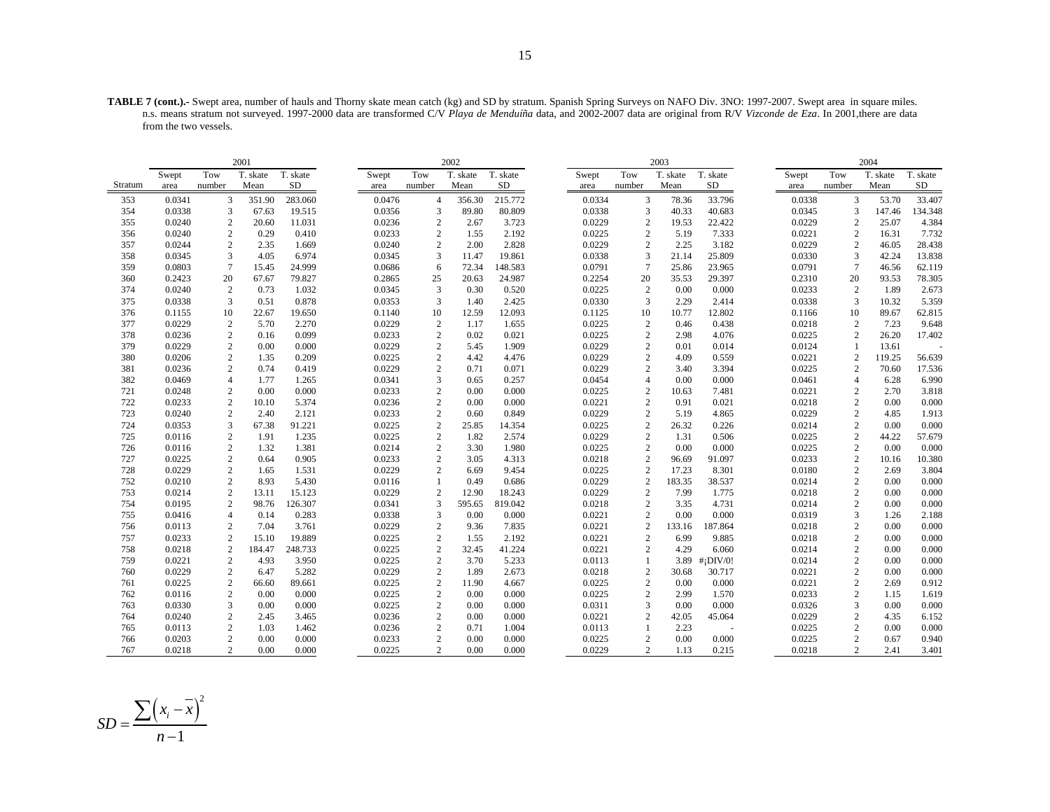**TABLE 7 (cont.).-** Swept area, number of hauls and Thorny skate mean catch (kg) and SD by stratum. Spanish Spring Surveys on NAFO Div. 3NO: 1997-2007. Swept area in square miles. n.s. means stratum not surveyed. 1997-2000 data are transformed C/V *Playa de Menduíña* data, and 2002-2007 data are original from R/V *Vizconde de Eza*. In 2001,there are data from the two vessels.

|         |        |                  | 2001     |           |        |                | 2002     |          |       |        |                 | 2003     |                         |        |                 | 2004     |          |
|---------|--------|------------------|----------|-----------|--------|----------------|----------|----------|-------|--------|-----------------|----------|-------------------------|--------|-----------------|----------|----------|
|         | Swept  | Tow              | T. skate | T. skate  | Swept  | Tow            | T. skate | T. skate | Swept |        | Tow             | T. skate | T. skate                | Swept  | Tow             | T. skate | T. skate |
| Stratum | area   | number           | Mean     | <b>SD</b> | area   | number         | Mean     | SD       | area  |        | number          | Mean     | SD                      | area   | number          | Mean     | SD       |
| 353     | 0.0341 | 3                | 351.90   | 283.060   | 0.0476 | $\overline{4}$ | 356.30   | 215.772  |       | 0.0334 | 3               | 78.36    | 33.796                  | 0.0338 | 3               | 53.70    | 33.407   |
| 354     | 0.0338 | 3                | 67.63    | 19.515    | 0.0356 | 3              | 89.80    | 80.809   |       | 0.0338 | 3               | 40.33    | 40.683                  | 0.0345 | 3               | 147.46   | 134.348  |
| 355     | 0.0240 | $\overline{c}$   | 20.60    | 11.031    | 0.0236 | $\overline{c}$ | 2.67     | 3.723    |       | 0.0229 | 2               | 19.53    | 22.422                  | 0.0229 | $\overline{2}$  | 25.07    | 4.384    |
| 356     | 0.0240 | $\overline{c}$   | 0.29     | 0.410     | 0.0233 | $\mathbf{2}$   | 1.55     | 2.192    |       | 0.0225 | $\overline{2}$  | 5.19     | 7.333                   | 0.0221 | $\mathbf{2}$    | 16.31    | 7.732    |
| 357     | 0.0244 | $\overline{c}$   | 2.35     | 1.669     | 0.0240 | 2              | 2.00     | 2.828    |       | 0.0229 | 2               | 2.25     | 3.182                   | 0.0229 | 2               | 46.05    | 28.438   |
| 358     | 0.0345 | 3                | 4.05     | 6.974     | 0.0345 | 3              | 11.47    | 19.861   |       | 0.0338 | 3               | 21.14    | 25.809                  | 0.0330 | 3               | 42.24    | 13.838   |
| 359     | 0.0803 | $\overline{7}$   | 15.45    | 24.999    | 0.0686 | 6              | 72.34    | 148.583  |       | 0.0791 | $7\phantom{.0}$ | 25.86    | 23.965                  | 0.0791 | $7\phantom{.0}$ | 46.56    | 62.119   |
| 360     | 0.2423 | 20               | 67.67    | 79.827    | 0.2865 | 25             | 20.63    | 24.987   |       | 0.2254 | 20              | 35.53    | 29.397                  | 0.2310 | 20              | 93.53    | 78.305   |
| 374     | 0.0240 | $\overline{c}$   | 0.73     | 1.032     | 0.0345 | 3              | 0.30     | 0.520    |       | 0.0225 | $\overline{c}$  | 0.00     | 0.000                   | 0.0233 | 2               | 1.89     | 2.673    |
| 375     | 0.0338 | 3                | 0.51     | 0.878     | 0.0353 | 3              | 1.40     | 2.425    |       | 0.0330 | 3               | 2.29     | 2.414                   | 0.0338 | 3               | 10.32    | 5.359    |
| 376     | 0.1155 | 10               | 22.67    | 19.650    | 0.1140 | 10             | 12.59    | 12.093   |       | 0.1125 | 10              | 10.77    | 12.802                  | 0.1166 | 10              | 89.67    | 62.815   |
| 377     | 0.0229 | $\boldsymbol{2}$ | 5.70     | 2.270     | 0.0229 | $\overline{c}$ | 1.17     | 1.655    |       | 0.0225 | $\overline{c}$  | 0.46     | 0.438                   | 0.0218 | 2               | 7.23     | 9.648    |
| 378     | 0.0236 | $\overline{c}$   | 0.16     | 0.099     | 0.0233 | 2              | 0.02     | 0.021    |       | 0.0225 | 2               | 2.98     | 4.076                   | 0.0225 | 2               | 26.20    | 17.402   |
| 379     | 0.0229 | $\overline{c}$   | 0.00     | 0.000     | 0.0229 | $\overline{c}$ | 5.45     | 1.909    |       | 0.0229 | $\mathbf{2}$    | 0.01     | 0.014                   | 0.0124 |                 | 13.61    |          |
| 380     | 0.0206 | $\overline{c}$   | 1.35     | 0.209     | 0.0225 | $\mathbf{2}$   | 4.42     | 4.476    |       | 0.0229 | 2               | 4.09     | 0.559                   | 0.0221 | 2               | 119.25   | 56.639   |
| 381     | 0.0236 | $\overline{c}$   | 0.74     | 0.419     | 0.0229 | 2              | 0.71     | 0.071    |       | 0.0229 | 2               | 3.40     | 3.394                   | 0.0225 | 2               | 70.60    | 17.536   |
| 382     | 0.0469 | $\overline{4}$   | 1.77     | 1.265     | 0.0341 | 3              | 0.65     | 0.257    |       | 0.0454 | $\overline{4}$  | 0.00     | 0.000                   | 0.0461 | $\overline{4}$  | 6.28     | 6.990    |
| 721     | 0.0248 | 2                | 0.00     | 0.000     | 0.0233 | $\overline{2}$ | 0.00     | 0.000    |       | 0.0225 | 2               | 10.63    | 7.481                   | 0.0221 | 2               | 2.70     | 3.818    |
| 722     | 0.0233 | $\sqrt{2}$       | 10.10    | 5.374     | 0.0236 | $\sqrt{2}$     | 0.00     | 0.000    |       | 0.0221 | $\mathbf{2}$    | 0.91     | 0.021                   | 0.0218 | $\overline{2}$  | 0.00     | 0.000    |
| 723     | 0.0240 | $\boldsymbol{2}$ | 2.40     | 2.121     | 0.0233 | $\overline{c}$ | 0.60     | 0.849    |       | 0.0229 | 2               | 5.19     | 4.865                   | 0.0229 | $\overline{c}$  | 4.85     | 1.913    |
| 724     | 0.0353 | 3                | 67.38    | 91.221    | 0.0225 | 2              | 25.85    | 14.354   |       | 0.0225 | 2               | 26.32    | 0.226                   | 0.0214 | 2               | 0.00     | 0.000    |
| 725     | 0.0116 | $\sqrt{2}$       | 1.91     | 1.235     | 0.0225 | 2              | 1.82     | 2.574    |       | 0.0229 | $\sqrt{2}$      | 1.31     | 0.506                   | 0.0225 | $\mathbf{2}$    | 44.22    | 57.679   |
| 726     | 0.0116 | $\boldsymbol{2}$ | 1.32     | 1.381     | 0.0214 | $\mathbf{2}$   | 3.30     | 1.980    |       | 0.0225 | $\mathbf{2}$    | 0.00     | 0.000                   | 0.0225 | $\mathbf{2}$    | 0.00     | 0.000    |
| 727     | 0.0225 | $\overline{c}$   | 0.64     | 0.905     | 0.0233 | $\mathbf{2}$   | 3.05     | 4.313    |       | 0.0218 | 2               | 96.69    | 91.097                  | 0.0233 | $\mathbf{2}$    | 10.16    | 10.380   |
| 728     | 0.0229 | $\overline{c}$   | 1.65     | 1.531     | 0.0229 | $\overline{2}$ | 6.69     | 9.454    |       | 0.0225 | 2               | 17.23    | 8.301                   | 0.0180 | 2               | 2.69     | 3.804    |
| 752     | 0.0210 | $\overline{c}$   | 8.93     | 5.430     | 0.0116 | -1             | 0.49     | 0.686    |       | 0.0229 | 2               | 183.35   | 38.537                  | 0.0214 | 2               | 0.00     | 0.000    |
| 753     | 0.0214 | $\overline{c}$   | 13.11    | 15.123    | 0.0229 | $\overline{c}$ | 12.90    | 18.243   |       | 0.0229 | $\mathbf{2}$    | 7.99     | 1.775                   | 0.0218 | 2               | 0.00     | 0.000    |
| 754     | 0.0195 | $\boldsymbol{2}$ | 98.76    | 126.307   | 0.0341 | 3              | 595.65   | 819.042  |       | 0.0218 | 2               | 3.35     | 4.731                   | 0.0214 | 2               | 0.00     | 0.000    |
| 755     | 0.0416 | $\overline{4}$   | 0.14     | 0.283     | 0.0338 | 3              | 0.00     | 0.000    |       | 0.0221 | 2               | 0.00     | 0.000                   | 0.0319 | 3               | 1.26     | 2.188    |
| 756     | 0.0113 | $\overline{c}$   | 7.04     | 3.761     | 0.0229 | $\overline{c}$ | 9.36     | 7.835    |       | 0.0221 | 2               | 133.16   | 187.864                 | 0.0218 | $\overline{c}$  | 0.00     | 0.000    |
| 757     | 0.0233 | $\sqrt{2}$       | 15.10    | 19.889    | 0.0225 | $\mathbf{2}$   | 1.55     | 2.192    |       | 0.0221 | 2               | 6.99     | 9.885                   | 0.0218 | 2               | 0.00     | 0.000    |
| 758     | 0.0218 | $\mathbf{2}$     | 184.47   | 248.733   | 0.0225 | 2              | 32.45    | 41.224   |       | 0.0221 | 2               | 4.29     | 6.060                   | 0.0214 | $\overline{c}$  | 0.00     | 0.000    |
| 759     | 0.0221 | $\overline{c}$   | 4.93     | 3.950     | 0.0225 | $\mathbf{2}$   | 3.70     | 5.233    |       | 0.0113 | -1              | 3.89     | $#$ <sub>i</sub> DIV/0! | 0.0214 | $\overline{c}$  | 0.00     | 0.000    |
| 760     | 0.0229 | $\boldsymbol{2}$ | 6.47     | 5.282     | 0.0229 | $\overline{c}$ | 1.89     | 2.673    |       | 0.0218 | $\overline{c}$  | 30.68    | 30.717                  | 0.0221 | $\overline{2}$  | 0.00     | 0.000    |
| 761     | 0.0225 | $\sqrt{2}$       | 66.60    | 89.661    | 0.0225 | 2              | 11.90    | 4.667    |       | 0.0225 | $\mathbf{2}$    | 0.00     | 0.000                   | 0.0221 | $\overline{2}$  | 2.69     | 0.912    |
| 762     | 0.0116 | $\overline{c}$   | 0.00     | 0.000     | 0.0225 | 2              | 0.00     | 0.000    |       | 0.0225 | 2               | 2.99     | 1.570                   | 0.0233 | 2               | 1.15     | 1.619    |
| 763     | 0.0330 | 3                | 0.00     | 0.000     | 0.0225 | 2              | 0.00     | 0.000    |       | 0.0311 | 3               | 0.00     | 0.000                   | 0.0326 | 3               | 0.00     | 0.000    |
| 764     | 0.0240 | $\sqrt{2}$       | 2.45     | 3.465     | 0.0236 | $\sqrt{2}$     | 0.00     | 0.000    |       | 0.0221 | $\overline{2}$  | 42.05    | 45.064                  | 0.0229 | $\overline{c}$  | 4.35     | 6.152    |
| 765     | 0.0113 | $\sqrt{2}$       | 1.03     | 1.462     | 0.0236 | $\sqrt{2}$     | 0.71     | 1.004    |       | 0.0113 | $\mathbf{1}$    | 2.23     |                         | 0.0225 | $\overline{c}$  | 0.00     | 0.000    |
| 766     | 0.0203 | $\overline{c}$   | 0.00     | 0.000     | 0.0233 | $\mathbf{2}$   | 0.00     | 0.000    |       | 0.0225 | 2               | 0.00     | 0.000                   | 0.0225 | 2               | 0.67     | 0.940    |
| 767     | 0.0218 | $\overline{c}$   | 0.00     | 0.000     | 0.0225 | $\overline{2}$ | 0.00     | 0.000    |       | 0.0229 | 2               | 1.13     | 0.215                   | 0.0218 | $\overline{2}$  | 2.41     | 3.401    |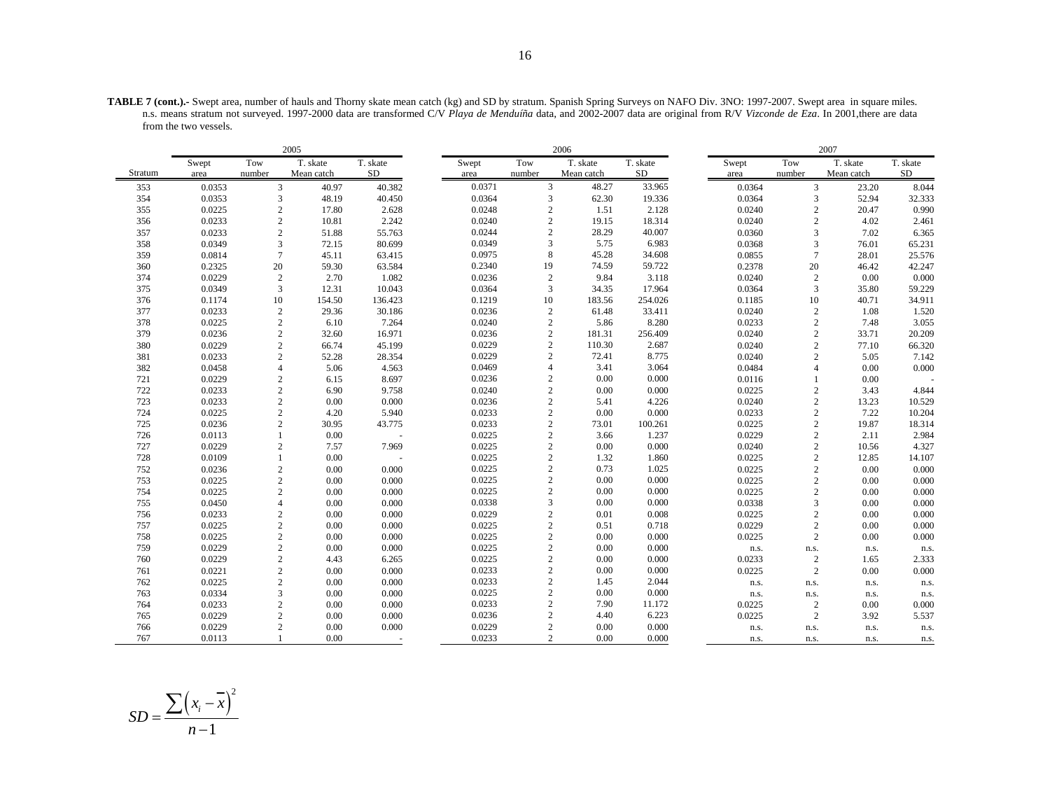**TABLE 7 (cont.).-** Swept area, number of hauls and Thorny skate mean catch (kg) and SD by stratum. Spanish Spring Surveys on NAFO Div. 3NO: 1997-2007. Swept area in square miles. n.s. means stratum not surveyed. 1997-2000 data are transformed C/V *Playa de Menduíña* data, and 2002-2007 data are original from R/V *Vizconde de Eza*. In 2001,there are data from the two vessels.

|         | 2005   |                |            |           |        |                | 2006       |          |        |                | 2007       |          |
|---------|--------|----------------|------------|-----------|--------|----------------|------------|----------|--------|----------------|------------|----------|
|         | Swept  | Tow            | T. skate   | T. skate  | Swept  | Tow            | T. skate   | T. skate | Swept  | Tow            | T. skate   | T. skate |
| Stratum | area   | number         | Mean catch | <b>SD</b> | area   | number         | Mean catch | SD       | area   | number         | Mean catch | $\rm SD$ |
| 353     | 0.0353 | 3              | 40.97      | 40.382    | 0.0371 | 3              | 48.27      | 33.965   | 0.0364 | 3              | 23.20      | 8.044    |
| 354     | 0.0353 | 3              | 48.19      | 40.450    | 0.0364 | $\mathfrak 3$  | 62.30      | 19.336   | 0.0364 | 3              | 52.94      | 32.333   |
| 355     | 0.0225 | $\mathbf{2}$   | 17.80      | 2.628     | 0.0248 | $\sqrt{2}$     | 1.51       | 2.128    | 0.0240 | $\overline{2}$ | 20.47      | 0.990    |
| 356     | 0.0233 | $\overline{2}$ | 10.81      | 2.242     | 0.0240 | $\sqrt{2}$     | 19.15      | 18.314   | 0.0240 | $\overline{2}$ | 4.02       | 2.461    |
| 357     | 0.0233 | 2              | 51.88      | 55.763    | 0.0244 | $\sqrt{2}$     | 28.29      | 40.007   | 0.0360 | 3              | 7.02       | 6.365    |
| 358     | 0.0349 | 3              | 72.15      | 80.699    | 0.0349 | 3              | 5.75       | 6.983    | 0.0368 | 3              | 76.01      | 65.231   |
| 359     | 0.0814 | $\overline{7}$ | 45.11      | 63.415    | 0.0975 | $\,$ 8 $\,$    | 45.28      | 34.608   | 0.0855 | $\overline{7}$ | 28.01      | 25.576   |
| 360     | 0.2325 | 20             | 59.30      | 63.584    | 0.2340 | 19             | 74.59      | 59.722   | 0.2378 | 20             | 46.42      | 42.247   |
| 374     | 0.0229 | $\overline{2}$ | 2.70       | 1.082     | 0.0236 | $\sqrt{2}$     | 9.84       | 3.118    | 0.0240 | $\sqrt{2}$     | 0.00       | 0.000    |
| 375     | 0.0349 | 3              | 12.31      | 10.043    | 0.0364 | 3              | 34.35      | 17.964   | 0.0364 | 3              | 35.80      | 59.229   |
| 376     | 0.1174 | 10             | 154.50     | 136.423   | 0.1219 | 10             | 183.56     | 254.026  | 0.1185 | 10             | 40.71      | 34.911   |
| 377     | 0.0233 | $\mathbf{2}$   | 29.36      | 30.186    | 0.0236 | $\sqrt{2}$     | 61.48      | 33.411   | 0.0240 | $\sqrt{2}$     | 1.08       | 1.520    |
| 378     | 0.0225 | 2              | 6.10       | 7.264     | 0.0240 | $\sqrt{2}$     | 5.86       | 8.280    | 0.0233 | $\sqrt{2}$     | 7.48       | 3.055    |
| 379     | 0.0236 | $\overline{2}$ | 32.60      | 16.971    | 0.0236 | $\overline{2}$ | 181.31     | 256.409  | 0.0240 | $\overline{2}$ | 33.71      | 20.209   |
| 380     | 0.0229 | $\overline{c}$ | 66.74      | 45.199    | 0.0229 | $\sqrt{2}$     | 110.30     | 2.687    | 0.0240 | $\overline{2}$ | 77.10      | 66.320   |
| 381     | 0.0233 | $\mathbf{2}$   | 52.28      | 28.354    | 0.0229 | $\overline{2}$ | 72.41      | 8.775    | 0.0240 | $\overline{2}$ | 5.05       | 7.142    |
| 382     | 0.0458 | $\overline{4}$ | 5.06       | 4.563     | 0.0469 | $\overline{4}$ | 3.41       | 3.064    | 0.0484 | $\overline{4}$ | 0.00       | 0.000    |
| 721     | 0.0229 | 2              | 6.15       | 8.697     | 0.0236 | $\sqrt{2}$     | 0.00       | 0.000    | 0.0116 | $\mathbf{1}$   | 0.00       |          |
| 722     | 0.0233 | $\overline{2}$ | 6.90       | 9.758     | 0.0240 | $\sqrt{2}$     | 0.00       | 0.000    | 0.0225 | $\sqrt{2}$     | 3.43       | 4.844    |
| 723     | 0.0233 | $\overline{2}$ | 0.00       | 0.000     | 0.0236 | $\sqrt{2}$     | 5.41       | 4.226    | 0.0240 | $\overline{2}$ | 13.23      | 10.529   |
| 724     | 0.0225 | $\mathbf{2}$   | 4.20       | 5.940     | 0.0233 | $\sqrt{2}$     | 0.00       | 0.000    | 0.0233 | $\overline{2}$ | 7.22       | 10.204   |
| 725     | 0.0236 | $\overline{2}$ | 30.95      | 43.775    | 0.0233 | $\sqrt{2}$     | 73.01      | 100.261  | 0.0225 | $\overline{2}$ | 19.87      | 18.314   |
| 726     | 0.0113 |                | 0.00       |           | 0.0225 | $\sqrt{2}$     | 3.66       | 1.237    | 0.0229 | $\overline{2}$ | 2.11       | 2.984    |
| 727     | 0.0229 | 2              | 7.57       | 7.969     | 0.0225 | $\sqrt{2}$     | 0.00       | 0.000    | 0.0240 | $\overline{2}$ | 10.56      | 4.327    |
| 728     | 0.0109 |                | 0.00       |           | 0.0225 | $\sqrt{2}$     | 1.32       | 1.860    | 0.0225 | $\overline{2}$ | 12.85      | 14.107   |
| 752     | 0.0236 | 2              | 0.00       | 0.000     | 0.0225 | $\sqrt{2}$     | 0.73       | 1.025    | 0.0225 | $\overline{2}$ | 0.00       | 0.000    |
| 753     | 0.0225 | $\mathbf{2}$   | 0.00       | 0.000     | 0.0225 | $\overline{c}$ | 0.00       | 0.000    | 0.0225 | $\overline{2}$ | 0.00       | 0.000    |
| 754     | 0.0225 | $\sqrt{2}$     | 0.00       | 0.000     | 0.0225 | $\sqrt{2}$     | 0.00       | 0.000    | 0.0225 | $\overline{2}$ | 0.00       | 0.000    |
| 755     | 0.0450 | $\overline{4}$ | 0.00       | 0.000     | 0.0338 | 3              | 0.00       | 0.000    | 0.0338 | 3              | 0.00       | 0.000    |
| 756     | 0.0233 | $\overline{2}$ | 0.00       | 0.000     | 0.0229 | $\sqrt{2}$     | 0.01       | 0.008    | 0.0225 | $\overline{2}$ | 0.00       | 0.000    |
| 757     | 0.0225 | $\overline{c}$ | 0.00       | 0.000     | 0.0225 | $\sqrt{2}$     | 0.51       | 0.718    | 0.0229 | $\overline{2}$ | 0.00       | 0.000    |
| 758     | 0.0225 | $\overline{c}$ | 0.00       | 0.000     | 0.0225 | $\sqrt{2}$     | 0.00       | 0.000    | 0.0225 | $\mathbf{2}$   | 0.00       | 0.000    |
| 759     | 0.0229 | $\overline{c}$ | 0.00       | 0.000     | 0.0225 | $\sqrt{2}$     | 0.00       | 0.000    | n.s.   | n.s.           | n.s.       | n.s.     |
| 760     | 0.0229 | 2              | 4.43       | 6.265     | 0.0225 | $\overline{c}$ | 0.00       | 0.000    | 0.0233 | $\overline{2}$ | 1.65       | 2.333    |
| 761     | 0.0221 | $\overline{2}$ | 0.00       | 0.000     | 0.0233 | $\sqrt{2}$     | 0.00       | 0.000    | 0.0225 | 2              | 0.00       | 0.000    |
| 762     | 0.0225 | $\overline{2}$ | 0.00       | 0.000     | 0.0233 | $\sqrt{2}$     | 1.45       | 2.044    | n.s.   | n.s.           | n.s.       | n.s.     |
| 763     | 0.0334 | 3              | 0.00       | 0.000     | 0.0225 | $\sqrt{2}$     | 0.00       | 0.000    | n.s.   | n.s.           | n.s.       | n.s.     |
| 764     | 0.0233 | $\overline{2}$ | 0.00       | 0.000     | 0.0233 | $\overline{c}$ | 7.90       | 11.172   | 0.0225 | $\overline{c}$ | 0.00       | 0.000    |
| 765     | 0.0229 | 2              | 0.00       | 0.000     | 0.0236 | $\overline{c}$ | 4.40       | 6.223    | 0.0225 | 2              | 3.92       | 5.537    |
| 766     | 0.0229 | $\overline{c}$ | 0.00       | 0.000     | 0.0229 | $\overline{2}$ | 0.00       | 0.000    | n.s.   | n.s.           | n.s.       | n.s.     |
| 767     | 0.0113 |                | 0.00       | ٠         | 0.0233 | $\overline{c}$ | 0.00       | 0.000    | n.s.   | n.s.           | n.s.       | n.s.     |

$$
SD = \frac{\sum (x_i - \overline{x})^2}{n - 1}
$$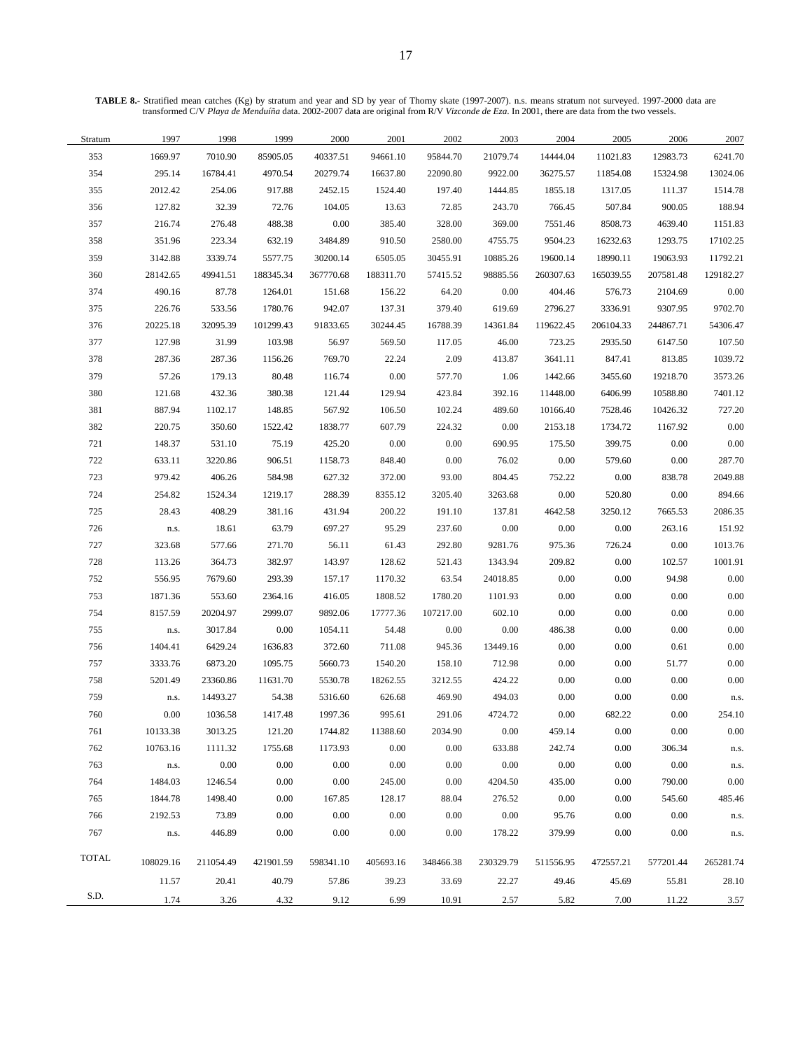**TABLE 8.-** Stratified mean catches (Kg) by stratum and year and SD by year of Thorny skate (1997-2007). n.s. means stratum not surveyed. 1997-2000 data are transformed C/V *Playa de Menduíña* data. 2002-2007 data are original from R/V *Vizconde de Eza*. In 2001, there are data from the two vessels.

| Stratum | 1997      | 1998      | 1999      | 2000      | 2001      | 2002      | 2003               | 2004               | 2005               | 2006      | 2007      |
|---------|-----------|-----------|-----------|-----------|-----------|-----------|--------------------|--------------------|--------------------|-----------|-----------|
| 353     | 1669.97   | 7010.90   | 85905.05  | 40337.51  | 94661.10  | 95844.70  | 21079.74           | 14444.04           | 11021.83           | 12983.73  | 6241.70   |
| 354     | 295.14    | 16784.41  | 4970.54   | 20279.74  | 16637.80  | 22090.80  | 9922.00            | 36275.57           | 11854.08           | 15324.98  | 13024.06  |
| 355     | 2012.42   | 254.06    | 917.88    | 2452.15   | 1524.40   | 197.40    | 1444.85            | 1855.18            | 1317.05            | 111.37    | 1514.78   |
| 356     | 127.82    | 32.39     | 72.76     | 104.05    | 13.63     | 72.85     | 243.70             | 766.45             | 507.84             | 900.05    | 188.94    |
| 357     | 216.74    | 276.48    | 488.38    | $0.00\,$  | 385.40    | 328.00    | 369.00             | 7551.46            | 8508.73            | 4639.40   | 1151.83   |
| 358     | 351.96    | 223.34    | 632.19    | 3484.89   | 910.50    | 2580.00   | 4755.75            | 9504.23            | 16232.63           | 1293.75   | 17102.25  |
| 359     | 3142.88   | 3339.74   | 5577.75   | 30200.14  | 6505.05   | 30455.91  | 10885.26           | 19600.14           | 18990.11           | 19063.93  | 11792.21  |
| 360     | 28142.65  | 49941.51  | 188345.34 | 367770.68 | 188311.70 | 57415.52  | 98885.56           | 260307.63          | 165039.55          | 207581.48 | 129182.27 |
| 374     | 490.16    | 87.78     | 1264.01   | 151.68    | 156.22    | 64.20     | 0.00               | 404.46             | 576.73             | 2104.69   | 0.00      |
| 375     | 226.76    | 533.56    | 1780.76   | 942.07    | 137.31    | 379.40    | 619.69             | 2796.27            | 3336.91            | 9307.95   | 9702.70   |
| 376     | 20225.18  | 32095.39  | 101299.43 | 91833.65  | 30244.45  | 16788.39  | 14361.84           | 119622.45          | 206104.33          | 244867.71 | 54306.47  |
| 377     | 127.98    | 31.99     | 103.98    | 56.97     | 569.50    | 117.05    | 46.00              | 723.25             | 2935.50            | 6147.50   | 107.50    |
| 378     | 287.36    | 287.36    | 1156.26   | 769.70    | 22.24     | 2.09      | 413.87             | 3641.11            | 847.41             | 813.85    | 1039.72   |
| 379     | 57.26     | 179.13    | 80.48     | 116.74    | $0.00\,$  | 577.70    | 1.06               | 1442.66            | 3455.60            | 19218.70  | 3573.26   |
| 380     | 121.68    | 432.36    | 380.38    | 121.44    | 129.94    | 423.84    | 392.16             | 11448.00           | 6406.99            | 10588.80  | 7401.12   |
| 381     | 887.94    | 1102.17   | 148.85    | 567.92    | 106.50    | 102.24    | 489.60             | 10166.40           | 7528.46            | 10426.32  | 727.20    |
| 382     | 220.75    | 350.60    | 1522.42   | 1838.77   | 607.79    | 224.32    | 0.00               | 2153.18            | 1734.72            | 1167.92   | 0.00      |
| 721     | 148.37    | 531.10    | 75.19     | 425.20    | 0.00      | 0.00      | 690.95             | 175.50             | 399.75             | 0.00      | 0.00      |
| 722     | 633.11    | 3220.86   | 906.51    | 1158.73   | 848.40    | 0.00      | 76.02              | 0.00               | 579.60             | 0.00      | 287.70    |
| 723     | 979.42    | 406.26    | 584.98    | 627.32    | 372.00    | 93.00     | 804.45             | 752.22             | $0.00\,$           | 838.78    | 2049.88   |
| 724     | 254.82    | 1524.34   | 1219.17   | 288.39    | 8355.12   | 3205.40   | 3263.68            | 0.00               | 520.80             | 0.00      | 894.66    |
| 725     | 28.43     | 408.29    | 381.16    | 431.94    | 200.22    | 191.10    | 137.81             | 4642.58            | 3250.12            | 7665.53   | 2086.35   |
| 726     | n.s.      | 18.61     | 63.79     | 697.27    | 95.29     | 237.60    | 0.00               | 0.00               | 0.00               | 263.16    | 151.92    |
| 727     | 323.68    | 577.66    | 271.70    | 56.11     | 61.43     | 292.80    | 9281.76            | 975.36             | 726.24             | 0.00      | 1013.76   |
| 728     | 113.26    | 364.73    | 382.97    | 143.97    | 128.62    | 521.43    | 1343.94            | 209.82             | $0.00\,$           | 102.57    | 1001.91   |
| 752     | 556.95    | 7679.60   | 293.39    | 157.17    | 1170.32   | 63.54     | 24018.85           | 0.00               | $0.00\,$           | 94.98     | 0.00      |
| 753     | 1871.36   | 553.60    | 2364.16   | 416.05    | 1808.52   | 1780.20   | 1101.93            | $0.00\,$           | $0.00\,$           | 0.00      | 0.00      |
| 754     | 8157.59   | 20204.97  | 2999.07   | 9892.06   | 17777.36  | 107217.00 | 602.10             | $0.00\,$           | $0.00\,$           | 0.00      | $0.00\,$  |
| 755     | n.s.      | 3017.84   | 0.00      | 1054.11   | 54.48     | 0.00      | 0.00               | 486.38             | $0.00\,$           | 0.00      | $0.00\,$  |
| 756     | 1404.41   | 6429.24   | 1636.83   | 372.60    | 711.08    | 945.36    | 13449.16           | $0.00\,$           | $0.00\,$           | 0.61      | 0.00      |
| 757     | 3333.76   | 6873.20   | 1095.75   | 5660.73   | 1540.20   | 158.10    | 712.98             | 0.00               | $0.00\,$           | 51.77     | $0.00\,$  |
| 758     | 5201.49   | 23360.86  | 11631.70  | 5530.78   | 18262.55  | 3212.55   | 424.22             | $0.00\,$           | $0.00\,$           | 0.00      | $0.00\,$  |
| 759     | n.s.      | 14493.27  | 54.38     | 5316.60   | 626.68    | 469.90    | 494.03             | $0.00\,$           | $0.00\,$           | 0.00      | n.s.      |
| 760     | 0.00      | 1036.58   | 1417.48   | 1997.36   | 995.61    | 291.06    | 4724.72            | $0.00\,$           | 682.22             | 0.00      | 254.10    |
| 761     | 10133.38  | 3013.25   | 121.20    | 1744.82   | 11388.60  | 2034.90   | 0.00               | 459.14             | 0.00               | 0.00      | 0.00      |
| 762     | 10763.16  | 1111.32   | 1755.68   | 1173.93   | 0.00      | 0.00      | 633.88             | 242.74             | $0.00\,$           | 306.34    | n.s.      |
| 763     | n.s.      | 0.00      | 0.00      | 0.00      | 0.00      | 0.00      | 0.00               | 0.00               | 0.00               | 0.00      | n.s.      |
| 764     | 1484.03   | 1246.54   | 0.00      | 0.00      | 245.00    | 0.00      | 4204.50            | 435.00             | 0.00               | 790.00    | 0.00      |
| 765     | 1844.78   | 1498.40   | 0.00      | 167.85    | 128.17    | 88.04     | 276.52             | 0.00               | 0.00               | 545.60    | 485.46    |
| 766     | 2192.53   | 73.89     | 0.00      | 0.00      | 0.00      | 0.00      | 0.00               | 95.76              | 0.00               | 0.00      | n.s.      |
| 767     | n.s.      | 446.89    | 0.00      | 0.00      | 0.00      | 0.00      | 178.22             | 379.99             | 0.00               | 0.00      | n.s.      |
| TOTAL   | 108029.16 | 211054.49 | 421901.59 | 598341.10 | 405693.16 | 348466.38 |                    |                    |                    | 577201.44 | 265281.74 |
|         | 11.57     | 20.41     | 40.79     | 57.86     | 39.23     | 33.69     | 230329.79<br>22.27 | 511556.95<br>49.46 | 472557.21<br>45.69 | 55.81     | 28.10     |
| S.D.    | 1.74      | 3.26      | 4.32      | 9.12      | 6.99      | 10.91     | 2.57               | 5.82               | 7.00               | 11.22     | 3.57      |
|         |           |           |           |           |           |           |                    |                    |                    |           |           |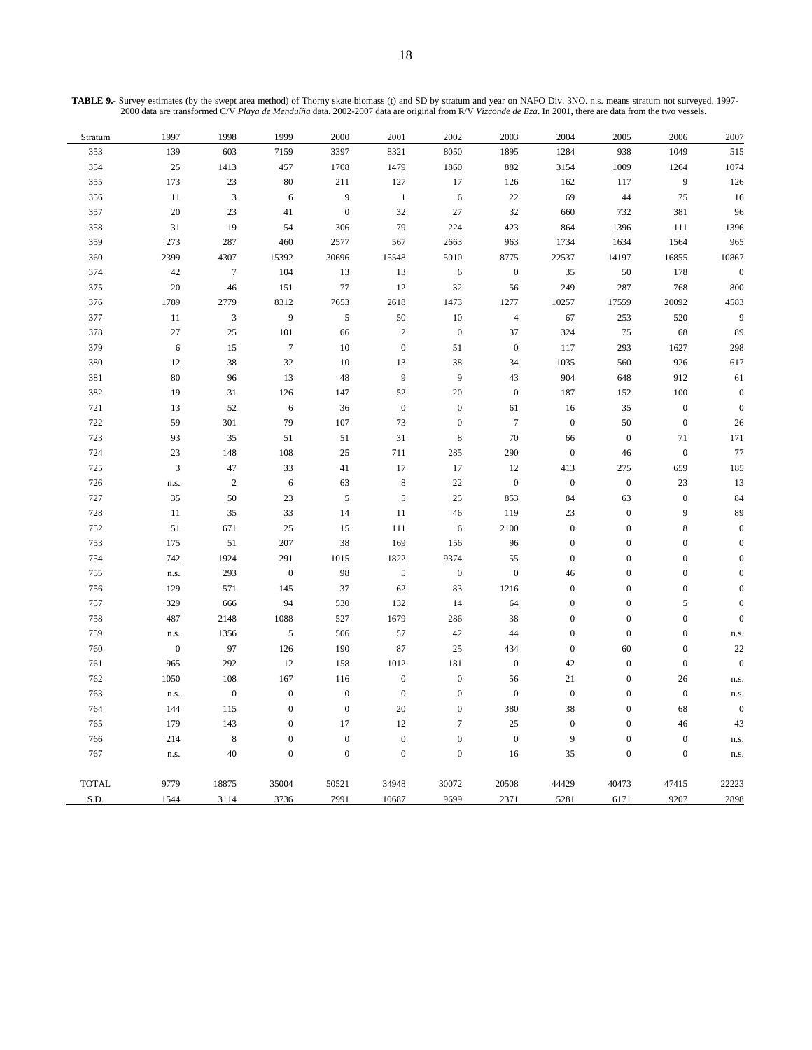**TABLE 9.-** Survey estimates (by the swept area method) of Thorny skate biomass (t) and SD by stratum and year on NAFO Div. 3NO. n.s. means stratum not surveyed. 1997- 2000 data are transformed C/V *Playa de Menduíña* data. 2002-2007 data are original from R/V *Vizconde de Eza*. In 2001, there are data from the two vessels.

| 2007             | 2006             | 2005             | 2004                  | 2003             | 2002             | 2001             | 2000             | 1999             | 1998             | 1997             | Stratum      |
|------------------|------------------|------------------|-----------------------|------------------|------------------|------------------|------------------|------------------|------------------|------------------|--------------|
| 515              | 1049             | 938              | 1284                  | 1895             | 8050             | 8321             | 3397             | 7159             | 603              | 139              | 353          |
| 1074             | 1264             | 1009             | 3154                  | 882              | 1860             | 1479             | 1708             | 457              | 1413             | $25\,$           | 354          |
| 126              | $\boldsymbol{9}$ | 117              | 162                   | 126              | 17               | 127              | 211              | 80               | 23               | 173              | 355          |
| 16               | 75               | 44               | 69                    | $22\,$           | $\sqrt{6}$       | $1\,$            | 9                | 6                | $\overline{3}$   | $11\,$           | 356          |
| 96               | 381              | 732              | 660                   | $32\,$           | 27               | $32\,$           | $\boldsymbol{0}$ | 41               | 23               | $20\,$           | 357          |
| 1396             | $111\,$          | 1396             | 864                   | 423              | 224              | 79               | 306              | 54               | 19               | 31               | 358          |
| 965              | 1564             | 1634             | 1734                  | 963              | 2663             | 567              | 2577             | 460              | 287              | 273              | 359          |
| 10867            | 16855            | 14197            | 22537                 | 8775             | 5010             | 15548            | 30696            | 15392            | 4307             | 2399             | 360          |
| $\boldsymbol{0}$ | 178              | 50               | 35                    | $\boldsymbol{0}$ | $\sqrt{6}$       | 13               | 13               | 104              | $\boldsymbol{7}$ | 42               | 374          |
| 800              | 768              | 287              | 249                   | 56               | 32               | 12               | 77               | 151              | $46\,$           | 20               | 375          |
| 4583             | 20092            | 17559            | 10257                 | 1277             | 1473             | 2618             | 7653             | 8312             | 2779             | 1789             | 376          |
| 9                | 520              | 253              | 67                    | $\sqrt{4}$       | $10\,$           | 50               | $\sqrt{5}$       | 9                | $\mathfrak{Z}$   | $11\,$           | 377          |
| 89               | 68               | 75               | 324                   | 37               | $\boldsymbol{0}$ | $\overline{c}$   | 66               | 101              | 25               | 27               | 378          |
| 298              | 1627             | 293              | 117                   | $\boldsymbol{0}$ | 51               | $\boldsymbol{0}$ | 10               | $\boldsymbol{7}$ | 15               | $\sqrt{6}$       | 379          |
| 617              | 926              | 560              | 1035                  | 34               | 38               | 13               | 10               | 32               | 38               | 12               | 380          |
| 61               | 912              | 648              | 904                   | 43               | $\boldsymbol{9}$ | 9                | 48               | 13               | 96               | 80               | 381          |
| $\boldsymbol{0}$ | $100\,$          | 152              | 187                   | $\boldsymbol{0}$ | $20\,$           | 52               | 147              | 126              | 31               | 19               | 382          |
| $\boldsymbol{0}$ | $\boldsymbol{0}$ | 35               | 16                    | 61               | $\boldsymbol{0}$ | $\boldsymbol{0}$ | 36               | $\sqrt{6}$       | 52               | 13               | $721\,$      |
| 26               | $\boldsymbol{0}$ | 50               | $\boldsymbol{0}$      | $\tau$           | $\boldsymbol{0}$ | 73               | 107              | 79               | 301              | 59               | 722          |
| 171              | $71\,$           | $\boldsymbol{0}$ | 66                    | $70\,$           | $\,$ 8 $\,$      | 31               | 51               | 51               | 35               | 93               | 723          |
| 77               | $\boldsymbol{0}$ | $46\,$           | $\mathbf{0}$          | $290\,$          | 285              | 711              | $25\,$           | 108              | $148\,$          | $23\,$           | 724          |
| 185              | 659              | 275              | 413                   | 12               | 17               | 17               | 41               | 33               | 47               | $\mathfrak{Z}$   | 725          |
| 13               | 23               | $\boldsymbol{0}$ | $\boldsymbol{0}$      | $\boldsymbol{0}$ | $22\,$           | $\,$ 8 $\,$      | 63               | $\sqrt{6}$       | $\sqrt{2}$       | n.s.             | 726          |
| 84               | $\boldsymbol{0}$ | 63               | 84                    | 853              | 25               | $\sqrt{5}$       | $\sqrt{5}$       | 23               | $50\,$           | 35               | $727\,$      |
| 89               | 9                | $\boldsymbol{0}$ | 23                    | 119              | 46               | $11\,$           | 14               | 33               | 35               | $11\,$           | 728          |
| $\boldsymbol{0}$ | $\,$ 8 $\,$      | $\boldsymbol{0}$ | $\boldsymbol{0}$      | 2100             | $\sqrt{6}$       | 111              | 15               | 25               | 671              | 51               | 752          |
| $\overline{0}$   | $\boldsymbol{0}$ | $\boldsymbol{0}$ | $\boldsymbol{0}$      | 96               | 156              | 169              | 38               | 207              | $51\,$           | 175              | 753          |
| $\overline{0}$   | $\boldsymbol{0}$ | $\boldsymbol{0}$ | $\boldsymbol{0}$      | 55               | 9374             | 1822             | 1015             | 291              | 1924             | 742              | 754          |
| $\mathbf{0}$     | $\boldsymbol{0}$ | $\boldsymbol{0}$ | $46\,$                | $\boldsymbol{0}$ | $\boldsymbol{0}$ | $\sqrt{5}$       | 98               | $\boldsymbol{0}$ | 293              | n.s.             | 755          |
| $\overline{0}$   | $\boldsymbol{0}$ | $\boldsymbol{0}$ | $\boldsymbol{0}$      | 1216             | 83               | 62               | 37               | 145              | 571              | 129              | 756          |
| $\overline{0}$   | 5                | $\boldsymbol{0}$ | $\boldsymbol{0}$      | 64               | 14               | 132              | 530              | 94               | 666              | 329              | 757          |
| $\mathbf{0}$     | $\boldsymbol{0}$ | $\boldsymbol{0}$ | $\boldsymbol{0}$      | 38               | 286              | 1679             | 527              | 1088             | 2148             | 487              | 758          |
| n.s.             | $\boldsymbol{0}$ | $\boldsymbol{0}$ | $\boldsymbol{0}$      | 44               | 42               | 57               | 506              | $\sqrt{5}$       | 1356             | n.s.             | 759          |
| 22               | $\boldsymbol{0}$ | 60               | $\boldsymbol{0}$      | 434              | 25               | 87               | 190              | 126              | 97               | $\boldsymbol{0}$ | 760          |
| $\boldsymbol{0}$ | $\boldsymbol{0}$ | $\boldsymbol{0}$ | 42                    | $\mathbf{0}$     | 181              | 1012             | 158              | 12               | 292              | 965              | 761          |
| n.s.             | 26               | $\boldsymbol{0}$ | $21\,$                | 56               | $\boldsymbol{0}$ | $\boldsymbol{0}$ | 116              | 167              | $108\,$          | 1050             | 762          |
| n.s.             | $\boldsymbol{0}$ | $\boldsymbol{0}$ | $\boldsymbol{0}$      | $\boldsymbol{0}$ | $\boldsymbol{0}$ | $\boldsymbol{0}$ | $\boldsymbol{0}$ | $\boldsymbol{0}$ | $\boldsymbol{0}$ | n.s.             | 763          |
| $\boldsymbol{0}$ | 68               | $\boldsymbol{0}$ | 38                    | 380              | $\boldsymbol{0}$ | $20\,$           | $\boldsymbol{0}$ | $\boldsymbol{0}$ | 115              | 144              | 764          |
| 43               | 46               | $\boldsymbol{0}$ | $\boldsymbol{0}$<br>9 | 25               | $\boldsymbol{7}$ | 12               | 17               | $\boldsymbol{0}$ | 143              | 179              | 765          |
| n.s.             | $\boldsymbol{0}$ | $\boldsymbol{0}$ |                       | $\boldsymbol{0}$ | $\boldsymbol{0}$ | $\boldsymbol{0}$ | $\boldsymbol{0}$ | $\boldsymbol{0}$ | $\,8\,$          | 214              | 766          |
| n.s.             | $\boldsymbol{0}$ | $\boldsymbol{0}$ | 35                    | 16               | $\boldsymbol{0}$ | $\boldsymbol{0}$ | $\boldsymbol{0}$ | $\boldsymbol{0}$ | 40               | n.s.             | 767          |
| 22223            | 47415            | 40473            | 44429                 | 20508            | 30072            | 34948            | 50521            | 35004            | 18875            | 9779             | <b>TOTAL</b> |
| 2898             | 9207             | 6171             | 5281                  | 2371             | 9699             | 10687            | 7991             | 3736             | 3114             | 1544             | S.D.         |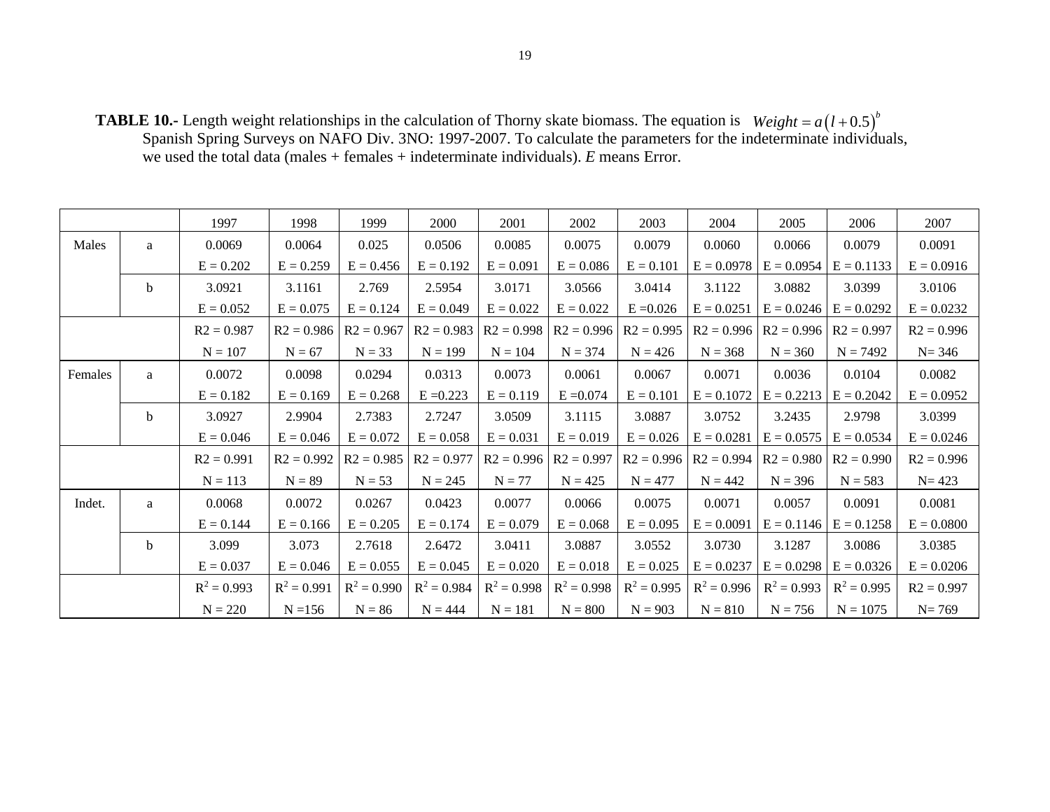**TABLE 10.-** Length weight relationships in the calculation of Thorny skate biomass. The equation is Spanish Spring Surveys on NAFO Div. 3NO: 1997-2007. To calculate the parameters for the indeterminate individuals, we used the total data (males + females + indeterminate individuals). *E* means Error.  $Weight = a(l + 0.5)^{b}$ 

|         |              | 1997          | 1998          | 1999          | 2000          | 2001          | 2002          | 2003          | 2004          | 2005          | 2006                        | 2007         |
|---------|--------------|---------------|---------------|---------------|---------------|---------------|---------------|---------------|---------------|---------------|-----------------------------|--------------|
| Males   | a            | 0.0069        | 0.0064        | 0.025         | 0.0506        | 0.0085        | 0.0075        | 0.0079        | 0.0060        | 0.0066        | 0.0079                      | 0.0091       |
|         |              | $E = 0.202$   | $E = 0.259$   | $E = 0.456$   | $E = 0.192$   | $E = 0.091$   | $E = 0.086$   | $E = 0.101$   | $E = 0.0978$  | $E = 0.0954$  | $E = 0.1133$                | $E = 0.0916$ |
|         | b            | 3.0921        | 3.1161        | 2.769         | 2.5954        | 3.0171        | 3.0566        | 3.0414        | 3.1122        | 3.0882        | 3.0399                      | 3.0106       |
|         |              | $E = 0.052$   | $E = 0.075$   | $E = 0.124$   | $E = 0.049$   | $E = 0.022$   | $E = 0.022$   | $E = 0.026$   | $E = 0.0251$  |               | $E = 0.0246$ $E = 0.0292$   | $E = 0.0232$ |
|         |              | $R2 = 0.987$  | $R2 = 0.986$  | $R2 = 0.967$  | $R2 = 0.983$  | $R2 = 0.998$  | $R2 = 0.996$  | $R2 = 0.995$  | $R2 = 0.996$  |               | $R2 = 0.996$ $R2 = 0.997$   | $R2 = 0.996$ |
|         |              | $N = 107$     | $N = 67$      | $N = 33$      | $N = 199$     | $N = 104$     | $N = 374$     | $N = 426$     | $N = 368$     | $N = 360$     | $N = 7492$                  | $N = 346$    |
| Females | $\mathbf{a}$ | 0.0072        | 0.0098        | 0.0294        | 0.0313        | 0.0073        | 0.0061        | 0.0067        | 0.0071        | 0.0036        | 0.0104                      | 0.0082       |
|         |              | $E = 0.182$   | $E = 0.169$   | $E = 0.268$   | $E = 0.223$   | $E = 0.119$   | $E = 0.074$   | $E = 0.101$   | $E = 0.1072$  | $E = 0.2213$  | $E = 0.2042$                | $E = 0.0952$ |
|         | b            | 3.0927        | 2.9904        | 2.7383        | 2.7247        | 3.0509        | 3.1115        | 3.0887        | 3.0752        | 3.2435        | 2.9798                      | 3.0399       |
|         |              | $E = 0.046$   | $E = 0.046$   | $E = 0.072$   | $E = 0.058$   | $E = 0.031$   | $E = 0.019$   | $E = 0.026$   | $E = 0.0281$  | $E = 0.0575$  | $E = 0.0534$                | $E = 0.0246$ |
|         |              | $R2 = 0.991$  | $R2 = 0.992$  | $R2 = 0.985$  | $R2 = 0.977$  | $R2 = 0.996$  | $R2 = 0.997$  | $R2 = 0.996$  | $R2 = 0.994$  |               | $R2 = 0.980$   $R2 = 0.990$ | $R2 = 0.996$ |
|         |              | $N = 113$     | $N = 89$      | $N = 53$      | $N = 245$     | $N = 77$      | $N = 425$     | $N = 477$     | $N = 442$     | $N = 396$     | $N = 583$                   | $N = 423$    |
| Indet.  | a            | 0.0068        | 0.0072        | 0.0267        | 0.0423        | 0.0077        | 0.0066        | 0.0075        | 0.0071        | 0.0057        | 0.0091                      | 0.0081       |
|         |              | $E = 0.144$   | $E = 0.166$   | $E = 0.205$   | $E = 0.174$   | $E = 0.079$   | $E = 0.068$   | $E = 0.095$   | $E = 0.0091$  | $E = 0.1146$  | $E = 0.1258$                | $E = 0.0800$ |
|         | $\mathbf b$  | 3.099         | 3.073         | 2.7618        | 2.6472        | 3.0411        | 3.0887        | 3.0552        | 3.0730        | 3.1287        | 3.0086                      | 3.0385       |
|         |              | $E = 0.037$   | $E = 0.046$   | $E = 0.055$   | $E = 0.045$   | $E = 0.020$   | $E = 0.018$   | $E = 0.025$   | $E = 0.0237$  | $E = 0.0298$  | $E = 0.0326$                | $E = 0.0206$ |
|         |              | $R^2 = 0.993$ | $R^2 = 0.991$ | $R^2 = 0.990$ | $R^2 = 0.984$ | $R^2 = 0.998$ | $R^2 = 0.998$ | $R^2 = 0.995$ | $R^2 = 0.996$ | $R^2 = 0.993$ | $R^2 = 0.995$               | $R2 = 0.997$ |
|         |              | $N = 220$     | $N = 156$     | $N = 86$      | $N = 444$     | $N = 181$     | $N = 800$     | $N = 903$     | $N = 810$     | $N = 756$     | $N = 1075$                  | $N = 769$    |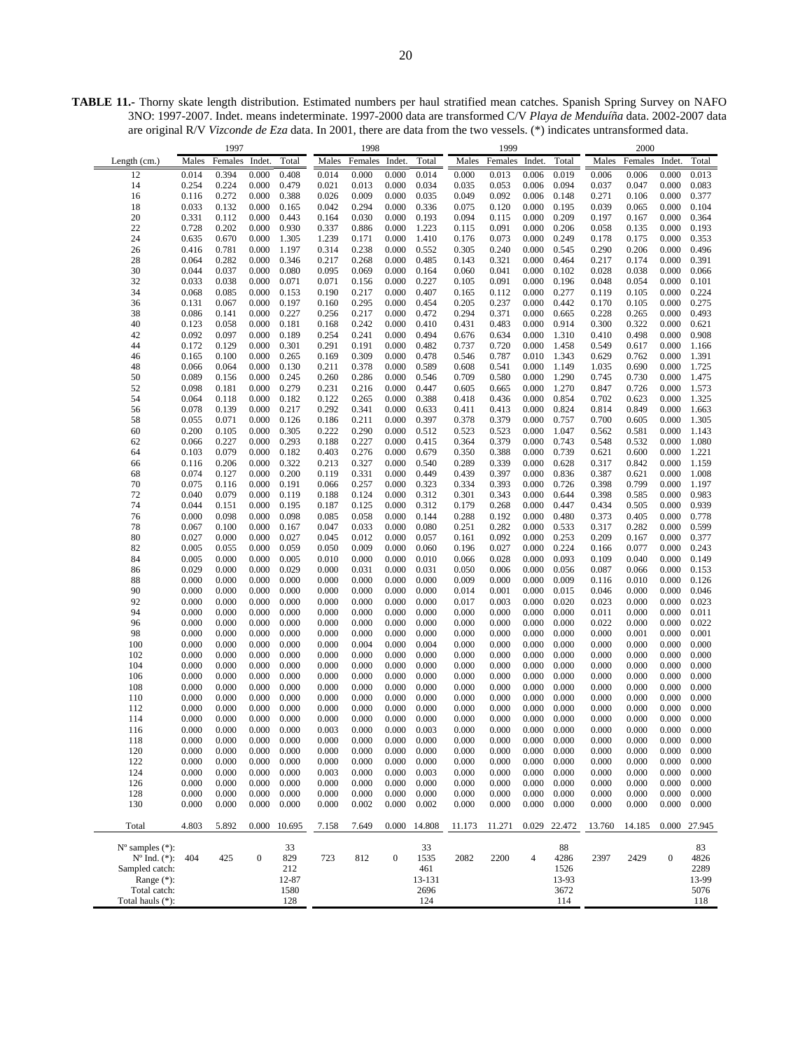**TABLE 11.-** Thorny skate length distribution. Estimated numbers per haul stratified mean catches. Spanish Spring Survey on NAFO 3NO: 1997-2007. Indet. means indeterminate. 1997-2000 data are transformed C/V *Playa de Menduíña* data. 2002-2007 data are original R/V *Vizconde de Eza* data. In 2001, there are data from the two vessels. (\*) indicates untransformed data.

|                             |                | 1997           |                  |                |                | 1998           |                  |                |                | 1999           |                |                |                | 2000           |                  |                |
|-----------------------------|----------------|----------------|------------------|----------------|----------------|----------------|------------------|----------------|----------------|----------------|----------------|----------------|----------------|----------------|------------------|----------------|
| Length (cm.)                | Males          | Females        | Indet.           | Total          | Males          | Females        | Indet            | Total          | Males          | Females        | Indet.         | Total          | Males          | Females        | Indet.           | Total          |
| 12                          | 0.014          | 0.394          | 0.000            | 0.408          | 0.014          | 0.000          | 0.000            | 0.014          | 0.000          | 0.013          | 0.006          | 0.019          | 0.006          | 0.006          | 0.000            | 0.013          |
| 14                          | 0.254          | 0.224          | 0.000            | 0.479          | 0.021          | 0.013          | 0.000            | 0.034          | 0.035          | 0.053          | 0.006          | 0.094          | 0.037          | 0.047          | 0.000            | 0.083          |
| 16                          | 0.116          | 0.272          | 0.000            | 0.388          | 0.026          | 0.009          | 0.000            | 0.035          | 0.049          | 0.092          | 0.006          | 0.148          | 0.271          | 0.106          | 0.000            | 0.377          |
| 18                          | 0.033          | 0.132          | 0.000            | 0.165          | 0.042          | 0.294          | 0.000            | 0.336          | 0.075          | 0.120          | 0.000          | 0.195          | 0.039          | 0.065          | 0.000            | 0.104          |
| 20                          | 0.331          | 0.112          | 0.000            | 0.443          | 0.164          | 0.030          | 0.000            | 0.193          | 0.094          | 0.115          | 0.000          | 0.209          | 0.197          | 0.167          | 0.000            | 0.364          |
| 22                          | 0.728          | 0.202          | 0.000            | 0.930          | 0.337          | 0.886          | 0.000            | 1.223          | 0.115          | 0.091          | 0.000          | 0.206          | 0.058          | 0.135          | 0.000            | 0.193          |
| 24                          | 0.635          | 0.670          | 0.000            | 1.305          | 1.239          | 0.171          | 0.000            | 1.410          | 0.176          | 0.073          | 0.000          | 0.249          | 0.178          | 0.175          | 0.000            | 0.353          |
| 26                          | 0.416          | 0.781          | 0.000            | 1.197          | 0.314          | 0.238          | 0.000            | 0.552          | 0.305          | 0.240          | 0.000          | 0.545          | 0.290          | 0.206          | 0.000            | 0.496          |
| 28                          | 0.064          | 0.282          | 0.000            | 0.346          | 0.217          | 0.268          | 0.000            | 0.485          | 0.143          | 0.321          | 0.000          | 0.464          | 0.217          | 0.174          | 0.000            | 0.391          |
| 30                          | 0.044          | 0.037          | 0.000            | 0.080          | 0.095          | 0.069          | 0.000            | 0.164          | 0.060          | 0.041          | 0.000          | 0.102          | 0.028          | 0.038          | 0.000            | 0.066          |
| 32                          | 0.033          | 0.038          | 0.000            | 0.071          | 0.071          | 0.156          | 0.000            | 0.227          | 0.105          | 0.091          | 0.000          | 0.196          | 0.048          | 0.054          | 0.000            | 0.101          |
| 34                          | 0.068          | 0.085          | 0.000            | 0.153          | 0.190          | 0.217          | 0.000            | 0.407          | 0.165          | 0.112          | 0.000          | 0.277          | 0.119          | 0.105          | 0.000            | 0.224          |
| 36<br>38                    | 0.131<br>0.086 | 0.067<br>0.141 | 0.000<br>0.000   | 0.197<br>0.227 | 0.160<br>0.256 | 0.295<br>0.217 | 0.000<br>0.000   | 0.454<br>0.472 | 0.205<br>0.294 | 0.237<br>0.371 | 0.000<br>0.000 | 0.442<br>0.665 | 0.170<br>0.228 | 0.105<br>0.265 | 0.000<br>0.000   | 0.275<br>0.493 |
| 40                          | 0.123          | 0.058          | 0.000            | 0.181          | 0.168          | 0.242          | 0.000            | 0.410          | 0.431          | 0.483          | 0.000          | 0.914          | 0.300          | 0.322          | 0.000            | 0.621          |
| 42                          | 0.092          | 0.097          | 0.000            | 0.189          | 0.254          | 0.241          | 0.000            | 0.494          | 0.676          | 0.634          | 0.000          | 1.310          | 0.410          | 0.498          | 0.000            | 0.908          |
| 44                          | 0.172          | 0.129          | 0.000            | 0.301          | 0.291          | 0.191          | 0.000            | 0.482          | 0.737          | 0.720          | 0.000          | 1.458          | 0.549          | 0.617          | 0.000            | 1.166          |
| 46                          | 0.165          | 0.100          | 0.000            | 0.265          | 0.169          | 0.309          | 0.000            | 0.478          | 0.546          | 0.787          | 0.010          | 1.343          | 0.629          | 0.762          | 0.000            | 1.391          |
| 48                          | 0.066          | 0.064          | 0.000            | 0.130          | 0.211          | 0.378          | 0.000            | 0.589          | 0.608          | 0.541          | 0.000          | 1.149          | 1.035          | 0.690          | 0.000            | 1.725          |
| 50                          | 0.089          | 0.156          | 0.000            | 0.245          | 0.260          | 0.286          | 0.000            | 0.546          | 0.709          | 0.580          | 0.000          | 1.290          | 0.745          | 0.730          | 0.000            | 1.475          |
| 52                          | 0.098          | 0.181          | 0.000            | 0.279          | 0.231          | 0.216          | 0.000            | 0.447          | 0.605          | 0.665          | 0.000          | 1.270          | 0.847          | 0.726          | 0.000            | 1.573          |
| 54                          | 0.064          | 0.118          | 0.000            | 0.182          | 0.122          | 0.265          | 0.000            | 0.388          | 0.418          | 0.436          | 0.000          | 0.854          | 0.702          | 0.623          | 0.000            | 1.325          |
| 56                          | 0.078          | 0.139          | 0.000            | 0.217          | 0.292          | 0.341          | 0.000            | 0.633          | 0.411          | 0.413          | 0.000          | 0.824          | 0.814          | 0.849          | 0.000            | 1.663          |
| 58                          | 0.055          | 0.071          | 0.000            | 0.126          | 0.186          | 0.211          | 0.000            | 0.397          | 0.378          | 0.379          | 0.000          | 0.757          | 0.700          | 0.605          | 0.000            | 1.305          |
| 60                          | 0.200          | 0.105          | 0.000            | 0.305          | 0.222          | 0.290          | 0.000            | 0.512          | 0.523          | 0.523          | 0.000          | 1.047          | 0.562          | 0.581          | 0.000            | 1.143          |
| 62                          | 0.066          | 0.227          | 0.000            | 0.293          | 0.188          | 0.227          | 0.000            | 0.415          | 0.364          | 0.379          | 0.000          | 0.743          | 0.548          | 0.532          | 0.000            | 1.080          |
| 64                          | 0.103          | 0.079          | 0.000            | 0.182          | 0.403          | 0.276          | 0.000            | 0.679          | 0.350          | 0.388          | 0.000          | 0.739          | 0.621          | 0.600          | 0.000            | 1.221          |
| 66                          | 0.116          | 0.206          | 0.000            | 0.322          | 0.213          | 0.327          | 0.000            | 0.540          | 0.289          | 0.339          | 0.000          | 0.628          | 0.317          | 0.842          | 0.000            | 1.159          |
| 68                          | 0.074          | 0.127          | 0.000            | 0.200          | 0.119          | 0.331          | 0.000            | 0.449          | 0.439          | 0.397          | 0.000          | 0.836          | 0.387          | 0.621          | 0.000            | 1.008          |
| 70<br>72                    | 0.075<br>0.040 | 0.116<br>0.079 | 0.000<br>0.000   | 0.191<br>0.119 | 0.066          | 0.257<br>0.124 | 0.000<br>0.000   | 0.323<br>0.312 | 0.334<br>0.301 | 0.393          | 0.000<br>0.000 | 0.726<br>0.644 | 0.398<br>0.398 | 0.799<br>0.585 | 0.000            | 1.197<br>0.983 |
| 74                          | 0.044          | 0.151          | 0.000            | 0.195          | 0.188<br>0.187 | 0.125          | 0.000            | 0.312          | 0.179          | 0.343<br>0.268 | 0.000          | 0.447          | 0.434          | 0.505          | 0.000<br>0.000   | 0.939          |
| 76                          | 0.000          | 0.098          | 0.000            | 0.098          | 0.085          | 0.058          | 0.000            | 0.144          | 0.288          | 0.192          | 0.000          | 0.480          | 0.373          | 0.405          | 0.000            | 0.778          |
| 78                          | 0.067          | 0.100          | 0.000            | 0.167          | 0.047          | 0.033          | 0.000            | 0.080          | 0.251          | 0.282          | 0.000          | 0.533          | 0.317          | 0.282          | 0.000            | 0.599          |
| 80                          | 0.027          | 0.000          | 0.000            | 0.027          | 0.045          | 0.012          | 0.000            | 0.057          | 0.161          | 0.092          | 0.000          | 0.253          | 0.209          | 0.167          | 0.000            | 0.377          |
| 82                          | 0.005          | 0.055          | 0.000            | 0.059          | 0.050          | 0.009          | 0.000            | 0.060          | 0.196          | 0.027          | 0.000          | 0.224          | 0.166          | 0.077          | 0.000            | 0.243          |
| 84                          | 0.005          | 0.000          | 0.000            | 0.005          | 0.010          | 0.000          | 0.000            | 0.010          | 0.066          | 0.028          | 0.000          | 0.093          | 0.109          | 0.040          | 0.000            | 0.149          |
| 86                          | 0.029          | 0.000          | 0.000            | 0.029          | 0.000          | 0.031          | 0.000            | 0.031          | 0.050          | 0.006          | 0.000          | 0.056          | 0.087          | 0.066          | 0.000            | 0.153          |
| 88                          | 0.000          | 0.000          | 0.000            | 0.000          | 0.000          | 0.000          | 0.000            | 0.000          | 0.009          | 0.000          | 0.000          | 0.009          | 0.116          | 0.010          | 0.000            | 0.126          |
| 90                          | 0.000          | 0.000          | 0.000            | 0.000          | 0.000          | 0.000          | 0.000            | 0.000          | 0.014          | 0.001          | 0.000          | 0.015          | 0.046          | 0.000          | 0.000            | 0.046          |
| 92                          | 0.000          | 0.000          | 0.000            | 0.000          | 0.000          | 0.000          | 0.000            | 0.000          | 0.017          | 0.003          | 0.000          | 0.020          | 0.023          | 0.000          | 0.000            | 0.023          |
| 94                          | 0.000          | 0.000          | 0.000            | 0.000          | 0.000          | 0.000          | 0.000            | 0.000          | 0.000          | 0.000          | 0.000          | 0.000          | 0.011          | 0.000          | 0.000            | 0.011          |
| 96                          | 0.000          | 0.000          | 0.000            | 0.000          | 0.000          | 0.000          | 0.000            | 0.000          | 0.000          | 0.000          | 0.000          | 0.000          | 0.022          | 0.000          | 0.000            | 0.022          |
| 98                          | 0.000          | 0.000          | 0.000            | 0.000          | 0.000          | 0.000          | 0.000            | 0.000          | 0.000          | 0.000          | 0.000          | 0.000          | 0.000          | 0.001          | 0.000            | 0.001          |
| 100                         | 0.000          | 0.000          | 0.000            | 0.000          | 0.000          | 0.004          | 0.000            | 0.004          | 0.000          | 0.000          | 0.000          | 0.000          | 0.000          | 0.000          | 0.000            | 0.000          |
| 102                         | 0.000          | 0.000          | 0.000            | 0.000          | 0.000          | 0.000          | 0.000            | 0.000          | 0.000          | 0.000          | 0.000          | 0.000          | 0.000          | 0.000          | 0.000            | 0.000          |
| 104<br>106                  | 0.000<br>0.000 | 0.000<br>0.000 | 0.000<br>0.000   | 0.000<br>0.000 | 0.000<br>0.000 | 0.000<br>0.000 | 0.000<br>0.000   | 0.000<br>0.000 | 0.000<br>0.000 | 0.000<br>0.000 | 0.000<br>0.000 | 0.000<br>0.000 | 0.000<br>0.000 | 0.000<br>0.000 | 0.000<br>0.000   | 0.000<br>0.000 |
| 108                         | 0.000          | 0.000          | 0.000            | 0.000          | 0.000          | 0.000          | 0.000            | 0.000          | 0.000          | 0.000          | 0.000          | 0.000          | 0.000          | 0.000          | 0.000            | 0.000          |
| 110                         | 0.000          | 0.000          | 0.000            | 0.000          | 0.000          | 0.000          | 0.000            | 0.000          | 0.000          | 0.000          | 0.000          | 0.000          | 0.000          | 0.000          | 0.000            | 0.000          |
| 112                         | 0.000          | 0.000          | 0.000            | 0.000          | 0.000          | 0.000          | 0.000            | 0.000          | 0.000          | 0.000          | 0.000          | 0.000          | 0.000          | 0.000          | 0.000            | 0.000          |
| 114                         | 0.000          | 0.000          | 0.000            | 0.000          | 0.000          | 0.000          | 0.000            | 0.000          | 0.000          | 0.000          | 0.000          | 0.000          | 0.000          | 0.000          | 0.000            | 0.000          |
| 116                         | 0.000          | 0.000          | 0.000            | 0.000          | 0.003          | 0.000          | 0.000            | 0.003          | 0.000          | 0.000          | 0.000          | 0.000          | 0.000          | 0.000          | 0.000            | 0.000          |
| 118                         | 0.000          | 0.000          | 0.000            | 0.000          | 0.000          | 0.000          | 0.000            | 0.000          | 0.000          | 0.000          | 0.000          | 0.000          | 0.000          | 0.000          | 0.000            | 0.000          |
| 120                         | 0.000          | 0.000          | 0.000            | 0.000          | 0.000          | 0.000          | 0.000            | 0.000          | 0.000          | 0.000          | 0.000          | 0.000          | 0.000          | 0.000          | 0.000            | 0.000          |
| 122                         | 0.000          | 0.000          | 0.000            | 0.000          | 0.000          | 0.000          | 0.000            | 0.000          | 0.000          | 0.000          | 0.000          | 0.000          | 0.000          | 0.000          | 0.000            | 0.000          |
| 124                         | 0.000          | 0.000          | 0.000            | 0.000          | 0.003          | 0.000          | 0.000            | 0.003          | 0.000          | 0.000          | 0.000          | 0.000          | 0.000          | 0.000          | 0.000            | 0.000          |
| 126                         | 0.000          | 0.000          | 0.000            | 0.000          | 0.000          | 0.000          | 0.000            | 0.000          | 0.000          | 0.000          | 0.000          | 0.000          | 0.000          | 0.000          | 0.000            | 0.000          |
| 128                         | 0.000          | 0.000          | 0.000            | 0.000          | 0.000          | 0.000          | 0.000            | 0.000          | 0.000          | 0.000          | 0.000          | 0.000          | 0.000          | 0.000          | 0.000            | 0.000          |
| 130                         | 0.000          | 0.000          | 0.000            | 0.000          | 0.000          | 0.002          | 0.000            | 0.002          | 0.000          | 0.000          | 0.000          | 0.000          | 0.000          | 0.000          | 0.000            | 0.000          |
|                             |                |                |                  |                |                |                |                  |                |                |                |                |                |                |                |                  |                |
| Total                       | 4.803          | 5.892          | 0.000            | 10.695         | 7.158          | 7.649          | 0.000            | 14.808         | 11.173         | 11.271         | 0.029          | 22.472         | 13.760         | 14.185         | 0.000            | 27.945         |
| $N^{\circ}$ samples $(*)$ : |                |                |                  | 33             |                |                |                  | 33             |                |                |                | 88             |                |                |                  | 83             |
| $N^{\circ}$ Ind. $(*)$ :    | 404            | 425            | $\boldsymbol{0}$ | 829            | 723            | 812            | $\boldsymbol{0}$ | 1535           | 2082           | 2200           | $\overline{4}$ | 4286           | 2397           | 2429           | $\boldsymbol{0}$ | 4826           |
| Sampled catch:              |                |                |                  | 212            |                |                |                  | 461            |                |                |                | 1526           |                |                |                  | 2289           |
| Range $(*)$ :               |                |                |                  | 12-87          |                |                |                  | 13-131         |                |                |                | 13-93          |                |                |                  | 13-99          |
| Total catch:                |                |                |                  | 1580           |                |                |                  | 2696           |                |                |                | 3672           |                |                |                  | 5076           |
| Total hauls (*):            |                |                |                  | 128            |                |                |                  | 124            |                |                |                | 114            |                |                |                  | 118            |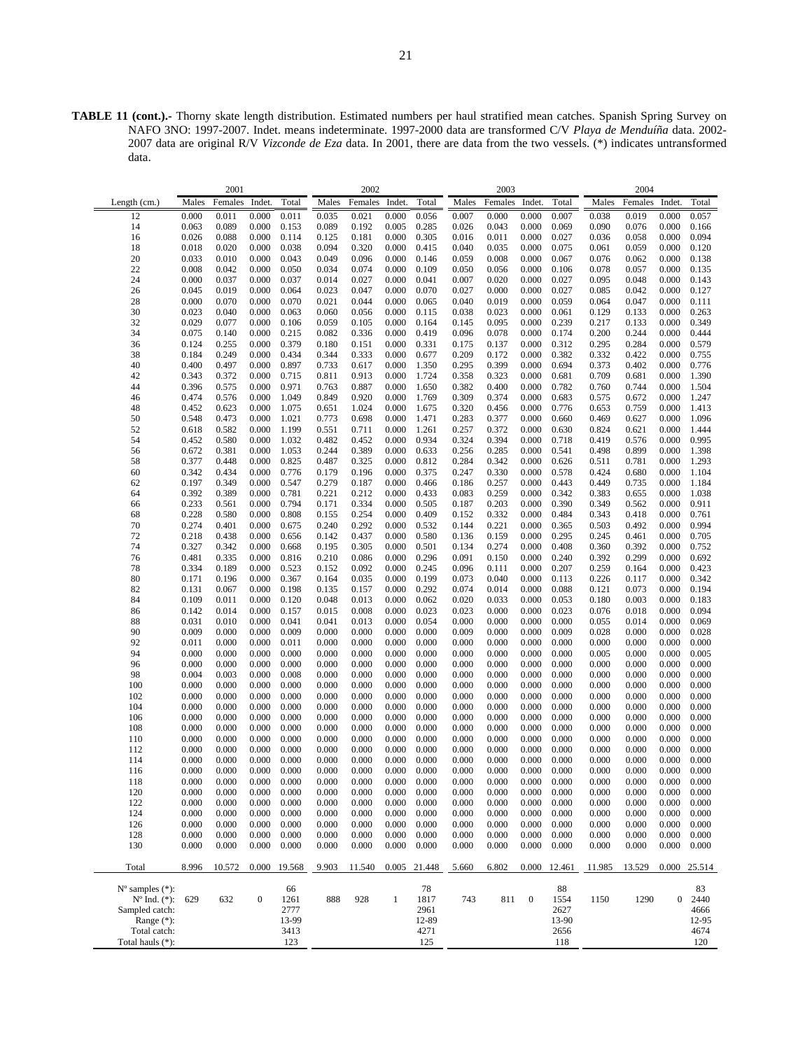**TABLE 11 (cont.).-** Thorny skate length distribution. Estimated numbers per haul stratified mean catches. Spanish Spring Survey on NAFO 3NO: 1997-2007. Indet. means indeterminate. 1997-2000 data are transformed C/V *Playa de Menduíña* data. 2002- 2007 data are original R/V *Vizconde de Eza* data. In 2001, there are data from the two vessels. (\*) indicates untransformed data.

|                             |                | 2001           |                  |                |                | 2002           |                |                |                | 2003           |                  |                |                | 2004           |                |                |
|-----------------------------|----------------|----------------|------------------|----------------|----------------|----------------|----------------|----------------|----------------|----------------|------------------|----------------|----------------|----------------|----------------|----------------|
| Length $(cm.)$              | Males          | Females        | Indet.           | Total          | Males          | Females        | Indet.         | Total          | Males          | Females        | Indet.           | Total          | Males          | Females        | Indet.         | Total          |
| 12                          | 0.000          | 0.011          | 0.000            | 0.011          | 0.035          | 0.021          | 0.000          | 0.056          | 0.007          | 0.000          | 0.000            | 0.007          | 0.038          | 0.019          | 0.000          | 0.057          |
| 14                          | 0.063          | 0.089          | 0.000            | 0.153          | 0.089          | 0.192          | 0.005          | 0.285          | 0.026          | 0.043          | 0.000            | 0.069          | 0.090          | 0.076          | 0.000          | 0.166          |
| 16                          | 0.026          | 0.088          | 0.000            | 0.114          | 0.125          | 0.181          | 0.000          | 0.305          | 0.016          | 0.011          | 0.000            | 0.027          | 0.036          | 0.058          | 0.000          | 0.094          |
| 18                          | 0.018          | 0.020          | 0.000            | 0.038          | 0.094          | 0.320          | 0.000          | 0.415          | 0.040          | 0.035          | 0.000            | 0.075          | 0.061          | 0.059          | 0.000          | 0.120          |
| 20                          | 0.033          | 0.010          | 0.000            | 0.043          | 0.049          | 0.096          | 0.000          | 0.146          | 0.059          | 0.008          | 0.000            | 0.067          | 0.076          | 0.062          | 0.000          | 0.138          |
| 22                          | 0.008          | 0.042          | 0.000            | 0.050          | 0.034          | 0.074          | 0.000          | 0.109          | 0.050          | 0.056          | 0.000            | 0.106          | 0.078          | 0.057          | 0.000          | 0.135          |
| 24                          | 0.000          | 0.037          | 0.000            | 0.037          | 0.014          | 0.027          | 0.000          | 0.041          | 0.007          | 0.020          | 0.000            | 0.027          | 0.095          | 0.048          | 0.000          | 0.143          |
| 26                          | 0.045          | 0.019          | 0.000            | 0.064          | 0.023          | 0.047          | 0.000          | 0.070          | 0.027          | 0.000          | 0.000            | 0.027          | 0.085          | 0.042          | 0.000          | 0.127          |
| 28                          | 0.000          | 0.070          | 0.000            | 0.070          | 0.021          | 0.044          | 0.000          | 0.065          | 0.040          | 0.019          | 0.000            | 0.059          | 0.064          | 0.047          | 0.000          | 0.111          |
| 30                          | 0.023          | 0.040          | 0.000            | 0.063          | 0.060          | 0.056          | 0.000          | 0.115          | 0.038          | 0.023          | 0.000            | 0.061          | 0.129          | 0.133          | 0.000          | 0.263          |
| 32                          | 0.029<br>0.075 | 0.077          | 0.000            | 0.106<br>0.215 | 0.059          | 0.105          | 0.000          | 0.164<br>0.419 | 0.145          | 0.095          | 0.000            | 0.239<br>0.174 | 0.217<br>0.200 | 0.133<br>0.244 | 0.000          | 0.349<br>0.444 |
| 34<br>36                    | 0.124          | 0.140<br>0.255 | 0.000<br>0.000   | 0.379          | 0.082<br>0.180 | 0.336<br>0.151 | 0.000<br>0.000 | 0.331          | 0.096<br>0.175 | 0.078<br>0.137 | 0.000<br>0.000   | 0.312          | 0.295          | 0.284          | 0.000<br>0.000 | 0.579          |
| 38                          | 0.184          | 0.249          | 0.000            | 0.434          | 0.344          | 0.333          | 0.000          | 0.677          | 0.209          | 0.172          | 0.000            | 0.382          | 0.332          | 0.422          | 0.000          | 0.755          |
| 40                          | 0.400          | 0.497          | 0.000            | 0.897          | 0.733          | 0.617          | 0.000          | 1.350          | 0.295          | 0.399          | 0.000            | 0.694          | 0.373          | 0.402          | 0.000          | 0.776          |
| 42                          | 0.343          | 0.372          | 0.000            | 0.715          | 0.811          | 0.913          | 0.000          | 1.724          | 0.358          | 0.323          | 0.000            | 0.681          | 0.709          | 0.681          | 0.000          | 1.390          |
| 44                          | 0.396          | 0.575          | 0.000            | 0.971          | 0.763          | 0.887          | 0.000          | 1.650          | 0.382          | 0.400          | 0.000            | 0.782          | 0.760          | 0.744          | 0.000          | 1.504          |
| 46                          | 0.474          | 0.576          | 0.000            | 1.049          | 0.849          | 0.920          | 0.000          | 1.769          | 0.309          | 0.374          | 0.000            | 0.683          | 0.575          | 0.672          | 0.000          | 1.247          |
| 48                          | 0.452          | 0.623          | 0.000            | 1.075          | 0.651          | 1.024          | 0.000          | 1.675          | 0.320          | 0.456          | 0.000            | 0.776          | 0.653          | 0.759          | 0.000          | 1.413          |
| 50                          | 0.548          | 0.473          | 0.000            | 1.021          | 0.773          | 0.698          | 0.000          | 1.471          | 0.283          | 0.377          | 0.000            | 0.660          | 0.469          | 0.627          | 0.000          | 1.096          |
| 52                          | 0.618          | 0.582          | 0.000            | 1.199          | 0.551          | 0.711          | 0.000          | 1.261          | 0.257          | 0.372          | 0.000            | 0.630          | 0.824          | 0.621          | 0.000          | 1.444          |
| 54                          | 0.452          | 0.580          | 0.000            | 1.032          | 0.482          | 0.452          | 0.000          | 0.934          | 0.324          | 0.394          | 0.000            | 0.718          | 0.419          | 0.576          | 0.000          | 0.995          |
| 56                          | 0.672          | 0.381          | 0.000            | 1.053          | 0.244          | 0.389          | 0.000          | 0.633          | 0.256          | 0.285          | 0.000            | 0.541          | 0.498          | 0.899          | 0.000          | 1.398          |
| 58                          | 0.377          | 0.448          | 0.000            | 0.825          | 0.487          | 0.325          | 0.000          | 0.812          | 0.284          | 0.342          | 0.000            | 0.626          | 0.511          | 0.781          | 0.000          | 1.293          |
| 60                          | 0.342          | 0.434          | 0.000            | 0.776          | 0.179          | 0.196          | 0.000          | 0.375          | 0.247          | 0.330          | 0.000            | 0.578          | 0.424          | 0.680          | 0.000          | 1.104          |
| 62                          | 0.197          | 0.349          | 0.000            | 0.547          | 0.279          | 0.187          | 0.000          | 0.466          | 0.186          | 0.257          | 0.000            | 0.443          | 0.449          | 0.735          | 0.000          | 1.184          |
| 64                          | 0.392          | 0.389          | 0.000            | 0.781          | 0.221          | 0.212          | 0.000          | 0.433          | 0.083          | 0.259          | 0.000            | 0.342          | 0.383          | 0.655          | 0.000          | 1.038          |
| 66                          | 0.233          | 0.561          | 0.000            | 0.794          | 0.171          | 0.334          | 0.000          | 0.505          | 0.187          | 0.203          | 0.000            | 0.390          | 0.349          | 0.562          | 0.000          | 0.911          |
| 68                          | 0.228<br>0.274 | 0.580<br>0.401 | 0.000            | 0.808          | 0.155          | 0.254<br>0.292 | 0.000          | 0.409          | 0.152          | 0.332          | 0.000            | 0.484          | 0.343          | 0.418          | 0.000          | 0.761<br>0.994 |
| 70<br>72                    | 0.218          | 0.438          | 0.000<br>0.000   | 0.675<br>0.656 | 0.240<br>0.142 | 0.437          | 0.000<br>0.000 | 0.532<br>0.580 | 0.144<br>0.136 | 0.221<br>0.159 | 0.000<br>0.000   | 0.365<br>0.295 | 0.503<br>0.245 | 0.492<br>0.461 | 0.000<br>0.000 | 0.705          |
| 74                          | 0.327          | 0.342          | 0.000            | 0.668          | 0.195          | 0.305          | 0.000          | 0.501          | 0.134          | 0.274          | 0.000            | 0.408          | 0.360          | 0.392          | 0.000          | 0.752          |
| 76                          | 0.481          | 0.335          | 0.000            | 0.816          | 0.210          | 0.086          | 0.000          | 0.296          | 0.091          | 0.150          | 0.000            | 0.240          | 0.392          | 0.299          | 0.000          | 0.692          |
| 78                          | 0.334          | 0.189          | 0.000            | 0.523          | 0.152          | 0.092          | 0.000          | 0.245          | 0.096          | 0.111          | 0.000            | 0.207          | 0.259          | 0.164          | 0.000          | 0.423          |
| 80                          | 0.171          | 0.196          | 0.000            | 0.367          | 0.164          | 0.035          | 0.000          | 0.199          | 0.073          | 0.040          | 0.000            | 0.113          | 0.226          | 0.117          | 0.000          | 0.342          |
| 82                          | 0.131          | 0.067          | 0.000            | 0.198          | 0.135          | 0.157          | 0.000          | 0.292          | 0.074          | 0.014          | 0.000            | 0.088          | 0.121          | 0.073          | 0.000          | 0.194          |
| 84                          | 0.109          | 0.011          | 0.000            | 0.120          | 0.048          | 0.013          | 0.000          | 0.062          | 0.020          | 0.033          | 0.000            | 0.053          | 0.180          | 0.003          | 0.000          | 0.183          |
| 86                          | 0.142          | 0.014          | 0.000            | 0.157          | 0.015          | 0.008          | 0.000          | 0.023          | 0.023          | 0.000          | 0.000            | 0.023          | 0.076          | 0.018          | 0.000          | 0.094          |
| 88                          | 0.031          | 0.010          | 0.000            | 0.041          | 0.041          | 0.013          | 0.000          | 0.054          | 0.000          | 0.000          | 0.000            | 0.000          | 0.055          | 0.014          | 0.000          | 0.069          |
| 90                          | 0.009          | 0.000          | 0.000            | 0.009          | 0.000          | 0.000          | 0.000          | 0.000          | 0.009          | 0.000          | 0.000            | 0.009          | 0.028          | 0.000          | 0.000          | 0.028          |
| 92                          | 0.011          | 0.000          | 0.000            | 0.011          | 0.000          | 0.000          | 0.000          | 0.000          | 0.000          | 0.000          | 0.000            | 0.000          | 0.000          | 0.000          | 0.000          | 0.000          |
| 94                          | 0.000          | 0.000          | 0.000            | 0.000          | 0.000          | 0.000          | 0.000          | 0.000          | 0.000          | 0.000          | 0.000            | 0.000          | 0.005          | 0.000          | 0.000          | 0.005          |
| 96                          | 0.000          | 0.000          | 0.000            | 0.000          | 0.000          | 0.000          | 0.000          | 0.000          | 0.000          | 0.000          | 0.000            | 0.000          | 0.000          | 0.000          | 0.000          | 0.000          |
| 98                          | 0.004          | 0.003          | 0.000            | 0.008          | 0.000          | 0.000          | 0.000          | 0.000          | 0.000          | 0.000          | 0.000            | 0.000          | 0.000          | 0.000          | 0.000          | 0.000          |
| 100                         | 0.000          | 0.000          | 0.000            | 0.000          | 0.000          | 0.000          | 0.000          | 0.000          | 0.000          | 0.000          | 0.000            | 0.000          | 0.000          | 0.000          | 0.000          | 0.000          |
| 102                         | 0.000          | 0.000          | 0.000            | 0.000          | 0.000          | 0.000          | 0.000          | 0.000          | 0.000          | 0.000          | 0.000            | 0.000          | 0.000          | 0.000          | 0.000          | 0.000          |
| 104                         | 0.000          | 0.000          | 0.000            | 0.000          | 0.000          | 0.000          | 0.000          | 0.000          | 0.000          | 0.000          | 0.000            | 0.000          | 0.000          | 0.000          | 0.000          | 0.000          |
| 106<br>108                  | 0.000<br>0.000 | 0.000<br>0.000 | 0.000<br>0.000   | 0.000<br>0.000 | 0.000<br>0.000 | 0.000<br>0.000 | 0.000<br>0.000 | 0.000<br>0.000 | 0.000<br>0.000 | 0.000<br>0.000 | 0.000<br>0.000   | 0.000<br>0.000 | 0.000<br>0.000 | 0.000<br>0.000 | 0.000<br>0.000 | 0.000<br>0.000 |
| 110                         | 0.000          | 0.000          | 0.000            | 0.000          | 0.000          | 0.000          | 0.000          | 0.000          | 0.000          | 0.000          | 0.000            | 0.000          | 0.000          | 0.000          | 0.000          | 0.000          |
| 112                         | 0.000          | 0.000          | 0.000            | 0.000          | 0.000          | 0.000          | 0.000          | 0.000          | 0.000          | 0.000          | 0.000            | 0.000          | 0.000          | 0.000          | 0.000          | 0.000          |
| 114                         | 0.000          | 0.000          | 0.000            | 0.000          | 0.000          | 0.000          | 0.000          | 0.000          | 0.000          | 0.000          | 0.000            | 0.000          | 0.000          | 0.000          | 0.000          | 0.000          |
| 116                         | 0.000          | 0.000          | 0.000            | 0.000          | 0.000          | 0.000          | 0.000          | 0.000          | 0.000          | 0.000          | 0.000            | 0.000          | 0.000          | 0.000          | 0.000          | 0.000          |
| 118                         | 0.000          | 0.000          | 0.000            | 0.000          | 0.000          | 0.000          | 0.000          | 0.000          | 0.000          | 0.000          | 0.000            | 0.000          | 0.000          | 0.000          | 0.000          | 0.000          |
| 120                         | 0.000          | 0.000          | 0.000            | 0.000          | 0.000          | 0.000          | 0.000          | 0.000          | 0.000          | 0.000          | 0.000            | 0.000          | 0.000          | 0.000          | 0.000          | 0.000          |
| 122                         | 0.000          | 0.000          | 0.000            | 0.000          | 0.000          | 0.000          | 0.000          | 0.000          | 0.000          | 0.000          | 0.000            | 0.000          | 0.000          | 0.000          | 0.000          | 0.000          |
| 124                         | 0.000          | 0.000          | 0.000            | 0.000          | 0.000          | 0.000          | 0.000          | 0.000          | 0.000          | 0.000          | 0.000            | 0.000          | 0.000          | 0.000          | 0.000          | 0.000          |
| 126                         | 0.000          | 0.000          | 0.000            | 0.000          | 0.000          | 0.000          | 0.000          | 0.000          | 0.000          | 0.000          | 0.000            | 0.000          | 0.000          | 0.000          | 0.000          | 0.000          |
| 128                         | 0.000          | 0.000          | 0.000            | 0.000          | 0.000          | 0.000          | 0.000          | 0.000          | 0.000          | 0.000          | 0.000            | 0.000          | 0.000          | 0.000          | 0.000          | 0.000          |
| 130                         | 0.000          | 0.000          | 0.000            | 0.000          | 0.000          | 0.000          | 0.000          | 0.000          | 0.000          | 0.000          | 0.000            | 0.000          | 0.000          | 0.000          | 0.000          | 0.000          |
| Total                       | 8.996          | 10.572         | 0.000            | 19.568         | 9.903          | 11.540         | 0.005          | 21.448         | 5.660          | 6.802          | 0.000            | 12.461         | 11.985         | 13.529         | 0.000          | 25.514         |
| $N^{\circ}$ samples $(*)$ : |                |                |                  | 66             |                |                |                | 78             |                |                |                  | 88             |                |                |                | 83             |
| $N^{\circ}$ Ind. $(*)$ :    | 629            | 632            | $\boldsymbol{0}$ | 1261           | 888            | 928            | $\mathbf{1}$   | 1817           | 743            | 811            | $\boldsymbol{0}$ | 1554           | 1150           | 1290           | $\overline{0}$ | 2440           |
| Sampled catch:              |                |                |                  | 2777           |                |                |                | 2961           |                |                |                  | 2627           |                |                |                | 4666           |
| Range (*):                  |                |                |                  | 13-99          |                |                |                | 12-89          |                |                |                  | 13-90          |                |                |                | 12-95          |
| Total catch:                |                |                |                  | 3413           |                |                |                | 4271           |                |                |                  | 2656           |                |                |                | 4674           |
| Total hauls (*):            |                |                |                  | 123            |                |                |                | 125            |                |                |                  | 118            |                |                |                | 120            |
|                             |                |                |                  |                |                |                |                |                |                |                |                  |                |                |                |                |                |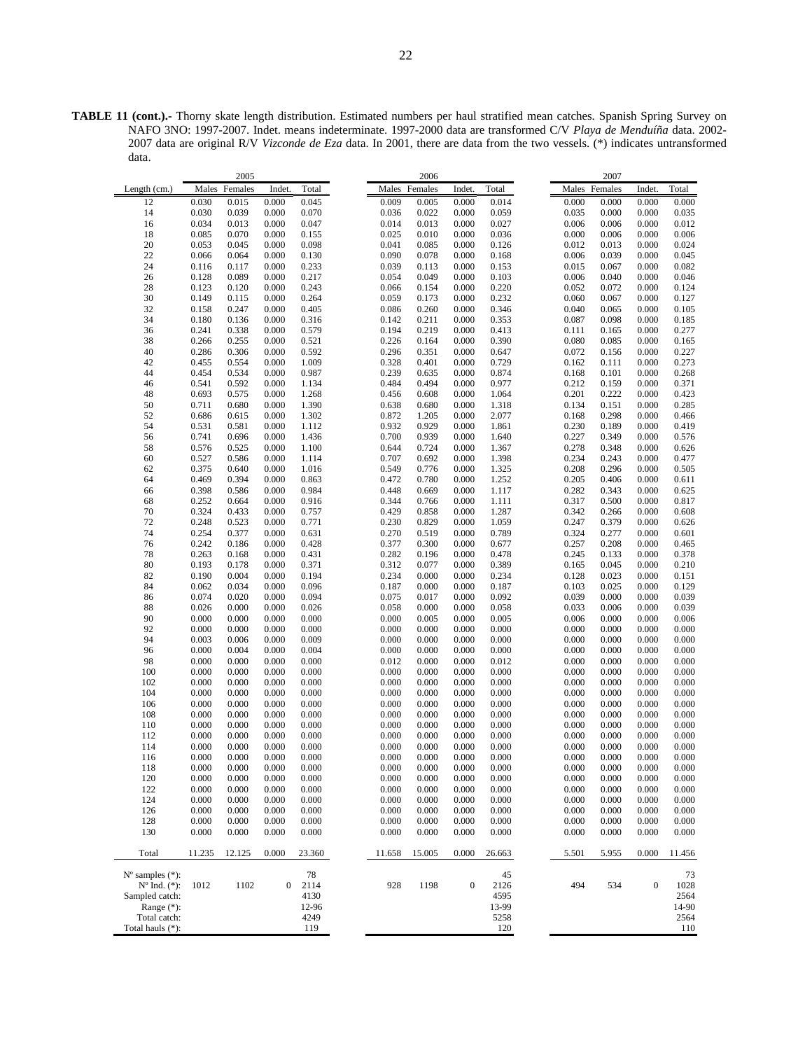**TABLE 11 (cont.).-** Thorny skate length distribution. Estimated numbers per haul stratified mean catches. Spanish Spring Survey on NAFO 3NO: 1997-2007. Indet. means indeterminate. 1997-2000 data are transformed C/V *Playa de Menduíña* data. 2002- 2007 data are original R/V *Vizconde de Eza* data. In 2001, there are data from the two vessels. (\*) indicates untransformed data.

|                                                         |                | 2005           |                  |                |                | 2006           |                  |                |                |     | 2007           |                  |                |
|---------------------------------------------------------|----------------|----------------|------------------|----------------|----------------|----------------|------------------|----------------|----------------|-----|----------------|------------------|----------------|
| Length (cm.)                                            | Males          | Females        | Indet.           | Total          |                | Males Females  | Indet.           | Total          |                |     | Males Females  | Indet.           | Total          |
| 12                                                      | 0.030          | 0.015          | 0.000            | 0.045          | 0.009          | 0.005          | 0.000            | 0.014          | 0.000          |     | 0.000          | 0.000            | 0.000          |
| 14                                                      | 0.030          | 0.039          | 0.000            | 0.070          | 0.036          | 0.022          | 0.000            | 0.059          | 0.035          |     | 0.000          | 0.000            | 0.035          |
| 16                                                      | 0.034          | 0.013          | 0.000            | 0.047          | 0.014          | 0.013          | 0.000            | 0.027          | 0.006          |     | 0.006          | 0.000            | 0.012          |
| 18                                                      | 0.085          | 0.070          | 0.000            | 0.155          | 0.025          | 0.010          | 0.000            | 0.036          | 0.000          |     | 0.006          | 0.000            | 0.006          |
| 20                                                      | 0.053          | 0.045          | 0.000            | 0.098          | 0.041          | 0.085          | 0.000            | 0.126          | 0.012          |     | 0.013          | 0.000            | 0.024          |
| 22                                                      | 0.066          | 0.064          | 0.000            | 0.130          | 0.090          | 0.078          | 0.000            | 0.168          | 0.006          |     | 0.039          | 0.000            | 0.045          |
| 24                                                      | 0.116          | 0.117          | 0.000            | 0.233          | 0.039          | 0.113          | 0.000            | 0.153          | 0.015          |     | 0.067          | 0.000            | 0.082          |
| 26                                                      | 0.128          | 0.089          | 0.000            | 0.217          | 0.054          | 0.049          | 0.000            | 0.103          | 0.006          |     | 0.040          | 0.000            | 0.046          |
| 28                                                      | 0.123          | 0.120          | 0.000            | 0.243          | 0.066          | 0.154          | 0.000            | 0.220          | 0.052          |     | 0.072          | 0.000            | 0.124          |
| 30                                                      | 0.149          | 0.115          | 0.000            | 0.264          | 0.059          | 0.173          | 0.000            | 0.232          | 0.060          |     | 0.067          | 0.000            | 0.127          |
| 32                                                      | 0.158          | 0.247          | 0.000            | 0.405          | 0.086          | 0.260          | 0.000            | 0.346          | 0.040          |     | 0.065          | 0.000            | 0.105          |
| 34<br>36                                                | 0.180<br>0.241 | 0.136<br>0.338 | 0.000            | 0.316<br>0.579 | 0.142<br>0.194 | 0.211<br>0.219 | 0.000            | 0.353<br>0.413 | 0.087          |     | 0.098          | 0.000            | 0.185<br>0.277 |
| 38                                                      | 0.266          | 0.255          | 0.000<br>0.000   | 0.521          | 0.226          | 0.164          | 0.000<br>0.000   | 0.390          | 0.111<br>0.080 |     | 0.165<br>0.085 | 0.000<br>0.000   | 0.165          |
| 40                                                      | 0.286          | 0.306          | 0.000            | 0.592          | 0.296          | 0.351          | 0.000            | 0.647          | 0.072          |     | 0.156          | 0.000            | 0.227          |
| 42                                                      | 0.455          | 0.554          | 0.000            | 1.009          | 0.328          | 0.401          | 0.000            | 0.729          | 0.162          |     | 0.111          | 0.000            | 0.273          |
| 44                                                      | 0.454          | 0.534          | 0.000            | 0.987          | 0.239          | 0.635          | 0.000            | 0.874          | 0.168          |     | 0.101          | 0.000            | 0.268          |
| 46                                                      | 0.541          | 0.592          | 0.000            | 1.134          | 0.484          | 0.494          | 0.000            | 0.977          | 0.212          |     | 0.159          | 0.000            | 0.371          |
| 48                                                      | 0.693          | 0.575          | 0.000            | 1.268          | 0.456          | 0.608          | 0.000            | 1.064          | 0.201          |     | 0.222          | 0.000            | 0.423          |
| 50                                                      | 0.711          | 0.680          | 0.000            | 1.390          | 0.638          | 0.680          | 0.000            | 1.318          | 0.134          |     | 0.151          | 0.000            | 0.285          |
| 52                                                      | 0.686          | 0.615          | 0.000            | 1.302          | 0.872          | 1.205          | 0.000            | 2.077          | 0.168          |     | 0.298          | 0.000            | 0.466          |
| 54                                                      | 0.531          | 0.581          | 0.000            | 1.112          | 0.932          | 0.929          | 0.000            | 1.861          | 0.230          |     | 0.189          | 0.000            | 0.419          |
| 56                                                      | 0.741          | 0.696          | 0.000            | 1.436          | 0.700          | 0.939          | 0.000            | 1.640          | 0.227          |     | 0.349          | 0.000            | 0.576          |
| 58                                                      | 0.576          | 0.525          | 0.000            | 1.100          | 0.644          | 0.724          | 0.000            | 1.367          | 0.278          |     | 0.348          | 0.000            | 0.626          |
| 60                                                      | 0.527          | 0.586          | 0.000            | 1.114          | 0.707          | 0.692          | 0.000            | 1.398          | 0.234          |     | 0.243          | 0.000            | 0.477          |
| 62                                                      | 0.375          | 0.640          | 0.000            | 1.016          | 0.549          | 0.776          | 0.000            | 1.325          | 0.208          |     | 0.296          | 0.000            | 0.505          |
| 64                                                      | 0.469          | 0.394          | 0.000            | 0.863          | 0.472          | 0.780          | 0.000            | 1.252          | 0.205          |     | 0.406          | 0.000            | 0.611          |
| 66                                                      | 0.398          | 0.586          | 0.000            | 0.984          | 0.448          | 0.669          | 0.000            | 1.117          | 0.282          |     | 0.343          | 0.000            | 0.625          |
| 68                                                      | 0.252          | 0.664          | 0.000            | 0.916          | 0.344          | 0.766          | 0.000            | 1.111          | 0.317          |     | 0.500          | 0.000            | 0.817          |
| 70<br>72                                                | 0.324          | 0.433          | 0.000            | 0.757          | 0.429          | 0.858          | 0.000            | 1.287          | 0.342          |     | 0.266          | 0.000            | 0.608          |
| 74                                                      | 0.248<br>0.254 | 0.523<br>0.377 | 0.000<br>0.000   | 0.771<br>0.631 | 0.230<br>0.270 | 0.829<br>0.519 | 0.000<br>0.000   | 1.059<br>0.789 | 0.247<br>0.324 |     | 0.379<br>0.277 | 0.000<br>0.000   | 0.626<br>0.601 |
| 76                                                      | 0.242          | 0.186          | 0.000            | 0.428          | 0.377          | 0.300          | 0.000            | 0.677          | 0.257          |     | 0.208          | 0.000            | 0.465          |
| 78                                                      | 0.263          | 0.168          | 0.000            | 0.431          | 0.282          | 0.196          | 0.000            | 0.478          | 0.245          |     | 0.133          | 0.000            | 0.378          |
| 80                                                      | 0.193          | 0.178          | 0.000            | 0.371          | 0.312          | 0.077          | 0.000            | 0.389          | 0.165          |     | 0.045          | 0.000            | 0.210          |
| 82                                                      | 0.190          | 0.004          | 0.000            | 0.194          | 0.234          | 0.000          | 0.000            | 0.234          | 0.128          |     | 0.023          | 0.000            | 0.151          |
| 84                                                      | 0.062          | 0.034          | 0.000            | 0.096          | 0.187          | 0.000          | 0.000            | 0.187          | 0.103          |     | 0.025          | 0.000            | 0.129          |
| 86                                                      | 0.074          | 0.020          | 0.000            | 0.094          | 0.075          | 0.017          | 0.000            | 0.092          | 0.039          |     | 0.000          | 0.000            | 0.039          |
| 88                                                      | 0.026          | 0.000          | 0.000            | 0.026          | 0.058          | 0.000          | 0.000            | 0.058          | 0.033          |     | 0.006          | 0.000            | 0.039          |
| 90                                                      | 0.000          | 0.000          | 0.000            | 0.000          | 0.000          | 0.005          | 0.000            | 0.005          | 0.006          |     | 0.000          | 0.000            | 0.006          |
| 92                                                      | 0.000          | 0.000          | 0.000            | 0.000          | 0.000          | 0.000          | 0.000            | 0.000          | 0.000          |     | 0.000          | 0.000            | 0.000          |
| 94                                                      | 0.003          | 0.006          | 0.000            | 0.009          | 0.000          | 0.000          | 0.000            | 0.000          | 0.000          |     | 0.000          | 0.000            | 0.000          |
| 96                                                      | 0.000          | 0.004          | 0.000            | 0.004          | 0.000          | 0.000          | 0.000            | 0.000          | 0.000          |     | 0.000          | 0.000            | 0.000          |
| 98                                                      | 0.000          | 0.000          | 0.000            | 0.000          | 0.012          | 0.000          | 0.000            | 0.012          | 0.000          |     | 0.000          | 0.000            | 0.000          |
| 100                                                     | 0.000          | 0.000          | 0.000            | 0.000          | 0.000          | 0.000          | 0.000            | 0.000          | 0.000          |     | 0.000          | 0.000            | 0.000          |
| 102                                                     | 0.000          | 0.000          | 0.000            | 0.000          | 0.000          | 0.000          | 0.000            | 0.000          | 0.000          |     | 0.000          | 0.000            | 0.000          |
| 104                                                     | 0.000          | 0.000          | 0.000            | 0.000          | 0.000          | 0.000          | 0.000            | 0.000          | 0.000          |     | 0.000          | 0.000            | 0.000          |
| 106                                                     | 0.000          | 0.000          | 0.000            | 0.000          | 0.000          | 0.000          | 0.000            | 0.000          | 0.000          |     | 0.000          | 0.000            | 0.000          |
| 108<br>110                                              | 0.000<br>0.000 | 0.000<br>0.000 | 0.000<br>0.000   | 0.000<br>0.000 | 0.000<br>0.000 | 0.000<br>0.000 | 0.000<br>0.000   | 0.000<br>0.000 | 0.000<br>0.000 |     | 0.000<br>0.000 | 0.000<br>0.000   | 0.000<br>0.000 |
| 112                                                     | 0.000          | 0.000          | 0.000            | 0.000          | 0.000          | 0.000          | 0.000            | 0.000          | 0.000          |     | 0.000          | 0.000            | 0.000          |
| 114                                                     | 0.000          | 0.000          | 0.000            | 0.000          | 0.000          | 0.000          | 0.000            | 0.000          | 0.000          |     | 0.000          | 0.000            | 0.000          |
| 116                                                     | 0.000          | 0.000          | 0.000            | 0.000          | 0.000          | 0.000          | 0.000            | 0.000          | 0.000          |     | 0.000          | 0.000            | 0.000          |
| 118                                                     | 0.000          | 0.000          | 0.000            | 0.000          | 0.000          | 0.000          | 0.000            | 0.000          | 0.000          |     | 0.000          | 0.000            | 0.000          |
| 120                                                     | 0.000          | 0.000          | 0.000            | 0.000          | 0.000          | 0.000          | 0.000            | 0.000          | 0.000          |     | 0.000          | 0.000            | 0.000          |
| 122                                                     | 0.000          | 0.000          | 0.000            | 0.000          | 0.000          | 0.000          | 0.000            | 0.000          | 0.000          |     | 0.000          | 0.000            | 0.000          |
| 124                                                     | 0.000          | 0.000          | 0.000            | 0.000          | 0.000          | 0.000          | 0.000            | 0.000          | 0.000          |     | 0.000          | 0.000            | 0.000          |
| 126                                                     | 0.000          | 0.000          | 0.000            | 0.000          | 0.000          | 0.000          | 0.000            | 0.000          | 0.000          |     | 0.000          | 0.000            | 0.000          |
| 128                                                     | 0.000          | 0.000          | 0.000            | 0.000          | 0.000          | 0.000          | 0.000            | 0.000          | 0.000          |     | 0.000          | 0.000            | 0.000          |
| 130                                                     | 0.000          | 0.000          | 0.000            | 0.000          | 0.000          | 0.000          | 0.000            | 0.000          | 0.000          |     | 0.000          | 0.000            | 0.000          |
| Total                                                   | 11.235         | 12.125         | 0.000            | 23.360         | 11.658         | 15.005         | 0.000            | 26.663         | 5.501          |     | 5.955          | 0.000            | 11.456         |
| $N^{\circ}$ samples $(*)$ :<br>$N^{\circ}$ Ind. $(*)$ : | 1012           | 1102           | $\boldsymbol{0}$ | 78<br>2114     | 928            | 1198           | $\boldsymbol{0}$ | 45<br>2126     |                | 494 | 534            | $\boldsymbol{0}$ | 73<br>1028     |
| Sampled catch:<br>Range $(*)$ :                         |                |                |                  | 4130<br>12-96  |                |                |                  | 4595<br>13-99  |                |     |                |                  | 2564<br>14-90  |
| Total catch:                                            |                |                |                  | 4249           |                |                |                  | 5258           |                |     |                |                  | 2564           |
| Total hauls (*):                                        |                |                |                  | 119            |                |                |                  |                |                |     |                |                  |                |
|                                                         |                |                |                  |                |                |                |                  | 120            |                |     |                |                  | 110            |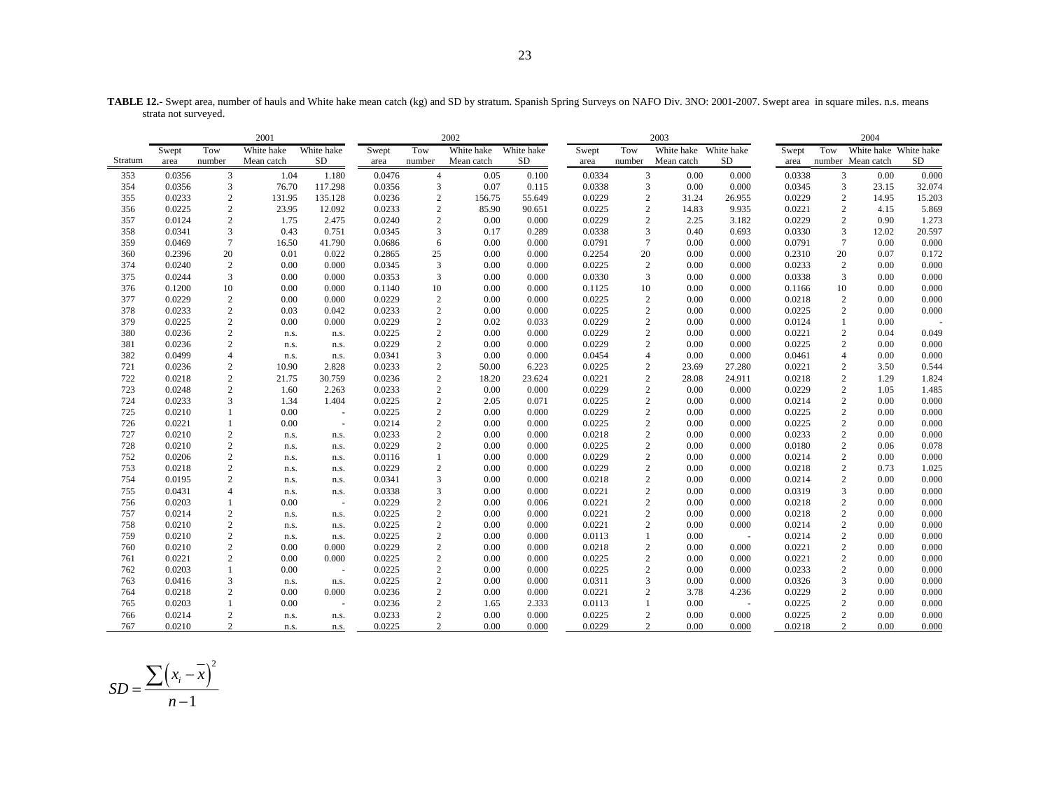**TABLE 12.-** Swept area, number of hauls and White hake mean catch (kg) and SD by stratum. Spanish Spring Surveys on NAFO Div. 3NO: 2001-2007. Swept area in square miles. n.s. means strata not surveyed.

|            | 2001             |                          |              |                                  |                  |                          | 2002         |                |                  |                              | 2003                  |                |                  |                              | 2004                  |                |
|------------|------------------|--------------------------|--------------|----------------------------------|------------------|--------------------------|--------------|----------------|------------------|------------------------------|-----------------------|----------------|------------------|------------------------------|-----------------------|----------------|
|            | Swept            | Tow                      | White hake   | White hake                       | Swept            | Tow                      | White hake   | White hake     | Swept            | Tow                          | White hake White hake |                | Swept            | Tow                          | White hake White hake |                |
| Stratum    | area             | number                   | Mean catch   | SD                               | area             | number                   | Mean catch   | SD.            | area             | number                       | Mean catch            | <b>SD</b>      | area             |                              | number Mean catch     | <b>SD</b>      |
| 353        | 0.0356           | 3                        | 1.04         | 1.180                            | 0.0476           | 4                        | 0.05         | 0.100          | 0.0334           | 3                            | 0.00                  | 0.000          | 0.0338           | 3                            | 0.00                  | 0.000          |
| 354        | 0.0356           | $\mathfrak{Z}$           | 76.70        | 117.298                          | 0.0356           | $\mathfrak{Z}$           | 0.07         | 0.115          | 0.0338           | $\mathfrak{Z}$               | $0.00\,$              | 0.000          | 0.0345           | $\mathfrak{Z}$               | 23.15                 | 32.074         |
| 355        | 0.0233           | $\overline{2}$           | 131.95       | 135.128                          | 0.0236           | $\sqrt{2}$               | 156.75       | 55.649         | 0.0229           | $\overline{2}$               | 31.24                 | 26.955         | 0.0229           | $\sqrt{2}$                   | 14.95                 | 15.203         |
| 356        | 0.0225           | $\mathbf{2}$             | 23.95        | 12.092                           | 0.0233           | $\sqrt{2}$               | 85.90        | 90.651         | 0.0225           | $\overline{2}$               | 14.83                 | 9.935          | 0.0221           | $\mathbf{2}$                 | 4.15                  | 5.869          |
| 357        | 0.0124           | $\sqrt{2}$               | 1.75         | 2.475                            | 0.0240           | $\sqrt{2}$               | 0.00         | 0.000          | 0.0229           | $\overline{2}$               | 2.25                  | 3.182          | 0.0229           | $\sqrt{2}$                   | 0.90                  | 1.273          |
| 358        | 0.0341           | 3                        | 0.43         | 0.751                            | 0.0345           | 3                        | 0.17         | 0.289          | 0.0338           | 3                            | 0.40                  | 0.693          | 0.0330           | 3                            | 12.02                 | 20.597         |
| 359        | 0.0469           | $7\phantom{.0}$          | 16.50        | 41.790                           | 0.0686           | 6                        | 0.00         | 0.000          | 0.0791           | $7\phantom{.0}$              | 0.00                  | 0.000          | 0.0791           | $7\phantom{.0}$              | 0.00                  | 0.000          |
| 360        | 0.2396           | 20                       | 0.01         | 0.022                            | 0.2865           | 25                       | 0.00         | 0.000          | 0.2254           | 20                           | 0.00                  | 0.000          | 0.2310           | 20                           | 0.07                  | 0.172          |
| 374        | 0.0240           | $\overline{2}$           | 0.00         | 0.000                            | 0.0345           | $\mathfrak{Z}$           | 0.00         | 0.000          | 0.0225           | $\overline{2}$               | 0.00                  | 0.000          | 0.0233           | $\overline{c}$               | 0.00                  | 0.000          |
| 375        | 0.0244           | $\mathfrak{Z}$           | 0.00         | 0.000                            | 0.0353           | $\mathfrak{Z}$           | 0.00         | 0.000          | 0.0330           | 3                            | 0.00                  | 0.000          | 0.0338           | $\mathfrak{Z}$               | 0.00                  | 0.000          |
| 376        | 0.1200           | 10                       | 0.00         | 0.000                            | 0.1140           | 10                       | 0.00         | 0.000          | 0.1125           | 10                           | 0.00                  | 0.000          | 0.1166           | 10                           | 0.00                  | 0.000          |
| 377        | 0.0229           | $\overline{2}$           | 0.00         | 0.000                            | 0.0229           | $\sqrt{2}$               | 0.00         | 0.000          | 0.0225           | $\sqrt{2}$                   | 0.00                  | 0.000          | 0.0218           | $\sqrt{2}$                   | 0.00                  | 0.000          |
| 378        | 0.0233           | $\sqrt{2}$               | 0.03         | 0.042                            | 0.0233           | $\sqrt{2}$               | 0.00         | 0.000          | 0.0225           | $\mathbf{2}$                 | 0.00                  | 0.000          | 0.0225           | $\overline{c}$               | 0.00                  | 0.000          |
| 379        | 0.0225           | $\sqrt{2}$               | 0.00         | 0.000                            | 0.0229           | $\sqrt{2}$               | 0.02         | 0.033          | 0.0229           | $\sqrt{2}$                   | 0.00                  | 0.000          | 0.0124           | $\mathbf{1}$                 | 0.00                  |                |
| 380        | 0.0236           | $\mathbf{2}$             | n.s.         | n.s.                             | 0.0225           | $\sqrt{2}$               | 0.00         | 0.000          | 0.0229           | $\mathbf{2}$                 | 0.00                  | 0.000          | 0.0221           | $\sqrt{2}$                   | 0.04                  | 0.049          |
| 381        | 0.0236           | $\sqrt{2}$               | n.s.         | n.s.                             | 0.0229           | $\sqrt{2}$               | 0.00         | 0.000          | 0.0229           | $\overline{2}$               | 0.00                  | 0.000          | 0.0225           | $\sqrt{2}$                   | 0.00                  | 0.000          |
| 382        | 0.0499           | $\overline{4}$           | n.s.         | n.s.                             | 0.0341           | 3                        | 0.00         | 0.000          | 0.0454           | $\overline{4}$               | 0.00                  | 0.000          | 0.0461           | $\overline{4}$               | 0.00                  | 0.000          |
| 721        | 0.0236           | $\boldsymbol{2}$         | 10.90        | 2.828                            | 0.0233           | $\sqrt{2}$               | 50.00        | 6.223          | 0.0225           | $\sqrt{2}$                   | 23.69                 | 27.280         | 0.0221           | $\overline{c}$               | 3.50                  | 0.544          |
| 722        | 0.0218           | $\sqrt{2}$               | 21.75        | 30.759                           | 0.0236           | $\sqrt{2}$               | 18.20        | 23.624         | 0.0221           | $\sqrt{2}$                   | 28.08                 | 24.911         | 0.0218           | $\sqrt{2}$                   | 1.29                  | 1.824          |
| 723        | 0.0248           | $\mathbf{2}$             | 1.60         | 2.263                            | 0.0233           | $\sqrt{2}$               | 0.00         | 0.000          | 0.0229           | $\overline{c}$               | 0.00                  | 0.000          | 0.0229           | $\sqrt{2}$                   | 1.05                  | 1.485          |
| 724        | 0.0233           | 3                        | 1.34         | 1.404                            | 0.0225           | $\sqrt{2}$               | 2.05         | 0.071          | 0.0225           | $\sqrt{2}$                   | 0.00                  | 0.000          | 0.0214           | $\overline{c}$               | 0.00                  | 0.000          |
| 725        | 0.0210           |                          | 0.00         | $\sim$                           | 0.0225           | $\sqrt{2}$               | 0.00         | 0.000          | 0.0229           | $\sqrt{2}$                   | 0.00                  | 0.000          | 0.0225           | $\sqrt{2}$                   | 0.00                  | 0.000          |
| 726        | 0.0221           | -1                       | 0.00         | $\sim$                           | 0.0214           | $\sqrt{2}$               | 0.00         | 0.000          | 0.0225           | $\overline{2}$               | 0.00                  | 0.000          | 0.0225           | $\sqrt{2}$                   | 0.00                  | 0.000          |
| 727<br>728 | 0.0210<br>0.0210 | $\overline{2}$           | n.s.         | n.s.                             | 0.0233           | $\sqrt{2}$<br>$\sqrt{2}$ | 0.00<br>0.00 | 0.000<br>0.000 | 0.0218<br>0.0225 | $\sqrt{2}$<br>$\overline{2}$ | 0.00<br>0.00          | 0.000<br>0.000 | 0.0233<br>0.0180 | $\sqrt{2}$<br>$\sqrt{2}$     | 0.00<br>0.06          | 0.000<br>0.078 |
| 752        | 0.0206           | $\sqrt{2}$               | n.s.         | n.s.                             | 0.0229<br>0.0116 | $\mathbf{1}$             |              |                | 0.0229           | $\overline{2}$               | 0.00                  |                |                  | $\sqrt{2}$                   | 0.00                  |                |
| 753        | 0.0218           | $\sqrt{2}$<br>$\sqrt{2}$ | n.s.         | n.s.                             | 0.0229           |                          | 0.00<br>0.00 | 0.000<br>0.000 | 0.0229           | $\sqrt{2}$                   | 0.00                  | 0.000<br>0.000 | 0.0214<br>0.0218 |                              | 0.73                  | 0.000<br>1.025 |
| 754        | 0.0195           | $\overline{2}$           | n.s.<br>n.s. | n.s.<br>n.s.                     | 0.0341           | $\sqrt{2}$<br>3          | 0.00         | 0.000          | 0.0218           | $\mathbf{2}$                 | 0.00                  | 0.000          | 0.0214           | $\sqrt{2}$<br>$\overline{2}$ | 0.00                  | 0.000          |
| 755        | 0.0431           | $\overline{4}$           |              |                                  | 0.0338           | $\mathfrak{Z}$           | 0.00         | 0.000          | 0.0221           | $\sqrt{2}$                   | 0.00                  | 0.000          | 0.0319           | $\overline{3}$               | 0.00                  | 0.000          |
| 756        | 0.0203           |                          | n.s.<br>0.00 | n.s.<br>$\overline{\phantom{a}}$ | 0.0229           | $\sqrt{2}$               | 0.00         | 0.006          | 0.0221           | $\overline{2}$               | 0.00                  | 0.000          | 0.0218           | $\sqrt{2}$                   | 0.00                  | 0.000          |
| 757        | 0.0214           | $\overline{2}$           | n.s.         | n.s.                             | 0.0225           | $\sqrt{2}$               | 0.00         | 0.000          | 0.0221           | $\mathbf{2}$                 | 0.00                  | 0.000          | 0.0218           | $\mathbf{2}$                 | 0.00                  | 0.000          |
| 758        | 0.0210           | $\sqrt{2}$               | n.s.         | n.s.                             | 0.0225           | $\sqrt{2}$               | 0.00         | 0.000          | 0.0221           | $\overline{2}$               | 0.00                  | 0.000          | 0.0214           | $\sqrt{2}$                   | 0.00                  | 0.000          |
| 759        | 0.0210           | $\overline{2}$           | n.s.         | n.s.                             | 0.0225           | $\sqrt{2}$               | 0.00         | 0.000          | 0.0113           | $\mathbf{1}$                 | 0.00                  | $\sim$ $\sim$  | 0.0214           | $\sqrt{2}$                   | 0.00                  | 0.000          |
| 760        | 0.0210           | $\mathbf{2}$             | 0.00         | 0.000                            | 0.0229           | $\sqrt{2}$               | 0.00         | 0.000          | 0.0218           | $\overline{2}$               | 0.00                  | 0.000          | 0.0221           | $\sqrt{2}$                   | 0.00                  | 0.000          |
| 761        | 0.0221           | $\overline{2}$           | 0.00         | 0.000                            | 0.0225           | $\sqrt{2}$               | 0.00         | 0.000          | 0.0225           | $\overline{2}$               | 0.00                  | 0.000          | 0.0221           | $\overline{c}$               | 0.00                  | 0.000          |
| 762        | 0.0203           |                          | 0.00         | $\sim$                           | 0.0225           | $\sqrt{2}$               | 0.00         | 0.000          | 0.0225           | $\overline{2}$               | 0.00                  | 0.000          | 0.0233           | $\mathbf{2}$                 | 0.00                  | 0.000          |
| 763        | 0.0416           | 3                        | n.s.         | n.s.                             | 0.0225           | $\sqrt{2}$               | 0.00         | 0.000          | 0.0311           | 3                            | 0.00                  | 0.000          | 0.0326           | 3                            | 0.00                  | 0.000          |
| 764        | 0.0218           | $\sqrt{2}$               | 0.00         | 0.000                            | 0.0236           | $\sqrt{2}$               | 0.00         | 0.000          | 0.0221           | $\overline{2}$               | 3.78                  | 4.236          | 0.0229           | $\sqrt{2}$                   | 0.00                  | 0.000          |
| 765        | 0.0203           |                          | 0.00         | $\overline{\phantom{a}}$         | 0.0236           | $\sqrt{2}$               | 1.65         | 2.333          | 0.0113           | $\mathbf{1}$                 | 0.00                  | $\sim$         | 0.0225           | 2                            | 0.00                  | 0.000          |
| 766        | 0.0214           | $\overline{c}$           | n.s.         | n.s.                             | 0.0233           | $\sqrt{2}$               | 0.00         | 0.000          | 0.0225           | $\mathbf{2}$                 | 0.00                  | 0.000          | 0.0225           | $\sqrt{2}$                   | 0.00                  | 0.000          |
| 767        | 0.0210           | $\overline{2}$           | n.s.         | n.s.                             | 0.0225           | $\overline{2}$           | 0.00         | 0.000          | 0.0229           | $\overline{c}$               | 0.00                  | 0.000          | 0.0218           | $\overline{c}$               | 0.00                  | 0.000          |

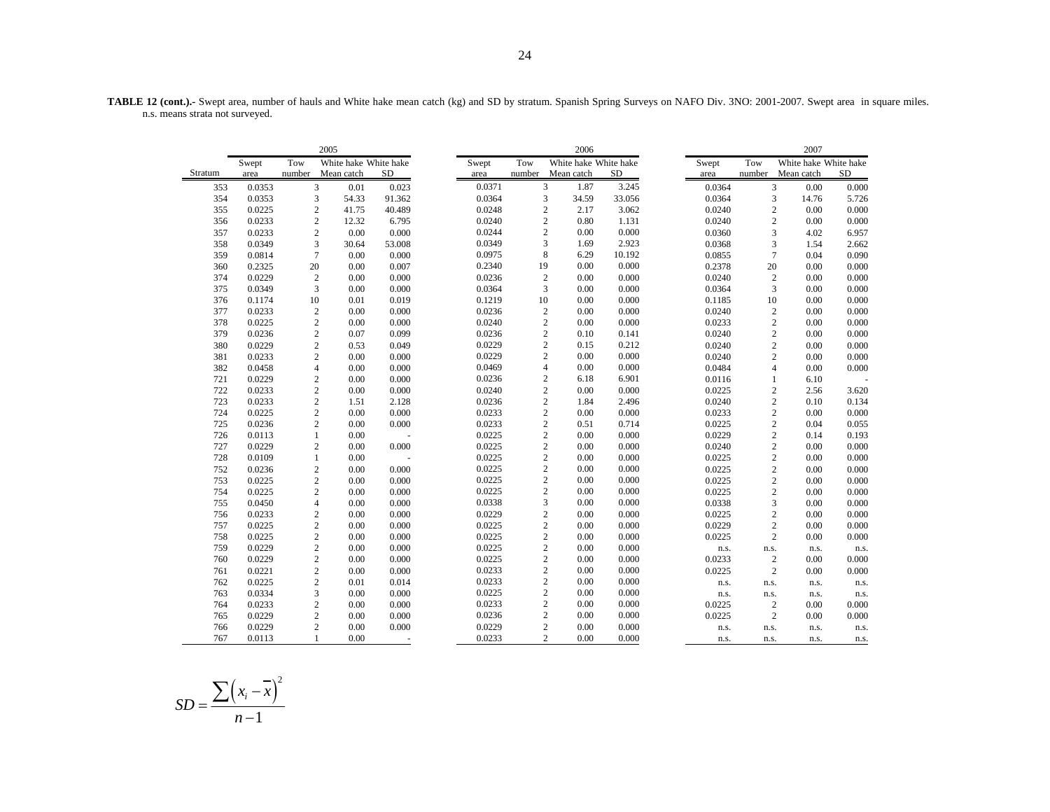**TABLE 12 (cont.).-** Swept area, number of hauls and White hake mean catch (kg) and SD by stratum. Spanish Spring Surveys on NAFO Div. 3NO: 2001-2007. Swept area in square miles. n.s. means strata not surveyed.

|         |        |        | 2005                    |           |        |                | 2006                  |           |        |                | 2007                  |           |
|---------|--------|--------|-------------------------|-----------|--------|----------------|-----------------------|-----------|--------|----------------|-----------------------|-----------|
|         | Swept  | Tow    | White hake White hake   |           | Swept  | Tow            | White hake White hake |           | Swept  | Tow            | White hake White hake |           |
| Stratum | area   | number | Mean catch              | <b>SD</b> | area   | number         | Mean catch            | <b>SD</b> | area   | number         | Mean catch            | <b>SD</b> |
| 353     | 0.0353 |        | 3<br>0.01               | 0.023     | 0.0371 | 3              | 1.87                  | 3.245     | 0.0364 | $\overline{3}$ | 0.00                  | 0.000     |
| 354     | 0.0353 |        | 3<br>54.33              | 91.362    | 0.0364 | 3              | 34.59                 | 33.056    | 0.0364 | 3              | 14.76                 | 5.726     |
| 355     | 0.0225 |        | $\mathbf{2}$<br>41.75   | 40.489    | 0.0248 | $\mathfrak{2}$ | 2.17                  | 3.062     | 0.0240 | $\mathfrak{2}$ | 0.00                  | 0.000     |
| 356     | 0.0233 |        | $\overline{c}$<br>12.32 | 6.795     | 0.0240 | $\overline{2}$ | 0.80                  | 1.131     | 0.0240 | $\overline{c}$ | 0.00                  | 0.000     |
| 357     | 0.0233 |        | $\mathbf{2}$<br>0.00    | 0.000     | 0.0244 | $\mathfrak{2}$ | 0.00                  | 0.000     | 0.0360 | 3              | 4.02                  | 6.957     |
| 358     | 0.0349 |        | 3<br>30.64              | 53.008    | 0.0349 | 3              | 1.69                  | 2.923     | 0.0368 | 3              | 1.54                  | 2.662     |
| 359     | 0.0814 |        | $\overline{7}$<br>0.00  | 0.000     | 0.0975 | 8              | 6.29                  | 10.192    | 0.0855 | $\overline{7}$ | 0.04                  | 0.090     |
| 360     | 0.2325 | 20     | 0.00                    | 0.007     | 0.2340 | 19             | 0.00                  | 0.000     | 0.2378 | 20             | 0.00                  | 0.000     |
| 374     | 0.0229 |        | $\overline{2}$<br>0.00  | 0.000     | 0.0236 | $\sqrt{2}$     | 0.00                  | 0.000     | 0.0240 | $\mathfrak{2}$ | 0.00                  | 0.000     |
| 375     | 0.0349 |        | 3<br>0.00               | 0.000     | 0.0364 | 3              | 0.00                  | 0.000     | 0.0364 | 3              | 0.00                  | 0.000     |
| 376     | 0.1174 | 10     | 0.01                    | 0.019     | 0.1219 | 10             | 0.00                  | 0.000     | 0.1185 | 10             | 0.00                  | 0.000     |
| 377     | 0.0233 |        | $\overline{c}$<br>0.00  | 0.000     | 0.0236 | $\sqrt{2}$     | 0.00                  | 0.000     | 0.0240 | $\sqrt{2}$     | 0.00                  | 0.000     |
| 378     | 0.0225 |        | $\sqrt{2}$<br>0.00      | 0.000     | 0.0240 | $\sqrt{2}$     | 0.00                  | 0.000     | 0.0233 | $\mathbf{2}$   | 0.00                  | 0.000     |
| 379     | 0.0236 |        | $\overline{c}$<br>0.07  | 0.099     | 0.0236 | $\overline{c}$ | 0.10                  | 0.141     | 0.0240 | $\overline{c}$ | 0.00                  | 0.000     |
| 380     | 0.0229 |        | $\overline{c}$<br>0.53  | 0.049     | 0.0229 | $\mathfrak{2}$ | 0.15                  | 0.212     | 0.0240 | $\mathbf{2}$   | 0.00                  | 0.000     |
| 381     | 0.0233 |        | $\overline{c}$<br>0.00  | 0.000     | 0.0229 | $\mathfrak{2}$ | 0.00                  | 0.000     | 0.0240 | $\overline{c}$ | 0.00                  | 0.000     |
| 382     | 0.0458 |        | $\overline{4}$<br>0.00  | 0.000     | 0.0469 | $\overline{4}$ | 0.00                  | 0.000     | 0.0484 | $\overline{4}$ | 0.00                  | 0.000     |
| 721     | 0.0229 |        | $\overline{c}$<br>0.00  | 0.000     | 0.0236 | $\mathfrak{2}$ | 6.18                  | 6.901     | 0.0116 | $\mathbf{1}$   | 6.10                  |           |
| 722     | 0.0233 |        | $\overline{c}$<br>0.00  | 0.000     | 0.0240 | $\sqrt{2}$     | 0.00                  | 0.000     | 0.0225 | $\mathfrak{2}$ | 2.56                  | 3.620     |
| 723     | 0.0233 |        | $\sqrt{2}$<br>1.51      | 2.128     | 0.0236 | $\sqrt{2}$     | 1.84                  | 2.496     | 0.0240 | $\overline{c}$ | 0.10                  | 0.134     |
| 724     | 0.0225 |        | $\mathbf{2}$<br>0.00    | 0.000     | 0.0233 | $\overline{c}$ | 0.00                  | 0.000     | 0.0233 | $\overline{c}$ | 0.00                  | 0.000     |
| 725     | 0.0236 |        | $\overline{c}$<br>0.00  | 0.000     | 0.0233 | $\overline{c}$ | 0.51                  | 0.714     | 0.0225 | $\mathbf{2}$   | 0.04                  | 0.055     |
| 726     | 0.0113 |        | $\mathbf{1}$<br>0.00    |           | 0.0225 | $\mathbf{2}$   | 0.00                  | 0.000     | 0.0229 | $\overline{c}$ | 0.14                  | 0.193     |
| 727     | 0.0229 |        | $\overline{c}$<br>0.00  | 0.000     | 0.0225 | $\mathbf{2}$   | 0.00                  | 0.000     | 0.0240 | $\overline{c}$ | 0.00                  | 0.000     |
| 728     | 0.0109 |        | 0.00<br>$\mathbf{1}$    |           | 0.0225 | $\overline{c}$ | 0.00                  | 0.000     | 0.0225 | $\sqrt{2}$     | 0.00                  | 0.000     |
| 752     | 0.0236 |        | $\sqrt{2}$<br>0.00      | 0.000     | 0.0225 | $\sqrt{2}$     | 0.00                  | 0.000     | 0.0225 | $\mathbf{2}$   | 0.00                  | 0.000     |
| 753     | 0.0225 |        | $\overline{c}$<br>0.00  | 0.000     | 0.0225 | $\mathbf{2}$   | 0.00                  | 0.000     | 0.0225 | $\overline{c}$ | 0.00                  | 0.000     |
| 754     | 0.0225 |        | $\overline{c}$<br>0.00  | 0.000     | 0.0225 | $\mathbf{2}$   | 0.00                  | 0.000     | 0.0225 | $\mathbf{2}$   | 0.00                  | 0.000     |
| 755     | 0.0450 |        | 0.00<br>$\overline{4}$  | 0.000     | 0.0338 | 3              | 0.00                  | 0.000     | 0.0338 | 3              | 0.00                  | 0.000     |
| 756     | 0.0233 |        | $\overline{c}$<br>0.00  | 0.000     | 0.0229 | $\overline{2}$ | 0.00                  | 0.000     | 0.0225 | $\overline{c}$ | 0.00                  | 0.000     |
| 757     | 0.0225 |        | $\overline{c}$<br>0.00  | 0.000     | 0.0225 | $\mathbf{2}$   | 0.00                  | 0.000     | 0.0229 | $\overline{c}$ | 0.00                  | 0.000     |
| 758     | 0.0225 |        | 0.00<br>$\overline{c}$  | 0.000     | 0.0225 | $\sqrt{2}$     | 0.00                  | 0.000     | 0.0225 | $\overline{c}$ | 0.00                  | 0.000     |
| 759     | 0.0229 |        | $\sqrt{2}$<br>0.00      | 0.000     | 0.0225 | $\mathbf{2}$   | 0.00                  | 0.000     | n.s.   | n.s.           | n.s.                  | n.s.      |
| 760     | 0.0229 |        | $\overline{c}$<br>0.00  | 0.000     | 0.0225 | $\mathbf{2}$   | 0.00                  | 0.000     | 0.0233 | $\mathbf{2}$   | 0.00                  | 0.000     |
| 761     | 0.0221 |        | $\overline{c}$<br>0.00  | 0.000     | 0.0233 | $\overline{c}$ | 0.00                  | 0.000     | 0.0225 | $\overline{c}$ | 0.00                  | 0.000     |
| 762     | 0.0225 |        | $\overline{c}$<br>0.01  | 0.014     | 0.0233 | $\mathbf{2}$   | 0.00                  | 0.000     | n.s.   | n.s.           | n.s.                  | n.s.      |
| 763     | 0.0334 |        | 3<br>0.00               | 0.000     | 0.0225 | $\overline{c}$ | 0.00                  | 0.000     | n.s.   | n.s.           | n.s.                  | n.s.      |
| 764     | 0.0233 |        | $\overline{c}$<br>0.00  | 0.000     | 0.0233 | 2              | 0.00                  | 0.000     | 0.0225 | $\sqrt{2}$     | 0.00                  | 0.000     |
| 765     | 0.0229 |        | $\mathbf{2}$<br>0.00    | 0.000     | 0.0236 | $\sqrt{2}$     | 0.00                  | 0.000     | 0.0225 | $\overline{2}$ | 0.00                  | 0.000     |
| 766     | 0.0229 |        | $\overline{c}$<br>0.00  | 0.000     | 0.0229 | $\mathbf{2}$   | 0.00                  | 0.000     | n.s.   | n.s.           | n.s.                  | n.s.      |
| 767     | 0.0113 |        | 0.00                    |           | 0.0233 | $\overline{c}$ | 0.00                  | 0.000     | n.s.   | n.s.           | n.s.                  | n.s.      |

$$
SD = \frac{\sum (x_i - \overline{x})^2}{n - 1}
$$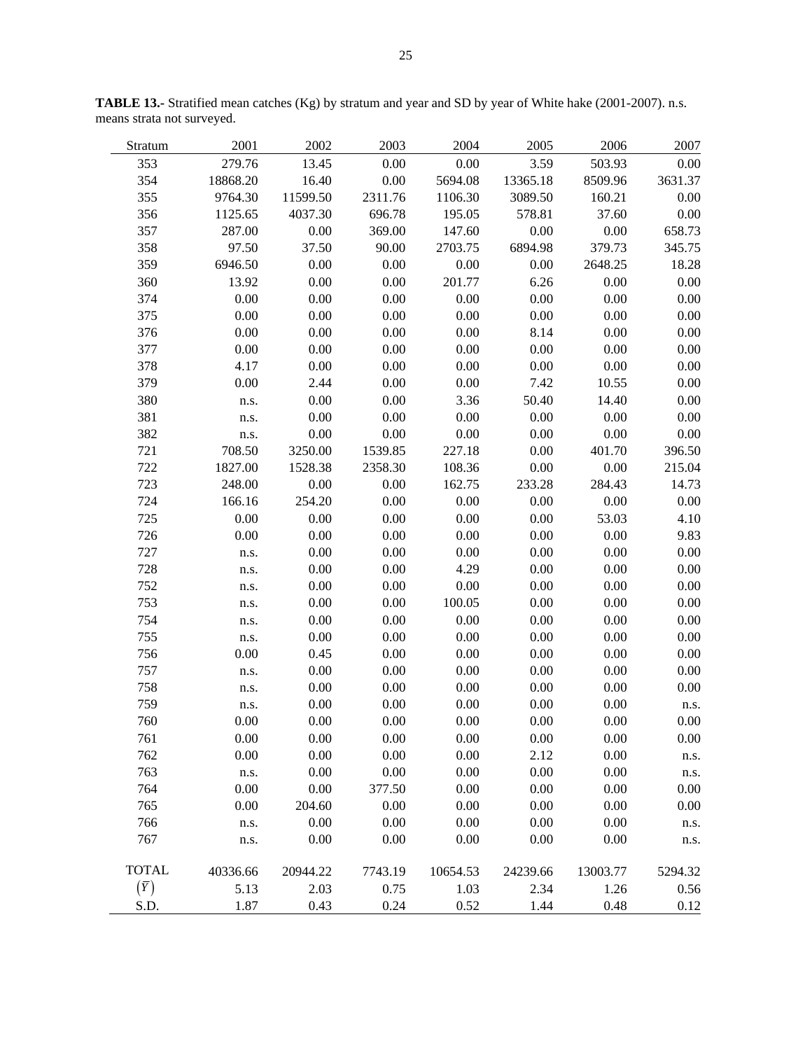| Stratum      | 2001     | 2002     | 2003    | 2004     | 2005     | 2006     | 2007    |
|--------------|----------|----------|---------|----------|----------|----------|---------|
| 353          | 279.76   | 13.45    | 0.00    | 0.00     | 3.59     | 503.93   | 0.00    |
| 354          | 18868.20 | 16.40    | 0.00    | 5694.08  | 13365.18 | 8509.96  | 3631.37 |
| 355          | 9764.30  | 11599.50 | 2311.76 | 1106.30  | 3089.50  | 160.21   | 0.00    |
| 356          | 1125.65  | 4037.30  | 696.78  | 195.05   | 578.81   | 37.60    | 0.00    |
| 357          | 287.00   | 0.00     | 369.00  | 147.60   | 0.00     | 0.00     | 658.73  |
| 358          | 97.50    | 37.50    | 90.00   | 2703.75  | 6894.98  | 379.73   | 345.75  |
| 359          | 6946.50  | 0.00     | 0.00    | 0.00     | 0.00     | 2648.25  | 18.28   |
| 360          | 13.92    | 0.00     | 0.00    | 201.77   | 6.26     | 0.00     | 0.00    |
| 374          | 0.00     | 0.00     | 0.00    | 0.00     | 0.00     | 0.00     | 0.00    |
| 375          | 0.00     | 0.00     | 0.00    | 0.00     | 0.00     | 0.00     | 0.00    |
| 376          | 0.00     | 0.00     | 0.00    | 0.00     | 8.14     | 0.00     | 0.00    |
| 377          | 0.00     | 0.00     | 0.00    | 0.00     | 0.00     | 0.00     | 0.00    |
| 378          | 4.17     | 0.00     | 0.00    | 0.00     | 0.00     | 0.00     | 0.00    |
| 379          | 0.00     | 2.44     | 0.00    | 0.00     | 7.42     | 10.55    | 0.00    |
| 380          | n.s.     | 0.00     | 0.00    | 3.36     | 50.40    | 14.40    | 0.00    |
| 381          | n.s.     | 0.00     | 0.00    | 0.00     | 0.00     | 0.00     | 0.00    |
| 382          | n.s.     | 0.00     | 0.00    | 0.00     | 0.00     | 0.00     | 0.00    |
| 721          | 708.50   | 3250.00  | 1539.85 | 227.18   | 0.00     | 401.70   | 396.50  |
| 722          | 1827.00  | 1528.38  | 2358.30 | 108.36   | 0.00     | 0.00     | 215.04  |
| 723          | 248.00   | 0.00     | 0.00    | 162.75   | 233.28   | 284.43   | 14.73   |
| 724          | 166.16   | 254.20   | 0.00    | 0.00     | 0.00     | 0.00     | 0.00    |
| 725          | 0.00     | 0.00     | 0.00    | 0.00     | 0.00     | 53.03    | 4.10    |
| 726          | 0.00     | 0.00     | 0.00    | 0.00     | 0.00     | 0.00     | 9.83    |
| 727          | n.s.     | 0.00     | 0.00    | 0.00     | 0.00     | 0.00     | 0.00    |
| 728          | n.s.     | 0.00     | 0.00    | 4.29     | 0.00     | 0.00     | 0.00    |
| 752          | n.s.     | 0.00     | 0.00    | 0.00     | 0.00     | 0.00     | 0.00    |
| 753          | n.s.     | 0.00     | 0.00    | 100.05   | 0.00     | 0.00     | 0.00    |
| 754          | n.s.     | 0.00     | 0.00    | 0.00     | 0.00     | 0.00     | 0.00    |
| 755          | n.s.     | 0.00     | 0.00    | 0.00     | 0.00     | 0.00     | 0.00    |
| 756          | 0.00     | 0.45     | 0.00    | 0.00     | 0.00     | 0.00     | 0.00    |
| 757          | n.s.     | 0.00     | 0.00    | 0.00     | 0.00     | 0.00     | 0.00    |
| 758          | n.s.     | 0.00     | 0.00    | 0.00     | 0.00     | 0.00     | 0.00    |
| 759          | n.s.     | 0.00     | 0.00    | 0.00     | 0.00     | 0.00     | n.s.    |
| 760          | 0.00     | 0.00     | 0.00    | 0.00     | 0.00     | 0.00     | 0.00    |
| 761          | 0.00     | 0.00     | 0.00    | 0.00     | 0.00     | 0.00     | 0.00    |
| 762          | 0.00     | 0.00     | 0.00    | 0.00     | 2.12     | 0.00     | n.s.    |
| 763          | n.s.     | 0.00     | 0.00    | 0.00     | 0.00     | 0.00     | n.s.    |
| 764          | 0.00     | 0.00     | 377.50  | 0.00     | 0.00     | 0.00     | 0.00    |
| 765          | 0.00     | 204.60   | 0.00    | 0.00     | 0.00     | 0.00     | 0.00    |
| 766          | n.s.     | 0.00     | 0.00    | 0.00     | 0.00     | 0.00     | n.s.    |
| 767          | n.s.     | 0.00     | 0.00    | 0.00     | 0.00     | 0.00     | n.s.    |
|              |          |          |         |          |          |          |         |
| <b>TOTAL</b> | 40336.66 | 20944.22 | 7743.19 | 10654.53 | 24239.66 | 13003.77 | 5294.32 |
| $(\bar{Y})$  | 5.13     | 2.03     | 0.75    | 1.03     | 2.34     | 1.26     | 0.56    |
| S.D.         | 1.87     | 0.43     | 0.24    | 0.52     | 1.44     | 0.48     | 0.12    |

**TABLE 13.-** Stratified mean catches (Kg) by stratum and year and SD by year of White hake (2001-2007). n.s. means strata not surveyed.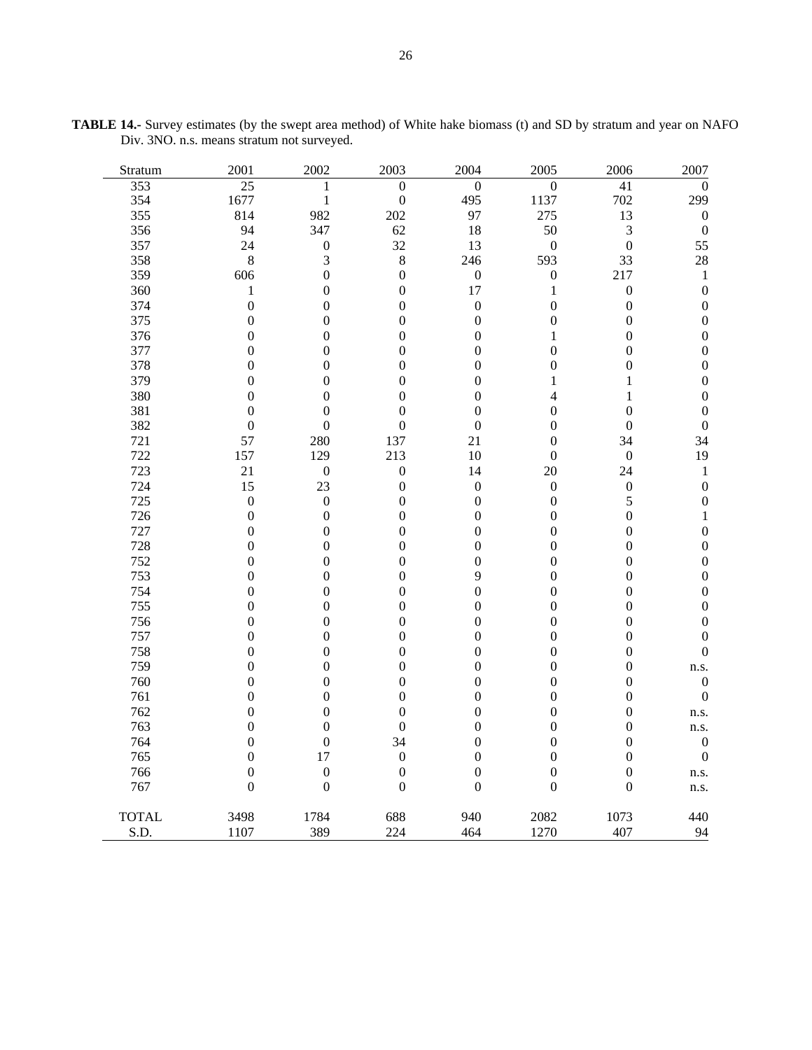| Stratum      | 2001             | 2002             | 2003             | 2004             | 2005             | 2006             | 2007             |
|--------------|------------------|------------------|------------------|------------------|------------------|------------------|------------------|
| 353          | 25               | 1                | $\boldsymbol{0}$ | $\boldsymbol{0}$ | $\boldsymbol{0}$ | 41               | $\theta$         |
| 354          | 1677             | $\mathbf{1}$     | $\boldsymbol{0}$ | 495              | 1137             | 702              | 299              |
| 355          | 814              | 982              | 202              | 97               | 275              | 13               | $\boldsymbol{0}$ |
| 356          | 94               | 347              | 62               | 18               | 50               | 3                | $\boldsymbol{0}$ |
| 357          | 24               | $\boldsymbol{0}$ | 32               | 13               | $\boldsymbol{0}$ | $\boldsymbol{0}$ | 55               |
| 358          | $\,8\,$          | $\mathfrak{Z}$   | $\,8\,$          | 246              | 593              | 33               | 28               |
| 359          | 606              | $\boldsymbol{0}$ | $\boldsymbol{0}$ | $\boldsymbol{0}$ | $\boldsymbol{0}$ | 217              | $\mathbf{1}$     |
| 360          | $\,1$            | $\boldsymbol{0}$ | $\boldsymbol{0}$ | 17               | $\mathbf{1}$     | $\boldsymbol{0}$ | $\boldsymbol{0}$ |
| 374          | $\mathbf{0}$     | $\boldsymbol{0}$ | $\boldsymbol{0}$ | $\boldsymbol{0}$ | $\boldsymbol{0}$ | $\boldsymbol{0}$ | $\boldsymbol{0}$ |
| 375          | $\boldsymbol{0}$ | $\boldsymbol{0}$ | $\boldsymbol{0}$ | $\boldsymbol{0}$ | $\boldsymbol{0}$ | $\boldsymbol{0}$ | $\boldsymbol{0}$ |
| 376          | $\boldsymbol{0}$ | $\boldsymbol{0}$ | $\boldsymbol{0}$ | $\boldsymbol{0}$ | $\mathbf{1}$     | $\boldsymbol{0}$ | 0                |
| 377          | $\boldsymbol{0}$ | $\boldsymbol{0}$ | $\boldsymbol{0}$ | $\boldsymbol{0}$ | $\boldsymbol{0}$ | $\boldsymbol{0}$ | $\boldsymbol{0}$ |
| 378          | $\mathbf{0}$     | $\boldsymbol{0}$ | $\boldsymbol{0}$ | $\boldsymbol{0}$ | $\boldsymbol{0}$ | $\boldsymbol{0}$ | $\boldsymbol{0}$ |
| 379          | $\mathbf{0}$     | $\boldsymbol{0}$ | $\boldsymbol{0}$ | $\boldsymbol{0}$ | $\mathbf{1}$     | $\mathbf{1}$     | $\boldsymbol{0}$ |
| 380          | $\boldsymbol{0}$ | $\boldsymbol{0}$ | $\boldsymbol{0}$ | $\boldsymbol{0}$ | $\overline{4}$   | $\mathbf{1}$     | $\boldsymbol{0}$ |
| 381          | $\overline{0}$   | $\boldsymbol{0}$ | $\overline{0}$   | $\boldsymbol{0}$ | $\boldsymbol{0}$ | $\boldsymbol{0}$ | $\boldsymbol{0}$ |
| 382          | $\boldsymbol{0}$ | $\boldsymbol{0}$ | $\boldsymbol{0}$ | $\boldsymbol{0}$ | $\boldsymbol{0}$ | $\boldsymbol{0}$ | $\boldsymbol{0}$ |
| 721          | 57               | 280              | 137              | 21               | $\boldsymbol{0}$ | 34               | 34               |
| 722          | 157              | 129              | 213              | 10               | $\boldsymbol{0}$ | $\boldsymbol{0}$ | 19               |
| 723          | 21               | $\boldsymbol{0}$ | $\boldsymbol{0}$ | 14               | 20               | 24               | $\mathbf{1}$     |
| 724          | 15               | 23               | $\boldsymbol{0}$ | $\boldsymbol{0}$ | $\boldsymbol{0}$ | $\boldsymbol{0}$ | $\boldsymbol{0}$ |
| 725          | $\boldsymbol{0}$ | $\boldsymbol{0}$ | $\boldsymbol{0}$ | $\boldsymbol{0}$ | $\boldsymbol{0}$ | 5                | $\boldsymbol{0}$ |
| 726          | $\boldsymbol{0}$ | $\boldsymbol{0}$ | $\boldsymbol{0}$ | $\boldsymbol{0}$ | $\boldsymbol{0}$ | $\boldsymbol{0}$ | $\mathbf{1}$     |
| 727          | $\boldsymbol{0}$ | $\boldsymbol{0}$ | $\boldsymbol{0}$ | $\boldsymbol{0}$ | $\boldsymbol{0}$ | $\boldsymbol{0}$ | $\boldsymbol{0}$ |
| 728          | $\boldsymbol{0}$ | $\boldsymbol{0}$ | $\boldsymbol{0}$ | $\boldsymbol{0}$ | $\boldsymbol{0}$ | $\boldsymbol{0}$ | $\boldsymbol{0}$ |
| 752          | $\boldsymbol{0}$ | $\boldsymbol{0}$ | $\boldsymbol{0}$ | $\boldsymbol{0}$ | $\boldsymbol{0}$ | $\boldsymbol{0}$ | $\boldsymbol{0}$ |
| 753          | $\boldsymbol{0}$ | $\boldsymbol{0}$ | $\boldsymbol{0}$ | 9                | $\boldsymbol{0}$ | $\boldsymbol{0}$ | $\boldsymbol{0}$ |
| 754          | $\mathbf{0}$     | $\boldsymbol{0}$ | $\boldsymbol{0}$ | $\boldsymbol{0}$ | $\boldsymbol{0}$ | $\boldsymbol{0}$ | $\boldsymbol{0}$ |
| 755          | $\overline{0}$   | $\boldsymbol{0}$ | $\boldsymbol{0}$ | $\boldsymbol{0}$ | $\boldsymbol{0}$ | $\boldsymbol{0}$ | $\boldsymbol{0}$ |
| 756          | $\boldsymbol{0}$ | $\boldsymbol{0}$ | $\boldsymbol{0}$ | $\boldsymbol{0}$ | $\boldsymbol{0}$ | $\boldsymbol{0}$ | 0                |
| 757          | $\mathbf{0}$     | $\boldsymbol{0}$ | $\boldsymbol{0}$ | $\boldsymbol{0}$ | $\boldsymbol{0}$ | $\boldsymbol{0}$ | $\overline{0}$   |
| 758          | $\mathbf{0}$     | $\boldsymbol{0}$ | $\boldsymbol{0}$ | $\boldsymbol{0}$ | $\boldsymbol{0}$ | $\boldsymbol{0}$ | $\mathbf{0}$     |
| 759          | $\boldsymbol{0}$ | $\boldsymbol{0}$ | $\boldsymbol{0}$ | $\boldsymbol{0}$ | $\boldsymbol{0}$ | $\boldsymbol{0}$ | n.s.             |
| 760          | $\boldsymbol{0}$ | $\boldsymbol{0}$ | $\boldsymbol{0}$ | $\boldsymbol{0}$ | $\boldsymbol{0}$ | $\boldsymbol{0}$ | $\boldsymbol{0}$ |
| 761          | $\mathbf{0}$     | $\boldsymbol{0}$ | $\overline{0}$   | $\boldsymbol{0}$ | $\mathbf{0}$     | $\boldsymbol{0}$ | $\boldsymbol{0}$ |
| 762          | $\boldsymbol{0}$ | $\boldsymbol{0}$ | $\boldsymbol{0}$ | $\boldsymbol{0}$ | $\boldsymbol{0}$ | $\boldsymbol{0}$ | n.s.             |
| 763          | $\boldsymbol{0}$ | $\boldsymbol{0}$ | $\boldsymbol{0}$ | $\boldsymbol{0}$ | $\boldsymbol{0}$ | $\boldsymbol{0}$ | n.s.             |
| 764          | $\boldsymbol{0}$ | $\boldsymbol{0}$ | 34               | $\boldsymbol{0}$ | $\boldsymbol{0}$ | $\boldsymbol{0}$ | $\boldsymbol{0}$ |
| 765          | $\mathbf{0}$     | 17               | $\boldsymbol{0}$ | $\boldsymbol{0}$ | $\boldsymbol{0}$ | $\boldsymbol{0}$ | $\boldsymbol{0}$ |
| 766          | $\boldsymbol{0}$ | $\boldsymbol{0}$ | $\boldsymbol{0}$ | $\boldsymbol{0}$ | $\boldsymbol{0}$ | $\boldsymbol{0}$ | n.s.             |
| 767          | $\boldsymbol{0}$ | $\boldsymbol{0}$ | $\overline{0}$   | $\boldsymbol{0}$ | $\boldsymbol{0}$ | $\boldsymbol{0}$ | n.s.             |
| <b>TOTAL</b> | 3498             | 1784             | 688              | 940              | 2082             | 1073             | 440              |
| S.D.         | 1107             | 389              | 224              | 464              | 1270             | 407              | 94               |

**TABLE 14.-** Survey estimates (by the swept area method) of White hake biomass (t) and SD by stratum and year on NAFO Div. 3NO. n.s. means stratum not surveyed.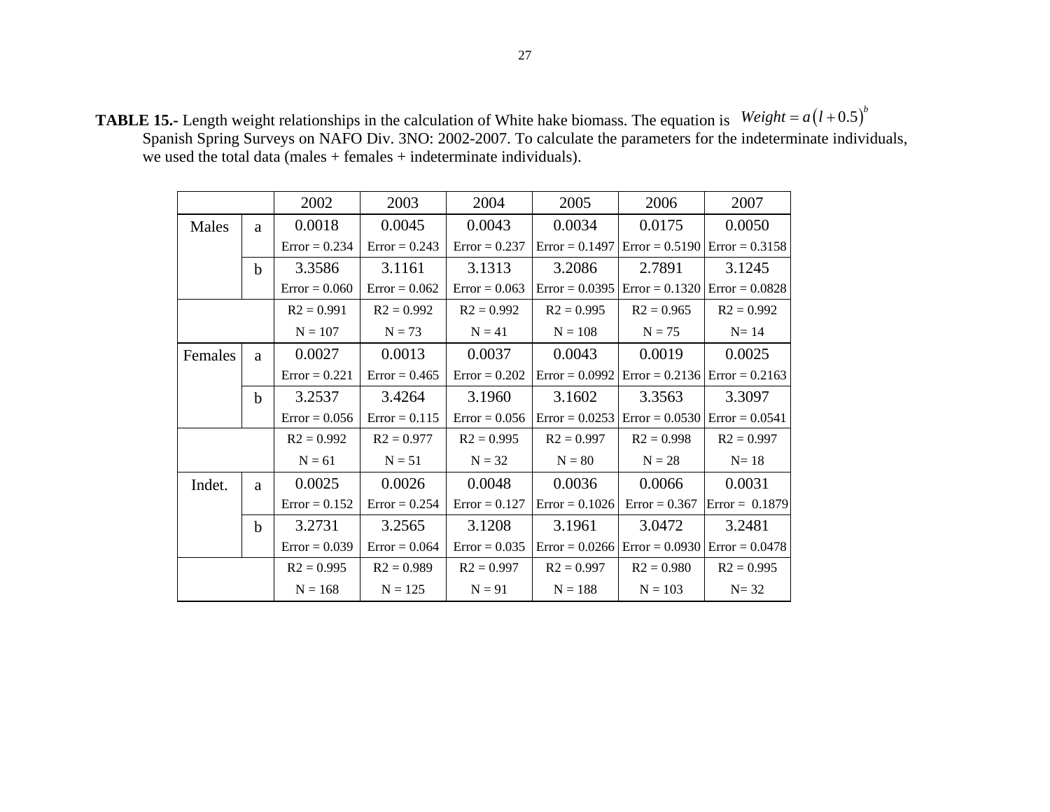**TABLE 15.-** Length weight relationships in the calculation of White hake biomass. The equation is Spanish Spring Surveys on NAFO Div. 3NO: 2002-2007. To calculate the parameters for the indeterminate individuals, we used the total data (males + females + indeterminate individuals).  $Weight = a(l + 0.5)^b$ 

|         |             | 2002            | 2003            | 2004            | 2005             | 2006                                               | 2007             |
|---------|-------------|-----------------|-----------------|-----------------|------------------|----------------------------------------------------|------------------|
| Males   | a           | 0.0018          | 0.0045          | 0.0043          | 0.0034           | 0.0175                                             | 0.0050           |
|         |             | $Error = 0.234$ | $Error = 0.243$ | $Error = 0.237$ |                  | $Error = 0.1497$ $Error = 0.5190$ $Error = 0.3158$ |                  |
|         | $\mathbf b$ | 3.3586          | 3.1161          | 3.1313          | 3.2086           | 2.7891                                             | 3.1245           |
|         |             | $Error = 0.060$ | $Error = 0.062$ | $Error = 0.063$ | $Error = 0.0395$ | $Error = 0.1320$                                   | $Error = 0.0828$ |
|         |             | $R2 = 0.991$    | $R2 = 0.992$    | $R2 = 0.992$    | $R2 = 0.995$     | $R2 = 0.965$                                       | $R2 = 0.992$     |
|         |             | $N = 107$       | $N = 73$        | $N = 41$        | $N = 108$        | $N = 75$                                           | $N=14$           |
| Females | a           | 0.0027          | 0.0013          | 0.0037          | 0.0043           | 0.0019                                             | 0.0025           |
|         |             | $Error = 0.221$ | $Error = 0.465$ | $Error = 0.202$ |                  | $Error = 0.0992$ $Error = 0.2136$ $Error = 0.2163$ |                  |
|         | $\mathbf b$ | 3.2537          | 3.4264          | 3.1960          | 3.1602           | 3.3563                                             | 3.3097           |
|         |             | $Error = 0.056$ | $Error = 0.115$ | $Error = 0.056$ |                  | $Error = 0.0253$ $Error = 0.0530$ $Error = 0.0541$ |                  |
|         |             | $R2 = 0.992$    | $R2 = 0.977$    | $R2 = 0.995$    | $R2 = 0.997$     | $R2 = 0.998$                                       | $R2 = 0.997$     |
|         |             | $N = 61$        | $N = 51$        | $N = 32$        | $N = 80$         | $N = 28$                                           | $N=18$           |
| Indet.  | a           | 0.0025          | 0.0026          | 0.0048          | 0.0036           | 0.0066                                             | 0.0031           |
|         |             | $Error = 0.152$ | $Error = 0.254$ | $Error = 0.127$ | $Error = 0.1026$ | $Error = 0.367$                                    | $Error = 0.1879$ |
|         | $\mathbf b$ | 3.2731          | 3.2565          | 3.1208          | 3.1961           | 3.0472                                             | 3.2481           |
|         |             | $Error = 0.039$ | $Error = 0.064$ | $Error = 0.035$ |                  | $Error = 0.0266$ $Error = 0.0930$ $Error = 0.0478$ |                  |
|         |             | $R2 = 0.995$    | $R2 = 0.989$    | $R2 = 0.997$    | $R2 = 0.997$     | $R2 = 0.980$                                       | $R2 = 0.995$     |
|         |             | $N = 168$       | $N = 125$       | $N = 91$        | $N = 188$        | $N = 103$                                          | $N = 32$         |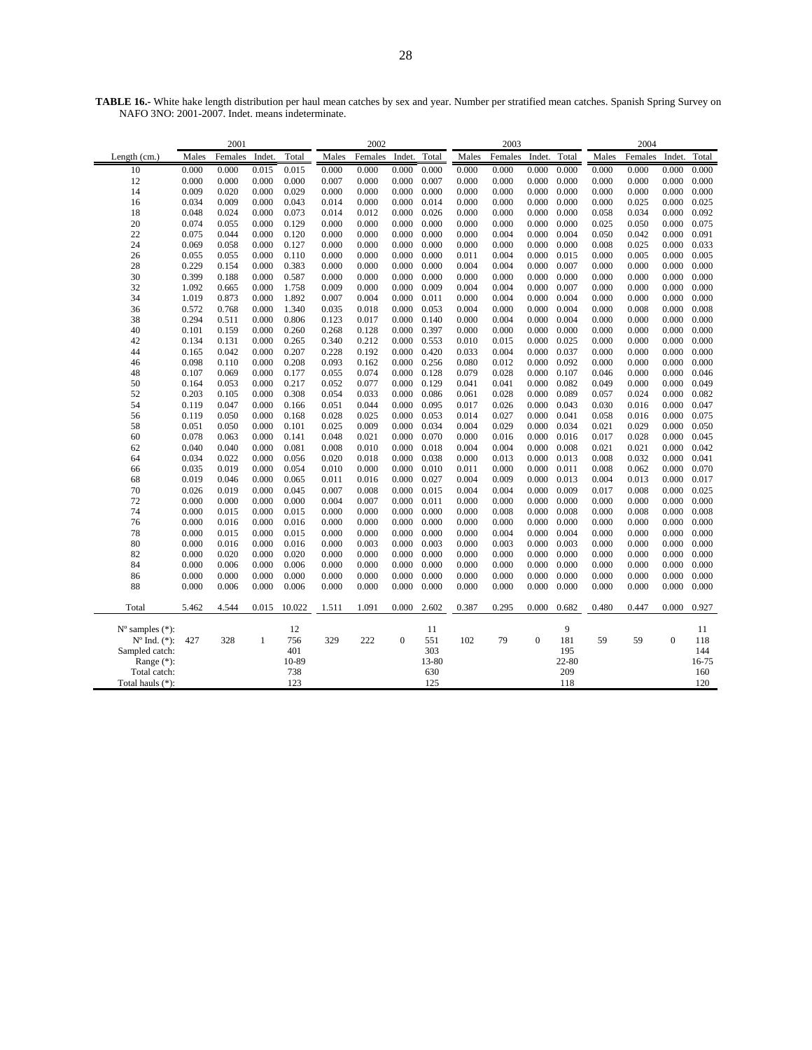**TABLE 16.-** White hake length distribution per haul mean catches by sex and year. Number per stratified mean catches. Spanish Spring Survey on NAFO 3NO: 2001-2007. Indet. means indeterminate.

|                             | 2001  |         |        |        | 2002  |         |                     |       | 2003  |         |                  |       | 2004  |         |              |       |
|-----------------------------|-------|---------|--------|--------|-------|---------|---------------------|-------|-------|---------|------------------|-------|-------|---------|--------------|-------|
| Length (cm.)                | Males | Females | Indet. | Total  | Males | Females | Indet.              | Total | Males | Females | Indet.           | Total | Males | Females | Indet.       | Total |
| 10                          | 0.000 | 0.000   | 0.015  | 0.015  | 0.000 | 0.000   | 0.000               | 0.000 | 0.000 | 0.000   | 0.000            | 0.000 | 0.000 | 0.000   | 0.000        | 0.000 |
| 12                          | 0.000 | 0.000   | 0.000  | 0.000  | 0.007 | 0.000   | 0.000               | 0.007 | 0.000 | 0.000   | 0.000            | 0.000 | 0.000 | 0.000   | 0.000        | 0.000 |
| 14                          | 0.009 | 0.020   | 0.000  | 0.029  | 0.000 | 0.000   | 0.000               | 0.000 | 0.000 | 0.000   | 0.000            | 0.000 | 0.000 | 0.000   | 0.000        | 0.000 |
| 16                          | 0.034 | 0.009   | 0.000  | 0.043  | 0.014 | 0.000   | 0.000               | 0.014 | 0.000 | 0.000   | 0.000            | 0.000 | 0.000 | 0.025   | 0.000        | 0.025 |
| 18                          | 0.048 | 0.024   | 0.000  | 0.073  | 0.014 | 0.012   | 0.000               | 0.026 | 0.000 | 0.000   | 0.000            | 0.000 | 0.058 | 0.034   | 0.000        | 0.092 |
| 20                          | 0.074 | 0.055   | 0.000  | 0.129  | 0.000 | 0.000   | 0.000               | 0.000 | 0.000 | 0.000   | 0.000            | 0.000 | 0.025 | 0.050   | 0.000        | 0.075 |
| 22                          | 0.075 | 0.044   | 0.000  | 0.120  | 0.000 | 0.000   | 0.000               | 0.000 | 0.000 | 0.004   | 0.000            | 0.004 | 0.050 | 0.042   | 0.000        | 0.091 |
| 24                          | 0.069 | 0.058   | 0.000  | 0.127  | 0.000 | 0.000   | 0.000               | 0.000 | 0.000 | 0.000   | 0.000            | 0.000 | 0.008 | 0.025   | 0.000        | 0.033 |
| 26                          | 0.055 | 0.055   | 0.000  | 0.110  | 0.000 | 0.000   | 0.000               | 0.000 | 0.011 | 0.004   | 0.000            | 0.015 | 0.000 | 0.005   | 0.000        | 0.005 |
| 28                          | 0.229 | 0.154   | 0.000  | 0.383  | 0.000 | 0.000   | 0.000               | 0.000 | 0.004 | 0.004   | 0.000            | 0.007 | 0.000 | 0.000   | 0.000        | 0.000 |
| 30                          | 0.399 | 0.188   | 0.000  | 0.587  | 0.000 | 0.000   | 0.000               | 0.000 | 0.000 | 0.000   | 0.000            | 0.000 | 0.000 | 0.000   | 0.000        | 0.000 |
| 32                          | 1.092 | 0.665   | 0.000  | 1.758  | 0.009 | 0.000   | 0.000               | 0.009 | 0.004 | 0.004   | 0.000            | 0.007 | 0.000 | 0.000   | 0.000        | 0.000 |
| 34                          | 1.019 | 0.873   | 0.000  | 1.892  | 0.007 | 0.004   | 0.000               | 0.011 | 0.000 | 0.004   | 0.000            | 0.004 | 0.000 | 0.000   | 0.000        | 0.000 |
| 36                          | 0.572 | 0.768   | 0.000  | 1.340  | 0.035 | 0.018   | 0.000               | 0.053 | 0.004 | 0.000   | 0.000            | 0.004 | 0.000 | 0.008   | 0.000        | 0.008 |
| 38                          | 0.294 | 0.511   | 0.000  | 0.806  | 0.123 | 0.017   | 0.000               | 0.140 | 0.000 | 0.004   | 0.000            | 0.004 | 0.000 | 0.000   | 0.000        | 0.000 |
| 40                          | 0.101 | 0.159   | 0.000  | 0.260  | 0.268 | 0.128   | 0.000               | 0.397 | 0.000 | 0.000   | 0.000            | 0.000 | 0.000 | 0.000   | 0.000        | 0.000 |
| 42                          | 0.134 | 0.131   | 0.000  | 0.265  | 0.340 | 0.212   | 0.000               | 0.553 | 0.010 | 0.015   | 0.000            | 0.025 | 0.000 | 0.000   | 0.000        | 0.000 |
| 44                          | 0.165 | 0.042   | 0.000  | 0.207  | 0.228 | 0.192   | $0.000 \quad 0.420$ |       | 0.033 | 0.004   | 0.000            | 0.037 | 0.000 | 0.000   | 0.000        | 0.000 |
| 46                          | 0.098 | 0.110   | 0.000  | 0.208  | 0.093 | 0.162   | 0.000               | 0.256 | 0.080 | 0.012   | 0.000            | 0.092 | 0.000 | 0.000   | 0.000        | 0.000 |
| 48                          | 0.107 | 0.069   | 0.000  | 0.177  | 0.055 | 0.074   | 0.000               | 0.128 | 0.079 | 0.028   | 0.000            | 0.107 | 0.046 | 0.000   | 0.000        | 0.046 |
| 50                          | 0.164 | 0.053   | 0.000  | 0.217  | 0.052 | 0.077   | 0.000               | 0.129 | 0.041 | 0.041   | 0.000            | 0.082 | 0.049 | 0.000   | 0.000        | 0.049 |
| 52                          | 0.203 | 0.105   | 0.000  | 0.308  | 0.054 | 0.033   | 0.000               | 0.086 | 0.061 | 0.028   | 0.000            | 0.089 | 0.057 | 0.024   | 0.000        | 0.082 |
| 54                          | 0.119 | 0.047   | 0.000  | 0.166  | 0.051 | 0.044   | 0.000               | 0.095 | 0.017 | 0.026   | 0.000            | 0.043 | 0.030 | 0.016   | 0.000        | 0.047 |
| 56                          | 0.119 | 0.050   | 0.000  | 0.168  | 0.028 | 0.025   | 0.000               | 0.053 | 0.014 | 0.027   | 0.000            | 0.041 | 0.058 | 0.016   | 0.000        | 0.075 |
| 58                          | 0.051 | 0.050   | 0.000  | 0.101  | 0.025 | 0.009   | 0.000               | 0.034 | 0.004 | 0.029   | 0.000            | 0.034 | 0.021 | 0.029   | 0.000        | 0.050 |
| 60                          | 0.078 | 0.063   | 0.000  | 0.141  | 0.048 | 0.021   | 0.000               | 0.070 | 0.000 | 0.016   | 0.000            | 0.016 | 0.017 | 0.028   | 0.000        | 0.045 |
| 62                          | 0.040 | 0.040   | 0.000  | 0.081  | 0.008 | 0.010   | 0.000               | 0.018 | 0.004 | 0.004   | 0.000            | 0.008 | 0.021 | 0.021   | 0.000        | 0.042 |
| 64                          | 0.034 | 0.022   | 0.000  | 0.056  | 0.020 | 0.018   | 0.000               | 0.038 | 0.000 | 0.013   | 0.000            | 0.013 | 0.008 | 0.032   | 0.000        | 0.041 |
| 66                          | 0.035 | 0.019   | 0.000  | 0.054  | 0.010 | 0.000   | 0.000               | 0.010 | 0.011 | 0.000   | 0.000            | 0.011 | 0.008 | 0.062   | 0.000        | 0.070 |
| 68                          | 0.019 | 0.046   | 0.000  | 0.065  | 0.011 | 0.016   | 0.000               | 0.027 | 0.004 | 0.009   | 0.000            | 0.013 | 0.004 | 0.013   | 0.000        | 0.017 |
| 70                          | 0.026 | 0.019   | 0.000  | 0.045  | 0.007 | 0.008   | 0.000               | 0.015 | 0.004 | 0.004   | 0.000            | 0.009 | 0.017 | 0.008   | 0.000        | 0.025 |
| 72                          | 0.000 | 0.000   | 0.000  | 0.000  | 0.004 | 0.007   | 0.000               | 0.011 | 0.000 | 0.000   | 0.000            | 0.000 | 0.000 | 0.000   | 0.000        | 0.000 |
| 74                          | 0.000 | 0.015   | 0.000  | 0.015  | 0.000 | 0.000   | 0.000               | 0.000 | 0.000 | 0.008   | 0.000            | 0.008 | 0.000 | 0.008   | 0.000        | 0.008 |
| 76                          | 0.000 | 0.016   | 0.000  | 0.016  | 0.000 | 0.000   | 0.000               | 0.000 | 0.000 | 0.000   | 0.000            | 0.000 | 0.000 | 0.000   | 0.000        | 0.000 |
| 78                          | 0.000 | 0.015   | 0.000  | 0.015  | 0.000 | 0.000   | 0.000               | 0.000 | 0.000 | 0.004   | 0.000            | 0.004 | 0.000 | 0.000   | 0.000        | 0.000 |
| 80                          | 0.000 | 0.016   | 0.000  | 0.016  | 0.000 | 0.003   | 0.000               | 0.003 | 0.000 | 0.003   | 0.000            | 0.003 | 0.000 | 0.000   | 0.000        | 0.000 |
| 82                          | 0.000 | 0.020   | 0.000  | 0.020  | 0.000 | 0.000   | 0.000               | 0.000 | 0.000 | 0.000   | 0.000            | 0.000 | 0.000 | 0.000   | 0.000        | 0.000 |
| 84                          | 0.000 | 0.006   | 0.000  | 0.006  | 0.000 | 0.000   | 0.000               | 0.000 | 0.000 | 0.000   | 0.000            | 0.000 | 0.000 | 0.000   | 0.000        | 0.000 |
| 86                          | 0.000 | 0.000   | 0.000  | 0.000  | 0.000 | 0.000   | 0.000               | 0.000 | 0.000 | 0.000   | 0.000            | 0.000 | 0.000 | 0.000   | 0.000        | 0.000 |
| 88                          | 0.000 | 0.006   | 0.000  | 0.006  | 0.000 | 0.000   | 0.000               | 0.000 | 0.000 | 0.000   | 0.000            | 0.000 | 0.000 | 0.000   | 0.000        | 0.000 |
| Total                       | 5.462 | 4.544   | 0.015  | 10.022 | 1.511 | 1.091   | 0.000               | 2.602 | 0.387 | 0.295   | 0.000            | 0.682 | 0.480 | 0.447   | 0.000        | 0.927 |
| $N^{\circ}$ samples $(*)$ : |       |         |        | 12     |       |         |                     | 11    |       |         |                  | 9     |       |         |              | 11    |
| $N^{\circ}$ Ind. $(*)$ :    | 427   | 328     | 1      | 756    | 329   | 222     | $\mathbf{0}$        | 551   | 102   | 79      | $\boldsymbol{0}$ | 181   | 59    | 59      | $\mathbf{0}$ | 118   |
| Sampled catch:              |       |         |        | 401    |       |         |                     | 303   |       |         |                  | 195   |       |         |              | 144   |
| Range $(*)$ :               |       |         |        | 10-89  |       |         |                     | 13-80 |       |         |                  | 22-80 |       |         |              | 16-75 |
| Total catch:                |       |         |        | 738    |       |         |                     | 630   |       |         |                  | 209   |       |         |              | 160   |
| Total hauls (*):            |       |         |        | 123    |       |         |                     | 125   |       |         |                  | 118   |       |         |              | 120   |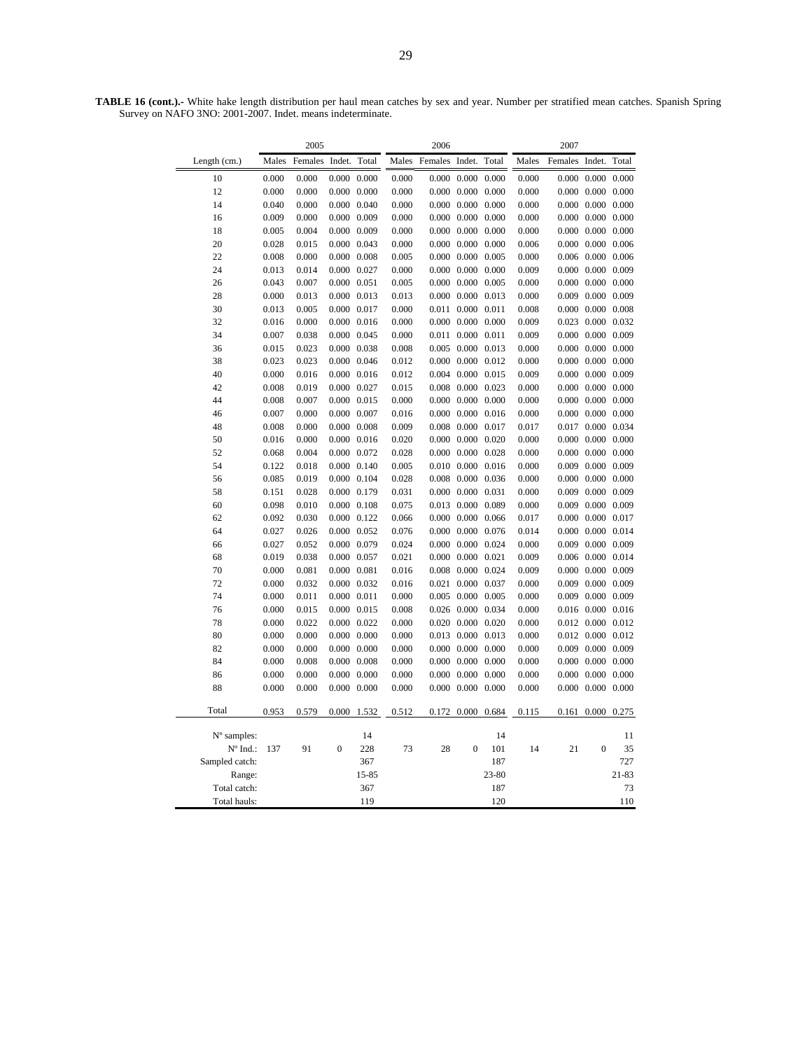**TABLE 16 (cont.).-** White hake length distribution per haul mean catches by sex and year. Number per stratified mean catches. Spanish Spring Survey on NAFO 3NO: 2001-2007. Indet. means indeterminate.

|                 |       | 2005    |                 |                     |       | 2006           |                         |           | 2007  |                |                         |           |  |
|-----------------|-------|---------|-----------------|---------------------|-------|----------------|-------------------------|-----------|-------|----------------|-------------------------|-----------|--|
| Length (cm.)    | Males | Females | Indet.          | Total               | Males | Females Indet. |                         | Total     | Males | Females Indet. |                         | Total     |  |
| 10              | 0.000 | 0.000   | 0.000           | 0.000               | 0.000 | 0.000          | 0.000                   | 0.000     | 0.000 | 0.000          | 0.000                   | 0.000     |  |
| 12              | 0.000 | 0.000   |                 | $0.000 \quad 0.000$ | 0.000 |                | $0.000 \quad 0.000$     | 0.000     | 0.000 |                | $0.000 \quad 0.000$     | 0.000     |  |
| 14              | 0.040 | 0.000   |                 | $0.000 \quad 0.040$ | 0.000 |                | $0.000 \quad 0.000$     | 0.000     | 0.000 |                | $0.000 \quad 0.000$     | 0.000     |  |
| 16              | 0.009 | 0.000   |                 | $0.000 \quad 0.009$ | 0.000 |                | $0.000 \quad 0.000$     | 0.000     | 0.000 |                | $0.000 \quad 0.000$     | 0.000     |  |
| 18              | 0.005 | 0.004   |                 | $0.000 \quad 0.009$ | 0.000 |                | $0.000 \quad 0.000$     | 0.000     | 0.000 |                | $0.000 \quad 0.000$     | 0.000     |  |
| $20\,$          | 0.028 | 0.015   |                 | 0.000 0.043         | 0.000 | 0.000          | 0.000                   | 0.000     | 0.006 | 0.000          | 0.000                   | 0.006     |  |
| 22              | 0.008 | 0.000   |                 | $0.000 \quad 0.008$ | 0.005 |                | $0.000$ $0.000$ $0.005$ |           | 0.000 |                | $0.006$ $0.000$         | 0.006     |  |
| 24              | 0.013 | 0.014   |                 | $0.000 \quad 0.027$ | 0.000 | 0.000          | 0.000                   | 0.000     | 0.009 |                | $0.000 \quad 0.000$     | 0.009     |  |
| 26              | 0.043 | 0.007   |                 | $0.000 \quad 0.051$ | 0.005 |                | $0.000$ $0.000$ $0.005$ |           | 0.000 |                | $0.000$ $0.000$ $0.000$ |           |  |
| 28              | 0.000 | 0.013   |                 | $0.000 \quad 0.013$ | 0.013 | 0.000          | 0.000                   | 0.013     | 0.000 | 0.009          | 0.000                   | 0.009     |  |
| 30              | 0.013 | 0.005   |                 | 0.000 0.017         | 0.000 | 0.011          | $0.000 \quad 0.011$     |           | 0.008 |                | $0.000 \quad 0.000$     | 0.008     |  |
| 32              | 0.016 | 0.000   |                 | $0.000 \quad 0.016$ | 0.000 |                | $0.000 \quad 0.000$     | 0.000     | 0.009 | 0.023          | 0.000                   | 0.032     |  |
| 34              | 0.007 | 0.038   |                 | $0.000 \quad 0.045$ | 0.000 |                | 0.011 0.000 0.011       |           | 0.009 |                | $0.000$ $0.000$ $0.009$ |           |  |
| 36              | 0.015 | 0.023   |                 | $0.000 \quad 0.038$ | 0.008 |                | 0.005 0.000 0.013       |           | 0.000 |                | $0.000 \quad 0.000$     | 0.000     |  |
| 38              | 0.023 | 0.023   |                 | $0.000 \quad 0.046$ | 0.012 | 0.000          | 0.000 0.012             |           | 0.000 |                | $0.000 \quad 0.000$     | 0.000     |  |
| 40              | 0.000 | 0.016   |                 | $0.000 \quad 0.016$ | 0.012 |                | 0.004 0.000 0.015       |           | 0.009 |                | $0.000 \quad 0.000$     | 0.009     |  |
| 42              | 0.008 | 0.019   |                 | 0.000 0.027         | 0.015 | 0.008          | 0.000 0.023             |           | 0.000 | 0.000          | 0.000                   | 0.000     |  |
| 44              | 0.008 | 0.007   |                 | $0.000 \quad 0.015$ | 0.000 |                | $0.000$ $0.000$ $0.000$ |           | 0.000 |                | $0.000 \quad 0.000$     | 0.000     |  |
| 46              | 0.007 | 0.000   |                 | $0.000 \quad 0.007$ | 0.016 | 0.000          | $0.000 \quad 0.016$     |           | 0.000 |                | $0.000 \quad 0.000$     | 0.000     |  |
| 48              | 0.008 | 0.000   |                 | $0.000 \quad 0.008$ | 0.009 |                | 0.008 0.000 0.017       |           | 0.017 |                | 0.017 0.000 0.034       |           |  |
| 50              | 0.016 | 0.000   |                 | $0.000 \quad 0.016$ | 0.020 | 0.000          | 0.000                   | 0.020     | 0.000 | 0.000          | 0.000                   | 0.000     |  |
| 52              | 0.068 | 0.004   |                 | 0.000 0.072         | 0.028 |                | $0.000$ $0.000$ $0.028$ |           | 0.000 |                | $0.000$ $0.000$ $0.000$ |           |  |
| 54              | 0.122 | 0.018   |                 | $0.000 \quad 0.140$ | 0.005 |                | 0.010 0.000 0.016       |           | 0.000 | 0.009          | 0.000                   | 0.009     |  |
| 56              | 0.085 | 0.019   |                 | $0.000 \quad 0.104$ | 0.028 |                | $0.008$ $0.000$ $0.036$ |           | 0.000 |                | $0.000$ $0.000$ $0.000$ |           |  |
| 58              | 0.151 | 0.028   |                 | 0.000 0.179         | 0.031 |                | $0.000$ $0.000$ $0.031$ |           | 0.000 | 0.009          | 0.000                   | 0.009     |  |
| 60              | 0.098 | 0.010   |                 | $0.000 \quad 0.108$ | 0.075 |                | 0.013 0.000 0.089       |           | 0.000 | 0.009          | 0.000                   | 0.009     |  |
| 62              | 0.092 | 0.030   |                 | 0.000 0.122         | 0.066 |                | $0.000$ $0.000$ $0.066$ |           | 0.017 |                | $0.000 \quad 0.000$     | 0.017     |  |
| 64              | 0.027 | 0.026   |                 | $0.000 \quad 0.052$ | 0.076 | 0.000          | 0.000                   | 0.076     | 0.014 | 0.000          | 0.000                   | 0.014     |  |
| 66              | 0.027 | 0.052   |                 | 0.000 0.079         | 0.024 |                | $0.000$ $0.000$ $0.024$ |           | 0.000 | 0.009          | 0.000                   | 0.009     |  |
| 68              | 0.019 | 0.038   |                 | $0.000 \quad 0.057$ | 0.021 | 0.000          | 0.000 0.021             |           | 0.009 |                | $0.006$ $0.000$         | 0.014     |  |
| 70              | 0.000 | 0.081   |                 | $0.000 \quad 0.081$ | 0.016 |                | 0.008 0.000 0.024       |           | 0.009 |                | $0.000$ $0.000$ $0.009$ |           |  |
| 72              | 0.000 | 0.032   |                 | 0.000 0.032         | 0.016 | 0.021          | 0.000                   | 0.037     | 0.000 | 0.009          | 0.000                   | 0.009     |  |
| 74              | 0.000 | 0.011   | $0.000$ $0.011$ |                     | 0.000 |                | $0.005$ $0.000$ $0.005$ |           | 0.000 | 0.009          | 0.000                   | 0.009     |  |
| 76              | 0.000 | 0.015   |                 | $0.000 \quad 0.015$ | 0.008 |                | 0.026 0.000 0.034       |           | 0.000 |                | $0.016$ $0.000$         | 0.016     |  |
| 78              | 0.000 | 0.022   |                 | $0.000 \quad 0.022$ | 0.000 |                | $0.020$ $0.000$ $0.020$ |           | 0.000 |                | 0.012 0.000 0.012       |           |  |
| 80              | 0.000 | 0.000   |                 | $0.000 \quad 0.000$ | 0.000 |                | 0.013 0.000 0.013       |           | 0.000 |                | $0.012$ $0.000$         | 0.012     |  |
| 82              | 0.000 | 0.000   |                 | $0.000 \quad 0.000$ | 0.000 |                | $0.000$ $0.000$ $0.000$ |           | 0.000 |                | $0.009$ $0.000$         | 0.009     |  |
| 84              | 0.000 | 0.008   |                 | $0.000 \quad 0.008$ | 0.000 |                | $0.000 \quad 0.000$     | 0.000     | 0.000 |                | $0.000 \quad 0.000$     | 0.000     |  |
| 86              | 0.000 | 0.000   |                 | $0.000 \quad 0.000$ | 0.000 | 0.000          | 0.000                   | 0.000     | 0.000 | 0.000          | 0.000                   | 0.000     |  |
| 88              | 0.000 | 0.000   |                 | $0.000 \quad 0.000$ | 0.000 |                | $0.000$ $0.000$ $0.000$ |           | 0.000 |                | $0.000$ $0.000$ $0.000$ |           |  |
| Total           | 0.953 | 0.579   | 0.000           | 1.532               | 0.512 |                | 0.172 0.000 0.684       |           | 0.115 |                | $0.161$ $0.000$ $0.275$ |           |  |
| N° samples:     |       |         |                 | 14                  |       |                |                         | 14        |       |                |                         | 11        |  |
| N° Ind.:<br>137 |       | 91      | $\mathbf{0}$    | 228                 | 73    | 28             | $\mathbf{0}$            | 101       | 14    | 21             | $\boldsymbol{0}$        | 35        |  |
| Sampled catch:  |       |         |                 | 367                 |       |                |                         | 187       |       |                |                         | 727       |  |
| Range:          |       |         |                 | 15-85               |       |                |                         | $23 - 80$ |       |                |                         | $21 - 83$ |  |
| Total catch:    |       |         |                 | 367                 |       |                |                         | 187       |       |                |                         | 73        |  |
| Total hauls:    |       |         |                 | 119                 |       |                |                         | 120       |       |                |                         | 110       |  |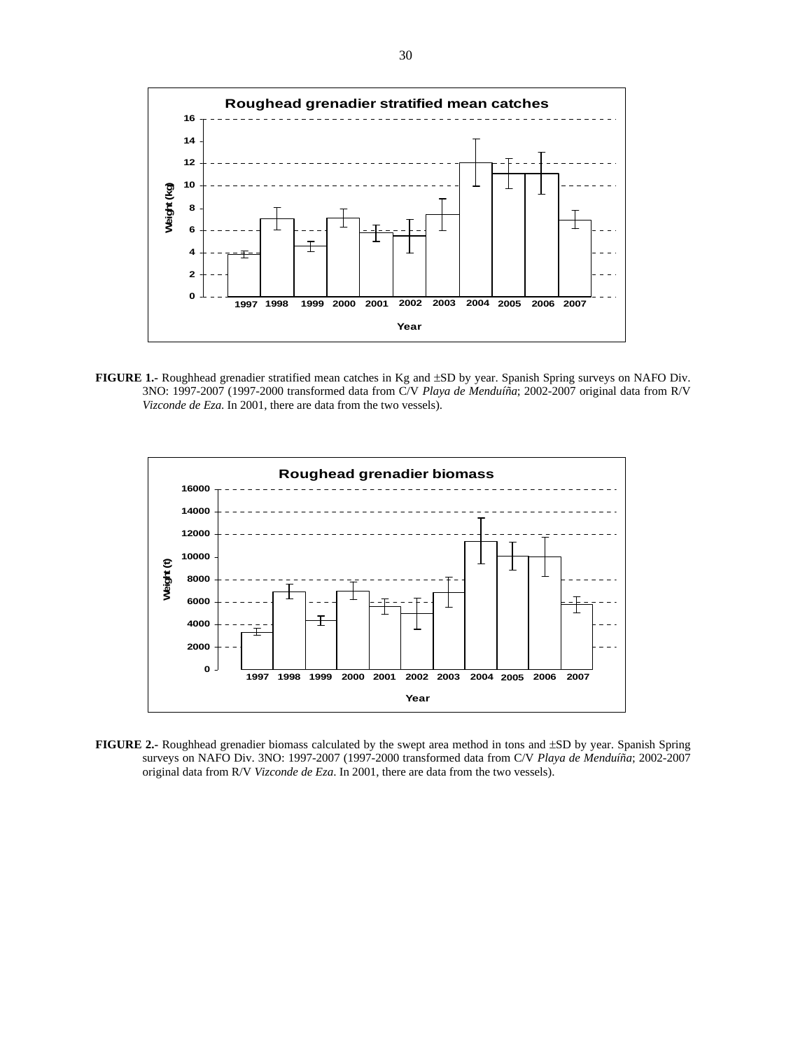

**FIGURE 1.-** Roughhead grenadier stratified mean catches in Kg and ±SD by year. Spanish Spring surveys on NAFO Div. 3NO: 1997-2007 (1997-2000 transformed data from C/V *Playa de Menduíña*; 2002-2007 original data from R/V *Vizconde de Eza*. In 2001, there are data from the two vessels).



**FIGURE 2.-** Roughhead grenadier biomass calculated by the swept area method in tons and ±SD by year. Spanish Spring surveys on NAFO Div. 3NO: 1997-2007 (1997-2000 transformed data from C/V *Playa de Menduíña*; 2002-2007 original data from R/V *Vizconde de Eza*. In 2001, there are data from the two vessels).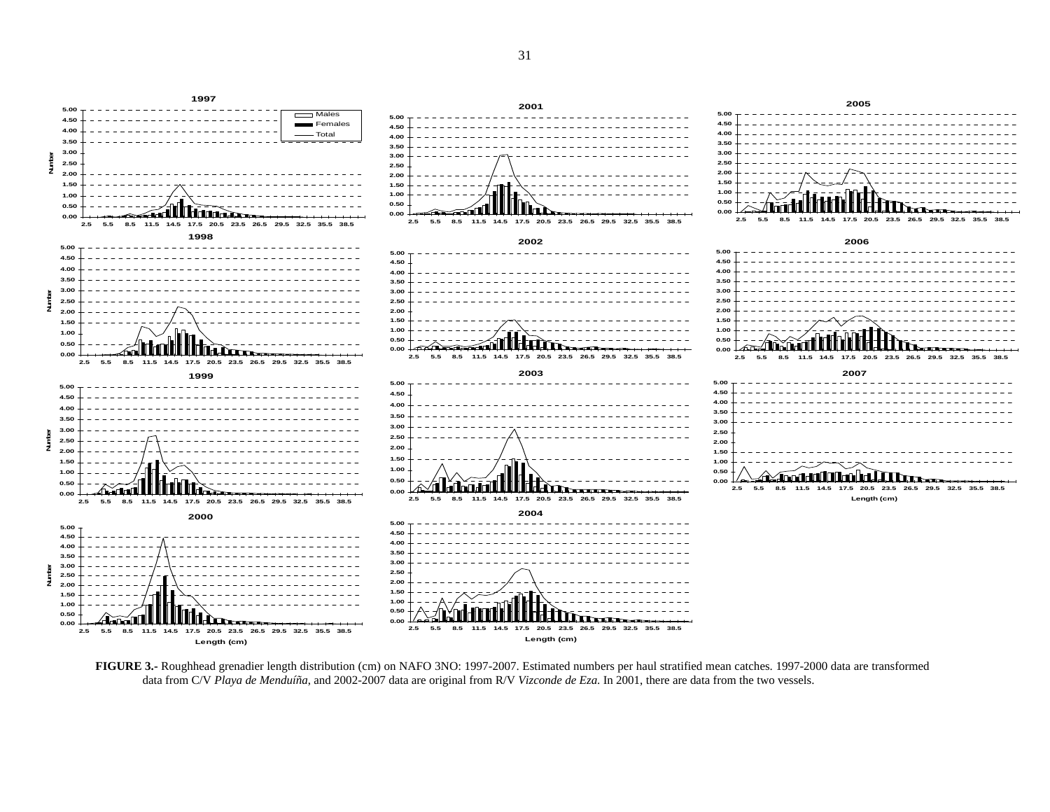

**FIGURE 3.-** Roughhead grenadier length distribution (cm) on NAFO 3NO: 1997-2007. Estimated numbers per haul stratified mean catches. 1997-2000 data are transformed data from C/V *Playa de Menduíña*, and 2002-2007 data are original from R/V *Vizconde de Eza*. In 2001, there are data from the two vessels.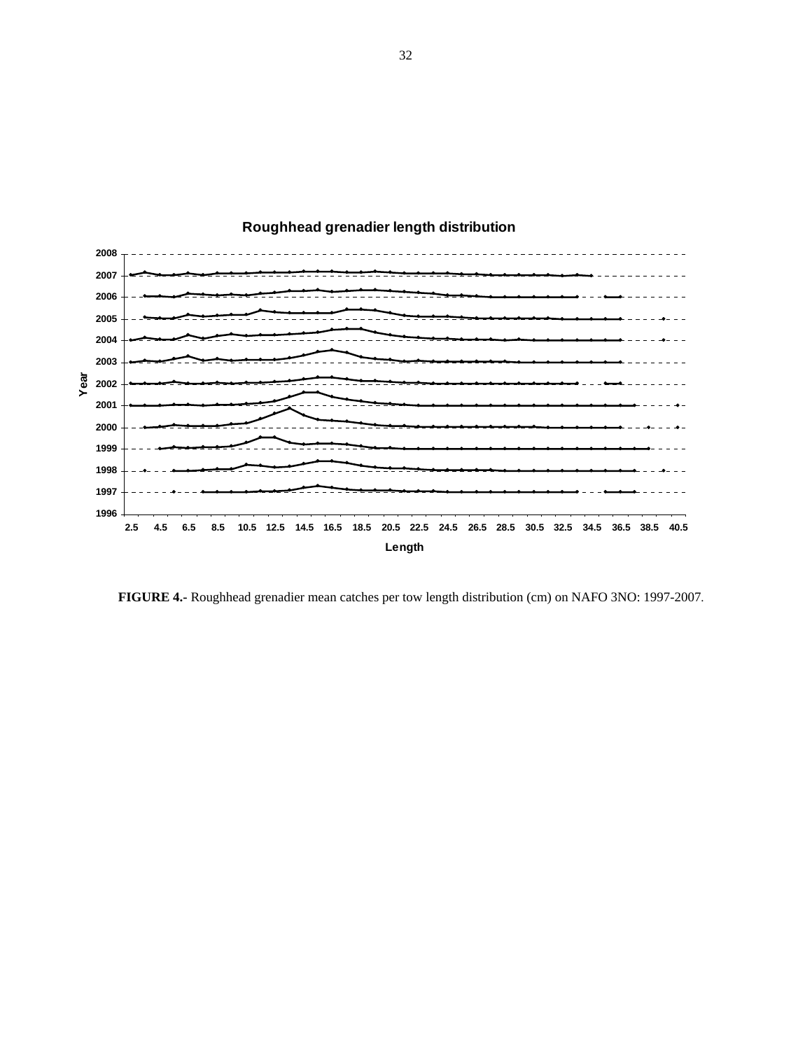

# **Roughhead grenadier length distribution**

**FIGURE 4.-** Roughhead grenadier mean catches per tow length distribution (cm) on NAFO 3NO: 1997-2007.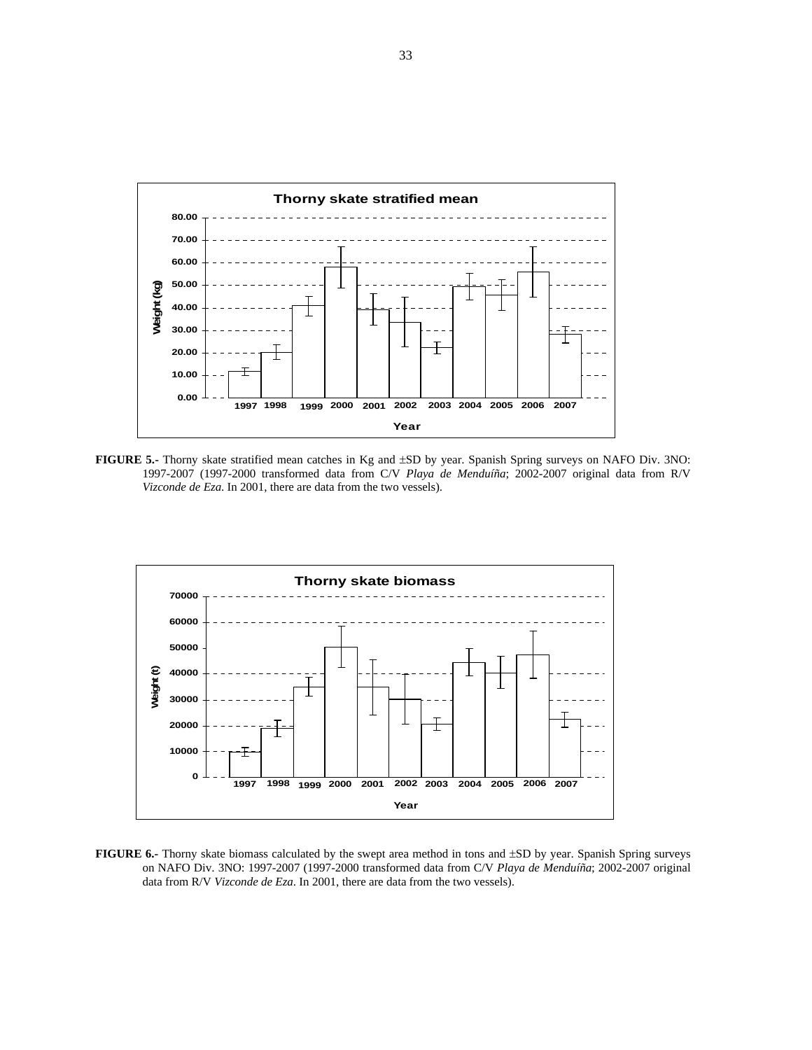

**FIGURE 5.-** Thorny skate stratified mean catches in Kg and ±SD by year. Spanish Spring surveys on NAFO Div. 3NO: 1997-2007 (1997-2000 transformed data from C/V *Playa de Menduíña*; 2002-2007 original data from R/V *Vizconde de Eza*. In 2001, there are data from the two vessels).



**FIGURE 6.-** Thorny skate biomass calculated by the swept area method in tons and ±SD by year. Spanish Spring surveys on NAFO Div. 3NO: 1997-2007 (1997-2000 transformed data from C/V *Playa de Menduíña*; 2002-2007 original data from R/V *Vizconde de Eza*. In 2001, there are data from the two vessels).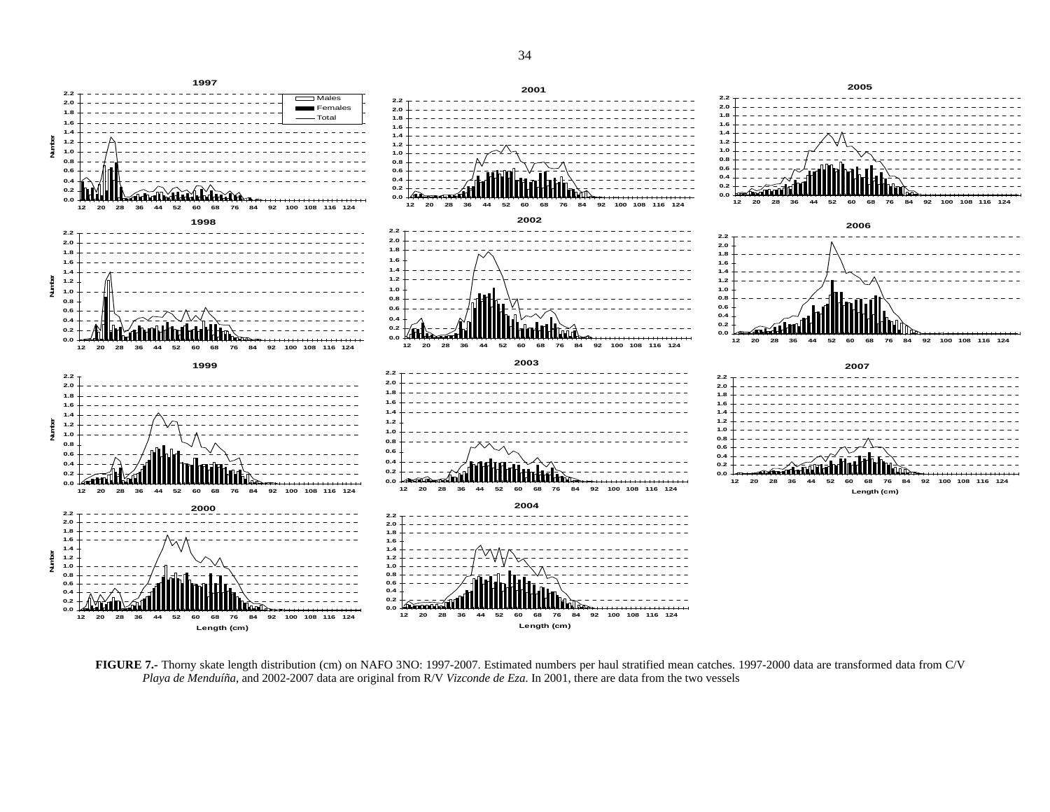

**FIGURE 7.-** Thorny skate length distribution (cm) on NAFO 3NO: 1997-2007. Estimated numbers per haul stratified mean catches. 1997-2000 data are transformed data from C/V *Playa de Menduíña*, and 2002-2007 data are original from R/V *Vizconde de Eza*. In 2001, there are data from the two vessels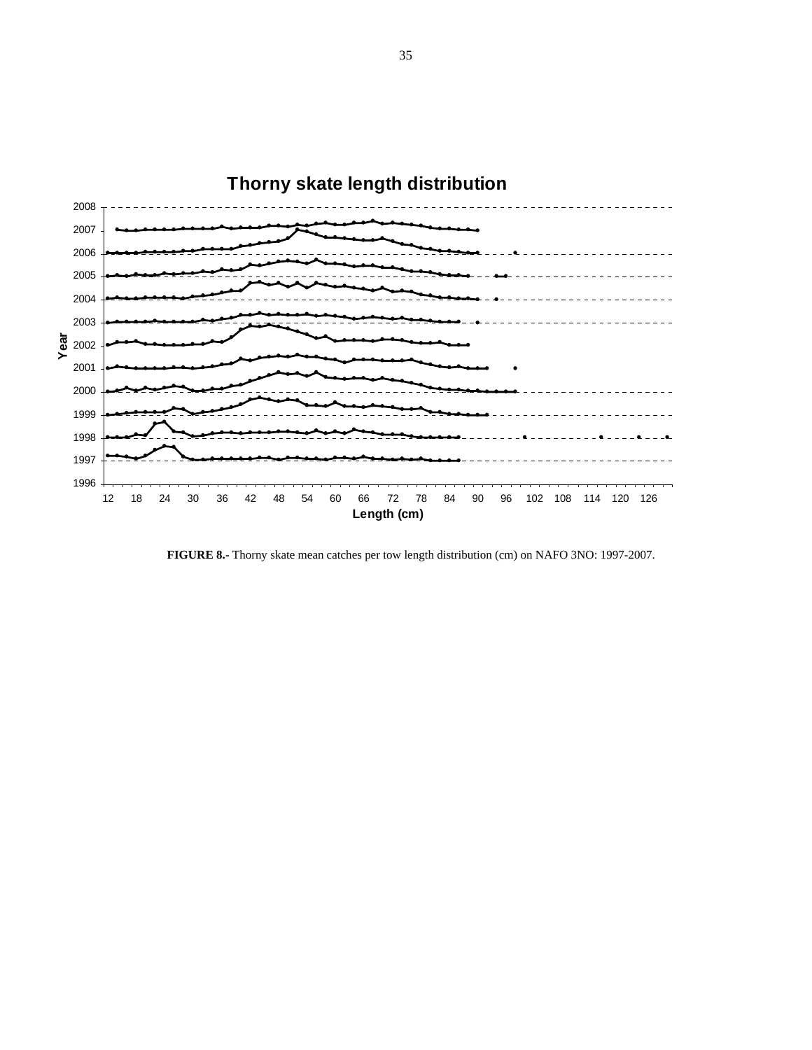

**FIGURE 8.-** Thorny skate mean catches per tow length distribution (cm) on NAFO 3NO: 1997-2007.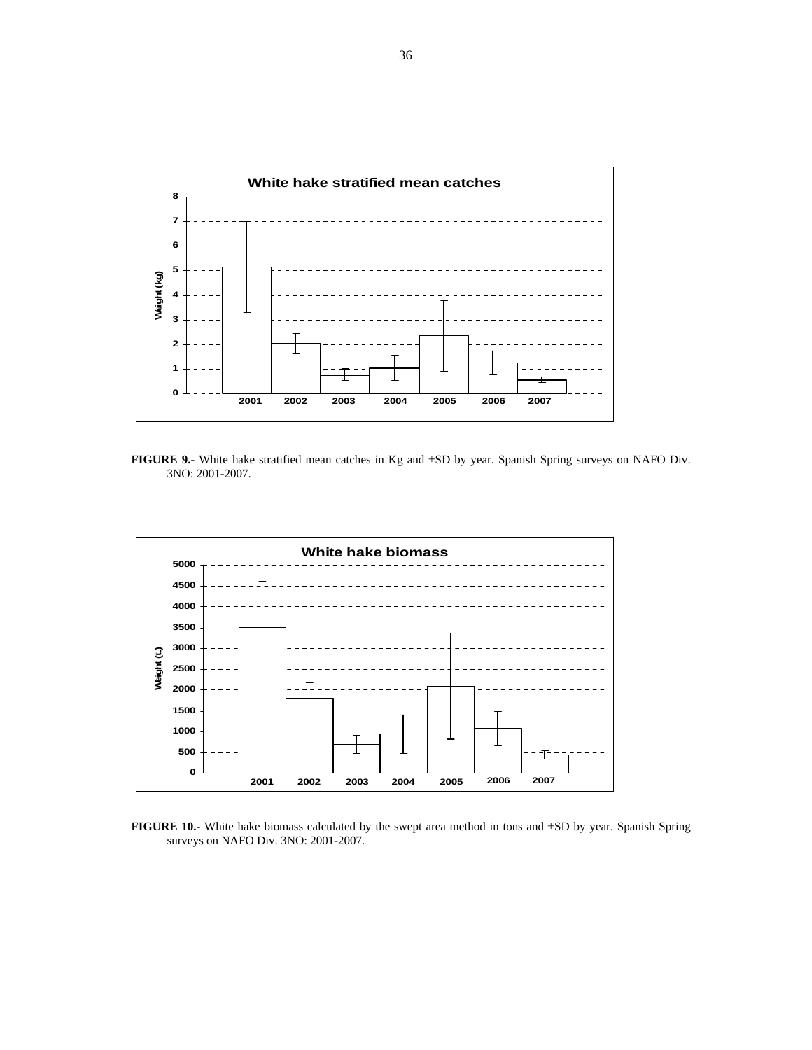

**FIGURE 9.-** White hake stratified mean catches in Kg and ±SD by year. Spanish Spring surveys on NAFO Div. 3NO: 2001-2007.



**FIGURE 10.-** White hake biomass calculated by the swept area method in tons and ±SD by year. Spanish Spring surveys on NAFO Div. 3NO: 2001-2007.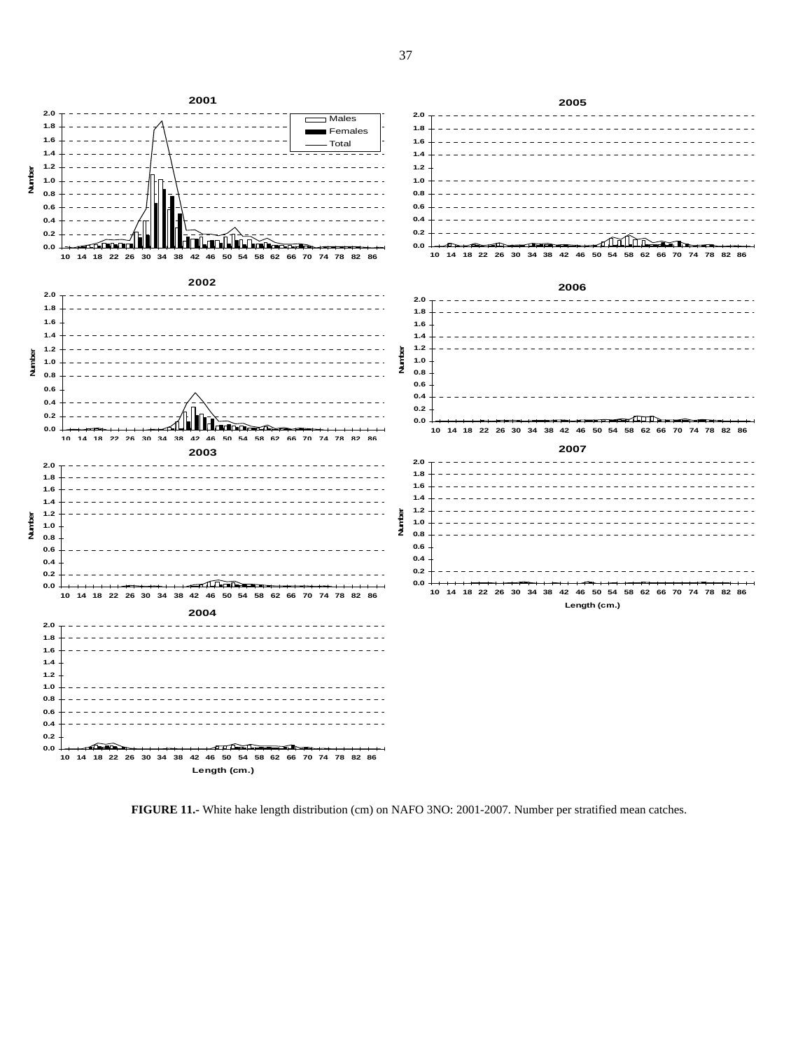

**FIGURE 11.-** White hake length distribution (cm) on NAFO 3NO: 2001-2007. Number per stratified mean catches.